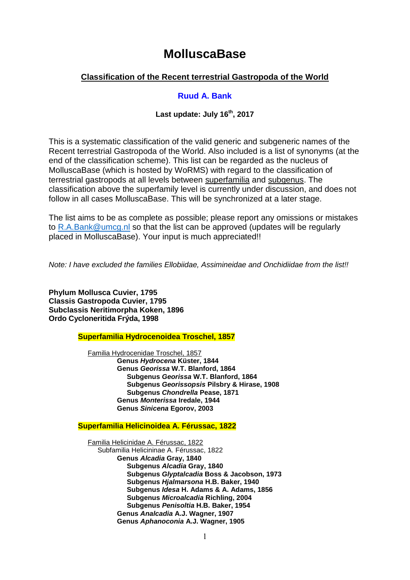# **MolluscaBase**

# **Classification of the Recent terrestrial Gastropoda of the World**

# **Ruud A. Bank**

# **Last update: July 16th, 2017**

This is a systematic classification of the valid generic and subgeneric names of the Recent terrestrial Gastropoda of the World. Also included is a list of synonyms (at the end of the classification scheme). This list can be regarded as the nucleus of MolluscaBase (which is hosted by WoRMS) with regard to the classification of terrestrial gastropods at all levels between superfamilia and subgenus. The classification above the superfamily level is currently under discussion, and does not follow in all cases MolluscaBase. This will be synchronized at a later stage.

The list aims to be as complete as possible; please report any omissions or mistakes to [R.A.Bank@umcg.nl](mailto:R.A.Bank@umcg.nl) so that the list can be approved (updates will be regularly placed in MolluscaBase). Your input is much appreciated!!

*Note: I have excluded the families Ellobiidae, Assimineidae and Onchidiidae from the list!!*

**Phylum Mollusca Cuvier, 1795 Classis Gastropoda Cuvier, 1795 Subclassis Neritimorpha Koken, 1896 Ordo Cycloneritida Frýda, 1998**

**Superfamilia Hydrocenoidea Troschel, 1857**

Familia Hydrocenidae Troschel, 1857 **Genus** *Hydrocena* **Küster, 1844 Genus** *Georissa* **W.T. Blanford, 1864 Subgenus** *Georissa* **W.T. Blanford, 1864 Subgenus** *Georissopsis* **Pilsbry & Hirase, 1908 Subgenus** *Chondrella* **Pease, 1871 Genus** *Monterissa* **Iredale, 1944 Genus** *Sinicena* **Egorov, 2003** 

**Superfamilia Helicinoidea A. Férussac, 1822**

Familia Helicinidae A. Férussac, 1822 Subfamilia Helicininae A. Férussac, 1822 **Genus** *Alcadia* **Gray, 1840 Subgenus** *Alcadia* **Gray, 1840 Subgenus** *Glyptalcadia* **Boss & Jacobson, 1973 Subgenus** *Hjalmarsona* **H.B. Baker, 1940 Subgenus** *Idesa* **H. Adams & A. Adams, 1856 Subgenus** *Microalcadia* **Richling, 2004 Subgenus** *Penisoltia* **H.B. Baker, 1954 Genus** *Analcadia* **A.J. Wagner, 1907 Genus** *Aphanoconia* **A.J. Wagner, 1905**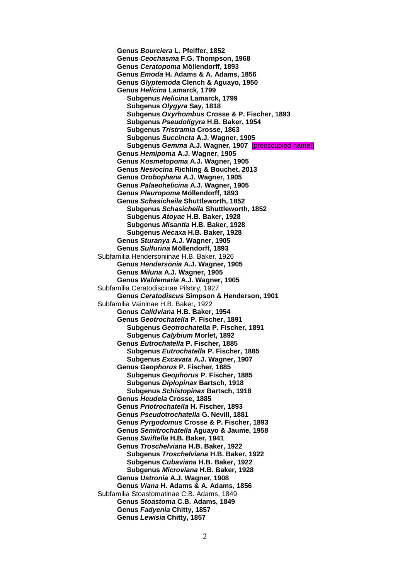**Genus** *Bourciera* **L. Pfeiffer, 1852 Genus** *Ceochasma* **F.G. Thompson, 1968 Genus** *Ceratopoma* **Möllendorff, 1893 Genus** *Emoda* **H. Adams & A. Adams, 1856 Genus** *Glyptemoda* **Clench & Aguayo, 1950 Genus** *Helicina* **Lamarck, 1799 Subgenus** *Helicina* **Lamarck, 1799 Subgenus** *Olygyra* **Say, 1818 Subgenus** *Oxyrhombus* **Crosse & P. Fischer, 1893 Subgenus** *Pseudoligyra* **H.B. Baker, 1954 Subgenus** *Tristramia* **Crosse, 1863 Subgenus** *Succincta* **A.J. Wagner, 1905 Subgenus** *Gemma* **A.J. Wagner, 1907** [preoccupied name!] **Genus** *Hemipoma* **A.J. Wagner, 1905 Genus** *Kosmetopoma* **A.J. Wagner, 1905 Genus** *Nesiocina* **Richling & Bouchet, 2013 Genus** *Orobophana* **A.J. Wagner, 1905 Genus** *Palaeohelicina* **A.J. Wagner, 1905 Genus** *Pleuropoma* **Möllendorff, 1893 Genus** *Schasicheila* **Shuttleworth, 1852 Subgenus** *Schasicheila* **Shuttleworth, 1852 Subgenus** *Atoyac* **H.B. Baker, 1928 Subgenus** *Misantla* **H.B. Baker, 1928 Subgenus** *Necaxa* **H.B. Baker, 1928 Genus** *Sturanya* **A.J. Wagner, 1905 Genus** *Sulfurina* **Möllendorff, 1893** Subfamilia Hendersoniinae H.B. Baker, 1926 **Genus** *Hendersonia* **A.J. Wagner, 1905 Genus** *Miluna* **A.J. Wagner, 1905 Genus** *Waldemaria* **A.J. Wagner, 1905** Subfamilia Ceratodiscinae Pilsbry, 1927 **Genus** *Ceratodiscus* **Simpson & Henderson, 1901** Subfamilia Vaininae H.B. Baker, 1922 **Genus** *Calidviana* **H.B. Baker, 1954 Genus** *Geotrochatella* **P. Fischer, 1891 Subgenus** *Geotrochatella* **P. Fischer, 1891 Subgenus** *Calybium* **Morlet, 1892 Genus** *Eutrochatella* **P. Fischer, 1885 Subgenus** *Eutrochatella* **P. Fischer, 1885 Subgenus** *Excavata* **A.J. Wagner, 1907 Genus** *Geophorus* **P. Fischer, 1885 Subgenus** *Geophorus* **P. Fischer, 1885 Subgenus** *Diplopinax* **Bartsch, 1918 Subgenus** *Schistopinax* **Bartsch, 1918 Genus** *Heudeia* **Crosse, 1885 Genus** *Priotrochatella* **H. Fischer, 1893 Genus** *Pseudotrochatella* **G. Nevill, 1881 Genus** *Pyrgodomus* **Crosse & P. Fischer, 1893 Genus** *Semitrochatella* **Aguayo & Jaume, 1958 Genus** *Swiftella* **H.B. Baker, 1941 Genus** *Troschelviana* **H.B. Baker, 1922 Subgenus** *Troschelviana* **H.B. Baker, 1922 Subgenus** *Cubaviana* **H.B. Baker, 1922 Subgenus** *Microviana* **H.B. Baker, 1928 Genus** *Ustronia* **A.J. Wagner, 1908 Genus** *Viana* **H. Adams & A. Adams, 1856** Subfamilia Stoastomatinae C.B. Adams, 1849 **Genus** *Stoastoma* **C.B. Adams, 1849 Genus** *Fadyenia* **Chitty, 1857 Genus** *Lewisia* **Chitty, 1857**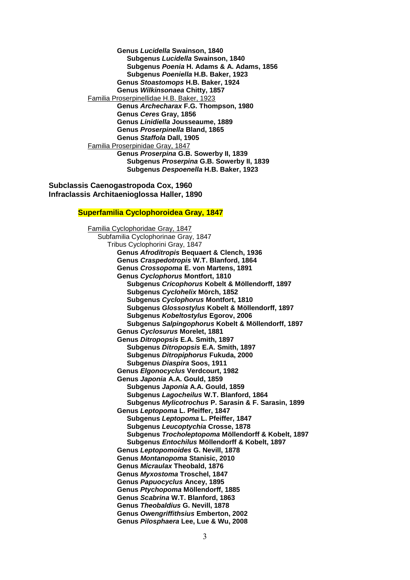**Genus** *Lucidella* **Swainson, 1840 Subgenus** *Lucidella* **Swainson, 1840 Subgenus** *Poenia* **H. Adams & A. Adams, 1856 Subgenus** *Poeniella* **H.B. Baker, 1923 Genus** *Stoastomops* **H.B. Baker, 1924 Genus** *Wilkinsonaea* **Chitty, 1857** Familia Proserpinellidae H.B. Baker, 1923 **Genus** *Archecharax* **F.G. Thompson, 1980 Genus** *Ceres* **Gray, 1856 Genus** *Linidiella* **Jousseaume, 1889 Genus** *Proserpinella* **Bland, 1865 Genus** *Staffola* **Dall, 1905** Familia Proserpinidae Gray, 1847 **Genus** *Proserpina* **G.B. Sowerby II, 1839 Subgenus** *Proserpina* **G.B. Sowerby II, 1839 Subgenus** *Despoenella* **H.B. Baker, 1923**

**Subclassis Caenogastropoda Cox, 1960 Infraclassis Architaenioglossa Haller, 1890**

## **Superfamilia Cyclophoroidea Gray, 1847**

Familia Cyclophoridae Gray, 1847 Subfamilia Cyclophorinae Gray, 1847 Tribus Cyclophorini Gray, 1847 **Genus** *Afroditropis* **Bequaert & Clench, 1936 Genus** *Craspedotropis* **W.T. Blanford, 1864 Genus** *Crossopoma* **E. von Martens, 1891 Genus** *Cyclophorus* **Montfort, 1810 Subgenus** *Cricophorus* **Kobelt & Möllendorff, 1897 Subgenus** *Cyclohelix* **Mörch, 1852 Subgenus** *Cyclophorus* **Montfort, 1810 Subgenus** *Glossostylus* **Kobelt & Möllendorff, 1897 Subgenus** *Kobeltostylus* **Egorov, 2006 Subgenus** *Salpingophorus* **Kobelt & Möllendorff, 1897 Genus** *Cyclosurus* **Morelet, 1881 Genus** *Ditropopsis* **E.A. Smith, 1897 Subgenus** *Ditropopsis* **E.A. Smith, 1897 Subgenus** *Ditropiphorus* **Fukuda, 2000 Subgenus** *Diaspira* **Soos, 1911 Genus** *Elgonocyclus* **Verdcourt, 1982 Genus** *Japonia* **A.A. Gould, 1859 Subgenus** *Japonia* **A.A. Gould, 1859 Subgenus** *Lagocheilus* **W.T. Blanford, 1864 Subgenus** *Mylicotrochus* **P. Sarasin & F. Sarasin, 1899 Genus** *Leptopoma* **L. Pfeiffer, 1847 Subgenus** *Leptopoma* **L. Pfeiffer, 1847 Subgenus** *Leucoptychia* **Crosse, 1878 Subgenus** *Trocholeptopoma* **Möllendorff & Kobelt, 1897 Subgenus** *Entochilus* **Möllendorff & Kobelt, 1897 Genus** *Leptopomoides* **G. Nevill, 1878 Genus** *Montanopoma* **Stanisic, 2010 Genus** *Micraulax* **Theobald, 1876 Genus** *Myxostoma* **Troschel, 1847 Genus** *Papuocyclus* **Ancey, 1895 Genus** *Ptychopoma* **Möllendorff, 1885 Genus** *Scabrina* **W.T. Blanford, 1863 Genus** *Theobaldius* **G. Nevill, 1878 Genus** *Owengriffithsius* **Emberton, 2002 Genus** *Pilosphaera* **Lee, Lue & Wu, 2008**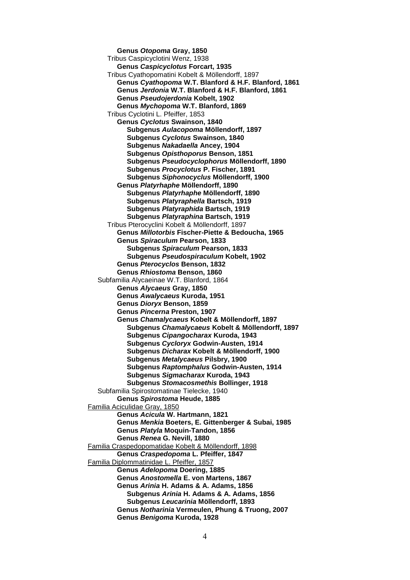**Genus** *Otopoma* **Gray, 1850** Tribus Caspicyclotini Wenz, 1938 **Genus** *Caspicyclotus* **Forcart, 1935** Tribus Cyathopomatini Kobelt & Möllendorff, 1897 **Genus** *Cyathopoma* **W.T. Blanford & H.F. Blanford, 1861 Genus** *Jerdonia* **W.T. Blanford & H.F. Blanford, 1861 Genus** *Pseudojerdonia* **Kobelt, 1902 Genus** *Mychopoma* **W.T. Blanford, 1869** Tribus Cyclotini L. Pfeiffer, 1853 **Genus** *Cyclotus* **Swainson, 1840 Subgenus** *Aulacopoma* **Möllendorff, 1897 Subgenus** *Cyclotus* **Swainson, 1840 Subgenus** *Nakadaella* **Ancey, 1904 Subgenus** *Opisthoporus* **Benson, 1851 Subgenus** *Pseudocyclophorus* **Möllendorff, 1890 Subgenus** *Procyclotus* **P. Fischer, 1891 Subgenus** *Siphonocyclus* **Möllendorff, 1900 Genus** *Platyrhaphe* **Möllendorff, 1890 Subgenus** *Platyrhaphe* **Möllendorff, 1890 Subgenus** *Platyraphella* **Bartsch, 1919 Subgenus** *Platyraphida* **Bartsch, 1919 Subgenus** *Platyraphina* **Bartsch, 1919** Tribus Pterocyclini Kobelt & Möllendorff, 1897 **Genus** *Millotorbis* **Fischer-Piette & Bedoucha, 1965 Genus** *Spiraculum* **Pearson, 1833 Subgenus** *Spiraculum* **Pearson, 1833 Subgenus** *Pseudospiraculum* **Kobelt, 1902 Genus** *Pterocyclos* **Benson, 1832 Genus** *Rhiostoma* **Benson, 1860** Subfamilia Alycaeinae W.T. Blanford, 1864 **Genus** *Alycaeus* **Gray, 1850 Genus** *Awalycaeus* **Kuroda, 1951 Genus** *Dioryx* **Benson, 1859 Genus** *Pincerna* **Preston, 1907 Genus** *Chamalycaeus* **Kobelt & Möllendorff, 1897 Subgenus** *Chamalycaeus* **Kobelt & Möllendorff, 1897 Subgenus** *Cipangocharax* **Kuroda, 1943 Subgenus** *Cycloryx* **Godwin-Austen, 1914 Subgenus** *Dicharax* **Kobelt & Möllendorff, 1900 Subgenus** *Metalycaeus* **Pilsbry, 1900 Subgenus** *Raptomphalus* **Godwin-Austen, 1914 Subgenus** *Sigmacharax* **Kuroda, 1943 Subgenus** *Stomacosmethis* **Bollinger, 1918** Subfamilia Spirostomatinae Tielecke, 1940 **Genus** *Spirostoma* **Heude, 1885** Familia Aciculidae Gray, 1850 **Genus** *Acicula* **W. Hartmann, 1821 Genus** *Menkia* **Boeters, E. Gittenberger & Subai, 1985 Genus** *Platyla* **Moquin-Tandon, 1856 Genus** *Renea* **G. Nevill, 1880** Familia Craspedopomatidae Kobelt & Möllendorff, 1898 **Genus** *Craspedopoma* **L. Pfeiffer, 1847** Familia Diplommatinidae L. Pfeiffer, 1857 **Genus** *Adelopoma* **Doering, 1885 Genus** *Anostomella* **E. von Martens, 1867 Genus** *Arinia* **H. Adams & A. Adams, 1856 Subgenus** *Arinia* **H. Adams & A. Adams, 1856 Subgenus** *Leucarinia* **Möllendorff, 1893 Genus** *Notharinia* **Vermeulen, Phung & Truong, 2007 Genus** *Benigoma* **Kuroda, 1928**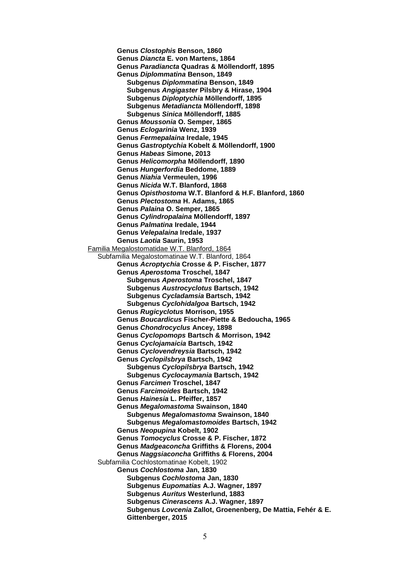**Genus** *Clostophis* **Benson, 1860 Genus** *Diancta* **E. von Martens, 1864 Genus** *Paradiancta* **Quadras & Möllendorff, 1895 Genus** *Diplommatina* **Benson, 1849 Subgenus** *Diplommatina* **Benson, 1849 Subgenus** *Angigaster* **Pilsbry & Hirase, 1904 Subgenus** *Diploptychia* **Möllendorff, 1895 Subgenus** *Metadiancta* **Möllendorff, 1898 Subgenus** *Sinica* **Möllendorff, 1885 Genus** *Moussonia* **O. Semper, 1865 Genus** *Eclogarinia* **Wenz, 1939 Genus** *Fermepalaina* **Iredale, 1945 Genus** *Gastroptychia* **Kobelt & Möllendorff, 1900 Genus** *Habeas* **Simone, 2013 Genus** *Helicomorpha* **Möllendorff, 1890 Genus** *Hungerfordia* **Beddome, 1889 Genus** *Niahia* **Vermeulen, 1996 Genus** *Nicida* **W.T. Blanford, 1868 Genus** *Opisthostoma* **W.T. Blanford & H.F. Blanford, 1860 Genus** *Plectostoma* **H. Adams, 1865 Genus** *Palaina* **O. Semper, 1865 Genus** *Cylindropalaina* **Möllendorff, 1897 Genus** *Palmatina* **Iredale, 1944 Genus** *Velepalaina* **Iredale, 1937 Genus** *Laotia* **Saurin, 1953** Familia Megalostomatidae W.T. Blanford, 1864 Subfamilia Megalostomatinae W.T. Blanford, 1864 **Genus** *Acroptychia* **Crosse & P. Fischer, 1877 Genus** *Aperostoma* **Troschel, 1847 Subgenus** *Aperostoma* **Troschel, 1847 Subgenus** *Austrocyclotus* **Bartsch, 1942 Subgenus** *Cycladamsia* **Bartsch, 1942 Subgenus** *Cyclohidalgoa* **Bartsch, 1942 Genus** *Rugicyclotus* **Morrison, 1955 Genus** *Boucardicus* **Fischer-Piette & Bedoucha, 1965 Genus** *Chondrocyclus* **Ancey, 1898 Genus** *Cyclopomops* **Bartsch & Morrison, 1942 Genus** *Cyclojamaicia* **Bartsch, 1942 Genus** *Cyclovendreysia* **Bartsch, 1942 Genus** *Cyclopilsbrya* **Bartsch, 1942 Subgenus** *Cyclopilsbrya* **Bartsch, 1942 Subgenus** *Cyclocaymania* **Bartsch, 1942 Genus** *Farcimen* **Troschel, 1847 Genus** *Farcimoides* **Bartsch, 1942 Genus** *Hainesia* **L. Pfeiffer, 1857 Genus** *Megalomastoma* **Swainson, 1840 Subgenus** *Megalomastoma* **Swainson, 1840 Subgenus** *Megalomastomoides* **Bartsch, 1942 Genus** *Neopupina* **Kobelt, 1902 Genus** *Tomocyclus* **Crosse & P. Fischer, 1872 Genus** *Madgeaconcha* **Griffiths & Florens, 2004 Genus** *Naggsiaconcha* **Griffiths & Florens, 2004** Subfamilia Cochlostomatinae Kobelt, 1902 **Genus** *Cochlostoma* **Jan, 1830 Subgenus** *Cochlostoma* **Jan, 1830 Subgenus** *Eupomatias* **A.J. Wagner, 1897 Subgenus** *Auritus* **Westerlund, 1883 Subgenus** *Cinerascens* **A.J. Wagner, 1897 Subgenus** *Lovcenia* **Zallot, Groenenberg, De Mattia, Fehér & E. Gittenberger, 2015**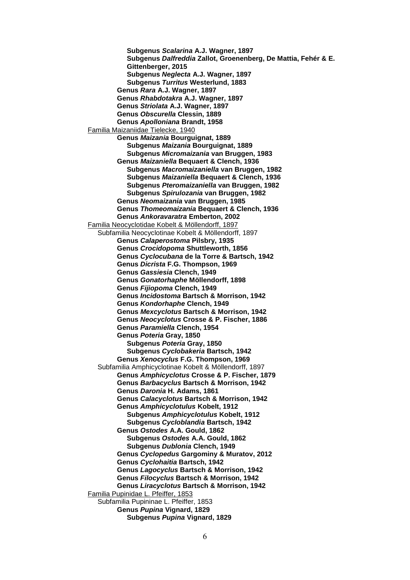**Subgenus** *Scalarina* **A.J. Wagner, 1897 Subgenus** *Dalfreddia* **Zallot, Groenenberg, De Mattia, Fehér & E. Gittenberger, 2015 Subgenus** *Neglecta* **A.J. Wagner, 1897 Subgenus** *Turritus* **Westerlund, 1883 Genus** *Rara* **A.J. Wagner, 1897 Genus** *Rhabdotakra* **A.J. Wagner, 1897 Genus** *Striolata* **A.J. Wagner, 1897 Genus** *Obscurella* **Clessin, 1889 Genus** *Apolloniana* **Brandt, 1958** Familia Maizaniidae Tielecke, 1940 **Genus** *Maizania* **Bourguignat, 1889 Subgenus** *Maizania* **Bourguignat, 1889 Subgenus** *Micromaizania* **van Bruggen, 1983 Genus** *Maizaniella* **Bequaert & Clench, 1936 Subgenus** *Macromaizaniella* **van Bruggen, 1982 Subgenus** *Maizaniella* **Bequaert & Clench, 1936 Subgenus** *Pteromaizaniella* **van Bruggen, 1982 Subgenus** *Spirulozania* **van Bruggen, 1982 Genus** *Neomaizania* **van Bruggen, 1985 Genus** *Thomeomaizania* **Bequaert & Clench, 1936 Genus** *Ankoravaratra* **Emberton, 2002** Familia Neocyclotidae Kobelt & Möllendorff, 1897 Subfamilia Neocyclotinae Kobelt & Möllendorff, 1897 **Genus** *Calaperostoma* **Pilsbry, 1935 Genus** *Crocidopoma* **Shuttleworth, 1856 Genus** *Cyclocubana* **de la Torre & Bartsch, 1942 Genus** *Dicrista* **F.G. Thompson, 1969 Genus** *Gassiesia* **Clench, 1949 Genus** *Gonatorhaphe* **Möllendorff, 1898 Genus** *Fijiopoma* **Clench, 1949 Genus** *Incidostoma* **Bartsch & Morrison, 1942 Genus** *Kondorhaphe* **Clench, 1949 Genus** *Mexcyclotus* **Bartsch & Morrison, 1942 Genus** *Neocyclotus* **Crosse & P. Fischer, 1886 Genus** *Paramiella* **Clench, 1954 Genus** *Poteria* **Gray, 1850 Subgenus** *Poteria* **Gray, 1850 Subgenus** *Cyclobakeria* **Bartsch, 1942 Genus** *Xenocyclus* **F.G. Thompson, 1969** Subfamilia Amphicyclotinae Kobelt & Möllendorff, 1897 **Genus** *Amphicyclotus* **Crosse & P. Fischer, 1879 Genus** *Barbacyclus* **Bartsch & Morrison, 1942 Genus** *Daronia* **H. Adams, 1861 Genus** *Calacyclotus* **Bartsch & Morrison, 1942 Genus** *Amphicyclotulus* **Kobelt, 1912 Subgenus** *Amphicyclotulus* **Kobelt, 1912 Subgenus** *Cycloblandia* **Bartsch, 1942 Genus** *Ostodes* **A.A. Gould, 1862 Subgenus** *Ostodes* **A.A. Gould, 1862 Subgenus** *Dublonia* **Clench, 1949 Genus** *Cyclopedus* **Gargominy & Muratov, 2012 Genus** *Cyclohaitia* **Bartsch, 1942 Genus** *Lagocyclus* **Bartsch & Morrison, 1942 Genus** *Filocyclus* **Bartsch & Morrison, 1942 Genus** *Liracyclotus* **Bartsch & Morrison, 1942** Familia Pupinidae L. Pfeiffer, 1853 Subfamilia Pupininae L. Pfeiffer, 1853 **Genus** *Pupina* **Vignard, 1829 Subgenus** *Pupina* **Vignard, 1829**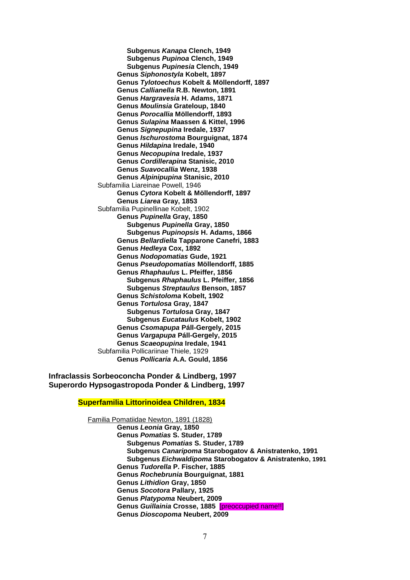**Subgenus** *Kanapa* **Clench, 1949 Subgenus** *Pupinoa* **Clench, 1949 Subgenus** *Pupinesia* **Clench, 1949 Genus** *Siphonostyla* **Kobelt, 1897 Genus** *Tylotoechus* **Kobelt & Möllendorff, 1897 Genus** *Callianella* **R.B. Newton, 1891 Genus** *Hargravesia* **H. Adams, 1871 Genus** *Moulinsia* **Grateloup, 1840 Genus** *Porocallia* **Möllendorff, 1893 Genus** *Sulapina* **Maassen & Kittel, 1996 Genus** *Signepupina* **Iredale, 1937 Genus** *Ischurostoma* **Bourguignat, 1874 Genus** *Hildapina* **Iredale, 1940 Genus** *Necopupina* **Iredale, 1937 Genus** *Cordillerapina* **Stanisic, 2010 Genus** *Suavocallia* **Wenz, 1938 Genus** *Alpinipupina* **Stanisic, 2010** Subfamilia Liareinae Powell, 1946 **Genus** *Cytora* **Kobelt & Möllendorff, 1897 Genus** *Liarea* **Gray, 1853** Subfamilia Pupinellinae Kobelt, 1902 **Genus** *Pupinella* **Gray, 1850 Subgenus** *Pupinella* **Gray, 1850 Subgenus** *Pupinopsis* **H. Adams, 1866 Genus** *Bellardiella* **Tapparone Canefri, 1883 Genus** *Hedleya* **Cox, 1892 Genus** *Nodopomatias* **Gude, 1921 Genus** *Pseudopomatias* **Möllendorff, 1885 Genus** *Rhaphaulus* **L. Pfeiffer, 1856 Subgenus** *Rhaphaulus* **L. Pfeiffer, 1856 Subgenus** *Streptaulus* **Benson, 1857 Genus** *Schistoloma* **Kobelt, 1902 Genus** *Tortulosa* **Gray, 1847 Subgenus** *Tortulosa* **Gray, 1847 Subgenus** *Eucataulus* **Kobelt, 1902 Genus** *Csomapupa* **Páll-Gergely, 2015 Genus** *Vargapupa* **Páll-Gergely, 2015 Genus** *Scaeopupina* **Iredale, 1941** Subfamilia Pollicariinae Thiele, 1929 **Genus** *Pollicaria* **A.A. Gould, 1856**

**Infraclassis Sorbeoconcha Ponder & Lindberg, 1997 Superordo Hypsogastropoda Ponder & Lindberg, 1997**

# **Superfamilia Littorinoidea Children, 1834**

Familia Pomatiidae Newton, 1891 (1828) **Genus** *Leonia* **Gray, 1850 Genus** *Pomatias* **S. Studer, 1789 Subgenus** *Pomatias* **S. Studer, 1789 Subgenus** *Canaripoma* **Starobogatov & Anistratenko, 1991 Subgenus** *Eichwaldipoma* **Starobogatov & Anistratenko, 1991 Genus** *Tudorella* **P. Fischer, 1885 Genus** *Rochebrunia* **Bourguignat, 1881 Genus** *Lithidion* **Gray, 1850 Genus** *Socotora* **Pallary, 1925 Genus** *Platypoma* **Neubert, 2009 Genus** *Guillainia* **Crosse, 1885** [preoccupied name!!] **Genus** *Dioscopoma* **Neubert, 2009**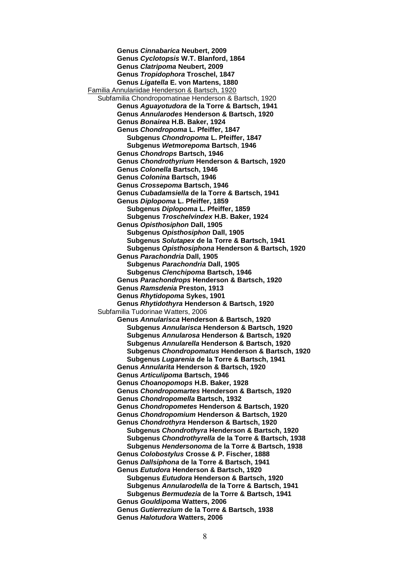**Genus** *Cinnabarica* **Neubert, 2009 Genus** *Cyclotopsis* **W.T. Blanford, 1864 Genus** *Clatripoma* **Neubert, 2009 Genus** *Tropidophora* **Troschel, 1847 Genus** *Ligatella* **E. von Martens, 1880** Familia Annulariidae Henderson & Bartsch, 1920 Subfamilia Chondropomatinae Henderson & Bartsch, 1920 **Genus** *Aguayotudora* **de la Torre & Bartsch, 1941 Genus** *Annularodes* **Henderson & Bartsch, 1920 Genus** *Bonairea* **H.B. Baker, 1924 Genus** *Chondropoma* **L. Pfeiffer, 1847 Subgenus** *Chondropoma* **L. Pfeiffer, 1847 Subgenus** *Wetmorepoma* **Bartsch**, **1946 Genus** *Chondrops* **Bartsch, 1946 Genus** *Chondrothyrium* **Henderson & Bartsch, 1920 Genus** *Colonella* **Bartsch, 1946 Genus** *Colonina* **Bartsch, 1946 Genus** *Crossepoma* **Bartsch, 1946 Genus** *Cubadamsiella* **de la Torre & Bartsch, 1941 Genus** *Diplopoma* **L. Pfeiffer, 1859 Subgenus** *Diplopoma* **L. Pfeiffer, 1859 Subgenus** *Troschelvindex* **H.B. Baker, 1924 Genus** *Opisthosiphon* **Dall, 1905 Subgenus** *Opisthosiphon* **Dall, 1905 Subgenus** *Solutapex* **de la Torre & Bartsch, 1941 Subgenus** *Opisthosiphona* **Henderson & Bartsch, 1920 Genus** *Parachondria* **Dall, 1905 Subgenus** *Parachondria* **Dall, 1905 Subgenus** *Clenchipoma* **Bartsch, 1946 Genus** *Parachondrops* **Henderson & Bartsch, 1920 Genus** *Ramsdenia* **Preston, 1913 Genus** *Rhytidopoma* **Sykes, 1901 Genus** *Rhytidothyra* **Henderson & Bartsch, 1920** Subfamilia Tudorinae Watters, 2006 **Genus** *Annularisca* **Henderson & Bartsch, 1920 Subgenus** *Annularisca* **Henderson & Bartsch, 1920 Subgenus** *Annularosa* **Henderson & Bartsch, 1920 Subgenus** *Annularella* **Henderson & Bartsch, 1920 Subgenus** *Chondropomatus* **Henderson & Bartsch, 1920 Subgenus** *Lugarenia* **de la Torre & Bartsch, 1941 Genus** *Annularita* **Henderson & Bartsch, 1920 Genus** *Articulipoma* **Bartsch, 1946 Genus** *Choanopomops* **H.B. Baker, 1928 Genus** *Chondropomartes* **Henderson & Bartsch, 1920 Genus** *Chondropomella* **Bartsch, 1932 Genus** *Chondropometes* **Henderson & Bartsch, 1920 Genus** *Chondropomium* **Henderson & Bartsch, 1920 Genus** *Chondrothyra* **Henderson & Bartsch, 1920 Subgenus** *Chondrothyra* **Henderson & Bartsch, 1920 Subgenus** *Chondrothyrella* **de la Torre & Bartsch, 1938 Subgenus** *Hendersonoma* **de la Torre & Bartsch, 1938 Genus** *Colobostylus* **Crosse & P. Fischer, 1888 Genus** *Dallsiphona* **de la Torre & Bartsch, 1941 Genus** *Eutudora* **Henderson & Bartsch, 1920 Subgenus** *Eutudora* **Henderson & Bartsch, 1920 Subgenus** *Annularodella* **de la Torre & Bartsch, 1941 Subgenus** *Bermudezia* **de la Torre & Bartsch, 1941 Genus** *Gouldipoma* **Watters, 2006 Genus** *Gutierrezium* **de la Torre & Bartsch, 1938 Genus** *Halotudora* **Watters, 2006**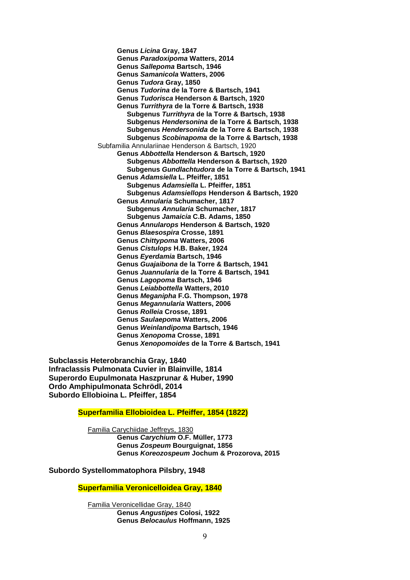**Genus** *Licina* **Gray, 1847 Genus** *Paradoxipoma* **Watters, 2014 Genus** *Sallepoma* **Bartsch, 1946 Genus** *Samanicola* **Watters, 2006 Genus** *Tudora* **Gray, 1850 Genus** *Tudorina* **de la Torre & Bartsch, 1941 Genus** *Tudorisca* **Henderson & Bartsch, 1920 Genus** *Turrithyra* **de la Torre & Bartsch, 1938 Subgenus** *Turrithyra* **de la Torre & Bartsch, 1938 Subgenus** *Hendersonina* **de la Torre & Bartsch, 1938 Subgenus** *Hendersonida* **de la Torre & Bartsch, 1938 Subgenus** *Scobinapoma* **de la Torre & Bartsch, 1938** Subfamilia Annulariinae Henderson & Bartsch, 1920 **Genus** *Abbottella* **Henderson & Bartsch, 1920 Subgenus** *Abbottella* **Henderson & Bartsch, 1920 Subgenus** *Gundlachtudora* **de la Torre & Bartsch, 1941 Genus** *Adamsiella* **L. Pfeiffer, 1851 Subgenus** *Adamsiella* **L. Pfeiffer, 1851 Subgenus** *Adamsiellops* **Henderson & Bartsch, 1920 Genus** *Annularia* **Schumacher, 1817 Subgenus** *Annularia* **Schumacher, 1817 Subgenus** *Jamaicia* **C.B. Adams, 1850 Genus** *Annularops* **Henderson & Bartsch, 1920 Genus** *Blaesospira* **Crosse, 1891 Genus** *Chittypoma* **Watters, 2006 Genus** *Cistulops* **H.B. Baker, 1924 Genus** *Eyerdamia* **Bartsch, 1946 Genus** *Guajaibona* **de la Torre & Bartsch, 1941 Genus** *Juannularia* **de la Torre & Bartsch, 1941 Genus** *Lagopoma* **Bartsch, 1946 Genus** *Leiabbottella* **Watters, 2010 Genus** *Meganipha* **F.G. Thompson, 1978 Genus** *Megannularia* **Watters, 2006 Genus** *Rolleia* **Crosse, 1891 Genus** *Saulaepoma* **Watters, 2006 Genus** *Weinlandipoma* **Bartsch, 1946 Genus** *Xenopoma* **Crosse, 1891 Genus** *Xenopomoides* **de la Torre & Bartsch, 1941**

**Subclassis Heterobranchia Gray, 1840 Infraclassis Pulmonata Cuvier in Blainville, 1814 Superordo Eupulmonata Haszprunar & Huber, 1990 Ordo Amphipulmonata Schrödl, 2014 Subordo Ellobioina L. Pfeiffer, 1854**

# **Superfamilia Ellobioidea L. Pfeiffer, 1854 (1822)**

Familia Carychiidae Jeffreys, 1830 **Genus** *Carychium* **O.F. Müller, 1773 Genus** *Zospeum* **Bourguignat, 1856 Genus** *Koreozospeum* **Jochum & Prozorova, 2015**

**Subordo Systellommatophora Pilsbry, 1948**

**Superfamilia Veronicelloidea Gray, 1840**

Familia Veronicellidae Gray, 1840 **Genus** *Angustipes* **Colosi, 1922 Genus** *Belocaulus* **Hoffmann, 1925**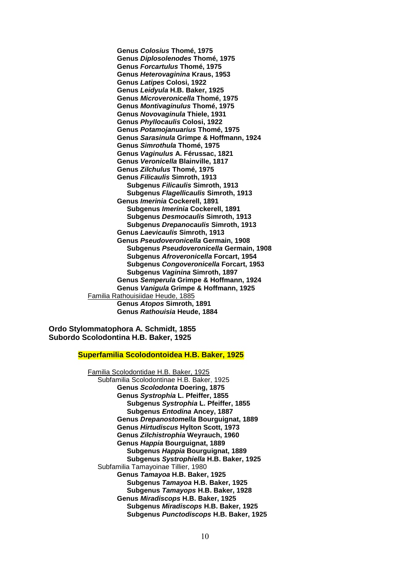**Genus** *Colosius* **Thomé, 1975 Genus** *Diplosolenodes* **Thomé, 1975 Genus** *Forcartulus* **Thomé, 1975 Genus** *Heterovaginina* **Kraus, 1953 Genus** *Latipes* **Colosi, 1922 Genus** *Leidyula* **H.B. Baker, 1925 Genus** *Microveronicella* **Thomé, 1975 Genus** *Montivaginulus* **Thomé, 1975 Genus** *Novovaginula* **Thiele, 1931 Genus** *Phyllocaulis* **Colosi, 1922 Genus** *Potamojanuarius* **Thomé, 1975 Genus** *Sarasinula* **Grimpe & Hoffmann, 1924 Genus** *Simrothula* **Thomé, 1975 Genus** *Vaginulus* **A. Férussac, 1821 Genus** *Veronicella* **Blainville, 1817 Genus** *Zilchulus* **Thomé, 1975 Genus** *Filicaulis* **Simroth, 1913 Subgenus** *Filicaulis* **Simroth, 1913 Subgenus** *Flagellicaulis* **Simroth, 1913 Genus** *Imerinia* **Cockerell, 1891 Subgenus** *Imerinia* **Cockerell, 1891 Subgenus** *Desmocaulis* **Simroth, 1913 Subgenus** *Drepanocaulis* **Simroth, 1913 Genus** *Laevicaulis* **Simroth, 1913 Genus** *Pseudoveronicella* **Germain, 1908 Subgenus** *Pseudoveronicella* **Germain, 1908 Subgenus** *Afroveronicella* **Forcart, 1954 Subgenus** *Congoveronicella* **Forcart, 1953 Subgenus** *Vaginina* **Simroth, 1897 Genus** *Semperula* **Grimpe & Hoffmann, 1924 Genus** *Vanigula* **Grimpe & Hoffmann, 1925** Familia Rathouisiidae Heude, 1885 **Genus** *Atopos* **Simroth, 1891 Genus** *Rathouisia* **Heude, 1884**

**Ordo Stylommatophora A. Schmidt, 1855 Subordo Scolodontina H.B. Baker, 1925**

# **Superfamilia Scolodontoidea H.B. Baker, 1925**

Familia Scolodontidae H.B. Baker, 1925 Subfamilia Scolodontinae H.B. Baker, 1925 **Genus** *Scolodonta* **Doering, 1875 Genus** *Systrophia* **L. Pfeiffer, 1855 Subgenus** *Systrophia* **L. Pfeiffer, 1855 Subgenus** *Entodina* **Ancey, 1887 Genus** *Drepanostomella* **Bourguignat, 1889 Genus** *Hirtudiscus* **Hylton Scott, 1973 Genus** *Zilchistrophia* **Weyrauch, 1960 Genus** *Happia* **Bourguignat, 1889 Subgenus** *Happia* **Bourguignat, 1889 Subgenus** *Systrophiella* **H.B. Baker, 1925** Subfamilia Tamayoinae Tillier, 1980 **Genus** *Tamayoa* **H.B. Baker, 1925 Subgenus** *Tamayoa* **H.B. Baker, 1925 Subgenus** *Tamayops* **H.B. Baker, 1928 Genus** *Miradiscops* **H.B. Baker, 1925 Subgenus** *Miradiscops* **H.B. Baker, 1925 Subgenus** *Punctodiscops* **H.B. Baker, 1925**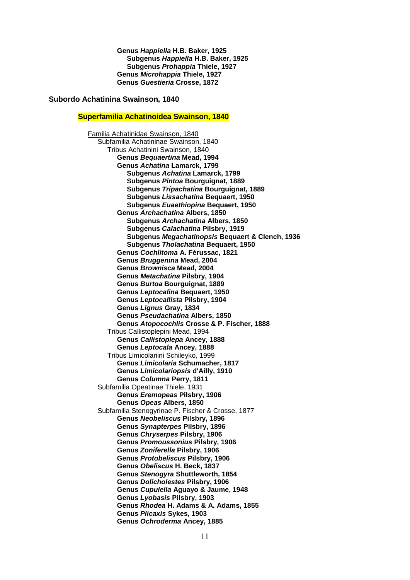**Genus** *Happiella* **H.B. Baker, 1925 Subgenus** *Happiella* **H.B. Baker, 1925 Subgenus** *Prohappia* **Thiele, 1927 Genus** *Microhappia* **Thiele, 1927 Genus** *Guestieria* **Crosse, 1872**

# **Subordo Achatinina Swainson, 1840**

#### **Superfamilia Achatinoidea Swainson, 1840**

Familia Achatinidae Swainson, 1840 Subfamilia Achatininae Swainson, 1840 Tribus Achatinini Swainson, 1840 **Genus** *Bequaertina* **Mead, 1994 Genus** *Achatina* **Lamarck, 1799 Subgenus** *Achatina* **Lamarck, 1799 Subgenus** *Pintoa* **Bourguignat, 1889 Subgenus** *Tripachatina* **Bourguignat, 1889 Subgenus** *Lissachatina* **Bequaert, 1950 Subgenus** *Euaethiopina* **Bequaert, 1950 Genus** *Archachatina* **Albers, 1850 Subgenus** *Archachatina* **Albers, 1850 Subgenus** *Calachatina* **Pilsbry, 1919 Subgenus** *Megachatinopsis* **Bequaert & Clench, 1936 Subgenus** *Tholachatina* **Bequaert, 1950 Genus** *Cochlitoma* **A. Férussac, 1821 Genus** *Bruggenina* **Mead, 2004 Genus** *Brownisca* **Mead, 2004 Genus** *Metachatina* **Pilsbry, 1904 Genus** *Burtoa* **Bourguignat, 1889 Genus** *Leptocalina* **Bequaert, 1950 Genus** *Leptocallista* **Pilsbry, 1904 Genus** *Lignus* **Gray, 1834 Genus** *Pseudachatina* **Albers, 1850 Genus** *Atopocochlis* **Crosse & P. Fischer, 1888** Tribus Callistoplepini Mead, 1994 **Genus** *Callistoplepa* **Ancey, 1888 Genus** *Leptocala* **Ancey, 1888** Tribus Limicolariini Schileyko, 1999 **Genus** *Limicolaria* **Schumacher, 1817 Genus** *Limicolariopsis* **d'Ailly, 1910 Genus** *Columna* **Perry, 1811** Subfamilia Opeatinae Thiele, 1931 **Genus** *Eremopeas* **Pilsbry, 1906 Genus** *Opeas* **Albers, 1850** Subfamilia Stenogyrinae P. Fischer & Crosse, 1877 **Genus** *Neobeliscus* **Pilsbry, 1896 Genus** *Synapterpes* **Pilsbry, 1896 Genus** *Chryserpes* **Pilsbry, 1906 Genus** *Promoussonius* **Pilsbry, 1906 Genus** *Zoniferella* **Pilsbry, 1906 Genus** *Protobeliscus* **Pilsbry, 1906 Genus** *Obeliscus* **H. Beck, 1837 Genus** *Stenogyra* **Shuttleworth, 1854 Genus** *Dolicholestes* **Pilsbry, 1906 Genus** *Cupulella* **Aguayo & Jaume, 1948 Genus** *Lyobasis* **Pilsbry, 1903 Genus** *Rhodea* **H. Adams & A. Adams, 1855 Genus** *Plicaxis* **Sykes, 1903 Genus** *Ochroderma* **Ancey, 1885**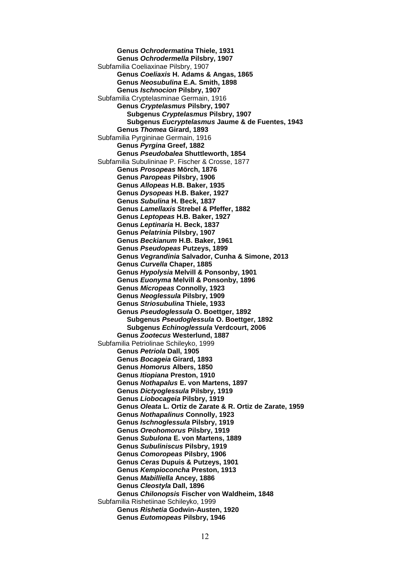**Genus** *Ochrodermatina* **Thiele, 1931 Genus** *Ochrodermella* **Pilsbry, 1907** Subfamilia Coeliaxinae Pilsbry, 1907 **Genus** *Coeliaxis* **H. Adams & Angas, 1865 Genus** *Neosubulina* **E.A. Smith, 1898 Genus** *Ischnocion* **Pilsbry, 1907** Subfamilia Cryptelasminae Germain, 1916 **Genus** *Cryptelasmus* **Pilsbry, 1907 Subgenus** *Cryptelasmus* **Pilsbry, 1907 Subgenus** *Eucryptelasmus* **Jaume & de Fuentes, 1943 Genus** *Thomea* **Girard, 1893** Subfamilia Pyrgininae Germain, 1916 **Genus** *Pyrgina* **Greef, 1882 Genus** *Pseudobalea* **Shuttleworth, 1854** Subfamilia Subulininae P. Fischer & Crosse, 1877 **Genus** *Prosopeas* **Mörch, 1876 Genus** *Paropeas* **Pilsbry, 1906 Genus** *Allopeas* **H.B. Baker, 1935 Genus** *Dysopeas* **H.B. Baker, 1927 Genus** *Subulina* **H. Beck, 1837 Genus** *Lamellaxis* **Strebel & Pfeffer, 1882 Genus** *Leptopeas* **H.B. Baker, 1927 Genus** *Leptinaria* **H. Beck, 1837 Genus** *Pelatrinia* **Pilsbry, 1907 Genus** *Beckianum* **H.B. Baker, 1961 Genus** *Pseudopeas* **Putzeys, 1899 Genus** *Vegrandinia* **Salvador, Cunha & Simone, 2013 Genus** *Curvella* **Chaper, 1885 Genus** *Hypolysia* **Melvill & Ponsonby, 1901 Genus** *Euonyma* **Melvill & Ponsonby, 1896 Genus** *Micropeas* **Connolly, 1923 Genus** *Neoglessula* **Pilsbry, 1909 Genus** *Striosubulina* **Thiele, 1933 Genus** *Pseudoglessula* **O. Boettger, 1892 Subgenus** *Pseudoglessula* **O. Boettger, 1892 Subgenus** *Echinoglessula* **Verdcourt, 2006 Genus** *Zootecus* **Westerlund, 1887** Subfamilia Petriolinae Schileyko, 1999 **Genus** *Petriola* **Dall, 1905 Genus** *Bocageia* **Girard, 1893 Genus** *Homorus* **Albers, 1850 Genus** *Itiopiana* **Preston, 1910 Genus** *Nothapalus* **E. von Martens, 1897 Genus** *Dictyoglessula* **Pilsbry, 1919 Genus** *Liobocageia* **Pilsbry, 1919 Genus** *Oleata* **L. Ortiz de Zarate & R. Ortiz de Zarate, 1959 Genus** *Nothapalinus* **Connolly, 1923 Genus** *Ischnoglessula* **Pilsbry, 1919 Genus** *Oreohomorus* **Pilsbry, 1919 Genus** *Subulona* **E. von Martens, 1889 Genus** *Subuliniscus* **Pilsbry, 1919 Genus** *Comoropeas* **Pilsbry, 1906 Genus** *Ceras* **Dupuis & Putzeys, 1901 Genus** *Kempioconcha* **Preston, 1913 Genus** *Mabilliella* **Ancey, 1886 Genus** *Cleostyla* **Dall, 1896 Genus** *Chilonopsis* **Fischer von Waldheim, 1848** Subfamilia Rishetiinae Schileyko, 1999 **Genus** *Rishetia* **Godwin-Austen, 1920 Genus** *Eutomopeas* **Pilsbry, 1946**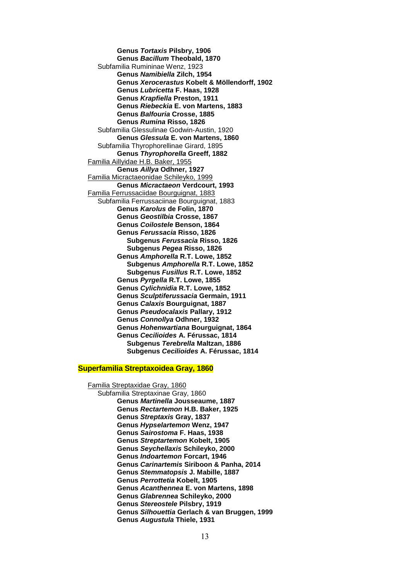**Genus** *Tortaxis* **Pilsbry, 1906 Genus** *Bacillum* **Theobald, 1870** Subfamilia Rumininae Wenz, 1923 **Genus** *Namibiella* **Zilch, 1954 Genus** *Xerocerastus* **Kobelt & Möllendorff, 1902 Genus** *Lubricetta* **F. Haas, 1928 Genus** *Krapfiella* **Preston, 1911 Genus** *Riebeckia* **E. von Martens, 1883 Genus** *Balfouria* **Crosse, 1885 Genus** *Rumina* **Risso, 1826** Subfamilia Glessulinae Godwin-Austin, 1920 **Genus** *Glessula* **E. von Martens, 1860** Subfamilia Thyrophorellinae Girard, 1895 **Genus** *Thyrophorella* **Greeff, 1882** Familia Aillyidae H.B. Baker, 1955 **Genus** *Aillya* **Odhner, 1927** Familia Micractaeonidae Schileyko, 1999 **Genus** *Micractaeon* **Verdcourt, 1993** Familia Ferrussaciidae Bourguignat, 1883 Subfamilia Ferrussaciinae Bourguignat, 1883 **Genus** *Karolus* **de Folin, 1870 Genus** *Geostilbia* **Crosse, 1867 Genus** *Coilostele* **Benson, 1864 Genus** *Ferussacia* **Risso, 1826 Subgenus** *Ferussacia* **Risso, 1826 Subgenus** *Pegea* **Risso, 1826 Genus** *Amphorella* **R.T. Lowe, 1852 Subgenus** *Amphorella* **R.T. Lowe, 1852 Subgenus** *Fusillus* **R.T. Lowe, 1852 Genus** *Pyrgella* **R.T. Lowe, 1855 Genus** *Cylichnidia* **R.T. Lowe, 1852 Genus** *Sculptiferussacia* **Germain, 1911 Genus** *Calaxis* **Bourguignat, 1887 Genus** *Pseudocalaxis* **Pallary, 1912 Genus** *Connollya* **Odhner, 1932 Genus** *Hohenwartiana* **Bourguignat, 1864 Genus** *Cecilioides* **A. Férussac, 1814 Subgenus** *Terebrella* **Maltzan, 1886 Subgenus** *Cecilioides* **A. Férussac, 1814**

#### **Superfamilia Streptaxoidea Gray, 1860**

Familia Streptaxidae Gray, 1860 Subfamilia Streptaxinae Gray, 1860 **Genus** *Martinella* **Jousseaume, 1887 Genus** *Rectartemon* **H.B. Baker, 1925 Genus** *Streptaxis* **Gray, 1837 Genus** *Hypselartemon* **Wenz, 1947 Genus** *Sairostoma* **F. Haas, 1938 Genus** *Streptartemon* **Kobelt, 1905 Genus** *Seychellaxis* **Schileyko, 2000 Genus** *Indoartemon* **Forcart, 1946 Genus** *Carinartemis* **Siriboon & Panha, 2014 Genus** *Stemmatopsis* **J. Mabille, 1887 Genus** *Perrottetia* **Kobelt, 1905 Genus** *Acanthennea* **E. von Martens, 1898 Genus** *Glabrennea* **Schileyko, 2000 Genus** *Stereostele* **Pilsbry, 1919 Genus** *Silhouettia* **Gerlach & van Bruggen, 1999 Genus** *Augustula* **Thiele, 1931**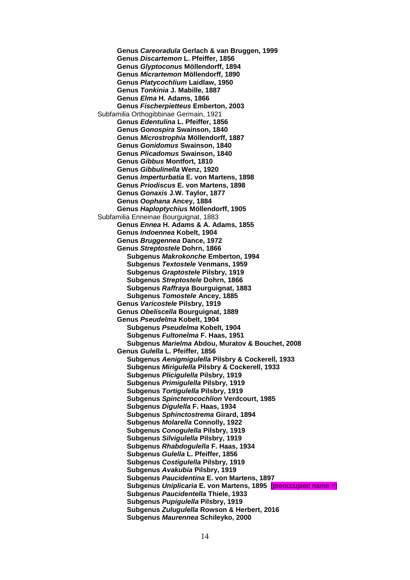**Genus** *Careoradula* **Gerlach & van Bruggen, 1999 Genus** *Discartemon* **L. Pfeiffer, 1856 Genus** *Glyptoconus* **Möllendorff, 1894 Genus** *Micrartemon* **Möllendorff, 1890 Genus** *Platycochlium* **Laidlaw, 1950 Genus** *Tonkinia* **J. Mabille, 1887 Genus** *Elma* **H. Adams, 1866 Genus** *Fischerpietteus* **Emberton, 2003** Subfamilia Orthogibbinae Germain, 1921 **Genus** *Edentulina* **L. Pfeiffer, 1856 Genus** *Gonospira* **Swainson, 1840 Genus** *Microstrophia* **Möllendorff, 1887 Genus** *Gonidomus* **Swainson, 1840 Genus** *Plicadomus* **Swainson, 1840 Genus** *Gibbus* **Montfort, 1810 Genus** *Gibbulinella* **Wenz, 1920 Genus** *Imperturbatia* **E. von Martens, 1898 Genus** *Priodiscus* **E. von Martens, 1898 Genus** *Gonaxis* **J.W. Taylor, 1877 Genus** *Oophana* **Ancey, 1884 Genus** *Haploptychius* **Möllendorff, 1905** Subfamilia Enneinae Bourguignat, 1883 **Genus** *Ennea* **H. Adams & A. Adams, 1855 Genus** *Indoennea* **Kobelt, 1904 Genus** *Bruggennea* **Dance, 1972 Genus** *Streptostele* **Dohrn, 1866 Subgenus** *Makrokonche* **Emberton, 1994 Subgenus** *Textostele* **Venmans, 1959 Subgenus** *Graptostele* **Pilsbry, 1919 Subgenus** *Streptostele* **Dohrn, 1866 Subgenus** *Raffraya* **Bourguignat, 1883 Subgenus** *Tomostele* **Ancey, 1885 Genus** *Varicostele* **Pilsbry, 1919 Genus** *Obeliscella* **Bourguignat, 1889 Genus** *Pseudelma* **Kobelt, 1904 Subgenus** *Pseudelma* **Kobelt, 1904 Subgenus** *Fultonelma* **F. Haas, 1951 Subgenus** *Marielma* **Abdou, Muratov & Bouchet, 2008 Genus** *Gulella* **L. Pfeiffer, 1856 Subgenus** *Aenigmigulella* **Pilsbry & Cockerell, 1933 Subgenus** *Mirigulella* **Pilsbry & Cockerell, 1933 Subgenus** *Plicigulella* **Pilsbry, 1919 Subgenus** *Primigulella* **Pilsbry, 1919 Subgenus** *Tortigulella* **Pilsbry, 1919 Subgenus** *Spincterocochlion* **Verdcourt, 1985 Subgenus** *Digulella* **F. Haas, 1934 Subgenus** *Sphinctostrema* **Girard, 1894 Subgenus** *Molarella* **Connolly, 1922 Subgenus** *Conogulella* **Pilsbry, 1919 Subgenus** *Silvigulella* **Pilsbry, 1919 Subgenus** *Rhabdogulella* **F. Haas, 1934 Subgenus** *Gulella* **L. Pfeiffer, 1856 Subgenus** *Costigulella* **Pilsbry, 1919 Subgenus** *Avakubia* **Pilsbry, 1919 Subgenus** *Paucidentina* **E. von Martens, 1897 Subgenus** *Uniplicaria* **E. von Martens, 1895** [preoccupied name !!] **Subgenus** *Paucidentella* **Thiele, 1933 Subgenus** *Pupigulella* **Pilsbry, 1919 Subgenus** *Zulugulella* **Rowson & Herbert, 2016 Subgenus** *Maurennea* **Schileyko, 2000**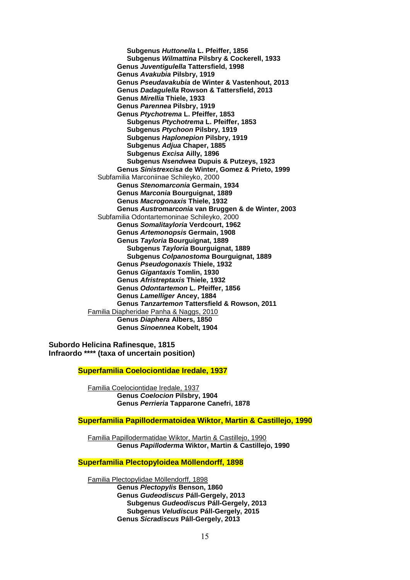**Subgenus** *Huttonella* **L. Pfeiffer, 1856 Subgenus** *Wilmattina* **Pilsbry & Cockerell, 1933 Genus** *Juventigulella* **Tattersfield, 1998 Genus** *Avakubia* **Pilsbry, 1919 Genus** *Pseudavakubia* **de Winter & Vastenhout, 2013 Genus** *Dadagulella* **Rowson & Tattersfield, 2013 Genus** *Mirellia* **Thiele, 1933 Genus** *Parennea* **Pilsbry, 1919 Genus** *Ptychotrema* **L. Pfeiffer, 1853 Subgenus** *Ptychotrema* **L. Pfeiffer, 1853 Subgenus** *Ptychoon* **Pilsbry, 1919 Subgenus** *Haplonepion* **Pilsbry, 1919 Subgenus** *Adjua* **Chaper, 1885 Subgenus** *Excisa* **Ailly, 1896 Subgenus** *Nsendwea* **Dupuis & Putzeys, 1923 Genus** *Sinistrexcisa* **de Winter, Gomez & Prieto, 1999** Subfamilia Marconiinae Schileyko, 2000 **Genus** *Stenomarconia* **Germain, 1934 Genus** *Marconia* **Bourguignat, 1889 Genus** *Macrogonaxis* **Thiele, 1932 Genus** *Austromarconia* **van Bruggen & de Winter, 2003** Subfamilia Odontartemoninae Schileyko, 2000 **Genus** *Somalitayloria* **Verdcourt, 1962 Genus** *Artemonopsis* **Germain, 1908 Genus** *Tayloria* **Bourguignat, 1889 Subgenus** *Tayloria* **Bourguignat, 1889 Subgenus** *Colpanostoma* **Bourguignat, 1889 Genus** *Pseudogonaxis* **Thiele, 1932 Genus** *Gigantaxis* **Tomlin, 1930 Genus** *Afristreptaxis* **Thiele, 1932 Genus** *Odontartemon* **L. Pfeiffer, 1856 Genus** *Lamelliger* **Ancey, 1884 Genus** *Tanzartemon* **Tattersfield & Rowson, 2011** Familia Diapheridae Panha & Naggs, 2010 **Genus** *Diaphera* **Albers, 1850 Genus** *Sinoennea* **Kobelt, 1904**

**Subordo Helicina Rafinesque, 1815 Infraordo \*\*\*\* (taxa of uncertain position)** 

**Superfamilia Coelociontidae Iredale, 1937**

Familia Coelociontidae Iredale, 1937 **Genus** *Coelocion* **Pilsbry, 1904 Genus** *Perrieria* **Tapparone Canefri, 1878**

**Superfamilia Papillodermatoidea Wiktor, Martin & Castillejo, 1990**

Familia Papillodermatidae Wiktor, Martin & Castillejo, 1990 **Genus** *Papilloderma* **Wiktor, Martin & Castillejo, 1990**

# **Superfamilia Plectopyloidea Möllendorff, 1898**

Familia Plectopylidae Möllendorff, 1898 **Genus** *Plectopylis* **Benson, 1860 Genus** *Gudeodiscus* **Páll-Gergely, 2013 Subgenus** *Gudeodiscus* **Páll-Gergely, 2013 Subgenus** *Veludiscus* **Páll-Gergely, 2015 Genus** *Sicradiscus* **Páll-Gergely, 2013**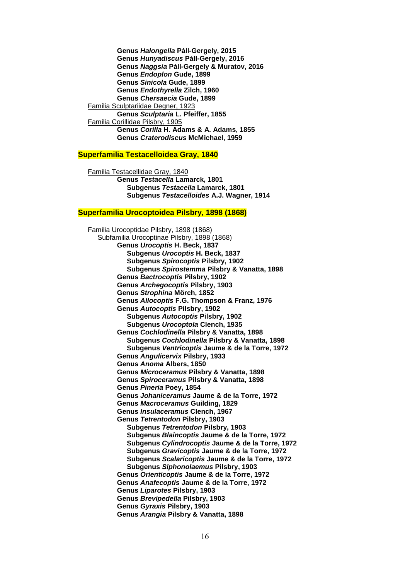**Genus** *Halongella* **Páll-Gergely, 2015 Genus** *Hunyadiscus* **Páll-Gergely, 2016 Genus** *Naggsia* **Páll-Gergely & Muratov, 2016 Genus** *Endoplon* **Gude, 1899 Genus** *Sinicola* **Gude, 1899 Genus** *Endothyrella* **Zilch, 1960 Genus** *Chersaecia* **Gude, 1899** Familia Sculptariidae Degner, 1923 **Genus** *Sculptaria* **L. Pfeiffer, 1855** Familia Corillidae Pilsbry, 1905 **Genus** *Corilla* **H. Adams & A. Adams, 1855 Genus** *Craterodiscus* **McMichael, 1959**

#### **Superfamilia Testacelloidea Gray, 1840**

Familia Testacellidae Gray, 1840 **Genus** *Testacella* **Lamarck, 1801 Subgenus** *Testacella* **Lamarck, 1801 Subgenus** *Testacelloides* **A.J. Wagner, 1914**

#### **Superfamilia Urocoptoidea Pilsbry, 1898 (1868)**

Familia Urocoptidae Pilsbry, 1898 (1868) Subfamilia Urocoptinae Pilsbry, 1898 (1868) **Genus** *Urocoptis* **H. Beck, 1837 Subgenus** *Urocoptis* **H. Beck, 1837 Subgenus** *Spirocoptis* **Pilsbry, 1902 Subgenus** *Spirostemma* **Pilsbry & Vanatta, 1898 Genus** *Bactrocoptis* **Pilsbry, 1902 Genus** *Archegocoptis* **Pilsbry, 1903 Genus** *Strophina* **Mörch, 1852 Genus** *Allocoptis* **F.G. Thompson & Franz, 1976 Genus** *Autocoptis* **Pilsbry, 1902 Subgenus** *Autocoptis* **Pilsbry, 1902 Subgenus** *Urocoptola* **Clench, 1935 Genus** *Cochlodinella* **Pilsbry & Vanatta, 1898 Subgenus** *Cochlodinella* **Pilsbry & Vanatta, 1898 Subgenus** *Ventricoptis* **Jaume & de la Torre, 1972 Genus** *Angulicervix* **Pilsbry, 1933 Genus** *Anoma* **Albers, 1850 Genus** *Microceramus* **Pilsbry & Vanatta, 1898 Genus** *Spiroceramus* **Pilsbry & Vanatta, 1898 Genus** *Pineria* **Poey, 1854 Genus** *Johaniceramus* **Jaume & de la Torre, 1972 Genus** *Macroceramus* **Guilding, 1829 Genus** *Insulaceramus* **Clench, 1967 Genus** *Tetrentodon* **Pilsbry, 1903 Subgenus** *Tetrentodon* **Pilsbry, 1903 Subgenus** *Blaincoptis* **Jaume & de la Torre, 1972 Subgenus** *Cylindrocoptis* **Jaume & de la Torre, 1972 Subgenus** *Gravicoptis* **Jaume & de la Torre, 1972 Subgenus** *Scalaricoptis* **Jaume & de la Torre, 1972 Subgenus** *Siphonolaemus* **Pilsbry, 1903 Genus** *Orienticoptis* **Jaume & de la Torre, 1972 Genus** *Anafecoptis* **Jaume & de la Torre, 1972 Genus** *Liparotes* **Pilsbry, 1903 Genus** *Brevipedella* **Pilsbry, 1903 Genus** *Gyraxis* **Pilsbry, 1903 Genus** *Arangia* **Pilsbry & Vanatta, 1898**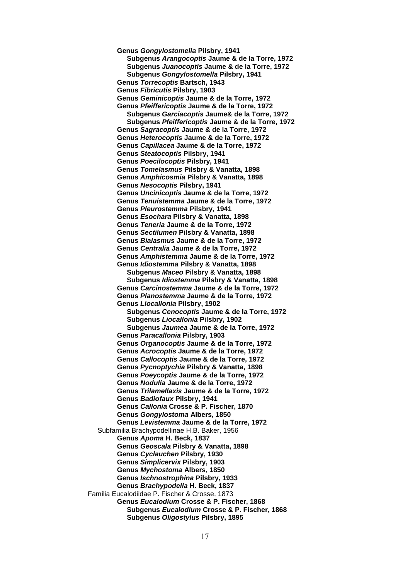**Genus** *Gongylostomella* **Pilsbry, 1941 Subgenus** *Arangocoptis* **Jaume & de la Torre, 1972 Subgenus** *Juanocoptis* **Jaume & de la Torre, 1972 Subgenus** *Gongylostomella* **Pilsbry, 1941 Genus** *Torrecoptis* **Bartsch, 1943 Genus** *Fibricutis* **Pilsbry, 1903 Genus** *Geminicoptis* **Jaume & de la Torre, 1972 Genus** *Pfeiffericoptis* **Jaume & de la Torre, 1972 Subgenus** *Garciacoptis* **Jaume& de la Torre, 1972 Subgenus** *Pfeiffericoptis* **Jaume & de la Torre, 1972 Genus** *Sagracoptis* **Jaume & de la Torre, 1972 Genus** *Heterocoptis* **Jaume & de la Torre, 1972 Genus** *Capillacea* **Jaume & de la Torre, 1972 Genus** *Steatocoptis* **Pilsbry, 1941 Genus** *Poecilocoptis* **Pilsbry, 1941 Genus** *Tomelasmus* **Pilsbry & Vanatta, 1898 Genus** *Amphicosmia* **Pilsbry & Vanatta, 1898 Genus** *Nesocoptis* **Pilsbry, 1941 Genus** *Uncinicoptis* **Jaume & de la Torre, 1972 Genus** *Tenuistemma* **Jaume & de la Torre, 1972 Genus** *Pleurostemma* **Pilsbry, 1941 Genus** *Esochara* **Pilsbry & Vanatta, 1898 Genus** *Teneria* **Jaume & de la Torre, 1972 Genus** *Sectilumen* **Pilsbry & Vanatta, 1898 Genus** *Bialasmus* **Jaume & de la Torre, 1972 Genus** *Centralia* **Jaume & de la Torre, 1972 Genus** *Amphistemma* **Jaume & de la Torre, 1972 Genus** *Idiostemma* **Pilsbry & Vanatta, 1898 Subgenus** *Maceo* **Pilsbry & Vanatta, 1898 Subgenus** *Idiostemma* **Pilsbry & Vanatta, 1898 Genus** *Carcinostemma* **Jaume & de la Torre, 1972 Genus** *Planostemma* **Jaume & de la Torre, 1972 Genus** *Liocallonia* **Pilsbry, 1902 Subgenus** *Cenocoptis* **Jaume & de la Torre, 1972 Subgenus** *Liocallonia* **Pilsbry, 1902 Subgenus** *Jaumea* **Jaume & de la Torre, 1972 Genus** *Paracallonia* **Pilsbry, 1903 Genus** *Organocoptis* **Jaume & de la Torre, 1972 Genus** *Acrocoptis* **Jaume & de la Torre, 1972 Genus** *Callocoptis* **Jaume & de la Torre, 1972 Genus** *Pycnoptychia* **Pilsbry & Vanatta, 1898 Genus** *Poeycoptis* **Jaume & de la Torre, 1972 Genus** *Nodulia* **Jaume & de la Torre, 1972 Genus** *Trilamellaxis* **Jaume & de la Torre, 1972 Genus** *Badiofaux* **Pilsbry, 1941 Genus** *Callonia* **Crosse & P. Fischer, 1870 Genus** *Gongylostoma* **Albers, 1850 Genus** *Levistemma* **Jaume & de la Torre, 1972** Subfamilia Brachypodellinae H.B. Baker, 1956 **Genus** *Apoma* **H. Beck, 1837 Genus** *Geoscala* **Pilsbry & Vanatta, 1898 Genus** *Cyclauchen* **Pilsbry, 1930 Genus** *Simplicervix* **Pilsbry, 1903 Genus** *Mychostoma* **Albers, 1850 Genus** *Ischnostrophina* **Pilsbry, 1933 Genus** *Brachypodella* **H. Beck, 1837** Familia Eucalodiidae P. Fischer & Crosse, 1873 **Genus** *Eucalodium* **Crosse & P. Fischer, 1868 Subgenus** *Eucalodium* **Crosse & P. Fischer, 1868 Subgenus** *Oligostylus* **Pilsbry, 1895**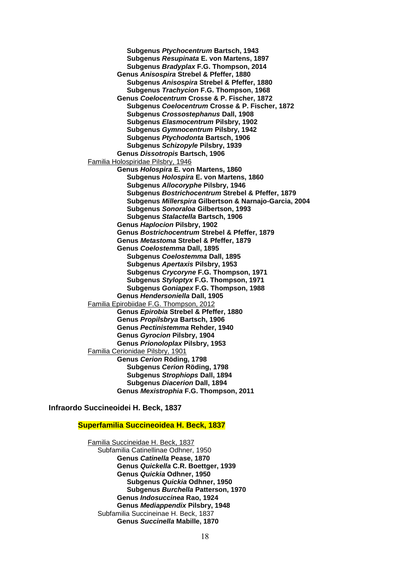**Subgenus** *Ptychocentrum* **Bartsch, 1943 Subgenus** *Resupinata* **E. von Martens, 1897 Subgenus** *Bradyplax* **F.G. Thompson, 2014 Genus** *Anisospira* **Strebel & Pfeffer, 1880 Subgenus** *Anisospira* **Strebel & Pfeffer, 1880 Subgenus** *Trachycion* **F.G. Thompson, 1968 Genus** *Coelocentrum* **Crosse & P. Fischer, 1872 Subgenus** *Coelocentrum* **Crosse & P. Fischer, 1872 Subgenus** *Crossostephanus* **Dall, 1908 Subgenus** *Elasmocentrum* **Pilsbry, 1902 Subgenus** *Gymnocentrum* **Pilsbry, 1942 Subgenus** *Ptychodonta* **Bartsch, 1906 Subgenus** *Schizopyle* **Pilsbry, 1939 Genus** *Dissotropis* **Bartsch, 1906** Familia Holospiridae Pilsbry, 1946 **Genus** *Holospira* **E. von Martens, 1860 Subgenus** *Holospira* **E. von Martens, 1860 Subgenus** *Allocoryphe* **Pilsbry, 1946 Subgenus** *Bostrichocentrum* **Strebel & Pfeffer, 1879 Subgenus** *Millerspira* **Gilbertson & Narnajo-Garcia, 2004 Subgenus** *Sonoraloa* **Gilbertson, 1993 Subgenus** *Stalactella* **Bartsch, 1906 Genus** *Haplocion* **Pilsbry, 1902 Genus** *Bostrichocentrum* **Strebel & Pfeffer, 1879 Genus** *Metastoma* **Strebel & Pfeffer, 1879 Genus** *Coelostemma* **Dall, 1895 Subgenus** *Coelostemma* **Dall, 1895 Subgenus** *Apertaxis* **Pilsbry, 1953 Subgenus** *Crycoryne* **F.G. Thompson, 1971 Subgenus** *Styloptyx* **F.G. Thompson, 1971 Subgenus** *Goniapex* **F.G. Thompson, 1988 Genus** *Hendersoniella* **Dall, 1905** Familia Epirobiidae F.G. Thompson, 2012 **Genus** *Epirobia* **Strebel & Pfeffer, 1880 Genus** *Propilsbrya* **Bartsch, 1906 Genus** *Pectinistemma* **Rehder, 1940 Genus** *Gyrocion* **Pilsbry, 1904 Genus** *Prionoloplax* **Pilsbry, 1953** Familia Cerionidae Pilsbry, 1901 **Genus** *Cerion* **Röding, 1798 Subgenus** *Cerion* **Röding, 1798 Subgenus** *Strophiops* **Dall, 1894 Subgenus** *Diacerion* **Dall, 1894 Genus** *Mexistrophia* **F.G. Thompson, 2011**

**Infraordo Succineoidei H. Beck, 1837**

#### **Superfamilia Succineoidea H. Beck, 1837**

Familia Succineidae H. Beck, 1837 Subfamilia Catinellinae Odhner, 1950 **Genus** *Catinella* **Pease, 1870 Genus** *Quickella* **C.R. Boettger, 1939 Genus** *Quickia* **Odhner, 1950 Subgenus** *Quickia* **Odhner, 1950 Subgenus** *Burchella* **Patterson, 1970 Genus** *Indosuccinea* **Rao, 1924 Genus** *Mediappendix* **Pilsbry, 1948** Subfamilia Succineinae H. Beck, 1837 **Genus** *Succinella* **Mabille, 1870**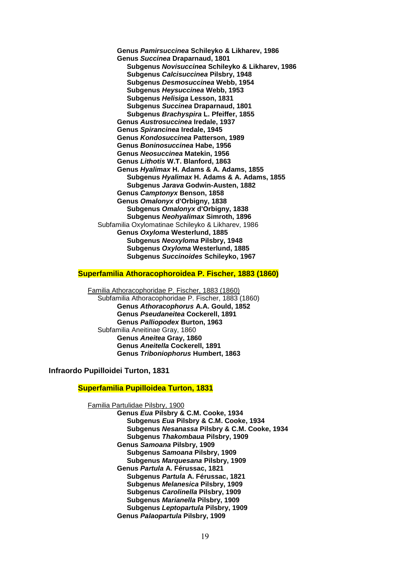**Genus** *Pamirsuccinea* **Schileyko & Likharev, 1986 Genus** *Succinea* **Draparnaud, 1801 Subgenus** *Novisuccinea* **Schileyko & Likharev, 1986 Subgenus** *Calcisuccinea* **Pilsbry, 1948 Subgenus** *Desmosuccinea* **Webb, 1954 Subgenus** *Heysuccinea* **Webb, 1953 Subgenus** *Helisiga* **Lesson, 1831 Subgenus** *Succinea* **Draparnaud, 1801 Subgenus** *Brachyspira* **L. Pfeiffer, 1855 Genus** *Austrosuccinea* **Iredale, 1937 Genus** *Spirancinea* **Iredale, 1945 Genus** *Kondosuccinea* **Patterson, 1989 Genus** *Boninosuccinea* **Habe, 1956 Genus** *Neosuccinea* **Matekin, 1956 Genus** *Lithotis* **W.T. Blanford, 1863 Genus** *Hyalimax* **H. Adams & A. Adams, 1855 Subgenus** *Hyalimax* **H. Adams & A. Adams, 1855 Subgenus** *Jarava* **Godwin-Austen, 1882 Genus** *Camptonyx* **Benson, 1858 Genus** *Omalonyx* **d'Orbigny, 1838 Subgenus** *Omalonyx* **d'Orbigny, 1838 Subgenus** *Neohyalimax* **Simroth, 1896** Subfamilia Oxylomatinae Schileyko & Likharev, 1986 **Genus** *Oxyloma* **Westerlund, 1885 Subgenus** *Neoxyloma* **Pilsbry, 1948 Subgenus** *Oxyloma* **Westerlund, 1885 Subgenus** *Succinoides* **Schileyko, 1967**

#### **Superfamilia Athoracophoroidea P. Fischer, 1883 (1860)**

Familia Athoracophoridae P. Fischer, 1883 (1860) Subfamilia Athoracophoridae P. Fischer, 1883 (1860) **Genus** *Athoracophorus* **A.A. Gould, 1852 Genus** *Pseudaneitea* **Cockerell, 1891 Genus** *Palliopodex* **Burton, 1963** Subfamilia Aneitinae Gray, 1860 **Genus** *Aneitea* **Gray, 1860 Genus** *Aneitella* **Cockerell, 1891 Genus** *Triboniophorus* **Humbert, 1863**

**Infraordo Pupilloidei Turton, 1831**

# **Superfamilia Pupilloidea Turton, 1831**

Familia Partulidae Pilsbry, 1900

**Genus** *Eua* **Pilsbry & C.M. Cooke, 1934 Subgenus** *Eua* **Pilsbry & C.M. Cooke, 1934 Subgenus** *Nesanassa* **Pilsbry & C.M. Cooke, 1934 Subgenus** *Thakombaua* **Pilsbry, 1909 Genus** *Samoana* **Pilsbry, 1909 Subgenus** *Samoana* **Pilsbry, 1909 Subgenus** *Marquesana* **Pilsbry, 1909 Genus** *Partula* **A. Férussac, 1821 Subgenus** *Partula* **A. Férussac, 1821 Subgenus** *Melanesica* **Pilsbry, 1909 Subgenus** *Carolinella* **Pilsbry, 1909 Subgenus** *Marianella* **Pilsbry, 1909 Subgenus** *Leptopartula* **Pilsbry, 1909 Genus** *Palaopartula* **Pilsbry, 1909**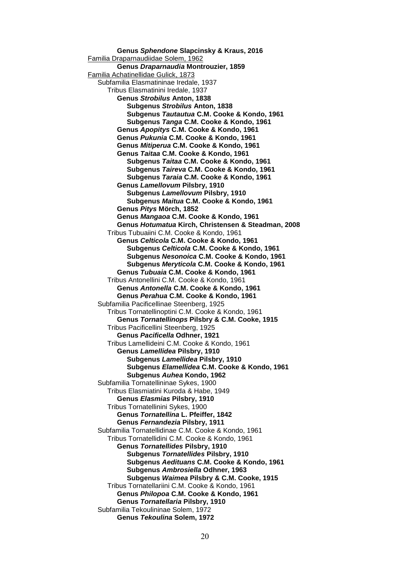**Genus** *Sphendone* **Slapcinsky & Kraus, 2016** Familia Draparnaudiidae Solem, 1962 **Genus** *Draparnaudia* **Montrouzier, 1859** Familia Achatinellidae Gulick, 1873 Subfamilia Elasmatininae Iredale, 1937 Tribus Elasmatinini Iredale, 1937 **Genus** *Strobilus* **Anton, 1838 Subgenus** *Strobilus* **Anton, 1838 Subgenus** *Tautautua* **C.M. Cooke & Kondo, 1961 Subgenus** *Tanga* **C.M. Cooke & Kondo, 1961 Genus** *Apopitys* **C.M. Cooke & Kondo, 1961 Genus** *Pukunia* **C.M. Cooke & Kondo, 1961 Genus** *Mitiperua* **C.M. Cooke & Kondo, 1961 Genus** *Taitaa* **C.M. Cooke & Kondo, 1961 Subgenus** *Taitaa* **C.M. Cooke & Kondo, 1961 Subgenus** *Taireva* **C.M. Cooke & Kondo, 1961 Subgenus** *Taraia* **C.M. Cooke & Kondo, 1961 Genus** *Lamellovum* **Pilsbry, 1910 Subgenus** *Lamellovum* **Pilsbry, 1910 Subgenus** *Maitua* **C.M. Cooke & Kondo, 1961 Genus** *Pitys* **Mörch, 1852 Genus** *Mangaoa* **C.M. Cooke & Kondo, 1961 Genus** *Hotumatua* **Kirch, Christensen & Steadman, 2008** Tribus Tubuaiini C.M. Cooke & Kondo, 1961 **Genus** *Celticola* **C.M. Cooke & Kondo, 1961 Subgenus** *Celticola* **C.M. Cooke & Kondo, 1961 Subgenus** *Nesonoica* **C.M. Cooke & Kondo, 1961 Subgenus** *Meryticola* **C.M. Cooke & Kondo, 1961 Genus** *Tubuaia* **C.M. Cooke & Kondo, 1961** Tribus Antonellini C.M. Cooke & Kondo, 1961 **Genus** *Antonella* **C.M. Cooke & Kondo, 1961 Genus** *Perahua* **C.M. Cooke & Kondo, 1961** Subfamilia Pacificellinae Steenberg, 1925 Tribus Tornatellinoptini C.M. Cooke & Kondo, 1961 **Genus** *Tornatellinops* **Pilsbry & C.M. Cooke, 1915** Tribus Pacificellini Steenberg, 1925 **Genus** *Pacificella* **Odhner, 1921** Tribus Lamellideini C.M. Cooke & Kondo, 1961 **Genus** *Lamellidea* **Pilsbry, 1910 Subgenus** *Lamellidea* **Pilsbry, 1910 Subgenus** *Elamellidea* **C.M. Cooke & Kondo, 1961 Subgenus** *Auhea* **Kondo, 1962** Subfamilia Tornatellininae Sykes, 1900 Tribus Elasmiatini Kuroda & Habe, 1949 **Genus** *Elasmias* **Pilsbry, 1910** Tribus Tornatellinini Sykes, 1900 **Genus** *Tornatellina* **L. Pfeiffer, 1842 Genus** *Fernandezia* **Pilsbry, 1911** Subfamilia Tornatellidinae C.M. Cooke & Kondo, 1961 Tribus Tornatellidini C.M. Cooke & Kondo, 1961 **Genus** *Tornatellides* **Pilsbry, 1910 Subgenus** *Tornatellides* **Pilsbry, 1910 Subgenus** *Aedituans* **C.M. Cooke & Kondo, 1961 Subgenus** *Ambrosiella* **Odhner, 1963 Subgenus** *Waimea* **Pilsbry & C.M. Cooke, 1915** Tribus Tornatellariini C.M. Cooke & Kondo, 1961 **Genus** *Philopoa* **C.M. Cooke & Kondo, 1961 Genus** *Tornatellaria* **Pilsbry, 1910** Subfamilia Tekoulininae Solem, 1972 **Genus** *Tekoulina* **Solem, 1972**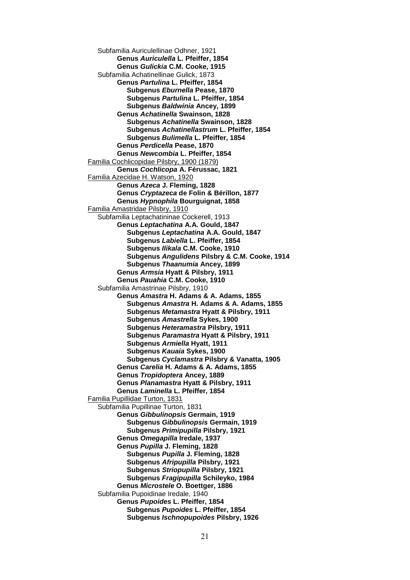Subfamilia Auriculellinae Odhner, 1921 **Genus** *Auriculella* **L. Pfeiffer, 1854 Genus** *Gulickia* **C.M. Cooke, 1915** Subfamilia Achatinellinae Gulick, 1873 **Genus** *Partulina* **L. Pfeiffer, 1854 Subgenus** *Eburnella* **Pease, 1870 Subgenus** *Partulina* **L. Pfeiffer, 1854 Subgenus** *Baldwinia* **Ancey, 1899 Genus** *Achatinella* **Swainson, 1828 Subgenus** *Achatinella* **Swainson, 1828 Subgenus** *Achatinellastrum* **L. Pfeiffer, 1854 Subgenus** *Bulimella* **L. Pfeiffer, 1854 Genus** *Perdicella* **Pease, 1870 Genus** *Newcombia* **L. Pfeiffer, 1854** Familia Cochlicopidae Pilsbry, 1900 (1879) **Genus** *Cochlicopa* **A. Férussac, 1821** Familia Azecidae H. Watson, 1920 **Genus** *Azeca* **J. Fleming, 1828 Genus** *Cryptazeca* **de Folin & Bérillon, 1877 Genus** *Hypnophila* **Bourguignat, 1858** Familia Amastridae Pilsbry, 1910 Subfamilia Leptachatininae Cockerell, 1913 **Genus** *Leptachatina* **A.A. Gould, 1847 Subgenus** *Leptachatina* **A.A. Gould, 1847 Subgenus** *Labiella* **L. Pfeiffer, 1854 Subgenus** *Ilikala* **C.M. Cooke, 1910 Subgenus** *Angulidens* **Pilsbry & C.M. Cooke, 1914 Subgenus** *Thaanumia* **Ancey, 1899 Genus** *Armsia* **Hyatt & Pilsbry, 1911 Genus** *Pauahia* **C.M. Cooke, 1910** Subfamilia Amastrinae Pilsbry, 1910 **Genus** *Amastra* **H. Adams & A. Adams, 1855 Subgenus** *Amastra* **H. Adams & A. Adams, 1855 Subgenus** *Metamastra* **Hyatt & Pilsbry, 1911 Subgenus** *Amastrella* **Sykes, 1900 Subgenus** *Heteramastra* **Pilsbry, 1911 Subgenus** *Paramastra* **Hyatt & Pilsbry, 1911 Subgenus** *Armiella* **Hyatt, 1911 Subgenus** *Kauaia* **Sykes, 1900 Subgenus** *Cyclamastra* **Pilsbry & Vanatta, 1905 Genus** *Carelia* **H. Adams & A. Adams, 1855 Genus** *Tropidoptera* **Ancey, 1889 Genus** *Planamastra* **Hyatt & Pilsbry, 1911 Genus** *Laminella* **L. Pfeiffer, 1854** Familia Pupillidae Turton, 1831 Subfamilia Pupillinae Turton, 1831 **Genus** *Gibbulinopsis* **Germain, 1919 Subgenus** *Gibbulinopsis* **Germain, 1919 Subgenus** *Primipupilla* **Pilsbry, 1921 Genus** *Omegapilla* **Iredale, 1937 Genus** *Pupilla* **J. Fleming, 1828 Subgenus** *Pupilla* **J. Fleming, 1828 Subgenus** *Afripupilla* **Pilsbry, 1921 Subgenus** *Striopupilla* **Pilsbry, 1921 Subgenus** *Fragipupilla* **Schileyko, 1984 Genus** *Microstele* **O. Boettger, 1886** Subfamilia Pupoidinae Iredale, 1940 **Genus** *Pupoides* **L. Pfeiffer, 1854 Subgenus** *Pupoides* **L. Pfeiffer, 1854 Subgenus** *Ischnopupoides* **Pilsbry, 1926**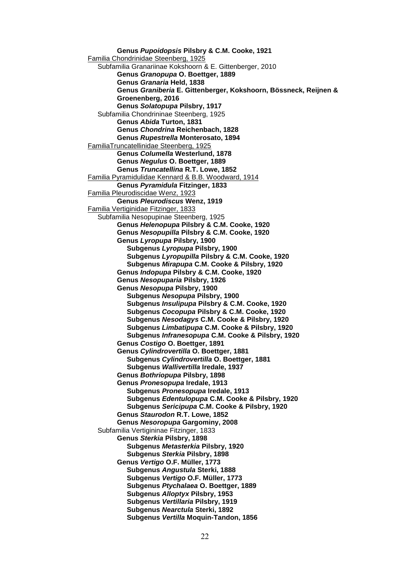**Genus** *Pupoidopsis* **Pilsbry & C.M. Cooke, 1921** Familia Chondrinidae Steenberg, 1925 Subfamilia Granariinae Kokshoorn & E. Gittenberger, 2010 **Genus** *Granopupa* **O. Boettger, 1889 Genus** *Granaria* **Held, 1838 Genus** *Graniberia* **E. Gittenberger, Kokshoorn, Bössneck, Reijnen & Groenenberg, 2016 Genus** *Solatopupa* **Pilsbry, 1917** Subfamilia Chondrininae Steenberg, 1925 **Genus** *Abida* **Turton, 1831 Genus** *Chondrina* **Reichenbach, 1828 Genus** *Rupestrella* **Monterosato, 1894** FamiliaTruncatellinidae Steenberg, 1925 **Genus** *Columella* **Westerlund, 1878 Genus** *Negulus* **O. Boettger, 1889 Genus** *Truncatellina* **R.T. Lowe, 1852** Familia Pyramidulidae Kennard & B.B. Woodward, 1914 **Genus** *Pyramidula* **Fitzinger, 1833** Familia Pleurodiscidae Wenz, 1923 **Genus** *Pleurodiscus* **Wenz, 1919** Familia Vertiginidae Fitzinger, 1833 Subfamilia Nesopupinae Steenberg, 1925 **Genus** *Helenopupa* **Pilsbry & C.M. Cooke, 1920 Genus** *Nesopupilla* **Pilsbry & C.M. Cooke, 1920 Genus** *Lyropupa* **Pilsbry, 1900 Subgenus** *Lyropupa* **Pilsbry, 1900 Subgenus** *Lyropupilla* **Pilsbry & C.M. Cooke, 1920 Subgenus** *Mirapupa* **C.M. Cooke & Pilsbry, 1920 Genus** *Indopupa* **Pilsbry & C.M. Cooke, 1920 Genus** *Nesopuparia* **Pilsbry, 1926 Genus** *Nesopupa* **Pilsbry, 1900 Subgenus** *Nesopupa* **Pilsbry, 1900 Subgenus** *Insulipupa* **Pilsbry & C.M. Cooke, 1920 Subgenus** *Cocopupa* **Pilsbry & C.M. Cooke, 1920 Subgenus** *Nesodagys* **C.M. Cooke & Pilsbry, 1920 Subgenus** *Limbatipupa* **C.M. Cooke & Pilsbry, 1920 Subgenus** *Infranesopupa* **C.M. Cooke & Pilsbry, 1920 Genus** *Costigo* **O. Boettger, 1891 Genus** *Cylindrovertilla* **O. Boettger, 1881 Subgenus** *Cylindrovertilla* **O. Boettger, 1881 Subgenus** *Wallivertilla* **Iredale, 1937 Genus** *Bothriopupa* **Pilsbry, 1898 Genus** *Pronesopupa* **Iredale, 1913 Subgenus** *Pronesopupa* **Iredale, 1913 Subgenus** *Edentulopupa* **C.M. Cooke & Pilsbry, 1920 Subgenus** *Sericipupa* **C.M. Cooke & Pilsbry, 1920 Genus** *Staurodon* **R.T. Lowe, 1852 Genus** *Nesoropupa* **Gargominy, 2008** Subfamilia Vertigininae Fitzinger, 1833 **Genus** *Sterkia* **Pilsbry, 1898 Subgenus** *Metasterkia* **Pilsbry, 1920 Subgenus** *Sterkia* **Pilsbry, 1898 Genus** *Vertigo* **O.F. Müller, 1773 Subgenus** *Angustula* **Sterki, 1888 Subgenus** *Vertigo* **O.F. Müller, 1773 Subgenus** *Ptychalaea* **O. Boettger, 1889 Subgenus** *Alloptyx* **Pilsbry, 1953 Subgenus** *Vertillaria* **Pilsbry, 1919 Subgenus** *Nearctula* **Sterki, 1892 Subgenus** *Vertilla* **Moquin-Tandon, 1856**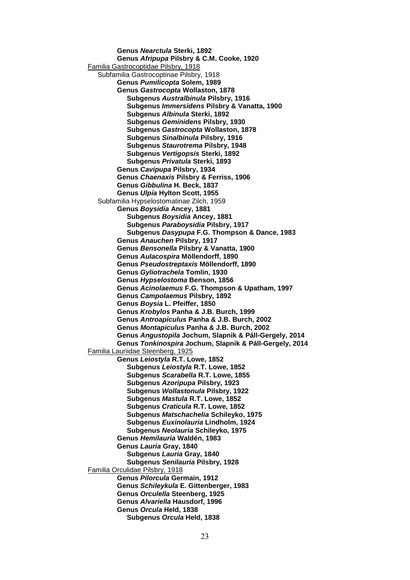**Genus** *Nearctula* **Sterki, 1892 Genus** *Afripupa* **Pilsbry & C.M. Cooke, 1920** Familia Gastrocoptidae Pilsbry, 1918 Subfamilia Gastrocoptinae Pilsbry, 1918 **Genus** *Pumilicopta* **Solem, 1989 Genus** *Gastrocopta* **Wollaston, 1878 Subgenus** *Australbinula* **Pilsbry, 1916 Subgenus** *Immersidens* **Pilsbry & Vanatta, 1900 Subgenus** *Albinula* **Sterki, 1892 Subgenus** *Geminidens* **Pilsbry, 1930 Subgenus** *Gastrocopta* **Wollaston, 1878 Subgenus** *Sinalbinula* **Pilsbry, 1916 Subgenus** *Staurotrema* **Pilsbry, 1948 Subgenus** *Vertigopsis* **Sterki, 1892 Subgenus** *Privatula* **Sterki, 1893 Genus** *Cavipupa* **Pilsbry, 1934 Genus** *Chaenaxis* **Pilsbry & Ferriss, 1906 Genus** *Gibbulina* **H. Beck, 1837 Genus** *Ulpia* **Hylton Scott, 1955** Subfamilia Hypselostomatinae Zilch, 1959 **Genus** *Boysidia* **Ancey, 1881 Subgenus** *Boysidia* **Ancey, 1881 Subgenus** *Paraboysidia* **Pilsbry, 1917 Subgenus** *Dasypupa* **F.G. Thompson & Dance, 1983 Genus** *Anauchen* **Pilsbry, 1917 Genus** *Bensonella* **Pilsbry & Vanatta, 1900 Genus** *Aulacospira* **Möllendorff, 1890 Genus** *Pseudostreptaxis* **Möllendorff, 1890 Genus** *Gyliotrachela* **Tomlin, 1930 Genus** *Hypselostoma* **Benson, 1856 Genus** *Acinolaemus* **F.G. Thompson & Upatham, 1997 Genus** *Campolaemus* **Pilsbry, 1892 Genus** *Boysia* **L. Pfeiffer, 1850 Genus** *Krobylos* **Panha & J.B. Burch, 1999 Genus** *Antroapiculus* **Panha & J.B. Burch, 2002 Genus** *Montapiculus* **Panha & J.B. Burch, 2002 Genus** *Angustopila* **Jochum, Slapnik & Páll-Gergely, 2014 Genus** *Tonkinospira* **Jochum, Slapnik & Páll-Gergely, 2014** Familia Lauriidae Steenberg, 1925 **Genus** *Leiostyla* **R.T. Lowe, 1852 Subgenus** *Leiostyla* **R.T. Lowe, 1852 Subgenus** *Scarabella* **R.T. Lowe, 1855 Subgenus** *Azoripupa* **Pilsbry, 1923 Subgenus** *Wollastonula* **Pilsbry, 1922 Subgenus** *Mastula* **R.T. Lowe, 1852 Subgenus** *Craticula* **R.T. Lowe, 1852 Subgenus** *Matschachelia* **Schileyko, 1975 Subgenus** *Euxinolauria* **Lindholm, 1924 Subgenus** *Neolauria* **Schileyko, 1975 Genus** *Hemilauria* **Waldén, 1983 Genus** *Lauria* **Gray, 1840 Subgenus** *Lauria* **Gray, 1840 Subgenus** *Senilauria* **Pilsbry, 1928** Familia Orculidae Pilsbry, 1918 **Genus** *Pilorcula* **Germain, 1912 Genus** *Schileykula* **E. Gittenberger, 1983 Genus** *Orculella* **Steenberg, 1925 Genus** *Alvariella* **Hausdorf, 1996 Genus** *Orcula* **Held, 1838 Subgenus** *Orcula* **Held, 1838**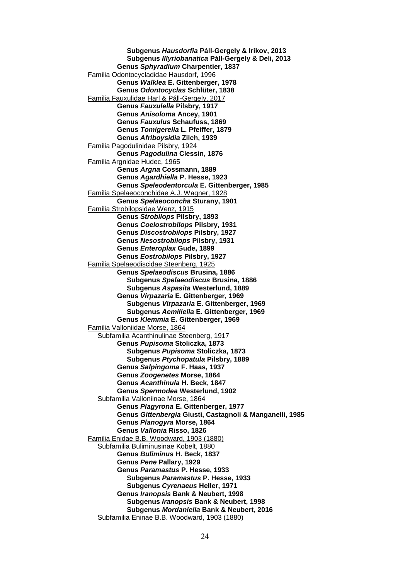**Subgenus** *Hausdorfia* **Páll-Gergely & Irikov, 2013 Subgenus** *Illyriobanatica* **Páll-Gergely & Deli, 2013 Genus** *Sphyradium* **Charpentier, 1837** Familia Odontocycladidae Hausdorf, 1996 **Genus** *Walklea* **E. Gittenberger, 1978 Genus** *Odontocyclas* **Schlüter, 1838** Familia Fauxulidae Harl & Páll-Gergely, 2017 **Genus** *Fauxulella* **Pilsbry, 1917 Genus** *Anisoloma* **Ancey, 1901 Genus** *Fauxulus* **Schaufuss, 1869 Genus** *Tomigerella* **L. Pfeiffer, 1879 Genus** *Afriboysidia* **Zilch, 1939** Familia Pagodulinidae Pilsbry, 1924 **Genus** *Pagodulina* **Clessin, 1876** Familia Argnidae Hudec, 1965 **Genus** *Argna* **Cossmann, 1889 Genus** *Agardhiella* **P. Hesse, 1923 Genus** *Speleodentorcula* **E. Gittenberger, 1985** Familia Spelaeoconchidae A.J. Wagner, 1928 **Genus** *Spelaeoconcha* **Sturany, 1901** Familia Strobilopsidae Wenz, 1915 **Genus** *Strobilops* **Pilsbry, 1893 Genus** *Coelostrobilops* **Pilsbry, 1931 Genus** *Discostrobilops* **Pilsbry, 1927 Genus** *Nesostrobilops* **Pilsbry, 1931 Genus** *Enteroplax* **Gude, 1899 Genus** *Eostrobilops* **Pilsbry, 1927** Familia Spelaeodiscidae Steenberg, 1925 **Genus** *Spelaeodiscus* **Brusina, 1886 Subgenus** *Spelaeodiscus* **Brusina, 1886 Subgenus** *Aspasita* **Westerlund, 1889 Genus** *Virpazaria* **E. Gittenberger, 1969 Subgenus** *Virpazaria* **E. Gittenberger, 1969 Subgenus** *Aemiliella* **E. Gittenberger, 1969 Genus** *Klemmia* **E. Gittenberger, 1969** Familia Valloniidae Morse, 1864 Subfamilia Acanthinulinae Steenberg, 1917 **Genus** *Pupisoma* **Stoliczka, 1873 Subgenus** *Pupisoma* **Stoliczka, 1873 Subgenus** *Ptychopatula* **Pilsbry, 1889 Genus** *Salpingoma* **F. Haas, 1937 Genus** *Zoogenetes* **Morse, 1864 Genus** *Acanthinula* **H. Beck, 1847 Genus** *Spermodea* **Westerlund, 1902** Subfamilia Valloniinae Morse, 1864 **Genus** *Plagyrona* **E. Gittenberger, 1977 Genus** *Gittenbergia* **Giusti, Castagnoli & Manganelli, 1985 Genus** *Planogyra* **Morse, 1864 Genus** *Vallonia* **Risso, 1826** Familia Enidae B.B. Woodward, 1903 (1880) Subfamilia Buliminusinae Kobelt, 1880 **Genus** *Buliminus* **H. Beck, 1837 Genus** *Pene* **Pallary, 1929 Genus** *Paramastus* **P. Hesse, 1933 Subgenus** *Paramastus* **P. Hesse, 1933 Subgenus** *Cyrenaeus* **Heller, 1971 Genus** *Iranopsis* **Bank & Neubert, 1998 Subgenus** *Iranopsis* **Bank & Neubert, 1998 Subgenus** *Mordaniella* **Bank & Neubert, 2016** Subfamilia Eninae B.B. Woodward, 1903 (1880)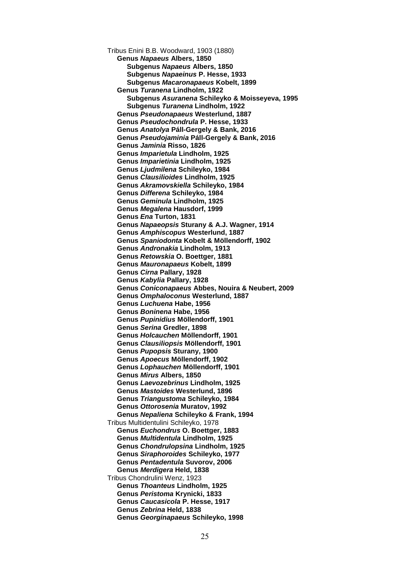Tribus Enini B.B. Woodward, 1903 (1880) **Genus** *Napaeus* **Albers, 1850 Subgenus** *Napaeus* **Albers, 1850 Subgenus** *Napaeinus* **P. Hesse, 1933 Subgenus** *Macaronapaeus* **Kobelt, 1899 Genus** *Turanena* **Lindholm, 1922 Subgenus** *Asuranena* **Schileyko & Moisseyeva, 1995 Subgenus** *Turanena* **Lindholm, 1922 Genus** *Pseudonapaeus* **Westerlund, 1887 Genus** *Pseudochondrula* **P. Hesse, 1933 Genus** *Anatolya* **Páll-Gergely & Bank, 2016 Genus** *Pseudojaminia* **Páll-Gergely & Bank, 2016 Genus** *Jaminia* **Risso, 1826 Genus** *Imparietula* **Lindholm, 1925 Genus** *Imparietinia* **Lindholm, 1925 Genus** *Ljudmilena* **Schileyko, 1984 Genus** *Clausilioides* **Lindholm, 1925 Genus** *Akramovskiella* **Schileyko, 1984 Genus** *Differena* **Schileyko, 1984 Genus** *Geminula* **Lindholm, 1925 Genus** *Megalena* **Hausdorf, 1999 Genus** *Ena* **Turton, 1831 Genus** *Napaeopsis* **Sturany & A.J. Wagner, 1914 Genus** *Amphiscopus* **Westerlund, 1887 Genus** *Spaniodonta* **Kobelt & Möllendorff, 1902 Genus** *Andronakia* **Lindholm, 1913 Genus** *Retowskia* **O. Boettger, 1881 Genus** *Mauronapaeus* **Kobelt, 1899 Genus** *Cirna* **Pallary, 1928 Genus** *Kabylia* **Pallary, 1928 Genus** *Coniconapaeus* **Abbes, Nouira & Neubert, 2009 Genus** *Omphaloconus* **Westerlund, 1887 Genus** *Luchuena* **Habe, 1956 Genus** *Boninena* **Habe, 1956 Genus** *Pupinidius* **Möllendorff, 1901 Genus** *Serina* **Gredler, 1898 Genus** *Holcauchen* **Möllendorff, 1901 Genus** *Clausiliopsis* **Möllendorff, 1901 Genus** *Pupopsis* **Sturany, 1900 Genus** *Apoecus* **Möllendorff, 1902 Genus** *Lophauchen* **Möllendorff, 1901 Genus** *Mirus* **Albers, 1850 Genus** *Laevozebrinus* **Lindholm, 1925 Genus** *Mastoides* **Westerlund, 1896 Genus** *Triangustoma* **Schileyko, 1984 Genus** *Ottorosenia* **Muratov, 1992 Genus** *Nepaliena* **Schileyko & Frank, 1994** Tribus Multidentulini Schileyko, 1978 **Genus** *Euchondrus* **O. Boettger, 1883 Genus** *Multidentula* **Lindholm, 1925 Genus** *Chondrulopsina* **Lindholm, 1925 Genus** *Siraphoroides* **Schileyko, 1977 Genus** *Pentadentula* **Suvorov, 2006 Genus** *Merdigera* **Held, 1838** Tribus Chondrulini Wenz, 1923 **Genus** *Thoanteus* **Lindholm, 1925 Genus** *Peristoma* **Krynicki, 1833 Genus** *Caucasicola* **P. Hesse, 1917 Genus** *Zebrina* **Held, 1838 Genus** *Georginapaeus* **Schileyko, 1998**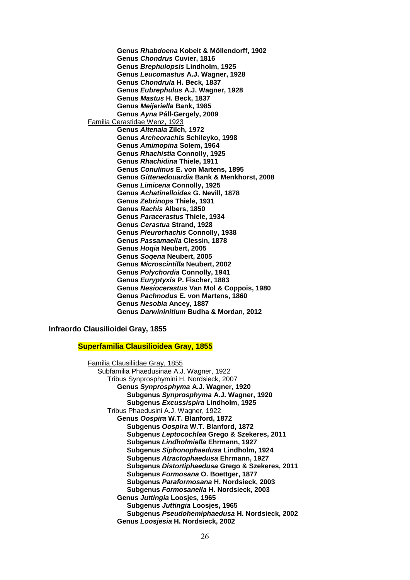**Genus** *Rhabdoena* **Kobelt & Möllendorff, 1902 Genus** *Chondrus* **Cuvier, 1816 Genus** *Brephulopsis* **Lindholm, 1925 Genus** *Leucomastus* **A.J. Wagner, 1928 Genus** *Chondrula* **H. Beck, 1837 Genus** *Eubrephulus* **A.J. Wagner, 1928 Genus** *Mastus* **H. Beck, 1837 Genus** *Meijeriella* **Bank, 1985 Genus** *Ayna* **Páll-Gergely, 2009** Familia Cerastidae Wenz, 1923 **Genus** *Altenaia* **Zilch, 1972 Genus** *Archeorachis* **Schileyko, 1998 Genus** *Amimopina* **Solem, 1964 Genus** *Rhachistia* **Connolly, 1925 Genus** *Rhachidina* **Thiele, 1911 Genus** *Conulinus* **E. von Martens, 1895 Genus** *Gittenedouardia* **Bank & Menkhorst, 2008 Genus** *Limicena* **Connolly, 1925 Genus** *Achatinelloides* **G. Nevill, 1878 Genus** *Zebrinops* **Thiele, 1931 Genus** *Rachis* **Albers, 1850 Genus** *Paracerastus* **Thiele, 1934 Genus** *Cerastua* **Strand, 1928 Genus** *Pleurorhachis* **Connolly, 1938 Genus** *Passamaella* **Clessin, 1878 Genus** *Hoqia* **Neubert, 2005 Genus** *Soqena* **Neubert, 2005 Genus** *Microscintilla* **Neubert, 2002 Genus** *Polychordia* **Connolly, 1941 Genus** *Euryptyxis* **P. Fischer, 1883 Genus** *Nesiocerastus* **Van Mol & Coppois, 1980 Genus** *Pachnodus* **E. von Martens, 1860 Genus** *Nesobia* **Ancey, 1887 Genus** *Darwininitium* **Budha & Mordan, 2012**

**Infraordo Clausilioidei Gray, 1855**

**Superfamilia Clausilioidea Gray, 1855**

Familia Clausiliidae Gray, 1855 Subfamilia Phaedusinae A.J. Wagner, 1922 Tribus Synprosphymini H. Nordsieck, 2007 **Genus** *Synprosphyma* **A.J. Wagner, 1920 Subgenus** *Synprosphyma* **A.J. Wagner, 1920 Subgenus** *Excussispira* **Lindholm, 1925** Tribus Phaedusini A.J. Wagner, 1922 **Genus** *Oospira* **W.T. Blanford, 1872 Subgenus** *Oospira* **W.T. Blanford, 1872 Subgenus** *Leptocochlea* **Grego & Szekeres, 2011 Subgenus** *Lindholmiella* **Ehrmann, 1927 Subgenus** *Siphonophaedusa* **Lindholm, 1924 Subgenus** *Atractophaedusa* **Ehrmann, 1927 Subgenus** *Distortiphaedusa* **Grego & Szekeres, 2011 Subgenus** *Formosana* **O. Boettger, 1877 Subgenus** *Paraformosana* **H. Nordsieck, 2003 Subgenus** *Formosanella* **H. Nordsieck, 2003 Genus** *Juttingia* **Loosjes, 1965 Subgenus** *Juttingia* **Loosjes, 1965 Subgenus** *Pseudohemiphaedusa* **H. Nordsieck, 2002 Genus** *Loosjesia* **H. Nordsieck, 2002**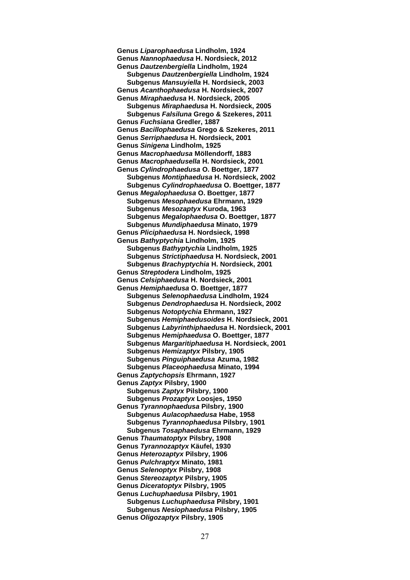**Genus** *Liparophaedusa* **Lindholm, 1924 Genus** *Nannophaedusa* **H. Nordsieck, 2012 Genus** *Dautzenbergiella* **Lindholm, 1924 Subgenus** *Dautzenbergiella* **Lindholm, 1924 Subgenus** *Mansuyiella* **H. Nordsieck, 2003 Genus** *Acanthophaedusa* **H. Nordsieck, 2007 Genus** *Miraphaedusa* **H. Nordsieck, 2005 Subgenus** *Miraphaedusa* **H. Nordsieck, 2005 Subgenus** *Falsiluna* **Grego & Szekeres, 2011 Genus** *Fuchsiana* **Gredler, 1887 Genus** *Bacillophaedusa* **Grego & Szekeres, 2011 Genus** *Serriphaedusa* **H. Nordsieck, 2001 Genus** *Sinigena* **Lindholm, 1925 Genus** *Macrophaedusa* **Möllendorff, 1883 Genus** *Macrophaedusella* **H. Nordsieck, 2001 Genus** *Cylindrophaedusa* **O. Boettger, 1877 Subgenus** *Montiphaedusa* **H. Nordsieck, 2002 Subgenus** *Cylindrophaedusa* **O. Boettger, 1877 Genus** *Megalophaedusa* **O. Boettger, 1877 Subgenus** *Mesophaedusa* **Ehrmann, 1929 Subgenus** *Mesozaptyx* **Kuroda, 1963 Subgenus** *Megalophaedusa* **O. Boettger, 1877 Subgenus** *Mundiphaedusa* **Minato, 1979 Genus** *Pliciphaedusa* **H. Nordsieck, 1998 Genus** *Bathyptychia* **Lindholm, 1925 Subgenus** *Bathyptychia* **Lindholm, 1925 Subgenus** *Strictiphaedusa* **H. Nordsieck, 2001 Subgenus** *Brachyptychia* **H. Nordsieck, 2001 Genus** *Streptodera* **Lindholm, 1925 Genus** *Celsiphaedusa* **H. Nordsieck, 2001 Genus** *Hemiphaedusa* **O. Boettger, 1877 Subgenus** *Selenophaedusa* **Lindholm, 1924 Subgenus** *Dendrophaedusa* **H. Nordsieck, 2002 Subgenus** *Notoptychia* **Ehrmann, 1927 Subgenus** *Hemiphaedusoides* **H. Nordsieck, 2001 Subgenus** *Labyrinthiphaedusa* **H. Nordsieck, 2001 Subgenus** *Hemiphaedusa* **O. Boettger, 1877 Subgenus** *Margaritiphaedusa* **H. Nordsieck, 2001 Subgenus** *Hemizaptyx* **Pilsbry, 1905 Subgenus** *Pinguiphaedusa* **Azuma, 1982 Subgenus** *Placeophaedusa* **Minato, 1994 Genus** *Zaptychopsis* **Ehrmann, 1927 Genus** *Zaptyx* **Pilsbry, 1900 Subgenus** *Zaptyx* **Pilsbry, 1900 Subgenus** *Prozaptyx* **Loosjes, 1950 Genus** *Tyrannophaedusa* **Pilsbry, 1900 Subgenus** *Aulacophaedusa* **Habe, 1958 Subgenus** *Tyrannophaedusa* **Pilsbry, 1901 Subgenus** *Tosaphaedusa* **Ehrmann, 1929 Genus** *Thaumatoptyx* **Pilsbry, 1908 Genus** *Tyrannozaptyx* **Käufel, 1930 Genus** *Heterozaptyx* **Pilsbry, 1906 Genus** *Pulchraptyx* **Minato, 1981 Genus** *Selenoptyx* **Pilsbry, 1908 Genus** *Stereozaptyx* **Pilsbry, 1905 Genus** *Diceratoptyx* **Pilsbry, 1905 Genus** *Luchuphaedusa* **Pilsbry, 1901 Subgenus** *Luchuphaedusa* **Pilsbry, 1901 Subgenus** *Nesiophaedusa* **Pilsbry, 1905 Genus** *Oligozaptyx* **Pilsbry, 1905**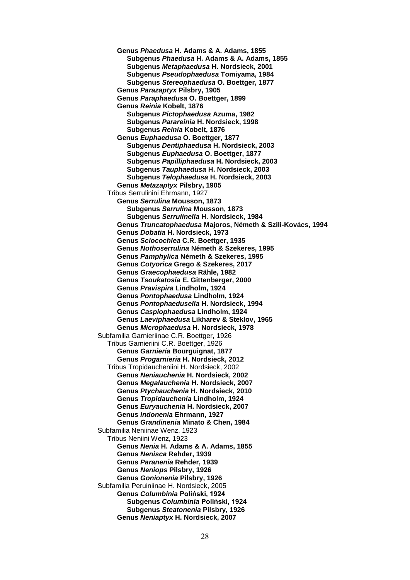**Genus** *Phaedusa* **H. Adams & A. Adams, 1855 Subgenus** *Phaedusa* **H. Adams & A. Adams, 1855 Subgenus** *Metaphaedusa* **H. Nordsieck, 2001 Subgenus** *Pseudophaedusa* **Tomiyama, 1984 Subgenus** *Stereophaedusa* **O. Boettger, 1877 Genus** *Parazaptyx* **Pilsbry, 1905 Genus** *Paraphaedusa* **O. Boettger, 1899 Genus** *Reinia* **Kobelt, 1876 Subgenus** *Pictophaedusa* **Azuma, 1982 Subgenus** *Parareinia* **H. Nordsieck, 1998 Subgenus** *Reinia* **Kobelt, 1876 Genus** *Euphaedusa* **O. Boettger, 1877 Subgenus** *Dentiphaedusa* **H. Nordsieck, 2003 Subgenus** *Euphaedusa* **O. Boettger, 1877 Subgenus** *Papilliphaedusa* **H. Nordsieck, 2003 Subgenus** *Tauphaedusa* **H. Nordsieck, 2003 Subgenus** *Telophaedusa* **H. Nordsieck, 2003 Genus** *Metazaptyx* **Pilsbry, 1905**  Tribus Serrulinini Ehrmann, 1927 **Genus** *Serrulina* **Mousson, 1873 Subgenus** *Serrulina* **Mousson, 1873 Subgenus** *Serrulinella* **H. Nordsieck, 1984 Genus** *Truncatophaedusa* **Majoros, Németh & Szili-Kovács, 1994 Genus** *Dobatia* **H. Nordsieck, 1973 Genus** *Sciocochlea* **C.R. Boettger, 1935 Genus** *Nothoserrulina* **Németh & Szekeres, 1995 Genus** *Pamphylica* **Németh & Szekeres, 1995 Genus** *Cotyorica* **Grego & Szekeres, 2017 Genus** *Graecophaedusa* **Rähle, 1982 Genus** *Tsoukatosia* **E. Gittenberger, 2000 Genus** *Pravispira* **Lindholm, 1924 Genus** *Pontophaedusa* **Lindholm, 1924 Genus** *Pontophaedusella* **H. Nordsieck, 1994 Genus** *Caspiophaedusa* **Lindholm, 1924 Genus** *Laeviphaedusa* **Likharev & Steklov, 1965 Genus** *Microphaedusa* **H. Nordsieck, 1978** Subfamilia Garnieriinae C.R. Boettger, 1926 Tribus Garnieriini C.R. Boettger, 1926 **Genus** *Garnieria* **Bourguignat, 1877 Genus** *Progarnieria* **H. Nordsieck, 2012** Tribus Tropidaucheniini H. Nordsieck, 2002 **Genus** *Neniauchenia* **H. Nordsieck, 2002 Genus** *Megalauchenia* **H. Nordsieck, 2007 Genus** *Ptychauchenia* **H. Nordsieck, 2010 Genus** *Tropidauchenia* **Lindholm, 1924 Genus** *Euryauchenia* **H. Nordsieck, 2007 Genus** *Indonenia* **Ehrmann, 1927 Genus** *Grandinenia* **Minato & Chen, 1984** Subfamilia Neniinae Wenz, 1923 Tribus Neniini Wenz, 1923 **Genus** *Nenia* **H. Adams & A. Adams, 1855 Genus** *Nenisca* **Rehder, 1939 Genus** *Paranenia* **Rehder, 1939 Genus** *Neniops* **Pilsbry, 1926 Genus** *Gonionenia* **Pilsbry, 1926** Subfamilia Peruiniinae H. Nordsieck, 2005 **Genus** *Columbinia* **Poliński, 1924 Subgenus** *Columbinia* **Poliński, 1924 Subgenus** *Steatonenia* **Pilsbry, 1926 Genus** *Neniaptyx* **H. Nordsieck, 2007**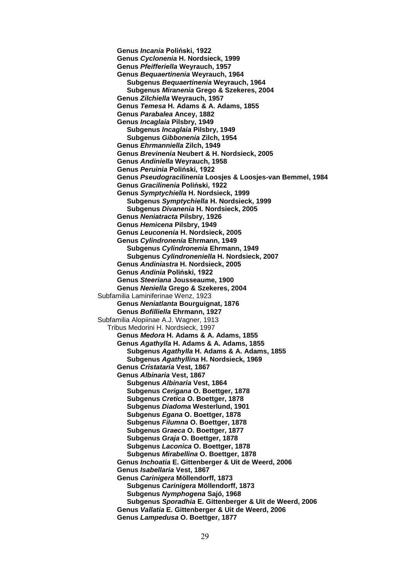**Genus** *Incania* **Poliński, 1922 Genus** *Cyclonenia* **H. Nordsieck, 1999 Genus** *Pfeifferiella* **Weyrauch, 1957 Genus** *Bequaertinenia* **Weyrauch, 1964 Subgenus** *Bequaertinenia* **Weyrauch, 1964 Subgenus** *Miranenia* **Grego & Szekeres, 2004 Genus** *Zilchiella* **Weyrauch, 1957 Genus** *Temesa* **H. Adams & A. Adams, 1855 Genus** *Parabalea* **Ancey, 1882 Genus** *Incaglaia* **Pilsbry, 1949 Subgenus** *Incaglaia* **Pilsbry, 1949 Subgenus** *Gibbonenia* **Zilch, 1954 Genus** *Ehrmanniella* **Zilch, 1949 Genus** *Brevinenia* **Neubert & H. Nordsieck, 2005 Genus** *Andiniella* **Weyrauch, 1958 Genus** *Peruinia* **Poliński, 1922 Genus** *Pseudogracilinenia* **Loosjes & Loosjes-van Bemmel, 1984 Genus** *Gracilinenia* **Poliński, 1922 Genus** *Symptychiella* **H. Nordsieck, 1999 Subgenus** *Symptychiella* **H. Nordsieck, 1999 Subgenus** *Divanenia* **H. Nordsieck, 2005 Genus** *Neniatracta* **Pilsbry, 1926 Genus** *Hemicena* **Pilsbry, 1949 Genus** *Leuconenia* **H. Nordsieck, 2005 Genus** *Cylindronenia* **Ehrmann, 1949 Subgenus** *Cylindronenia* **Ehrmann, 1949 Subgenus** *Cylindroneniella* **H. Nordsieck, 2007 Genus** *Andiniastra* **H. Nordsieck, 2005 Genus** *Andinia* **Poliński, 1922 Genus** *Steeriana* **Jousseaume, 1900 Genus** *Neniella* **Grego & Szekeres, 2004** Subfamilia Laminiferinae Wenz, 1923 **Genus** *Neniatlanta* **Bourguignat, 1876 Genus** *Bofilliella* **Ehrmann, 1927** Subfamilia Alopiinae A.J. Wagner, 1913 Tribus Medorini H. Nordsieck, 1997 **Genus** *Medora* **H. Adams & A. Adams, 1855 Genus** *Agathylla* **H. Adams & A. Adams, 1855 Subgenus** *Agathylla* **H. Adams & A. Adams, 1855 Subgenus** *Agathyllina* **H. Nordsieck, 1969 Genus** *Cristataria* **Vest, 1867 Genus** *Albinaria* **Vest, 1867 Subgenus** *Albinaria* **Vest, 1864 Subgenus** *Cerigana* **O. Boettger, 1878 Subgenus** *Cretica* **O. Boettger, 1878 Subgenus** *Diadoma* **Westerlund, 1901 Subgenus** *Egana* **O. Boettger, 1878 Subgenus** *Filumna* **O. Boettger, 1878 Subgenus** *Graeca* **O. Boettger, 1877 Subgenus** *Graja* **O. Boettger, 1878 Subgenus** *Laconica* **O. Boettger, 1878 Subgenus** *Mirabellina* **O. Boettger, 1878 Genus** *Inchoatia* **E. Gittenberger & Uit de Weerd, 2006 Genus** *Isabellaria* **Vest, 1867 Genus** *Carinigera* **Möllendorff, 1873 Subgenus** *Carinigera* **Möllendorff, 1873 Subgenus** *Nymphogena* **Sajó, 1968 Subgenus** *Sporadhia* **E. Gittenberger & Uit de Weerd, 2006 Genus** *Vallatia* **E. Gittenberger & Uit de Weerd, 2006 Genus** *Lampedusa* **O. Boettger, 1877**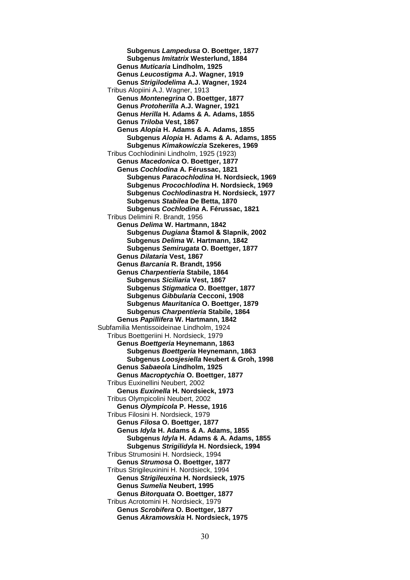**Subgenus** *Lampedusa* **O. Boettger, 1877 Subgenus** *Imitatrix* **Westerlund, 1884 Genus** *Muticaria* **Lindholm, 1925 Genus** *Leucostigma* **A.J. Wagner, 1919 Genus** *Strigilodelima* **A.J. Wagner, 1924** Tribus Alopiini A.J. Wagner, 1913 **Genus** *Montenegrina* **O. Boettger, 1877 Genus** *Protoherilla* **A.J. Wagner, 1921 Genus** *Herilla* **H. Adams & A. Adams, 1855 Genus** *Triloba* **Vest, 1867 Genus** *Alopia* **H. Adams & A. Adams, 1855 Subgenus** *Alopia* **H. Adams & A. Adams, 1855 Subgenus** *Kimakowiczia* **Szekeres, 1969** Tribus Cochlodinini Lindholm, 1925 (1923) **Genus** *Macedonica* **O. Boettger, 1877 Genus** *Cochlodina* **A. Férussac, 1821 Subgenus** *Paracochlodina* **H. Nordsieck, 1969 Subgenus** *Procochlodina* **H. Nordsieck, 1969 Subgenus** *Cochlodinastra* **H. Nordsieck, 1977 Subgenus** *Stabilea* **De Betta, 1870 Subgenus** *Cochlodina* **A. Férussac, 1821** Tribus Delimini R. Brandt, 1956 **Genus** *Delima* **W. Hartmann, 1842 Subgenus** *Dugiana* **Štamol & Slapnik, 2002 Subgenus** *Delima* **W. Hartmann, 1842 Subgenus** *Semirugata* **O. Boettger, 1877 Genus** *Dilataria* **Vest, 1867 Genus** *Barcania* **R. Brandt, 1956 Genus** *Charpentieria* **Stabile, 1864 Subgenus** *Siciliaria* **Vest, 1867 Subgenus** *Stigmatica* **O. Boettger, 1877 Subgenus** *Gibbularia* **Cecconi, 1908 Subgenus** *Mauritanica* **O. Boettger, 1879 Subgenus** *Charpentieria* **Stabile, 1864 Genus** *Papillifera* **W. Hartmann, 1842** Subfamilia Mentissoideinae Lindholm, 1924 Tribus Boettgeriini H. Nordsieck, 1979 **Genus** *Boettgeria* **Heynemann, 1863 Subgenus** *Boettgeria* **Heynemann, 1863 Subgenus** *Loosjesiella* **Neubert & Groh, 1998 Genus** *Sabaeola* **Lindholm, 1925 Genus** *Macroptychia* **O. Boettger, 1877** Tribus Euxinellini Neubert, 2002 **Genus** *Euxinella* **H. Nordsieck, 1973** Tribus Olympicolini Neubert, 2002 **Genus** *Olympicola* **P. Hesse, 1916** Tribus Filosini H. Nordsieck, 1979 **Genus** *Filosa* **O. Boettger, 1877 Genus** *Idyla* **H. Adams & A. Adams, 1855 Subgenus** *Idyla* **H. Adams & A. Adams, 1855 Subgenus** *Strigilidyla* **H. Nordsieck, 1994** Tribus Strumosini H. Nordsieck, 1994 **Genus** *Strumosa* **O. Boettger, 1877** Tribus Strigileuxinini H. Nordsieck, 1994 **Genus** *Strigileuxina* **H. Nordsieck, 1975 Genus** *Sumelia* **Neubert, 1995 Genus** *Bitorquata* **O. Boettger, 1877** Tribus Acrotomini H. Nordsieck, 1979 **Genus** *Scrobifera* **O. Boettger, 1877 Genus** *Akramowskia* **H. Nordsieck, 1975**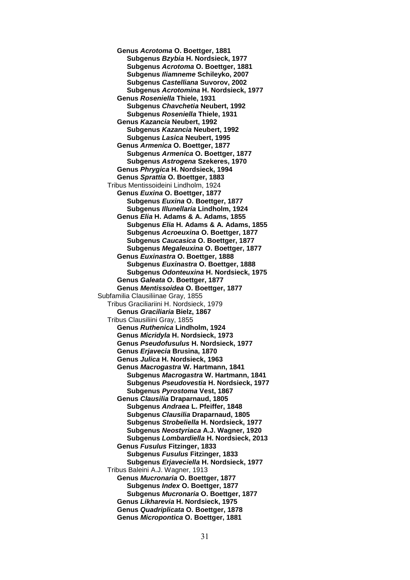**Genus** *Acrotoma* **O. Boettger, 1881 Subgenus** *Bzybia* **H. Nordsieck, 1977 Subgenus** *Acrotoma* **O. Boettger, 1881 Subgenus** *Iliamneme* **Schileyko, 2007 Subgenus** *Castelliana* **Suvorov, 2002 Subgenus** *Acrotomina* **H. Nordsieck, 1977 Genus** *Roseniella* **Thiele, 1931 Subgenus** *Chavchetia* **Neubert, 1992 Subgenus** *Roseniella* **Thiele, 1931 Genus** *Kazancia* **Neubert, 1992 Subgenus** *Kazancia* **Neubert, 1992 Subgenus** *Lasica* **Neubert, 1995 Genus** *Armenica* **O. Boettger, 1877 Subgenus** *Armenica* **O. Boettger, 1877 Subgenus** *Astrogena* **Szekeres, 1970 Genus** *Phrygica* **H. Nordsieck, 1994 Genus** *Sprattia* **O. Boettger, 1883** Tribus Mentissoideini Lindholm, 1924 **Genus** *Euxina* **O. Boettger, 1877 Subgenus** *Euxina* **O. Boettger, 1877 Subgenus** *Illunellaria* **Lindholm, 1924 Genus** *Elia* **H. Adams & A. Adams, 1855 Subgenus** *Elia* **H. Adams & A. Adams, 1855 Subgenus** *Acroeuxina* **O. Boettger, 1877 Subgenus** *Caucasica* **O. Boettger, 1877 Subgenus** *Megaleuxina* **O. Boettger, 1877 Genus** *Euxinastra* **O. Boettger, 1888 Subgenus** *Euxinastra* **O. Boettger, 1888 Subgenus** *Odonteuxina* **H. Nordsieck, 1975 Genus** *Galeata* **O. Boettger, 1877 Genus** *Mentissoidea* **O. Boettger, 1877** Subfamilia Clausiliinae Gray, 1855 Tribus Graciliariini H. Nordsieck, 1979 **Genus** *Graciliaria* **Bielz, 1867** Tribus Clausiliini Gray, 1855 **Genus** *Ruthenica* **Lindholm, 1924 Genus** *Micridyla* **H. Nordsieck, 1973 Genus** *Pseudofusulus* **H. Nordsieck, 1977 Genus** *Erjavecia* **Brusina, 1870 Genus** *Julica* **H. Nordsieck, 1963 Genus** *Macrogastra* **W. Hartmann, 1841 Subgenus** *Macrogastra* **W. Hartmann, 1841 Subgenus** *Pseudovestia* **H. Nordsieck, 1977 Subgenus** *Pyrostoma* **Vest, 1867 Genus** *Clausilia* **Draparnaud, 1805 Subgenus** *Andraea* **L. Pfeiffer, 1848 Subgenus** *Clausilia* **Draparnaud, 1805 Subgenus** *Strobeliella* **H. Nordsieck, 1977 Subgenus** *Neostyriaca* **A.J. Wagner, 1920 Subgenus** *Lombardiella* **H. Nordsieck, 2013 Genus** *Fusulus* **Fitzinger, 1833 Subgenus** *Fusulus* **Fitzinger, 1833 Subgenus** *Erjaveciella* **H. Nordsieck, 1977** Tribus Baleini A.J. Wagner, 1913 **Genus** *Mucronaria* **O. Boettger, 1877 Subgenus** *Index* **O. Boettger, 1877 Subgenus** *Mucronaria* **O. Boettger, 1877 Genus** *Likharevia* **H. Nordsieck, 1975 Genus** *Quadriplicata* **O. Boettger, 1878 Genus** *Micropontica* **O. Boettger, 1881**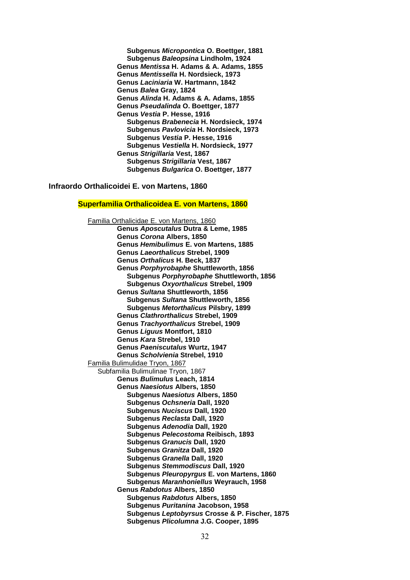**Subgenus** *Micropontica* **O. Boettger, 1881 Subgenus** *Baleopsina* **Lindholm, 1924 Genus** *Mentissa* **H. Adams & A. Adams, 1855 Genus** *Mentissella* **H. Nordsieck, 1973 Genus** *Laciniaria* **W. Hartmann, 1842 Genus** *Balea* **Gray, 1824 Genus** *Alinda* **H. Adams & A. Adams, 1855 Genus** *Pseudalinda* **O. Boettger, 1877 Genus** *Vestia* **P. Hesse, 1916 Subgenus** *Brabenecia* **H. Nordsieck, 1974 Subgenus** *Pavlovicia* **H. Nordsieck, 1973 Subgenus** *Vestia* **P. Hesse, 1916 Subgenus** *Vestiella* **H. Nordsieck, 1977 Genus** *Strigillaria* **Vest, 1867 Subgenus** *Strigillaria* **Vest, 1867 Subgenus** *Bulgarica* **O. Boettger, 1877**

#### **Infraordo Orthalicoidei E. von Martens, 1860**

### **Superfamilia Orthalicoidea E. von Martens, 1860**

Familia Orthalicidae E. von Martens, 1860 **Genus** *Aposcutalus* **Dutra & Leme, 1985 Genus** *Corona* **Albers, 1850 Genus** *Hemibulimus* **E. von Martens, 1885 Genus** *Laeorthalicus* **Strebel, 1909 Genus** *Orthalicus* **H. Beck, 1837 Genus** *Porphyrobaphe* **Shuttleworth, 1856 Subgenus** *Porphyrobaphe* **Shuttleworth, 1856 Subgenus** *Oxyorthalicus* **Strebel, 1909 Genus** *Sultana* **Shuttleworth, 1856 Subgenus** *Sultana* **Shuttleworth, 1856 Subgenus** *Metorthalicus* **Pilsbry, 1899 Genus** *Clathrorthalicus* **Strebel, 1909 Genus** *Trachyorthalicus* **Strebel, 1909 Genus** *Liguus* **Montfort, 1810 Genus** *Kara* **Strebel, 1910 Genus** *Paeniscutalus* **Wurtz, 1947 Genus** *Scholvienia* **Strebel, 1910** Familia Bulimulidae Tryon, 1867 Subfamilia Bulimulinae Tryon, 1867 **Genus** *Bulimulus* **Leach, 1814 Genus** *Naesiotus* **Albers, 1850 Subgenus** *Naesiotus* **Albers, 1850 Subgenus** *Ochsneria* **Dall, 1920 Subgenus** *Nuciscus* **Dall, 1920 Subgenus** *Reclasta* **Dall, 1920 Subgenus** *Adenodia* **Dall, 1920 Subgenus** *Pelecostoma* **Reibisch, 1893 Subgenus** *Granucis* **Dall, 1920 Subgenus** *Granitza* **Dall, 1920 Subgenus** *Granella* **Dall, 1920 Subgenus** *Stemmodiscus* **Dall, 1920 Subgenus** *Pleuropyrgus* **E. von Martens, 1860 Subgenus** *Maranhoniellus* **Weyrauch, 1958 Genus** *Rabdotus* **Albers, 1850 Subgenus** *Rabdotus* **Albers, 1850 Subgenus** *Puritanina* **Jacobson, 1958 Subgenus** *Leptobyrsus* **Crosse & P. Fischer, 1875 Subgenus** *Plicolumna* **J.G. Cooper, 1895**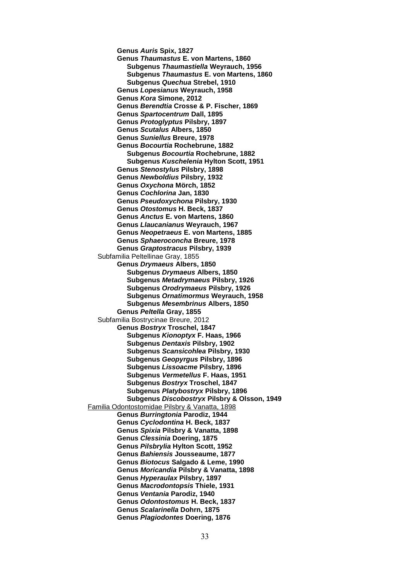**Genus** *Auris* **Spix, 1827 Genus** *Thaumastus* **E. von Martens, 1860 Subgenus** *Thaumastiella* **Weyrauch, 1956 Subgenus** *Thaumastus* **E. von Martens, 1860 Subgenus** *Quechua* **Strebel, 1910 Genus** *Lopesianus* **Weyrauch, 1958 Genus** *Kora* **Simone, 2012 Genus** *Berendtia* **Crosse & P. Fischer, 1869 Genus** *Spartocentrum* **Dall, 1895 Genus** *Protoglyptus* **Pilsbry, 1897 Genus** *Scutalus* **Albers, 1850 Genus** *Suniellus* **Breure, 1978 Genus** *Bocourtia* **Rochebrune, 1882 Subgenus** *Bocourtia* **Rochebrune, 1882 Subgenus** *Kuschelenia* **Hylton Scott, 1951 Genus** *Stenostylus* **Pilsbry, 1898 Genus** *Newboldius* **Pilsbry, 1932 Genus** *Oxychona* **Mörch, 1852 Genus** *Cochlorina* **Jan, 1830 Genus** *Pseudoxychona* **Pilsbry, 1930 Genus** *Otostomus* **H. Beck, 1837 Genus** *Anctus* **E. von Martens, 1860 Genus** *Llaucanianus* **Weyrauch, 1967 Genus** *Neopetraeus* **E. von Martens, 1885 Genus** *Sphaeroconcha* **Breure, 1978 Genus** *Graptostracus* **Pilsbry, 1939** Subfamilia Peltellinae Gray, 1855 **Genus** *Drymaeus* **Albers, 1850 Subgenus** *Drymaeus* **Albers, 1850 Subgenus** *Metadrymaeus* **Pilsbry, 1926 Subgenus** *Orodrymaeus* **Pilsbry, 1926 Subgenus** *Ornatimormus* **Weyrauch, 1958 Subgenus** *Mesembrinus* **Albers, 1850 Genus** *Peltella* **Gray, 1855** Subfamilia Bostrycinae Breure, 2012 **Genus** *Bostryx* **Troschel, 1847 Subgenus** *Kionoptyx* **F. Haas, 1966 Subgenus** *Dentaxis* **Pilsbry, 1902 Subgenus** *Scansicohlea* **Pilsbry, 1930 Subgenus** *Geopyrgus* **Pilsbry, 1896 Subgenus** *Lissoacme* **Pilsbry, 1896 Subgenus** *Vermetellus* **F. Haas, 1951 Subgenus** *Bostryx* **Troschel, 1847 Subgenus** *Platybostryx* **Pilsbry, 1896 Subgenus** *Discobostryx* **Pilsbry & Olsson, 1949** Familia Odontostomidae Pilsbry & Vanatta, 1898 **Genus** *Burringtonia* **Parodiz, 1944 Genus** *Cyclodontina* **H. Beck, 1837 Genus** *Spixia* **Pilsbry & Vanatta, 1898 Genus** *Clessinia* **Doering, 1875 Genus** *Pilsbrylia* **Hylton Scott, 1952 Genus** *Bahiensis* **Jousseaume, 1877 Genus** *Biotocus* **Salgado & Leme, 1990 Genus** *Moricandia* **Pilsbry & Vanatta, 1898 Genus** *Hyperaulax* **Pilsbry, 1897 Genus** *Macrodontopsis* **Thiele, 1931 Genus** *Ventania* **Parodiz, 1940 Genus** *Odontostomus* **H. Beck, 1837 Genus** *Scalarinella* **Dohrn, 1875 Genus** *Plagiodontes* **Doering, 1876**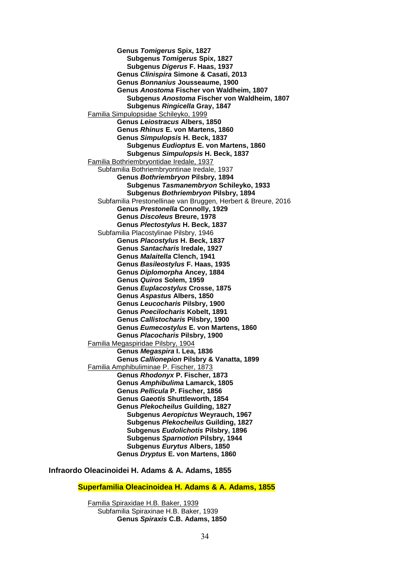**Genus** *Tomigerus* **Spix, 1827 Subgenus** *Tomigerus* **Spix, 1827 Subgenus** *Digerus* **F. Haas, 1937 Genus** *Clinispira* **Simone & Casati, 2013 Genus** *Bonnanius* **Jousseaume, 1900 Genus** *Anostoma* **Fischer von Waldheim, 1807 Subgenus** *Anostoma* **Fischer von Waldheim, 1807 Subgenus** *Ringicella* **Gray, 1847** Familia Simpulopsidae Schileyko, 1999 **Genus** *Leiostracus* **Albers, 1850 Genus** *Rhinus* **E. von Martens, 1860 Genus** *Simpulopsis* **H. Beck, 1837 Subgenus** *Eudioptus* **E. von Martens, 1860 Subgenus** *Simpulopsis* **H. Beck, 1837** Familia Bothriembryontidae Iredale, 1937 Subfamilia Bothriembryontinae Iredale, 1937 **Genus** *Bothriembryon* **Pilsbry, 1894 Subgenus** *Tasmanembryon* **Schileyko, 1933 Subgenus** *Bothriembryon* **Pilsbry, 1894** Subfamilia Prestonellinae van Bruggen, Herbert & Breure, 2016 **Genus** *Prestonella* **Connolly, 1929 Genus** *Discoleus* **Breure, 1978 Genus** *Plectostylus* **H. Beck, 1837** Subfamilia Placostylinae Pilsbry, 1946 **Genus** *Placostylus* **H. Beck, 1837 Genus** *Santacharis* **Iredale, 1927 Genus** *Malaitella* **Clench, 1941 Genus** *Basileostylus* **F. Haas, 1935 Genus** *Diplomorpha* **Ancey, 1884 Genus** *Quiros* **Solem, 1959 Genus** *Euplacostylus* **Crosse, 1875 Genus** *Aspastus* **Albers, 1850 Genus** *Leucocharis* **Pilsbry, 1900 Genus** *Poecilocharis* **Kobelt, 1891 Genus** *Callistocharis* **Pilsbry, 1900 Genus** *Eumecostylus* **E. von Martens, 1860 Genus** *Placocharis* **Pilsbry, 1900** Familia Megaspiridae Pilsbry, 1904 **Genus** *Megaspira* **I. Lea, 1836 Genus** *Callionepion* **Pilsbry & Vanatta, 1899** Familia Amphibuliminae P. Fischer, 1873 **Genus** *Rhodonyx* **P. Fischer, 1873 Genus** *Amphibulima* **Lamarck, 1805 Genus** *Pellicula* **P. Fischer, 1856 Genus** *Gaeotis* **Shuttleworth, 1854 Genus** *Plekocheilus* **Guilding, 1827 Subgenus** *Aeropictus* **Weyrauch, 1967 Subgenus** *Plekocheilus* **Guilding, 1827 Subgenus** *Eudolichotis* **Pilsbry, 1896 Subgenus** *Sparnotion* **Pilsbry, 1944 Subgenus** *Eurytus* **Albers, 1850 Genus** *Dryptus* **E. von Martens, 1860**

**Infraordo Oleacinoidei H. Adams & A. Adams, 1855**

**Superfamilia Oleacinoidea H. Adams & A. Adams, 1855**

Familia Spiraxidae H.B. Baker, 1939 Subfamilia Spiraxinae H.B. Baker, 1939 **Genus** *Spiraxis* **C.B. Adams, 1850**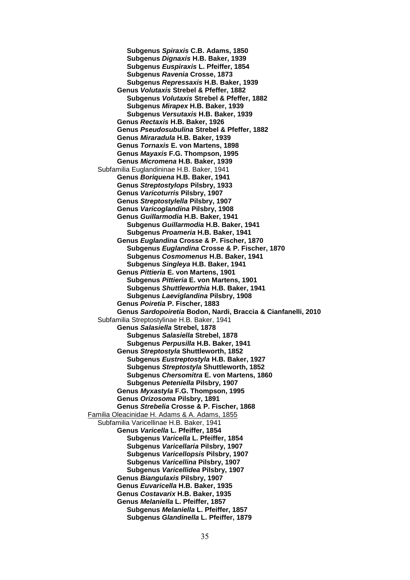**Subgenus** *Spiraxis* **C.B. Adams, 1850 Subgenus** *Dignaxis* **H.B. Baker, 1939 Subgenus** *Euspiraxis* **L. Pfeiffer, 1854 Subgenus** *Ravenia* **Crosse, 1873 Subgenus** *Repressaxis* **H.B. Baker, 1939 Genus** *Volutaxis* **Strebel & Pfeffer, 1882 Subgenus** *Volutaxis* **Strebel & Pfeffer, 1882 Subgenus** *Mirapex* **H.B. Baker, 1939 Subgenus** *Versutaxis* **H.B. Baker, 1939 Genus** *Rectaxis* **H.B. Baker, 1926 Genus** *Pseudosubulina* **Strebel & Pfeffer, 1882 Genus** *Miraradula* **H.B. Baker, 1939 Genus** *Tornaxis* **E. von Martens, 1898 Genus** *Mayaxis* **F.G. Thompson, 1995 Genus** *Micromena* **H.B. Baker, 1939** Subfamilia Euglandininae H.B. Baker, 1941 **Genus** *Boriquena* **H.B. Baker, 1941 Genus** *Streptostylops* **Pilsbry, 1933 Genus** *Varicoturris* **Pilsbry, 1907 Genus** *Streptostylella* **Pilsbry, 1907 Genus** *Varicoglandina* **Pilsbry, 1908 Genus** *Guillarmodia* **H.B. Baker, 1941 Subgenus** *Guillarmodia* **H.B. Baker, 1941 Subgenus** *Proameria* **H.B. Baker, 1941 Genus** *Euglandina* **Crosse & P. Fischer, 1870 Subgenus** *Euglandina* **Crosse & P. Fischer, 1870 Subgenus** *Cosmomenus* **H.B. Baker, 1941 Subgenus** *Singleya* **H.B. Baker, 1941 Genus** *Pittieria* **E. von Martens, 1901 Subgenus** *Pittieria* **E. von Martens, 1901 Subgenus** *Shuttleworthia* **H.B. Baker, 1941 Subgenus** *Laeviglandina* **Pilsbry, 1908 Genus** *Poiretia* **P. Fischer, 1883 Genus** *Sardopoiretia* **Bodon, Nardi, Braccia & Cianfanelli, 2010** Subfamilia Streptostylinae H.B. Baker, 1941 **Genus** *Salasiella* **Strebel, 1878 Subgenus** *Salasiella* **Strebel, 1878 Subgenus** *Perpusilla* **H.B. Baker, 1941 Genus** *Streptostyla* **Shuttleworth, 1852 Subgenus** *Eustreptostyla* **H.B. Baker, 1927 Subgenus** *Streptostyla* **Shuttleworth, 1852 Subgenus** *Chersomitra* **E. von Martens, 1860 Subgenus** *Peteniella* **Pilsbry, 1907 Genus** *Myxastyla* **F.G. Thompson, 1995 Genus** *Orizosoma* **Pilsbry, 1891 Genus** *Strebelia* **Crosse & P. Fischer, 1868** Familia Oleacinidae H. Adams & A. Adams, 1855 Subfamilia Varicellinae H.B. Baker, 1941 **Genus** *Varicella* **L. Pfeiffer, 1854 Subgenus** *Varicella* **L. Pfeiffer, 1854 Subgenus** *Varicellaria* **Pilsbry, 1907 Subgenus** *Varicellopsis* **Pilsbry, 1907 Subgenus** *Varicellina* **Pilsbry, 1907 Subgenus** *Varicellidea* **Pilsbry, 1907 Genus** *Biangulaxis* **Pilsbry, 1907 Genus** *Euvaricella* **H.B. Baker, 1935 Genus** *Costavarix* **H.B. Baker, 1935 Genus** *Melaniella* **L. Pfeiffer, 1857 Subgenus** *Melaniella* **L. Pfeiffer, 1857 Subgenus** *Glandinella* **L. Pfeiffer, 1879**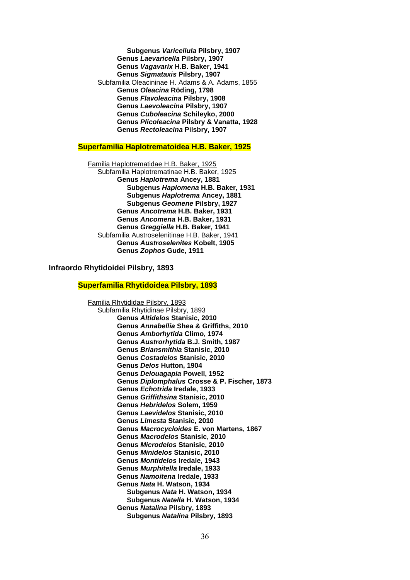**Subgenus** *Varicellula* **Pilsbry, 1907 Genus** *Laevaricella* **Pilsbry, 1907 Genus** *Vagavarix* **H.B. Baker, 1941 Genus** *Sigmataxis* **Pilsbry, 1907** Subfamilia Oleacininae H. Adams & A. Adams, 1855 **Genus** *Oleacina* **Röding, 1798 Genus** *Flavoleacina* **Pilsbry, 1908 Genus** *Laevoleacina* **Pilsbry, 1907 Genus** *Cuboleacina* **Schileyko, 2000 Genus** *Plicoleacina* **Pilsbry & Vanatta, 1928 Genus** *Rectoleacina* **Pilsbry, 1907**

#### **Superfamilia Haplotrematoidea H.B. Baker, 1925**

Familia Haplotrematidae H.B. Baker, 1925 Subfamilia Haplotrematinae H.B. Baker, 1925 **Genus** *Haplotrema* **Ancey, 1881 Subgenus** *Haplomena* **H.B. Baker, 1931 Subgenus** *Haplotrema* **Ancey, 1881 Subgenus** *Geomene* **Pilsbry, 1927 Genus** *Ancotrema* **H.B. Baker, 1931 Genus** *Ancomena* **H.B. Baker, 1931 Genus** *Greggiella* **H.B. Baker, 1941** Subfamilia Austroselenitinae H.B. Baker, 1941 **Genus** *Austroselenites* **Kobelt, 1905 Genus** *Zophos* **Gude, 1911**

# **Infraordo Rhytidoidei Pilsbry, 1893**

#### **Superfamilia Rhytidoidea Pilsbry, 1893**

Familia Rhytididae Pilsbry, 1893 Subfamilia Rhytidinae Pilsbry, 1893 **Genus** *Altidelos* **Stanisic, 2010 Genus** *Annabellia* **Shea & Griffiths, 2010 Genus** *Amborhytida* **Climo, 1974 Genus** *Austrorhytida* **B.J. Smith, 1987 Genus** *Briansmithia* **Stanisic, 2010 Genus** *Costadelos* **Stanisic, 2010 Genus** *Delos* **Hutton, 1904 Genus** *Delouagapia* **Powell, 1952 Genus** *Diplomphalus* **Crosse & P. Fischer, 1873 Genus** *Echotrida* **Iredale, 1933 Genus** *Griffithsina* **Stanisic, 2010 Genus** *Hebridelos* **Solem, 1959 Genus** *Laevidelos* **Stanisic, 2010 Genus** *Limesta* **Stanisic, 2010 Genus** *Macrocycloides* **E. von Martens, 1867 Genus** *Macrodelos* **Stanisic, 2010 Genus** *Microdelos* **Stanisic, 2010 Genus** *Minidelos* **Stanisic, 2010 Genus** *Montidelos* **Iredale, 1943 Genus** *Murphitella* **Iredale, 1933 Genus** *Namoitena* **Iredale, 1933 Genus** *Nata* **H. Watson, 1934 Subgenus** *Nata* **H. Watson, 1934 Subgenus** *Natella* **H. Watson, 1934 Genus** *Natalina* **Pilsbry, 1893 Subgenus** *Natalina* **Pilsbry, 1893**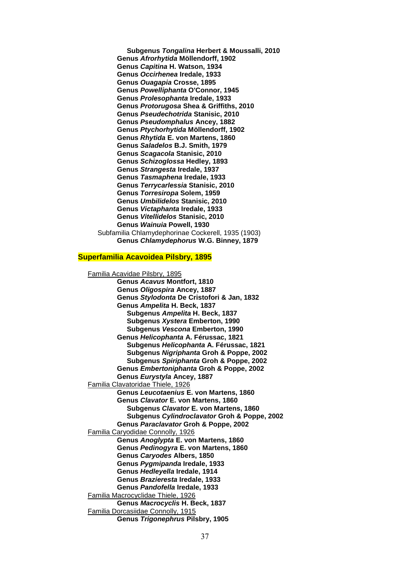**Subgenus** *Tongalina* **Herbert & Moussalli, 2010 Genus** *Afrorhytida* **Möllendorff, 1902 Genus** *Capitina* **H. Watson, 1934 Genus** *Occirhenea* **Iredale, 1933 Genus** *Ouagapia* **Crosse, 1895 Genus** *Powelliphanta* **O'Connor, 1945 Genus** *Prolesophanta* **Iredale, 1933 Genus** *Protorugosa* **Shea & Griffiths, 2010 Genus** *Pseudechotrida* **Stanisic, 2010 Genus** *Pseudomphalus* **Ancey, 1882 Genus** *Ptychorhytida* **Möllendorff, 1902 Genus** *Rhytida* **E. von Martens, 1860 Genus** *Saladelos* **B.J. Smith, 1979 Genus** *Scagacola* **Stanisic, 2010 Genus** *Schizoglossa* **Hedley, 1893 Genus** *Strangesta* **Iredale, 1937 Genus** *Tasmaphena* **Iredale, 1933 Genus** *Terrycarlessia* **Stanisic, 2010 Genus** *Torresiropa* **Solem, 1959 Genus** *Umbilidelos* **Stanisic, 2010 Genus** *Victaphanta* **Iredale, 1933 Genus** *Vitellidelos* **Stanisic, 2010 Genus** *Wainuia* **Powell, 1930** Subfamilia Chlamydephorinae Cockerell, 1935 (1903) **Genus** *Chlamydephorus* **W.G. Binney, 1879**

### **Superfamilia Acavoidea Pilsbry, 1895**

Familia Acavidae Pilsbry, 1895 **Genus** *Acavus* **Montfort, 1810 Genus** *Oligospira* **Ancey, 1887 Genus** *Stylodonta* **De Cristofori & Jan, 1832 Genus** *Ampelita* **H. Beck, 1837 Subgenus** *Ampelita* **H. Beck, 1837 Subgenus** *Xystera* **Emberton, 1990 Subgenus** *Vescona* **Emberton, 1990 Genus** *Helicophanta* **A. Férussac, 1821 Subgenus** *Helicophanta* **A. Férussac, 1821 Subgenus** *Nigriphanta* **Groh & Poppe, 2002 Subgenus** *Spiriphanta* **Groh & Poppe, 2002 Genus** *Embertoniphanta* **Groh & Poppe, 2002 Genus** *Eurystyla* **Ancey, 1887** Familia Clavatoridae Thiele, 1926 **Genus** *Leucotaenius* **E. von Martens, 1860 Genus** *Clavator* **E. von Martens, 1860 Subgenus** *Clavator* **E. von Martens, 1860 Subgenus** *Cylindroclavator* **Groh & Poppe, 2002 Genus** *Paraclavator* **Groh & Poppe, 2002** Familia Caryodidae Connolly, 1926 **Genus** *Anoglypta* **E. von Martens, 1860 Genus** *Pedinogyra* **E. von Martens, 1860 Genus** *Caryodes* **Albers, 1850 Genus** *Pygmipanda* **Iredale, 1933 Genus** *Hedleyella* **Iredale, 1914 Genus** *Brazieresta* **Iredale, 1933 Genus** *Pandofella* **Iredale, 1933** Familia Macrocyclidae Thiele, 1926 **Genus** *Macrocyclis* **H. Beck, 1837** Familia Dorcasiidae Connolly, 1915 **Genus** *Trigonephrus* **Pilsbry, 1905**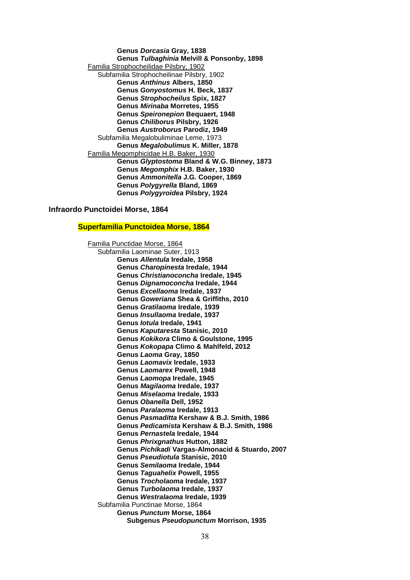**Genus** *Dorcasia* **Gray, 1838 Genus** *Tulbaghinia* **Melvill & Ponsonby, 1898** Familia Strophocheilidae Pilsbry, 1902 Subfamilia Strophocheilinae Pilsbry, 1902 **Genus** *Anthinus* **Albers, 1850 Genus** *Gonyostomus* **H. Beck, 1837 Genus** *Strophocheilus* **Spix, 1827 Genus** *Mirinaba* **Morretes, 1955 Genus** *Speironepion* **Bequaert, 1948 Genus** *Chiliborus* **Pilsbry, 1926 Genus** *Austroborus* **Parodiz, 1949** Subfamilia Megalobuliminae Leme, 1973 **Genus** *Megalobulimus* **K. Miller, 1878** Familia Megomphicidae H.B. Baker, 1930 **Genus** *Glyptostoma* **Bland & W.G. Binney, 1873 Genus** *Megomphix* **H.B. Baker, 1930 Genus** *Ammonitella* **J.G. Cooper, 1869 Genus** *Polygyrella* **Bland, 1869 Genus** *Polygyroidea* **Pilsbry, 1924**

### **Infraordo Punctoidei Morse, 1864**

## **Superfamilia Punctoidea Morse, 1864**

Familia Punctidae Morse, 1864 Subfamilia Laominae Suter, 1913 **Genus** *Allentula* **Iredale, 1958 Genus** *Charopinesta* **Iredale, 1944 Genus** *Christianoconcha* **Iredale, 1945 Genus** *Dignamoconcha* **Iredale, 1944 Genus** *Excellaoma* **Iredale, 1937 Genus** *Goweriana* **Shea & Griffiths, 2010 Genus** *Gratilaoma* **Iredale, 1939 Genus** *Insullaoma* **Iredale, 1937 Genus** *Iotula* **Iredale, 1941 Genus** *Kaputaresta* **Stanisic, 2010 Genus** *Kokikora* **Climo & Goulstone, 1995 Genus** *Kokopapa* **Climo & Mahlfeld, 2012 Genus** *Laoma* **Gray, 1850 Genus** *Laomavix* **Iredale, 1933 Genus** *Laomarex* **Powell, 1948 Genus** *Laomopa* **Iredale, 1945 Genus** *Magilaoma* **Iredale, 1937 Genus** *Miselaoma* **Iredale, 1933 Genus** *Obanella* **Dell, 1952 Genus** *Paralaoma* **Iredale, 1913 Genus** *Pasmaditta* **Kershaw & B.J. Smith, 1986 Genus** *Pedicamista* **Kershaw & B.J. Smith, 1986 Genus** *Pernastela* **Iredale, 1944 Genus** *Phrixgnathus* **Hutton, 1882 Genus** *Pichikadi* **Vargas-Almonacid & Stuardo, 2007 Genus** *Pseudiotula* **Stanisic, 2010 Genus** *Semilaoma* **Iredale, 1944 Genus** *Taguahelix* **Powell, 1955 Genus** *Trocholaoma* **Iredale, 1937 Genus** *Turbolaoma* **Iredale, 1937 Genus** *Westralaoma* **Iredale, 1939** Subfamilia Punctinae Morse, 1864 **Genus** *Punctum* **Morse, 1864 Subgenus** *Pseudopunctum* **Morrison, 1935**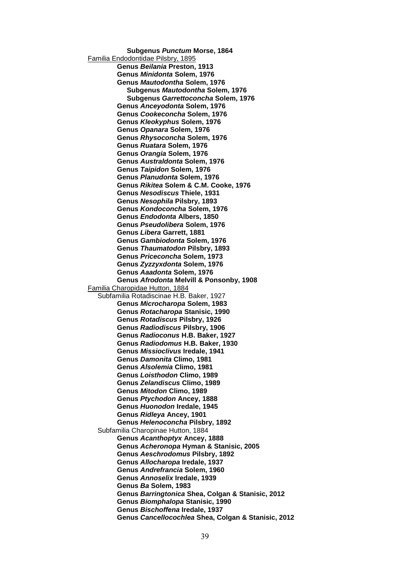**Subgenus** *Punctum* **Morse, 1864** Familia Endodontidae Pilsbry, 1895 **Genus** *Beilania* **Preston, 1913 Genus** *Minidonta* **Solem, 1976 Genus** *Mautodontha* **Solem, 1976 Subgenus** *Mautodontha* **Solem, 1976 Subgenus** *Garrettoconcha* **Solem, 1976 Genus** *Anceyodonta* **Solem, 1976 Genus** *Cookeconcha* **Solem, 1976 Genus** *Kleokyphus* **Solem, 1976 Genus** *Opanara* **Solem, 1976 Genus** *Rhysoconcha* **Solem, 1976 Genus** *Ruatara* **Solem, 1976 Genus** *Orangia* **Solem, 1976 Genus** *Australdonta* **Solem, 1976 Genus** *Taipidon* **Solem, 1976 Genus** *Planudonta* **Solem, 1976 Genus** *Rikitea* **Solem & C.M. Cooke, 1976 Genus** *Nesodiscus* **Thiele, 1931 Genus** *Nesophila* **Pilsbry, 1893 Genus** *Kondoconcha* **Solem, 1976 Genus** *Endodonta* **Albers, 1850 Genus** *Pseudolibera* **Solem, 1976 Genus** *Libera* **Garrett, 1881 Genus** *Gambiodonta* **Solem, 1976 Genus** *Thaumatodon* **Pilsbry, 1893 Genus** *Priceconcha* **Solem, 1973 Genus** *Zyzzyxdonta* **Solem, 1976 Genus** *Aaadonta* **Solem, 1976 Genus** *Afrodonta* **Melvill & Ponsonby, 1908** Familia Charopidae Hutton, 1884 Subfamilia Rotadiscinae H.B. Baker, 1927 **Genus** *Microcharopa* **Solem, 1983 Genus** *Rotacharopa* **Stanisic, 1990 Genus** *Rotadiscus* **Pilsbry, 1926 Genus** *Radiodiscus* **Pilsbry, 1906 Genus** *Radioconus* **H.B. Baker, 1927 Genus** *Radiodomus* **H.B. Baker, 1930 Genus** *Missioclivus* **Iredale, 1941 Genus** *Damonita* **Climo, 1981 Genus** *Alsolemia* **Climo, 1981 Genus** *Loisthodon* **Climo, 1989 Genus** *Zelandiscus* **Climo, 1989 Genus** *Mitodon* **Climo, 1989 Genus** *Ptychodon* **Ancey, 1888 Genus** *Huonodon* **Iredale, 1945 Genus** *Ridleya* **Ancey, 1901 Genus** *Helenoconcha* **Pilsbry, 1892** Subfamilia Charopinae Hutton, 1884 **Genus** *Acanthoptyx* **Ancey, 1888 Genus** *Acheronopa* **Hyman & Stanisic, 2005 Genus** *Aeschrodomus* **Pilsbry, 1892 Genus** *Allocharopa* **Iredale, 1937 Genus** *Andrefrancia* **Solem, 1960 Genus** *Annoselix* **Iredale, 1939 Genus** *Ba* **Solem, 1983 Genus** *Barringtonica* **Shea, Colgan & Stanisic, 2012 Genus** *Biomphalopa* **Stanisic, 1990 Genus** *Bischoffena* **Iredale, 1937 Genus** *Cancellocochlea* **Shea, Colgan & Stanisic, 2012**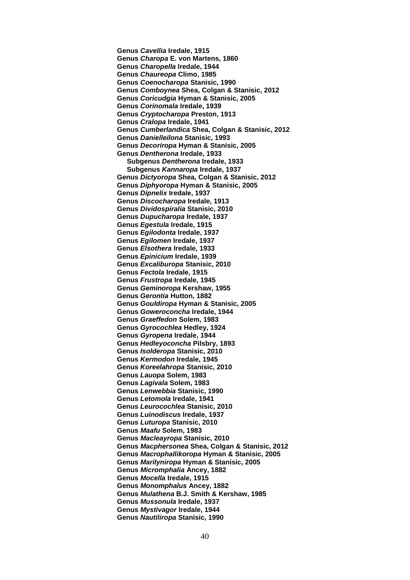**Genus** *Cavellia* **Iredale, 1915 Genus** *Charopa* **E. von Martens, 1860 Genus** *Charopella* **Iredale, 1944 Genus** *Chaureopa* **Climo, 1985 Genus** *Coenocharopa* **Stanisic, 1990 Genus** *Comboynea* **Shea, Colgan & Stanisic, 2012 Genus** *Coricudgia* **Hyman & Stanisic, 2005 Genus** *Corinomala* **Iredale, 1939 Genus** *Cryptocharopa* **Preston, 1913 Genus** *Cralopa* **Iredale, 1941 Genus** *Cumberlandica* **Shea, Colgan & Stanisic, 2012 Genus** *Danielleilona* **Stanisic, 1993 Genus** *Decoriropa* **Hyman & Stanisic, 2005 Genus** *Dentherona* **Iredale, 1933 Subgenus** *Dentherona* **Iredale, 1933 Subgenus** *Kannaropa* **Iredale, 1937 Genus** *Dictyoropa* **Shea, Colgan & Stanisic, 2012 Genus** *Diphyoropa* **Hyman & Stanisic, 2005 Genus** *Dipnelix* **Iredale, 1937 Genus** *Discocharopa* **Iredale, 1913 Genus** *Dividospiralia* **Stanisic, 2010 Genus** *Dupucharopa* **Iredale, 1937 Genus** *Egestula* **Iredale, 1915 Genus** *Egilodonta* **Iredale, 1937 Genus** *Egilomen* **Iredale, 1937 Genus** *Elsothera* **Iredale, 1933 Genus** *Epinicium* **Iredale, 1939 Genus** *Excaliburopa* **Stanisic, 2010 Genus** *Fectola* **Iredale, 1915 Genus** *Frustropa* **Iredale, 1945 Genus** *Geminoropa* **Kershaw, 1955 Genus** *Gerontia* **Hutton, 1882 Genus** *Gouldiropa* **Hyman & Stanisic, 2005 Genus** *Goweroconcha* **Iredale, 1944 Genus** *Graeffedon* **Solem, 1983 Genus** *Gyrocochlea* **Hedley, 1924 Genus** *Gyropena* **Iredale, 1944 Genus** *Hedleyoconcha* **Pilsbry, 1893 Genus** *Isolderopa* **Stanisic, 2010 Genus** *Kermodon* **Iredale, 1945 Genus** *Koreelahropa* **Stanisic, 2010 Genus** *Lauopa* **Solem, 1983 Genus** *Lagivala* **Solem, 1983 Genus** *Lenwebbia* **Stanisic, 1990 Genus** *Letomola* **Iredale, 1941 Genus** *Leurocochlea* **Stanisic, 2010 Genus** *Luinodiscus* **Iredale, 1937 Genus** *Luturopa* **Stanisic, 2010 Genus** *Maafu* **Solem, 1983 Genus** *Macleayropa* **Stanisic, 2010 Genus** *Macphersonea* **Shea, Colgan & Stanisic, 2012 Genus** *Macrophallikoropa* **Hyman & Stanisic, 2005 Genus** *Marilyniropa* **Hyman & Stanisic, 2005 Genus** *Micromphalia* **Ancey, 1882 Genus** *Mocella* **Iredale, 1915 Genus** *Monomphalus* **Ancey, 1882 Genus** *Mulathena* **B.J. Smith & Kershaw, 1985 Genus** *Mussonula* **Iredale, 1937 Genus** *Mystivagor* **Iredale, 1944 Genus** *Nautiliropa* **Stanisic, 1990**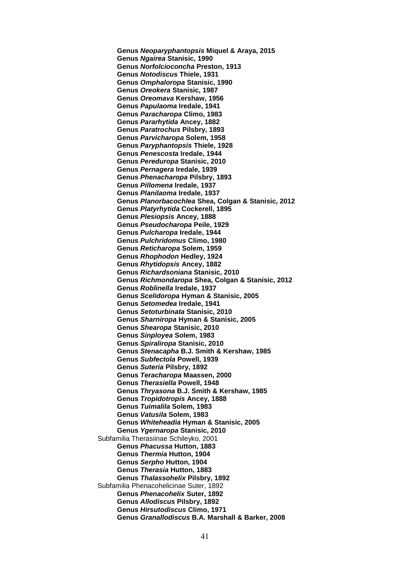**Genus** *Neoparyphantopsis* **Miquel & Araya, 2015 Genus** *Ngairea* **Stanisic, 1990 Genus** *Norfolcioconcha* **Preston, 1913 Genus** *Notodiscus* **Thiele, 1931 Genus** *Omphaloropa* **Stanisic, 1990 Genus** *Oreokera* **Stanisic, 1987 Genus** *Oreomava* **Kershaw, 1956 Genus** *Papulaoma* **Iredale, 1941 Genus** *Paracharopa* **Climo, 1983 Genus** *Pararhytida* **Ancey, 1882 Genus** *Paratrochus* **Pilsbry, 1893 Genus** *Parvicharopa* **Solem, 1958 Genus** *Paryphantopsis* **Thiele, 1928 Genus** *Penescosta* **Iredale, 1944 Genus** *Pereduropa* **Stanisic, 2010 Genus** *Pernagera* **Iredale, 1939 Genus** *Phenacharopa* **Pilsbry, 1893 Genus** *Pillomena* **Iredale, 1937 Genus** *Planilaoma* **Iredale, 1937 Genus** *Planorbacochlea* **Shea, Colgan & Stanisic, 2012 Genus** *Platyrhytida* **Cockerell, 1895 Genus** *Plesiopsis* **Ancey, 1888 Genus** *Pseudocharopa* **Peile, 1929 Genus** *Pulcharopa* **Iredale, 1944 Genus** *Pulchridomus* **Climo, 1980 Genus** *Reticharopa* **Solem, 1959 Genus** *Rhophodon* **Hedley, 1924 Genus** *Rhytidopsis* **Ancey, 1882 Genus** *Richardsoniana* **Stanisic, 2010 Genus** *Richmondaropa* **Shea, Colgan & Stanisic, 2012 Genus** *Roblinella* **Iredale, 1937 Genus** *Scelidoropa* **Hyman & Stanisic, 2005 Genus** *Setomedea* **Iredale, 1941 Genus** *Setoturbinata* **Stanisic, 2010 Genus** *Sharniropa* **Hyman & Stanisic, 2005 Genus** *Shearopa* **Stanisic, 2010 Genus** *Sinployea* **Solem, 1983 Genus** *Spiraliropa* **Stanisic, 2010 Genus** *Stenacapha* **B.J. Smith & Kershaw, 1985 Genus** *Subfectola* **Powell, 1939 Genus** *Suteria* **Pilsbry, 1892 Genus** *Teracharopa* **Maassen, 2000 Genus** *Therasiella* **Powell, 1948 Genus** *Thryasona* **B.J. Smith & Kershaw, 1985 Genus** *Tropidotropis* **Ancey, 1888 Genus** *Tuimalila* **Solem, 1983 Genus** *Vatusila* **Solem, 1983 Genus** *Whiteheadia* **Hyman & Stanisic, 2005 Genus** *Ygernaropa* **Stanisic, 2010** Subfamilia Therasiinae Schileyko, 2001 **Genus** *Phacussa* **Hutton, 1883 Genus** *Thermia* **Hutton, 1904 Genus** *Serpho* **Hutton, 1904 Genus** *Therasia* **Hutton, 1883 Genus** *Thalassohelix* **Pilsbry, 1892** Subfamilia Phenacohelicinae Suter, 1892 **Genus** *Phenacohelix* **Suter, 1892 Genus** *Allodiscus* **Pilsbry, 1892 Genus** *Hirsutodiscus* **Climo, 1971 Genus** *Granallodiscus* **B.A. Marshall & Barker, 2008**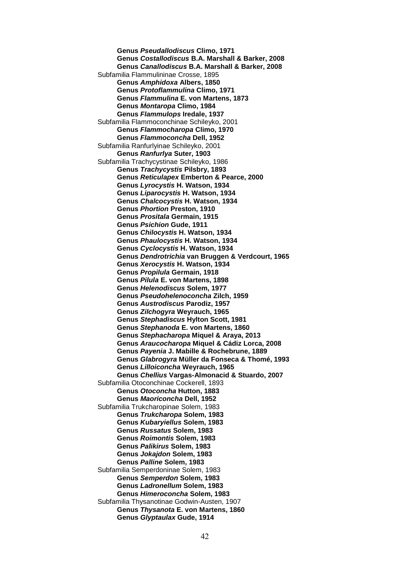**Genus** *Pseudallodiscus* **Climo, 1971 Genus** *Costallodiscus* **B.A. Marshall & Barker, 2008 Genus** *Canallodiscus* **B.A. Marshall & Barker, 2008** Subfamilia Flammulininae Crosse, 1895 **Genus** *Amphidoxa* **Albers, 1850 Genus** *Protoflammulina* **Climo, 1971 Genus** *Flammulina* **E. von Martens, 1873 Genus** *Montaropa* **Climo, 1984 Genus** *Flammulops* **Iredale, 1937** Subfamilia Flammoconchinae Schileyko, 2001 **Genus** *Flammocharopa* **Climo, 1970 Genus** *Flammoconcha* **Dell, 1952** Subfamilia Ranfurlyinae Schileyko, 2001 **Genus** *Ranfurlya* **Suter, 1903** Subfamilia Trachycystinae Schileyko, 1986 **Genus** *Trachycystis* **Pilsbry, 1893 Genus** *Reticulapex* **Emberton & Pearce, 2000 Genus** *Lyrocystis* **H. Watson, 1934 Genus** *Liparocystis* **H. Watson, 1934 Genus** *Chalcocystis* **H. Watson, 1934 Genus** *Phortion* **Preston, 1910 Genus** *Prositala* **Germain, 1915 Genus** *Psichion* **Gude, 1911 Genus** *Chilocystis* **H. Watson, 1934 Genus** *Phaulocystis* **H. Watson, 1934 Genus** *Cyclocystis* **H. Watson, 1934 Genus** *Dendrotrichia* **van Bruggen & Verdcourt, 1965 Genus** *Xerocystis* **H. Watson, 1934 Genus** *Propilula* **Germain, 1918 Genus** *Pilula* **E. von Martens, 1898 Genus** *Helenodiscus* **Solem, 1977 Genus** *Pseudohelenoconcha* **Zilch, 1959 Genus** *Austrodiscus* **Parodiz, 1957 Genus** *Zilchogyra* **Weyrauch, 1965 Genus** *Stephadiscus* **Hylton Scott, 1981 Genus** *Stephanoda* **E. von Martens, 1860 Genus** *Stephacharopa* **Miquel & Araya, 2013 Genus** *Araucocharopa* **Miquel & Cádiz Lorca, 2008 Genus** *Payenia* **J. Mabille & Rochebrune, 1889 Genus** *Glabrogyra* **Müller da Fonseca & Thomé, 1993 Genus** *Lilloiconcha* **Weyrauch, 1965 Genus** *Chellius* **Vargas-Almonacid & Stuardo, 2007** Subfamilia Otoconchinae Cockerell, 1893 **Genus** *Otoconcha* **Hutton, 1883 Genus** *Maoriconcha* **Dell, 1952** Subfamilia Trukcharopinae Solem, 1983 **Genus** *Trukcharopa* **Solem, 1983 Genus** *Kubaryiellus* **Solem, 1983 Genus** *Russatus* **Solem, 1983 Genus** *Roimontis* **Solem, 1983 Genus** *Palikirus* **Solem, 1983 Genus** *Jokajdon* **Solem, 1983 Genus** *Palline* **Solem, 1983** Subfamilia Semperdoninae Solem, 1983 **Genus** *Semperdon* **Solem, 1983 Genus** *Ladronellum* **Solem, 1983 Genus** *Himeroconcha* **Solem, 1983** Subfamilia Thysanotinae Godwin-Austen, 1907 **Genus** *Thysanota* **E. von Martens, 1860 Genus** *Glyptaulax* **Gude, 1914**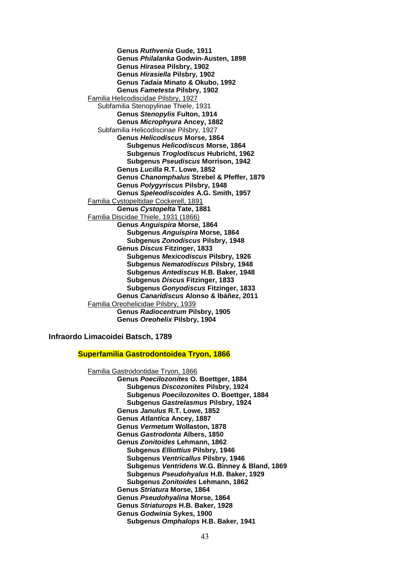**Genus** *Ruthvenia* **Gude, 1911 Genus** *Philalanka* **Godwin-Austen, 1898 Genus** *Hirasea* **Pilsbry, 1902 Genus** *Hirasiella* **Pilsbry, 1902 Genus** *Tadaia* **Minato & Okubo, 1992 Genus** *Fametesta* **Pilsbry, 1902** Familia Helicodiscidae Pilsbry, 1927 Subfamilia Stenopylinae Thiele, 1931 **Genus** *Stenopylis* **Fulton, 1914 Genus** *Microphyura* **Ancey, 1882** Subfamilia Helicodiscinae Pilsbry, 1927 **Genus** *Helicodiscus* **Morse, 1864 Subgenus** *Helicodiscus* **Morse, 1864 Subgenus** *Troglodiscus* **Hubricht, 1962 Subgenus** *Pseudiscus* **Morrison, 1942 Genus** *Lucilla* **R.T. Lowe, 1852 Genus** *Chanomphalus* **Strebel & Pfeffer, 1879 Genus** *Polygyriscus* **Pilsbry, 1948 Genus** *Speleodiscoides* **A.G. Smith, 1957** Familia Cystopeltidae Cockerell, 1891 **Genus** *Cystopelta* **Tate, 1881** Familia Discidae Thiele, 1931 (1866) **Genus** *Anguispira* **Morse, 1864 Subgenus** *Anguispira* **Morse, 1864 Subgenus** *Zonodiscus* **Pilsbry, 1948 Genus** *Discus* **Fitzinger, 1833 Subgenus** *Mexicodiscus* **Pilsbry, 1926 Subgenus** *Nematodiscus* **Pilsbry, 1948 Subgenus** *Antediscus* **H.B. Baker, 1948 Subgenus** *Discus* **Fitzinger, 1833 Subgenus** *Gonyodiscus* **Fitzinger, 1833 Genus** *Canaridiscus* **Alonso & Ibáñez, 2011** Familia Oreohelicidae Pilsbry, 1939 **Genus** *Radiocentrum* **Pilsbry, 1905 Genus** *Oreohelix* **Pilsbry, 1904**

**Infraordo Limacoidei Batsch, 1789**

**Superfamilia Gastrodontoidea Tryon, 1866**

Familia Gastrodontidae Tryon, 1866 **Genus** *Poecilozonites* **O. Boettger, 1884 Subgenus** *Discozonites* **Pilsbry, 1924 Subgenus** *Poecilozonites* **O. Boettger, 1884 Subgenus** *Gastrelasmus* **Pilsbry, 1924 Genus** *Janulus* **R.T. Lowe, 1852 Genus** *Atlantica* **Ancey, 1887 Genus** *Vermetum* **Wollaston, 1878 Genus** *Gastrodonta* **Albers, 1850 Genus** *Zonitoides* **Lehmann, 1862 Subgenus** *Elliottius* **Pilsbry, 1946 Subgenus** *Ventricallus* **Pilsbry, 1946 Subgenus** *Ventridens* **W.G. Binney & Bland, 1869 Subgenus** *Pseudohyalus* **H.B. Baker, 1929 Subgenus** *Zonitoides* **Lehmann, 1862 Genus** *Striatura* **Morse, 1864 Genus** *Pseudohyalina* **Morse, 1864 Genus** *Striaturops* **H.B. Baker, 1928 Genus** *Godwinia* **Sykes, 1900 Subgenus** *Omphalops* **H.B. Baker, 1941**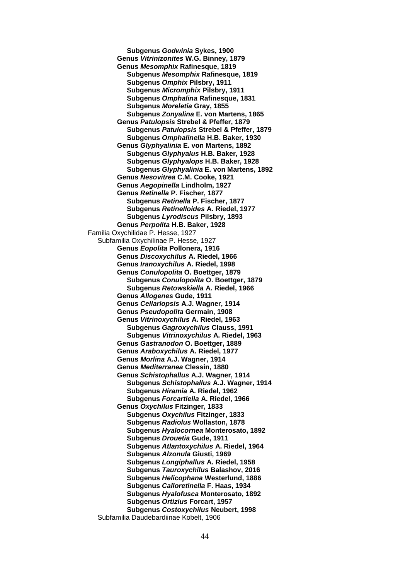**Subgenus** *Godwinia* **Sykes, 1900 Genus** *Vitrinizonites* **W.G. Binney, 1879 Genus** *Mesomphix* **Rafinesque, 1819 Subgenus** *Mesomphix* **Rafinesque, 1819 Subgenus** *Omphix* **Pilsbry, 1911 Subgenus** *Micromphix* **Pilsbry, 1911 Subgenus** *Omphalina* **Rafinesque, 1831 Subgenus** *Moreletia* **Gray, 1855 Subgenus** *Zonyalina* **E. von Martens, 1865 Genus** *Patulopsis* **Strebel & Pfeffer, 1879 Subgenus** *Patulopsis* **Strebel & Pfeffer, 1879 Subgenus** *Omphalinella* **H.B. Baker, 1930 Genus** *Glyphyalinia* **E. von Martens, 1892 Subgenus** *Glyphyalus* **H.B. Baker, 1928 Subgenus** *Glyphyalops* **H.B. Baker, 1928 Subgenus** *Glyphyalinia* **E. von Martens, 1892 Genus** *Nesovitrea* **C.M. Cooke, 1921 Genus** *Aegopinella* **Lindholm, 1927 Genus** *Retinella* **P. Fischer, 1877 Subgenus** *Retinella* **P. Fischer, 1877 Subgenus** *Retinelloides* **A. Riedel, 1977 Subgenus** *Lyrodiscus* **Pilsbry, 1893 Genus** *Perpolita* **H.B. Baker, 1928** Familia Oxychilidae P. Hesse, 1927 Subfamilia Oxychilinae P. Hesse, 1927 **Genus** *Eopolita* **Pollonera, 1916 Genus** *Discoxychilus* **A. Riedel, 1966 Genus** *Iranoxychilus* **A. Riedel, 1998 Genus** *Conulopolita* **O. Boettger, 1879 Subgenus** *Conulopolita* **O. Boettger, 1879 Subgenus** *Retowskiella* **A. Riedel, 1966 Genus** *Allogenes* **Gude, 1911 Genus** *Cellariopsis* **A.J. Wagner, 1914 Genus** *Pseudopolita* **Germain, 1908 Genus** *Vitrinoxychilus* **A. Riedel, 1963 Subgenus** *Gagroxychilus* **Clauss, 1991 Subgenus** *Vitrinoxychilus* **A. Riedel, 1963 Genus** *Gastranodon* **O. Boettger, 1889 Genus** *Araboxychilus* **A. Riedel, 1977 Genus** *Morlina* **A.J. Wagner, 1914 Genus** *Mediterranea* **Clessin, 1880 Genus** *Schistophallus* **A.J. Wagner, 1914 Subgenus** *Schistophallus* **A.J. Wagner, 1914 Subgenus** *Hiramia* **A. Riedel, 1962 Subgenus** *Forcartiella* **A. Riedel, 1966 Genus** *Oxychilus* **Fitzinger, 1833 Subgenus** *Oxychilus* **Fitzinger, 1833 Subgenus** *Radiolus* **Wollaston, 1878 Subgenus** *Hyalocornea* **Monterosato, 1892 Subgenus** *Drouetia* **Gude, 1911 Subgenus** *Atlantoxychilus* **A. Riedel, 1964 Subgenus** *Alzonula* **Giusti, 1969 Subgenus** *Longiphallus* **A. Riedel, 1958 Subgenus** *Tauroxychilus* **Balashov, 2016 Subgenus** *Helicophana* **Westerlund, 1886 Subgenus** *Calloretinella* **F. Haas, 1934 Subgenus** *Hyalofusca* **Monterosato, 1892 Subgenus** *Ortizius* **Forcart, 1957 Subgenus** *Costoxychilus* **Neubert, 1998** Subfamilia Daudebardiinae Kobelt, 1906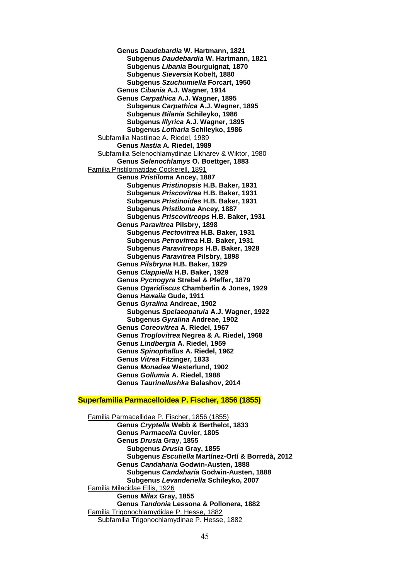**Genus** *Daudebardia* **W. Hartmann, 1821 Subgenus** *Daudebardia* **W. Hartmann, 1821 Subgenus** *Libania* **Bourguignat, 1870 Subgenus** *Sieversia* **Kobelt, 1880 Subgenus** *Szuchumiella* **Forcart, 1950 Genus** *Cibania* **A.J. Wagner, 1914 Genus** *Carpathica* **A.J. Wagner, 1895 Subgenus** *Carpathica* **A.J. Wagner, 1895 Subgenus** *Bilania* **Schileyko, 1986 Subgenus** *Illyrica* **A.J. Wagner, 1895 Subgenus** *Lotharia* **Schileyko, 1986** Subfamilia Nastiinae A. Riedel, 1989 **Genus** *Nastia* **A. Riedel, 1989** Subfamilia Selenochlamydinae Likharev & Wiktor, 1980 **Genus** *Selenochlamys* **O. Boettger, 1883** Familia Pristilomatidae Cockerell, 1891 **Genus** *Pristiloma* **Ancey, 1887 Subgenus** *Pristinopsis* **H.B. Baker, 1931 Subgenus** *Priscovitrea* **H.B. Baker, 1931 Subgenus** *Pristinoides* **H.B. Baker, 1931 Subgenus** *Pristiloma* **Ancey, 1887 Subgenus** *Priscovitreops* **H.B. Baker, 1931 Genus** *Paravitrea* **Pilsbry, 1898 Subgenus** *Pectovitrea* **H.B. Baker, 1931 Subgenus** *Petrovitrea* **H.B. Baker, 1931 Subgenus** *Paravitreops* **H.B. Baker, 1928 Subgenus** *Paravitrea* **Pilsbry, 1898 Genus** *Pilsbryna* **H.B. Baker, 1929 Genus** *Clappiella* **H.B. Baker, 1929 Genus** *Pycnogyra* **Strebel & Pfeffer, 1879 Genus** *Ogaridiscus* **Chamberlin & Jones, 1929 Genus** *Hawaiia* **Gude, 1911 Genus** *Gyralina* **Andreae, 1902 Subgenus** *Spelaeopatula* **A.J. Wagner, 1922 Subgenus** *Gyralina* **Andreae, 1902 Genus** *Coreovitrea* **A. Riedel, 1967 Genus** *Troglovitrea* **Negrea & A. Riedel, 1968 Genus** *Lindbergia* **A. Riedel, 1959 Genus** *Spinophallus* **A. Riedel, 1962 Genus** *Vitrea* **Fitzinger, 1833 Genus** *Monadea* **Westerlund, 1902 Genus** *Gollumia* **A. Riedel, 1988 Genus** *Taurinellushka* **Balashov, 2014**

## **Superfamilia Parmacelloidea P. Fischer, 1856 (1855)**

Familia Parmacellidae P. Fischer, 1856 (1855) **Genus** *Cryptella* **Webb & Berthelot, 1833 Genus** *Parmacella* **Cuvier, 1805 Genus** *Drusia* **Gray, 1855 Subgenus** *Drusia* **Gray, 1855 Subgenus** *Escutiella* **Martínez-Ortí & Borredà, 2012 Genus** *Candaharia* **Godwin-Austen, 1888 Subgenus** *Candaharia* **Godwin-Austen, 1888 Subgenus** *Levanderiella* **Schileyko, 2007** Familia Milacidae Ellis, 1926 **Genus** *Milax* **Gray, 1855 Genus** *Tandonia* **Lessona & Pollonera, 1882** Familia Trigonochlamydidae P. Hesse, 1882 Subfamilia Trigonochlamydinae P. Hesse, 1882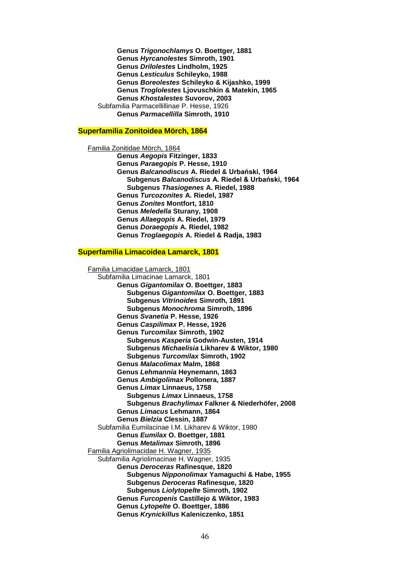**Genus** *Trigonochlamys* **O. Boettger, 1881 Genus** *Hyrcanolestes* **Simroth, 1901 Genus** *Drilolestes* **Lindholm, 1925 Genus** *Lesticulus* **Schileyko, 1988 Genus** *Boreolestes* **Schileyko & Kijashko, 1999 Genus** *Troglolestes* **Ljovuschkin & Matekin, 1965 Genus** *Khostalestes* **Suvorov, 2003** Subfamilia Parmacellillinae P. Hesse, 1926 **Genus** *Parmacellilla* **Simroth, 1910**

#### **Superfamilia Zonitoidea Mörch, 1864**

Familia Zonitidae Mörch, 1864 **Genus** *Aegopis* **Fitzinger, 1833 Genus** *Paraegopis* **P. Hesse, 1910 Genus** *Balcanodiscus* **A. Riedel & Urbański, 1964 Subgenus** *Balcanodiscus* **A. Riedel & Urbański, 1964 Subgenus** *Thasiogenes* **A. Riedel, 1988 Genus** *Turcozonites* **A. Riedel, 1987 Genus** *Zonites* **Montfort, 1810 Genus** *Meledella* **Sturany, 1908 Genus** *Allaegopis* **A. Riedel, 1979 Genus** *Doraegopis* **A. Riedel, 1982 Genus** *Troglaegopis* **A. Riedel & Radja, 1983**

#### **Superfamilia Limacoidea Lamarck, 1801**

Familia Limacidae Lamarck, 1801 Subfamilia Limacinae Lamarck, 1801 **Genus** *Gigantomilax* **O. Boettger, 1883 Subgenus** *Gigantomilax* **O. Boettger, 1883 Subgenus** *Vitrinoides* **Simroth, 1891 Subgenus** *Monochroma* **Simroth, 1896 Genus** *Svanetia* **P. Hesse, 1926 Genus** *Caspilimax* **P. Hesse, 1926 Genus** *Turcomilax* **Simroth, 1902 Subgenus** *Kasperia* **Godwin-Austen, 1914 Subgenus** *Michaelisia* **Likharev & Wiktor, 1980 Subgenus** *Turcomilax* **Simroth, 1902 Genus** *Malacolimax* **Malm, 1868 Genus** *Lehmannia* **Heynemann, 1863 Genus** *Ambigolimax* **Pollonera, 1887 Genus** *Limax* **Linnaeus, 1758 Subgenus** *Limax* **Linnaeus, 1758 Subgenus** *Brachylimax* **Falkner & Niederhöfer, 2008 Genus** *Limacus* **Lehmann, 1864 Genus** *Bielzia* **Clessin, 1887** Subfamilia Eumilacinae I.M. Likharev & Wiktor, 1980 **Genus** *Eumilax* **O. Boettger, 1881 Genus** *Metalimax* **Simroth, 1896** Familia Agriolimacidae H. Wagner, 1935 Subfamilia Agriolimacinae H. Wagner, 1935 **Genus** *Deroceras* **Rafinesque, 1820 Subgenus** *Nipponolimax* **Yamaguchi & Habe, 1955 Subgenus** *Deroceras* **Rafinesque, 1820 Subgenus** *Liolytopelte* **Simroth, 1902 Genus** *Furcopenis* **Castillejo & Wiktor, 1983 Genus** *Lytopelte* **O. Boettger, 1886 Genus** *Krynickillus* **Kaleniczenko, 1851**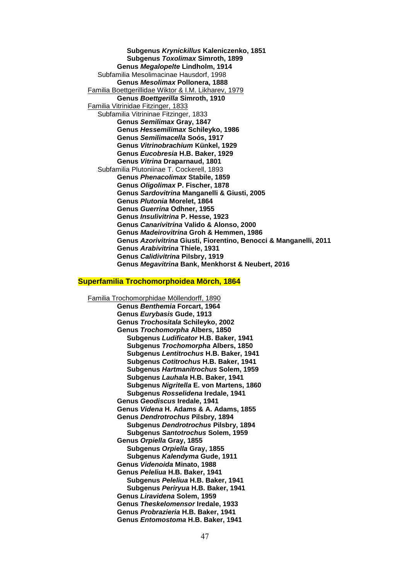**Subgenus** *Krynickillus* **Kaleniczenko, 1851 Subgenus** *Toxolimax* **Simroth, 1899 Genus** *Megalopelte* **Lindholm, 1914** Subfamilia Mesolimacinae Hausdorf, 1998 **Genus** *Mesolimax* **Pollonera, 1888** Familia Boettgerillidae Wiktor & I.M. Likharev, 1979 **Genus** *Boettgerilla* **Simroth, 1910** Familia Vitrinidae Fitzinger, 1833 Subfamilia Vitrininae Fitzinger, 1833 **Genus** *Semilimax* **Gray, 1847 Genus** *Hessemilimax* **Schileyko, 1986 Genus** *Semilimacella* **Soós, 1917 Genus** *Vitrinobrachium* **Künkel, 1929 Genus** *Eucobresia* **H.B. Baker, 1929 Genus** *Vitrina* **Draparnaud, 1801** Subfamilia Plutoniinae T. Cockerell, 1893 **Genus** *Phenacolimax* **Stabile, 1859 Genus** *Oligolimax* **P. Fischer, 1878 Genus** *Sardovitrina* **Manganelli & Giusti, 2005 Genus** *Plutonia* **Morelet, 1864 Genus** *Guerrina* **Odhner, 1955 Genus** *Insulivitrina* **P. Hesse, 1923 Genus** *Canarivitrina* **Valido & Alonso, 2000 Genus** *Madeirovitrina* **Groh & Hemmen, 1986 Genus** *Azorivitrina* **Giusti, Fiorentino, Benocci & Manganelli, 2011 Genus** *Arabivitrina* **Thiele, 1931 Genus** *Calidivitrina* **Pilsbry, 1919 Genus** *Megavitrina* **Bank, Menkhorst & Neubert, 2016**

# **Superfamilia Trochomorphoidea Mörch, 1864**

Familia Trochomorphidae Möllendorff, 1890 **Genus** *Benthemia* **Forcart, 1964 Genus** *Eurybasis* **Gude, 1913 Genus** *Trochositala* **Schileyko, 2002 Genus** *Trochomorpha* **Albers, 1850 Subgenus** *Ludificator* **H.B. Baker, 1941 Subgenus** *Trochomorpha* **Albers, 1850 Subgenus** *Lentitrochus* **H.B. Baker, 1941 Subgenus** *Cotitrochus* **H.B. Baker, 1941 Subgenus** *Hartmanitrochus* **Solem, 1959 Subgenus** *Lauhala* **H.B. Baker, 1941 Subgenus** *Nigritella* **E. von Martens, 1860 Subgenus** *Rosselidena* **Iredale, 1941 Genus** *Geodiscus* **Iredale, 1941 Genus** *Videna* **H. Adams & A. Adams, 1855 Genus** *Dendrotrochus* **Pilsbry, 1894 Subgenus** *Dendrotrochus* **Pilsbry, 1894 Subgenus** *Santotrochus* **Solem, 1959 Genus** *Orpiella* **Gray, 1855 Subgenus** *Orpiella* **Gray, 1855 Subgenus** *Kalendyma* **Gude, 1911 Genus** *Videnoida* **Minato, 1988 Genus** *Peleliua* **H.B. Baker, 1941 Subgenus** *Peleliua* **H.B. Baker, 1941 Subgenus** *Periryua* **H.B. Baker, 1941 Genus** *Liravidena* **Solem, 1959 Genus** *Theskelomensor* **Iredale, 1933 Genus** *Probrazieria* **H.B. Baker, 1941 Genus** *Entomostoma* **H.B. Baker, 1941**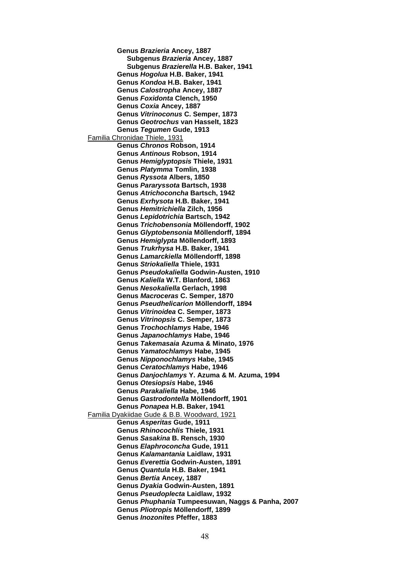**Genus** *Brazieria* **Ancey, 1887 Subgenus** *Brazieria* **Ancey, 1887 Subgenus** *Brazierella* **H.B. Baker, 1941 Genus** *Hogolua* **H.B. Baker, 1941 Genus** *Kondoa* **H.B. Baker, 1941 Genus** *Calostropha* **Ancey, 1887 Genus** *Foxidonta* **Clench, 1950 Genus** *Coxia* **Ancey, 1887 Genus** *Vitrinoconus* **C. Semper, 1873 Genus** *Geotrochus* **van Hasselt, 1823 Genus** *Tegumen* **Gude, 1913** Familia Chronidae Thiele, 1931 **Genus** *Chronos* **Robson, 1914 Genus** *Antinous* **Robson, 1914 Genus** *Hemiglyptopsis* **Thiele, 1931 Genus** *Platymma* **Tomlin, 1938 Genus** *Ryssota* **Albers, 1850 Genus** *Pararyssota* **Bartsch, 1938 Genus** *Atrichoconcha* **Bartsch, 1942 Genus** *Exrhysota* **H.B. Baker, 1941 Genus** *Hemitrichiella* **Zilch, 1956 Genus** *Lepidotrichia* **Bartsch, 1942 Genus** *Trichobensonia* **Möllendorff, 1902 Genus** *Glyptobensonia* **Möllendorff, 1894 Genus** *Hemiglypta* **Möllendorff, 1893 Genus** *Trukrhysa* **H.B. Baker, 1941 Genus** *Lamarckiella* **Möllendorff, 1898 Genus** *Striokaliella* **Thiele, 1931 Genus** *Pseudokaliella* **Godwin-Austen, 1910 Genus** *Kaliella* **W.T. Blanford, 1863 Genus** *Nesokaliella* **Gerlach, 1998 Genus** *Macroceras* **C. Semper, 1870 Genus** *Pseudhelicarion* **Möllendorff, 1894 Genus** *Vitrinoidea* **C. Semper, 1873 Genus** *Vitrinopsis* **C. Semper, 1873 Genus** *Trochochlamys* **Habe, 1946 Genus** *Japanochlamys* **Habe, 1946 Genus** *Takemasaia* **Azuma & Minato, 1976 Genus** *Yamatochlamys* **Habe, 1945 Genus** *Nipponochlamys* **Habe, 1945 Genus** *Ceratochlamys* **Habe, 1946 Genus** *Danjochlamys* **Y. Azuma & M. Azuma, 1994 Genus** *Otesiopsis* **Habe, 1946 Genus** *Parakaliella* **Habe, 1946 Genus** *Gastrodontella* **Möllendorff, 1901 Genus** *Ponapea* **H.B. Baker, 1941** Familia Dyakiidae Gude & B.B. Woodward, 1921 **Genus** *Asperitas* **Gude, 1911 Genus** *Rhinocochlis* **Thiele, 1931 Genus** *Sasakina* **B. Rensch, 1930 Genus** *Elaphroconcha* **Gude, 1911 Genus** *Kalamantania* **Laidlaw, 1931 Genus** *Everettia* **Godwin-Austen, 1891 Genus** *Quantula* **H.B. Baker, 1941 Genus** *Bertia* **Ancey, 1887 Genus** *Dyakia* **Godwin-Austen, 1891 Genus** *Pseudoplecta* **Laidlaw, 1932 Genus** *Phuphania* **Tumpeesuwan, Naggs & Panha, 2007 Genus** *Pliotropis* **Möllendorff, 1899 Genus** *Inozonites* **Pfeffer, 1883**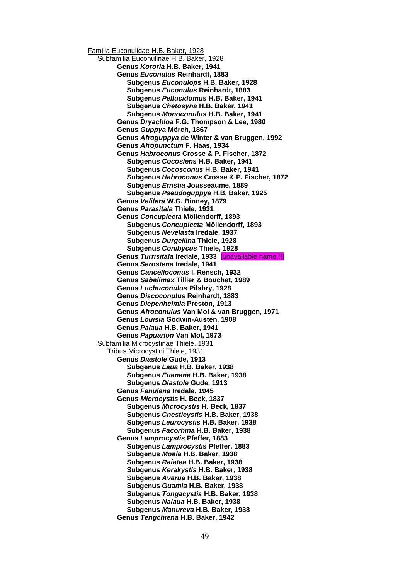Familia Euconulidae H.B. Baker, 1928 Subfamilia Euconulinae H.B. Baker, 1928 **Genus** *Kororia* **H.B. Baker, 1941 Genus** *Euconulus* **Reinhardt, 1883 Subgenus** *Euconulops* **H.B. Baker, 1928 Subgenus** *Euconulus* **Reinhardt, 1883 Subgenus** *Pellucidomus* **H.B. Baker, 1941 Subgenus** *Chetosyna* **H.B. Baker, 1941 Subgenus** *Monoconulus* **H.B. Baker, 1941 Genus** *Dryachloa* **F.G. Thompson & Lee, 1980 Genus** *Guppya* **Mörch, 1867 Genus** *Afroguppya* **de Winter & van Bruggen, 1992 Genus** *Afropunctum* **F. Haas, 1934 Genus** *Habroconus* **Crosse & P. Fischer, 1872 Subgenus** *Cocoslens* **H.B. Baker, 1941 Subgenus** *Cocosconus* **H.B. Baker, 1941 Subgenus** *Habroconus* **Crosse & P. Fischer, 1872 Subgenus** *Ernstia* **Jousseaume, 1889 Subgenus** *Pseudoguppya* **H.B. Baker, 1925 Genus** *Velifera* **W.G. Binney, 1879 Genus** *Parasitala* **Thiele, 1931 Genus** *Coneuplecta* **Möllendorff, 1893 Subgenus** *Coneuplecta* **Möllendorff, 1893 Subgenus** *Nevelasta* **Iredale, 1937 Subgenus** *Durgellina* **Thiele, 1928 Subgenus** *Conibycus* **Thiele, 1928 Genus** *Turrisitala* **Iredale, 1933** [unavailable name !!] **Genus** *Serostena* **Iredale, 1941 Genus** *Cancelloconus* **I. Rensch, 1932 Genus** *Sabalimax* **Tillier & Bouchet, 1989 Genus** *Luchuconulus* **Pilsbry, 1928 Genus** *Discoconulus* **Reinhardt, 1883 Genus** *Diepenheimia* **Preston, 1913 Genus** *Afroconulus* **Van Mol & van Bruggen, 1971 Genus** *Louisia* **Godwin-Austen, 1908 Genus** *Palaua* **H.B. Baker, 1941 Genus** *Papuarion* **Van Mol, 1973** Subfamilia Microcystinae Thiele, 1931 Tribus Microcystini Thiele, 1931 **Genus** *Diastole* **Gude, 1913 Subgenus** *Laua* **H.B. Baker, 1938 Subgenus** *Euanana* **H.B. Baker, 1938 Subgenus** *Diastole* **Gude, 1913 Genus** *Fanulena* **Iredale, 1945 Genus** *Microcystis* **H. Beck, 1837 Subgenus** *Microcystis* **H. Beck, 1837 Subgenus** *Cnesticystis* **H.B. Baker, 1938 Subgenus** *Leurocystis* **H.B. Baker, 1938 Subgenus** *Facorhina* **H.B. Baker, 1938 Genus** *Lamprocystis* **Pfeffer, 1883 Subgenus** *Lamprocystis* **Pfeffer, 1883 Subgenus** *Moala* **H.B. Baker, 1938 Subgenus** *Raiatea* **H.B. Baker, 1938 Subgenus** *Kerakystis* **H.B. Baker, 1938 Subgenus** *Avarua* **H.B. Baker, 1938 Subgenus** *Guamia* **H.B. Baker, 1938 Subgenus** *Tongacystis* **H.B. Baker, 1938 Subgenus** *Naiaua* **H.B. Baker, 1938 Subgenus** *Manureva* **H.B. Baker, 1938 Genus** *Tengchiena* **H.B. Baker, 1942**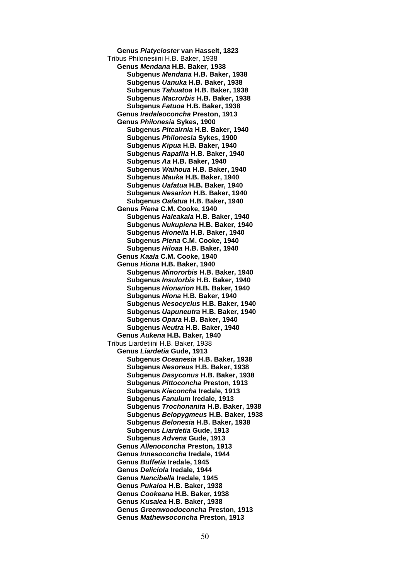**Genus** *Platycloster* **van Hasselt, 1823** Tribus Philonesiini H.B. Baker, 1938 **Genus** *Mendana* **H.B. Baker, 1938 Subgenus** *Mendana* **H.B. Baker, 1938 Subgenus** *Uanuka* **H.B. Baker, 1938 Subgenus** *Tahuatoa* **H.B. Baker, 1938 Subgenus** *Macrorbis* **H.B. Baker, 1938 Subgenus** *Fatuoa* **H.B. Baker, 1938 Genus** *Iredaleoconcha* **Preston, 1913 Genus** *Philonesia* **Sykes, 1900 Subgenus** *Pitcairnia* **H.B. Baker, 1940 Subgenus** *Philonesia* **Sykes, 1900 Subgenus** *Kipua* **H.B. Baker, 1940 Subgenus** *Rapafila* **H.B. Baker, 1940 Subgenus** *Aa* **H.B. Baker, 1940 Subgenus** *Waihoua* **H.B. Baker, 1940 Subgenus** *Mauka* **H.B. Baker, 1940 Subgenus** *Uafatua* **H.B. Baker, 1940 Subgenus** *Nesarion* **H.B. Baker, 1940 Subgenus** *Oafatua* **H.B. Baker, 1940 Genus** *Piena* **C.M. Cooke, 1940 Subgenus** *Haleakala* **H.B. Baker, 1940 Subgenus** *Nukupiena* **H.B. Baker, 1940 Subgenus** *Hionella* **H.B. Baker, 1940 Subgenus** *Piena* **C.M. Cooke, 1940 Subgenus** *Hiloaa* **H.B. Baker, 1940 Genus** *Kaala* **C.M. Cooke, 1940 Genus** *Hiona* **H.B. Baker, 1940 Subgenus** *Minororbis* **H.B. Baker, 1940 Subgenus** *Insulorbis* **H.B. Baker, 1940 Subgenus** *Hionarion* **H.B. Baker, 1940 Subgenus** *Hiona* **H.B. Baker, 1940 Subgenus** *Nesocyclus* **H.B. Baker, 1940 Subgenus** *Uapuneutra* **H.B. Baker, 1940 Subgenus** *Opara* **H.B. Baker, 1940 Subgenus** *Neutra* **H.B. Baker, 1940 Genus** *Aukena* **H.B. Baker, 1940** Tribus Liardetiini H.B. Baker, 1938 **Genus** *Liardetia* **Gude, 1913 Subgenus** *Oceanesia* **H.B. Baker, 1938 Subgenus** *Nesoreus* **H.B. Baker, 1938 Subgenus** *Dasyconus* **H.B. Baker, 1938 Subgenus** *Pittoconcha* **Preston, 1913 Subgenus** *Kieconcha* **Iredale, 1913 Subgenus** *Fanulum* **Iredale, 1913 Subgenus** *Trochonanita* **H.B. Baker, 1938 Subgenus** *Belopygmeus* **H.B. Baker, 1938 Subgenus** *Belonesia* **H.B. Baker, 1938 Subgenus** *Liardetia* **Gude, 1913 Subgenus** *Advena* **Gude, 1913 Genus** *Allenoconcha* **Preston, 1913 Genus** *Innesoconcha* **Iredale, 1944 Genus** *Buffetia* **Iredale, 1945 Genus** *Deliciola* **Iredale, 1944 Genus** *Nancibella* **Iredale, 1945 Genus** *Pukaloa* **H.B. Baker, 1938 Genus** *Cookeana* **H.B. Baker, 1938 Genus** *Kusaiea* **H.B. Baker, 1938 Genus** *Greenwoodoconcha* **Preston, 1913 Genus** *Mathewsoconcha* **Preston, 1913**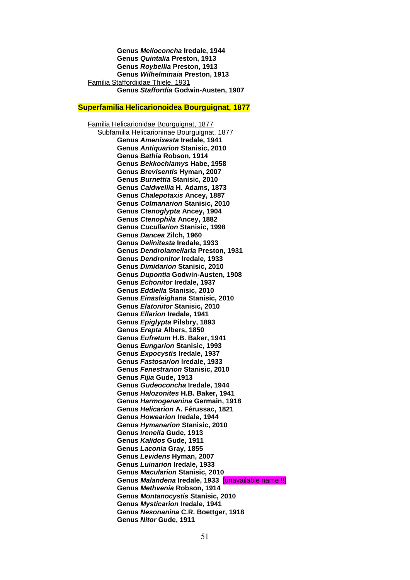**Genus** *Melloconcha* **Iredale, 1944 Genus** *Quintalia* **Preston, 1913 Genus** *Roybellia* **Preston, 1913 Genus** *Wilhelminaia* **Preston, 1913** Familia Staffordiidae Thiele, 1931 **Genus** *Staffordia* **Godwin-Austen, 1907**

### **Superfamilia Helicarionoidea Bourguignat, 1877**

Familia Helicarionidae Bourguignat, 1877 Subfamilia Helicarioninae Bourguignat, 1877 **Genus** *Amenixesta* **Iredale, 1941 Genus** *Antiquarion* **Stanisic, 2010 Genus** *Bathia* **Robson, 1914 Genus** *Bekkochlamys* **Habe, 1958 Genus** *Brevisentis* **Hyman, 2007 Genus** *Burnettia* **Stanisic, 2010 Genus** *Caldwellia* **H. Adams, 1873 Genus** *Chalepotaxis* **Ancey, 1887 Genus** *Colmanarion* **Stanisic, 2010 Genus** *Ctenoglypta* **Ancey, 1904 Genus** *Ctenophila* **Ancey, 1882 Genus** *Cucullarion* **Stanisic, 1998 Genus** *Dancea* **Zilch, 1960 Genus** *Delinitesta* **Iredale, 1933 Genus** *Dendrolamellaria* **Preston, 1931 Genus** *Dendronitor* **Iredale, 1933 Genus** *Dimidarion* **Stanisic, 2010 Genus** *Dupontia* **Godwin-Austen, 1908 Genus** *Echonitor* **Iredale, 1937 Genus** *Eddiella* **Stanisic, 2010 Genus** *Einasleighana* **Stanisic, 2010 Genus** *Elatonitor* **Stanisic, 2010 Genus** *Ellarion* **Iredale, 1941 Genus** *Epiglypta* **Pilsbry, 1893 Genus** *Erepta* **Albers, 1850 Genus** *Eufretum* **H.B. Baker, 1941 Genus** *Eungarion* **Stanisic, 1993 Genus** *Expocystis* **Iredale, 1937 Genus** *Fastosarion* **Iredale, 1933 Genus** *Fenestrarion* **Stanisic, 2010 Genus** *Fijia* **Gude, 1913 Genus** *Gudeoconcha* **Iredale, 1944 Genus** *Halozonites* **H.B. Baker, 1941 Genus** *Harmogenanina* **Germain, 1918 Genus** *Helicarion* **A. Férussac, 1821 Genus** *Howearion* **Iredale, 1944 Genus** *Hymanarion* **Stanisic, 2010 Genus** *Irenella* **Gude, 1913 Genus** *Kalidos* **Gude, 1911 Genus** *Laconia* **Gray, 1855 Genus** *Levidens* **Hyman, 2007 Genus** *Luinarion* **Iredale, 1933 Genus** *Macularion* **Stanisic, 2010 Genus** *Malandena* **Iredale, 1933** [unavailable name !!] **Genus** *Methvenia* **Robson, 1914 Genus** *Montanocystis* **Stanisic, 2010 Genus** *Mysticarion* **Iredale, 1941 Genus** *Nesonanina* **C.R. Boettger, 1918 Genus** *Nitor* **Gude, 1911**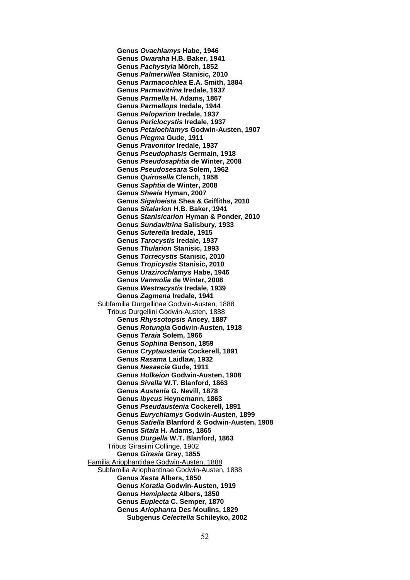**Genus** *Ovachlamys* **Habe, 1946 Genus** *Owaraha* **H.B. Baker, 1941 Genus** *Pachystyla* **Mörch, 1852 Genus** *Palmervillea* **Stanisic, 2010 Genus** *Parmacochlea* **E.A. Smith, 1884 Genus** *Parmavitrina* **Iredale, 1937 Genus** *Parmella* **H. Adams, 1867 Genus** *Parmellops* **Iredale, 1944 Genus** *Peloparion* **Iredale, 1937 Genus** *Periclocystis* **Iredale, 1937 Genus** *Petalochlamys* **Godwin-Austen, 1907 Genus** *Plegma* **Gude, 1911 Genus** *Pravonitor* **Iredale, 1937 Genus** *Pseudophasis* **Germain, 1918 Genus** *Pseudosaphtia* **de Winter, 2008 Genus** *Pseudosesara* **Solem, 1962 Genus** *Quirosella* **Clench, 1958 Genus** *Saphtia* **de Winter, 2008 Genus** *Sheaia* **Hyman, 2007 Genus** *Sigaloeista* **Shea & Griffiths, 2010 Genus** *Sitalarion* **H.B. Baker, 1941 Genus** *Stanisicarion* **Hyman & Ponder, 2010 Genus** *Sundavitrina* **Salisbury, 1933 Genus** *Suterella* **Iredale, 1915 Genus** *Tarocystis* **Iredale, 1937 Genus** *Thularion* **Stanisic, 1993 Genus** *Torrecystis* **Stanisic, 2010 Genus** *Tropicystis* **Stanisic, 2010 Genus** *Urazirochlamys* **Habe, 1946 Genus** *Vanmolia* **de Winter, 2008 Genus** *Westracystis* **Iredale, 1939 Genus** *Zagmena* **Iredale, 1941** Subfamilia Durgellinae Godwin-Austen, 1888 Tribus Durgellini Godwin-Austen, 1888 **Genus** *Rhyssotopsis* **Ancey, 1887 Genus** *Rotungia* **Godwin-Austen, 1918 Genus** *Teraia* **Solem, 1966 Genus** *Sophina* **Benson, 1859 Genus** *Cryptaustenia* **Cockerell, 1891 Genus** *Rasama* **Laidlaw, 1932 Genus** *Nesaecia* **Gude, 1911 Genus** *Holkeion* **Godwin-Austen, 1908 Genus** *Sivella* **W.T. Blanford, 1863 Genus** *Austenia* **G. Nevill, 1878 Genus** *Ibycus* **Heynemann, 1863 Genus** *Pseudaustenia* **Cockerell, 1891 Genus** *Eurychlamys* **Godwin-Austen, 1899 Genus** *Satiella* **Blanford & Godwin-Austen, 1908 Genus** *Sitala* **H. Adams, 1865 Genus** *Durgella* **W.T. Blanford, 1863** Tribus Girasiini Collinge, 1902 **Genus** *Girasia* **Gray, 1855** Familia Ariophantidae Godwin-Austen, 1888 Subfamilia Ariophantinae Godwin-Austen, 1888 **Genus** *Xesta* **Albers, 1850 Genus** *Koratia* **Godwin-Austen, 1919 Genus** *Hemiplecta* **Albers, 1850 Genus** *Euplecta* **C. Semper, 1870 Genus** *Ariophanta* **Des Moulins, 1829 Subgenus** *Celectella* **Schileyko, 2002**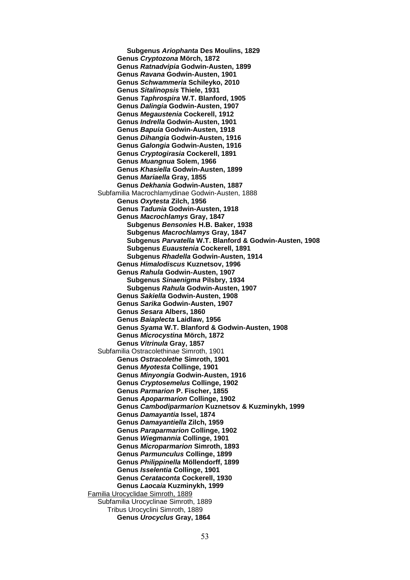**Subgenus** *Ariophanta* **Des Moulins, 1829 Genus** *Cryptozona* **Mörch, 1872 Genus** *Ratnadvipia* **Godwin-Austen, 1899 Genus** *Ravana* **Godwin-Austen, 1901 Genus** *Schwammeria* **Schileyko, 2010 Genus** *Sitalinopsis* **Thiele, 1931 Genus** *Taphrospira* **W.T. Blanford, 1905 Genus** *Dalingia* **Godwin-Austen, 1907 Genus** *Megaustenia* **Cockerell, 1912 Genus** *Indrella* **Godwin-Austen, 1901 Genus** *Bapuia* **Godwin-Austen, 1918 Genus** *Dihangia* **Godwin-Austen, 1916 Genus** *Galongia* **Godwin-Austen, 1916 Genus** *Cryptogirasia* **Cockerell, 1891 Genus** *Muangnua* **Solem, 1966 Genus** *Khasiella* **Godwin-Austen, 1899 Genus** *Mariaella* **Gray, 1855 Genus** *Dekhania* **Godwin-Austen, 1887** Subfamilia Macrochlamydinae Godwin-Austen, 1888 **Genus** *Oxytesta* **Zilch, 1956 Genus** *Tadunia* **Godwin-Austen, 1918 Genus** *Macrochlamys* **Gray, 1847 Subgenus** *Bensonies* **H.B. Baker, 1938 Subgenus** *Macrochlamys* **Gray, 1847 Subgenus** *Parvatella* **W.T. Blanford & Godwin-Austen, 1908 Subgenus** *Euaustenia* **Cockerell, 1891 Subgenus** *Rhadella* **Godwin-Austen, 1914 Genus** *Himalodiscus* **Kuznetsov, 1996 Genus** *Rahula* **Godwin-Austen, 1907 Subgenus** *Sinaenigma* **Pilsbry, 1934 Subgenus** *Rahula* **Godwin-Austen, 1907 Genus** *Sakiella* **Godwin-Austen, 1908 Genus** *Sarika* **Godwin-Austen, 1907 Genus** *Sesara* **Albers, 1860 Genus** *Baiaplecta* **Laidlaw, 1956 Genus** *Syama* **W.T. Blanford & Godwin-Austen, 1908 Genus** *Microcystina* **Mörch, 1872 Genus** *Vitrinula* **Gray, 1857** Subfamilia Ostracolethinae Simroth, 1901 **Genus** *Ostracolethe* **Simroth, 1901 Genus** *Myotesta* **Collinge, 1901 Genus** *Minyongia* **Godwin-Austen, 1916 Genus** *Cryptosemelus* **Collinge, 1902 Genus** *Parmarion* **P. Fischer, 1855 Genus** *Apoparmarion* **Collinge, 1902 Genus** *Cambodiparmarion* **Kuznetsov & Kuzminykh, 1999 Genus** *Damayantia* **Issel, 1874 Genus** *Damayantiella* **Zilch, 1959 Genus** *Paraparmarion* **Collinge, 1902 Genus** *Wiegmannia* **Collinge, 1901 Genus** *Microparmarion* **Simroth, 1893 Genus** *Parmunculus* **Collinge, 1899 Genus** *Philippinella* **Möllendorff, 1899 Genus** *Isselentia* **Collinge, 1901 Genus** *Cerataconta* **Cockerell, 1930 Genus** *Laocaia* **Kuzminykh, 1999** Familia Urocyclidae Simroth, 1889 Subfamilia Urocyclinae Simroth, 1889 Tribus Urocyclini Simroth, 1889 **Genus** *Urocyclus* **Gray, 1864**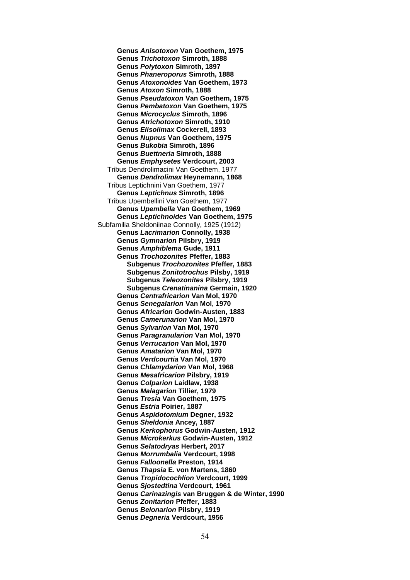**Genus** *Anisotoxon* **Van Goethem, 1975 Genus** *Trichotoxon* **Simroth, 1888 Genus** *Polytoxon* **Simroth, 1897 Genus** *Phaneroporus* **Simroth, 1888 Genus** *Atoxonoides* **Van Goethem, 1973 Genus** *Atoxon* **Simroth, 1888 Genus** *Pseudatoxon* **Van Goethem, 1975 Genus** *Pembatoxon* **Van Goethem, 1975 Genus** *Microcyclus* **Simroth, 1896 Genus** *Atrichotoxon* **Simroth, 1910 Genus** *Elisolimax* **Cockerell, 1893 Genus** *Nupnus* **Van Goethem, 1975 Genus** *Bukobia* **Simroth, 1896 Genus** *Buettneria* **Simroth, 1888 Genus** *Emphysetes* **Verdcourt, 2003** Tribus Dendrolimacini Van Goethem, 1977 **Genus** *Dendrolimax* **Heynemann, 1868** Tribus Leptichnini Van Goethem, 1977 **Genus** *Leptichnus* **Simroth, 1896** Tribus Upembellini Van Goethem, 1977 **Genus** *Upembella* **Van Goethem, 1969 Genus** *Leptichnoides* **Van Goethem, 1975** Subfamilia Sheldoniinae Connolly, 1925 (1912) **Genus** *Lacrimarion* **Connolly, 1938 Genus** *Gymnarion* **Pilsbry, 1919 Genus** *Amphiblema* **Gude, 1911 Genus** *Trochozonites* **Pfeffer, 1883 Subgenus** *Trochozonites* **Pfeffer, 1883 Subgenus** *Zonitotrochus* **Pilsby, 1919 Subgenus** *Teleozonites* **Pilsbry, 1919 Subgenus** *Crenatinanina* **Germain, 1920 Genus** *Centrafricarion* **Van Mol, 1970 Genus** *Senegalarion* **Van Mol, 1970 Genus** *Africarion* **Godwin-Austen, 1883 Genus** *Camerunarion* **Van Mol, 1970 Genus** *Sylvarion* **Van Mol, 1970 Genus** *Paragranularion* **Van Mol, 1970 Genus** *Verrucarion* **Van Mol, 1970 Genus** *Amatarion* **Van Mol, 1970 Genus** *Verdcourtia* **Van Mol, 1970 Genus** *Chlamydarion* **Van Mol, 1968 Genus** *Mesafricarion* **Pilsbry, 1919 Genus** *Colparion* **Laidlaw, 1938 Genus** *Malagarion* **Tillier, 1979 Genus** *Tresia* **Van Goethem, 1975 Genus** *Estria* **Poirier, 1887 Genus** *Aspidotomium* **Degner, 1932 Genus** *Sheldonia* **Ancey, 1887 Genus** *Kerkophorus* **Godwin-Austen, 1912 Genus** *Microkerkus* **Godwin-Austen, 1912 Genus** *Selatodryas* **Herbert, 2017 Genus** *Morrumbalia* **Verdcourt, 1998 Genus** *Falloonella* **Preston, 1914 Genus** *Thapsia* **E. von Martens, 1860 Genus** *Tropidocochlion* **Verdcourt, 1999 Genus** *Sjostedtina* **Verdcourt, 1961 Genus** *Carinazingis* **van Bruggen & de Winter, 1990 Genus** *Zonitarion* **Pfeffer, 1883 Genus** *Belonarion* **Pilsbry, 1919 Genus** *Degneria* **Verdcourt, 1956**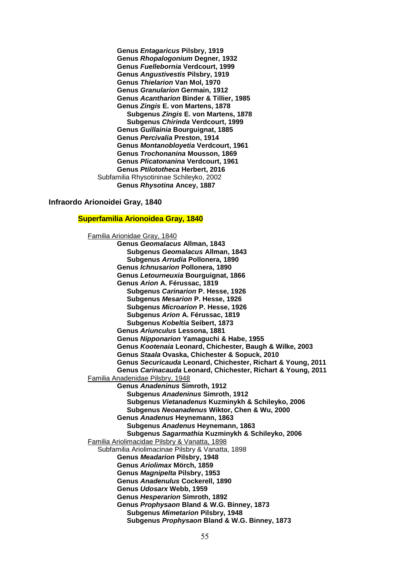**Genus** *Entagaricus* **Pilsbry, 1919 Genus** *Rhopalogonium* **Degner, 1932 Genus** *Fuellebornia* **Verdcourt, 1999 Genus** *Angustivestis* **Pilsbry, 1919 Genus** *Thielarion* **Van Mol, 1970 Genus** *Granularion* **Germain, 1912 Genus** *Acantharion* **Binder & Tillier, 1985 Genus** *Zingis* **E. von Martens, 1878 Subgenus** *Zingis* **E. von Martens, 1878 Subgenus** *Chirinda* **Verdcourt, 1999 Genus** *Guillainia* **Bourguignat, 1885 Genus** *Percivalia* **Preston, 1914 Genus** *Montanobloyetia* **Verdcourt, 1961 Genus** *Trochonanina* **Mousson, 1869 Genus** *Plicatonanina* **Verdcourt, 1961 Genus** *Ptilototheca* **Herbert, 2016** Subfamilia Rhysotininae Schileyko, 2002 **Genus** *Rhysotina* **Ancey, 1887**

#### **Infraordo Arionoidei Gray, 1840**

#### **Superfamilia Arionoidea Gray, 1840**

Familia Arionidae Gray, 1840 **Genus** *Geomalacus* **Allman, 1843 Subgenus** *Geomalacus* **Allman, 1843 Subgenus** *Arrudia* **Pollonera, 1890 Genus** *Ichnusarion* **Pollonera, 1890 Genus** *Letourneuxia* **Bourguignat, 1866 Genus** *Arion* **A. Férussac, 1819 Subgenus** *Carinarion* **P. Hesse, 1926 Subgenus** *Mesarion* **P. Hesse, 1926 Subgenus** *Microarion* **P. Hesse, 1926 Subgenus** *Arion* **A. Férussac, 1819 Subgenus** *Kobeltia* **Seibert, 1873 Genus** *Ariunculus* **Lessona, 1881 Genus** *Nipponarion* **Yamaguchi & Habe, 1955 Genus** *Kootenaia* **Leonard, Chichester, Baugh & Wilke, 2003 Genus** *Staala* **Ovaska, Chichester & Sopuck, 2010 Genus** *Securicauda* **Leonard, Chichester, Richart & Young, 2011 Genus** *Carinacauda* **Leonard, Chichester, Richart & Young, 2011** Familia Anadenidae Pilsbry, 1948 **Genus** *Anadeninus* **Simroth, 1912 Subgenus** *Anadeninus* **Simroth, 1912 Subgenus** *Vietanadenus* **Kuzminykh & Schileyko, 2006 Subgenus** *Neoanadenus* **Wiktor, Chen & Wu, 2000 Genus** *Anadenus* **Heynemann, 1863 Subgenus** *Anadenus* **Heynemann, 1863 Subgenus** *Sagarmathia* **Kuzminykh & Schileyko, 2006** Familia Ariolimacidae Pilsbry & Vanatta, 1898 Subfamilia Ariolimacinae Pilsbry & Vanatta, 1898 **Genus** *Meadarion* **Pilsbry, 1948 Genus** *Ariolimax* **Mörch, 1859 Genus** *Magnipelta* **Pilsbry, 1953 Genus** *Anadenulus* **Cockerell, 1890 Genus** *Udosarx* **Webb, 1959 Genus** *Hesperarion* **Simroth, 1892 Genus** *Prophysaon* **Bland & W.G. Binney, 1873 Subgenus** *Mimetarion* **Pilsbry, 1948 Subgenus** *Prophysaon* **Bland & W.G. Binney, 1873**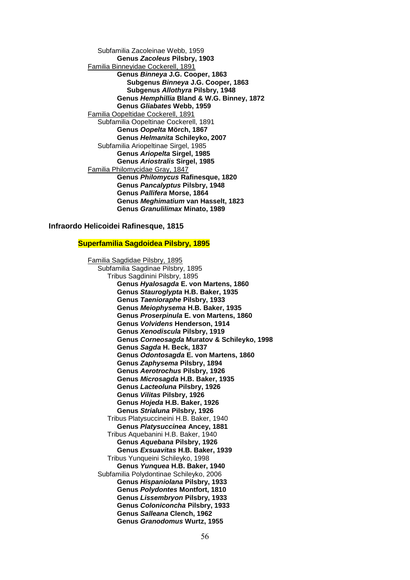Subfamilia Zacoleinae Webb, 1959 **Genus** *Zacoleus* **Pilsbry, 1903** Familia Binneyidae Cockerell, 1891 **Genus** *Binneya* **J.G. Cooper, 1863 Subgenus** *Binneya* **J.G. Cooper, 1863 Subgenus** *Allothyra* **Pilsbry, 1948 Genus** *Hemphillia* **Bland & W.G. Binney, 1872 Genus** *Gliabates* **Webb, 1959** Familia Oopeltidae Cockerell, 1891 Subfamilia Oopeltinae Cockerell, 1891 **Genus** *Oopelta* **Mörch, 1867 Genus** *Helmanita* **Schileyko, 2007** Subfamilia Ariopeltinae Sirgel, 1985 **Genus** *Ariopelta* **Sirgel, 1985 Genus** *Ariostralis* **Sirgel, 1985** Familia Philomycidae Gray, 1847 **Genus** *Philomycus* **Rafinesque, 1820 Genus** *Pancalyptus* **Pilsbry, 1948 Genus** *Pallifera* **Morse, 1864 Genus** *Meghimatium* **van Hasselt, 1823 Genus** *Granulilimax* **Minato, 1989**

#### **Infraordo Helicoidei Rafinesque, 1815**

## **Superfamilia Sagdoidea Pilsbry, 1895**

Familia Sagdidae Pilsbry, 1895 Subfamilia Sagdinae Pilsbry, 1895 Tribus Sagdinini Pilsbry, 1895 **Genus** *Hyalosagda* **E. von Martens, 1860 Genus** *Stauroglypta* **H.B. Baker, 1935 Genus** *Taenioraphe* **Pilsbry, 1933 Genus** *Meiophysema* **H.B. Baker, 1935 Genus** *Proserpinula* **E. von Martens, 1860 Genus** *Volvidens* **Henderson, 1914 Genus** *Xenodiscula* **Pilsbry, 1919 Genus** *Corneosagda* **Muratov & Schileyko, 1998 Genus** *Sagda* **H. Beck, 1837 Genus** *Odontosagda* **E. von Martens, 1860 Genus** *Zaphysema* **Pilsbry, 1894 Genus** *Aerotrochus* **Pilsbry, 1926 Genus** *Microsagda* **H.B. Baker, 1935 Genus** *Lacteoluna* **Pilsbry, 1926 Genus** *Vilitas* **Pilsbry, 1926 Genus** *Hojeda* **H.B. Baker, 1926 Genus** *Strialuna* **Pilsbry, 1926** Tribus Platysuccineini H.B. Baker, 1940 **Genus** *Platysuccinea* **Ancey, 1881** Tribus Aquebanini H.B. Baker, 1940 **Genus** *Aquebana* **Pilsbry, 1926 Genus** *Exsuavitas* **H.B. Baker, 1939** Tribus Yunqueini Schileyko, 1998 **Genus** *Yunquea* **H.B. Baker, 1940** Subfamilia Polydontinae Schileyko, 2006 **Genus** *Hispaniolana* **Pilsbry, 1933 Genus** *Polydontes* **Montfort, 1810 Genus** *Lissembryon* **Pilsbry, 1933 Genus** *Coloniconcha* **Pilsbry, 1933 Genus** *Salleana* **Clench, 1962 Genus** *Granodomus* **Wurtz, 1955**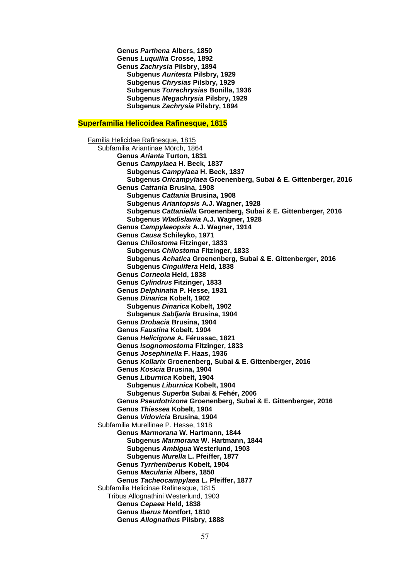**Genus** *Parthena* **Albers, 1850 Genus** *Luquillia* **Crosse, 1892 Genus** *Zachrysia* **Pilsbry, 1894 Subgenus** *Auritesta* **Pilsbry, 1929 Subgenus** *Chrysias* **Pilsbry, 1929 Subgenus** *Torrechrysias* **Bonilla, 1936 Subgenus** *Megachrysia* **Pilsbry, 1929 Subgenus** *Zachrysia* **Pilsbry, 1894**

## **Superfamilia Helicoidea Rafinesque, 1815**

Familia Helicidae Rafinesque, 1815 Subfamilia Ariantinae Mörch, 1864 **Genus** *Arianta* **Turton, 1831 Genus** *Campylaea* **H. Beck, 1837 Subgenus** *Campylaea* **H. Beck, 1837 Subgenus** *Oricampylaea* **Groenenberg, Subai & E. Gittenberger, 2016 Genus** *Cattania* **Brusina, 1908 Subgenus** *Cattania* **Brusina, 1908 Subgenus** *Ariantopsis* **A.J. Wagner, 1928 Subgenus** *Cattaniella* **Groenenberg, Subai & E. Gittenberger, 2016 Subgenus** *Wladislawia* **A.J. Wagner, 1928 Genus** *Campylaeopsis* **A.J. Wagner, 1914 Genus** *Causa* **Schileyko, 1971 Genus** *Chilostoma* **Fitzinger, 1833 Subgenus** *Chilostoma* **Fitzinger, 1833 Subgenus** *Achatica* **Groenenberg, Subai & E. Gittenberger, 2016 Subgenus** *Cingulifera* **Held, 1838 Genus** *Corneola* **Held, 1838 Genus** *Cylindrus* **Fitzinger, 1833 Genus** *Delphinatia* **P. Hesse, 1931 Genus** *Dinarica* **Kobelt, 1902 Subgenus** *Dinarica* **Kobelt, 1902 Subgenus** *Sabljaria* **Brusina, 1904 Genus** *Drobacia* **Brusina, 1904 Genus** *Faustina* **Kobelt, 1904 Genus** *Helicigona* **A. Férussac, 1821 Genus** *Isognomostoma* **Fitzinger, 1833 Genus** *Josephinella* **F. Haas, 1936 Genus** *Kollarix* **Groenenberg, Subai & E. Gittenberger, 2016 Genus** *Kosicia* **Brusina, 1904 Genus** *Liburnica* **Kobelt, 1904 Subgenus** *Liburnica* **Kobelt, 1904 Subgenus** *Superba* **Subai & Fehér, 2006 Genus** *Pseudotrizona* **Groenenberg, Subai & E. Gittenberger, 2016 Genus** *Thiessea* **Kobelt, 1904 Genus** *Vidovicia* **Brusina, 1904** Subfamilia Murellinae P. Hesse, 1918 **Genus** *Marmorana* **W. Hartmann, 1844 Subgenus** *Marmorana* **W. Hartmann, 1844 Subgenus** *Ambigua* **Westerlund, 1903 Subgenus** *Murella* **L. Pfeiffer, 1877 Genus** *Tyrrheniberus* **Kobelt, 1904 Genus** *Macularia* **Albers, 1850 Genus** *Tacheocampylaea* **L. Pfeiffer, 1877** Subfamilia Helicinae Rafinesque, 1815 Tribus Allognathini Westerlund, 1903 **Genus** *Cepaea* **Held, 1838 Genus** *Iberus* **Montfort, 1810 Genus** *Allognathus* **Pilsbry, 1888**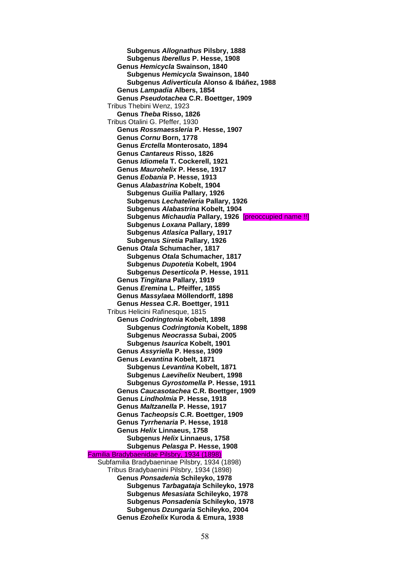**Subgenus** *Allognathus* **Pilsbry, 1888 Subgenus** *Iberellus* **P. Hesse, 1908 Genus** *Hemicycla* **Swainson, 1840 Subgenus** *Hemicycla* **Swainson, 1840 Subgenus** *Adiverticula* **Alonso & Ibáñez, 1988 Genus** *Lampadia* **Albers, 1854 Genus** *Pseudotachea* **C.R. Boettger, 1909** Tribus Thebini Wenz, 1923 **Genus** *Theba* **Risso, 1826** Tribus Otalini G. Pfeffer, 1930 **Genus** *Rossmaessleria* **P. Hesse, 1907 Genus** *Cornu* **Born, 1778 Genus** *Erctella* **Monterosato, 1894 Genus** *Cantareus* **Risso, 1826 Genus** *Idiomela* **T. Cockerell, 1921 Genus** *Maurohelix* **P. Hesse, 1917 Genus** *Eobania* **P. Hesse, 1913 Genus** *Alabastrina* **Kobelt, 1904 Subgenus** *Guilia* **Pallary, 1926 Subgenus** *Lechatelieria* **Pallary, 1926 Subgenus** *Alabastrina* **Kobelt, 1904 Subgenus** *Michaudia* **Pallary, 1926** [preoccupied name !!] **Subgenus** *Loxana* **Pallary, 1899 Subgenus** *Atlasica* **Pallary, 1917 Subgenus** *Siretia* **Pallary, 1926 Genus** *Otala* **Schumacher, 1817 Subgenus** *Otala* **Schumacher, 1817 Subgenus** *Dupotetia* **Kobelt, 1904 Subgenus** *Deserticola* **P. Hesse, 1911 Genus** *Tingitana* **Pallary, 1919 Genus** *Eremina* **L. Pfeiffer, 1855 Genus** *Massylaea* **Möllendorff, 1898 Genus** *Hessea* **C.R. Boettger, 1911** Tribus Helicini Rafinesque, 1815 **Genus** *Codringtonia* **Kobelt, 1898 Subgenus** *Codringtonia* **Kobelt, 1898 Subgenus** *Neocrassa* **Subai, 2005 Subgenus** *Isaurica* **Kobelt, 1901 Genus** *Assyriella* **P. Hesse, 1909 Genus** *Levantina* **Kobelt, 1871 Subgenus** *Levantina* **Kobelt, 1871 Subgenus** *Laevihelix* **Neubert, 1998 Subgenus** *Gyrostomella* **P. Hesse, 1911 Genus** *Caucasotachea* **C.R. Boettger, 1909 Genus** *Lindholmia* **P. Hesse, 1918 Genus** *Maltzanella* **P. Hesse, 1917 Genus** *Tacheopsis* **C.R. Boettger, 1909 Genus** *Tyrrhenaria* **P. Hesse, 1918 Genus** *Helix* **Linnaeus, 1758 Subgenus** *Helix* **Linnaeus, 1758 Subgenus** *Pelasga* **P. Hesse, 1908** Familia Bradybaenidae Pilsbry, 1934 (1898) Subfamilia Bradybaeninae Pilsbry, 1934 (1898) Tribus Bradybaenini Pilsbry, 1934 (1898) **Genus** *Ponsadenia* **Schileyko, 1978 Subgenus** *Tarbagataja* **Schileyko, 1978 Subgenus** *Mesasiata* **Schileyko, 1978 Subgenus** *Ponsadenia* **Schileyko, 1978 Subgenus** *Dzungaria* **Schileyko, 2004 Genus** *Ezohelix* **Kuroda & Emura, 1938**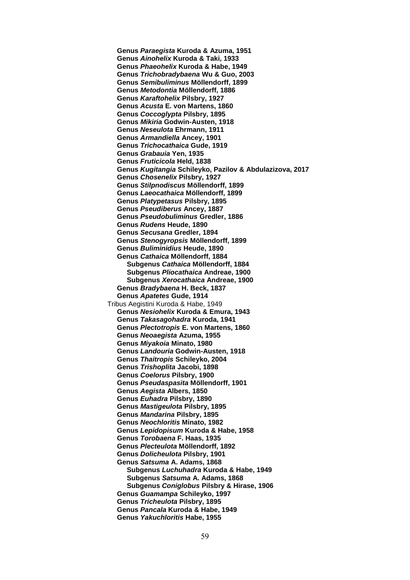**Genus** *Paraegista* **Kuroda & Azuma, 1951 Genus** *Ainohelix* **Kuroda & Taki, 1933 Genus** *Phaeohelix* **Kuroda & Habe, 1949 Genus** *Trichobradybaena* **Wu & Guo, 2003 Genus** *Semibuliminus* **Möllendorff, 1899 Genus** *Metodontia* **Möllendorff, 1886 Genus** *Karaftohelix* **Pilsbry, 1927 Genus** *Acusta* **E. von Martens, 1860 Genus** *Coccoglypta* **Pilsbry, 1895 Genus** *Mikiria* **Godwin-Austen, 1918 Genus** *Neseulota* **Ehrmann, 1911 Genus** *Armandiella* **Ancey, 1901 Genus** *Trichocathaica* **Gude, 1919 Genus** *Grabauia* **Yen, 1935 Genus** *Fruticicola* **Held, 1838 Genus** *Kugitangia* **Schileyko, Pazilov & Abdulazizova, 2017 Genus** *Chosenelix* **Pilsbry, 1927 Genus** *Stilpnodiscus* **Möllendorff, 1899 Genus** *Laeocathaica* **Möllendorff, 1899 Genus** *Platypetasus* **Pilsbry, 1895 Genus** *Pseudiberus* **Ancey, 1887 Genus** *Pseudobuliminus* **Gredler, 1886 Genus** *Rudens* **Heude, 1890 Genus** *Secusana* **Gredler, 1894 Genus** *Stenogyropsis* **Möllendorff, 1899 Genus** *Buliminidius* **Heude, 1890 Genus** *Cathaica* **Möllendorff, 1884 Subgenus** *Cathaica* **Möllendorff, 1884 Subgenus** *Pliocathaica* **Andreae, 1900 Subgenus** *Xerocathaica* **Andreae, 1900 Genus** *Bradybaena* **H. Beck, 1837 Genus** *Apatetes* **Gude, 1914** Tribus Aegistini Kuroda & Habe, 1949 **Genus** *Nesiohelix* **Kuroda & Emura, 1943 Genus** *Takasagohadra* **Kuroda, 1941 Genus** *Plectotropis* **E. von Martens, 1860 Genus** *Neoaegista* **Azuma, 1955 Genus** *Miyakoia* **Minato, 1980 Genus** *Landouria* **Godwin-Austen, 1918 Genus** *Thaitropis* **Schileyko, 2004 Genus** *Trishoplita* **Jacobi, 1898 Genus** *Coelorus* **Pilsbry, 1900 Genus** *Pseudaspasita* **Möllendorff, 1901 Genus** *Aegista* **Albers, 1850 Genus** *Euhadra* **Pilsbry, 1890 Genus** *Mastigeulota* **Pilsbry, 1895 Genus** *Mandarina* **Pilsbry, 1895 Genus** *Neochloritis* **Minato, 1982 Genus** *Lepidopisum* **Kuroda & Habe, 1958 Genus** *Torobaena* **F. Haas, 1935 Genus** *Plecteulota* **Möllendorff, 1892 Genus** *Dolicheulota* **Pilsbry, 1901 Genus** *Satsuma* **A. Adams, 1868 Subgenus** *Luchuhadra* **Kuroda & Habe, 1949 Subgenus** *Satsuma* **A. Adams, 1868 Subgenus** *Coniglobus* **Pilsbry & Hirase, 1906 Genus** *Guamampa* **Schileyko, 1997 Genus** *Tricheulota* **Pilsbry, 1895 Genus** *Pancala* **Kuroda & Habe, 1949 Genus** *Yakuchloritis* **Habe, 1955**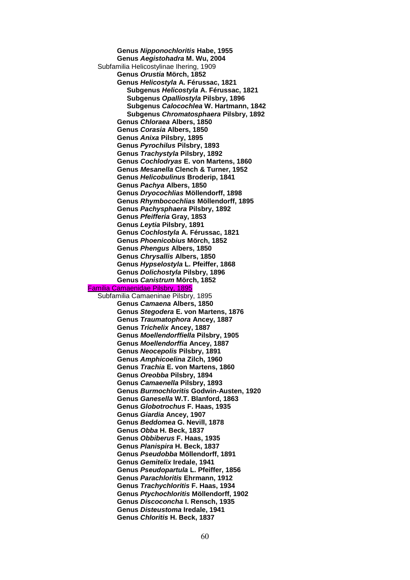**Genus** *Nipponochloritis* **Habe, 1955 Genus** *Aegistohadra* **M. Wu, 2004** Subfamilia Helicostylinae Ihering, 1909 **Genus** *Orustia* **Mörch, 1852 Genus** *Helicostyla* **A. Férussac, 1821 Subgenus** *Helicostyla* **A. Férussac, 1821 Subgenus** *Opalliostyla* **Pilsbry, 1896 Subgenus** *Calocochlea* **W. Hartmann, 1842 Subgenus** *Chromatosphaera* **Pilsbry, 1892 Genus** *Chloraea* **Albers, 1850 Genus** *Corasia* **Albers, 1850 Genus** *Anixa* **Pilsbry, 1895 Genus** *Pyrochilus* **Pilsbry, 1893 Genus** *Trachystyla* **Pilsbry, 1892 Genus** *Cochlodryas* **E. von Martens, 1860 Genus** *Mesanella* **Clench & Turner, 1952 Genus** *Helicobulinus* **Broderip, 1841 Genus** *Pachya* **Albers, 1850 Genus** *Dryocochlias* **Möllendorff, 1898 Genus** *Rhymbocochlias* **Möllendorff, 1895 Genus** *Pachysphaera* **Pilsbry, 1892 Genus** *Pfeifferia* **Gray, 1853 Genus** *Leytia* **Pilsbry, 1891 Genus** *Cochlostyla* **A. Férussac, 1821 Genus** *Phoenicobius* **Mörch, 1852 Genus** *Phengus* **Albers, 1850 Genus** *Chrysallis* **Albers, 1850 Genus** *Hypselostyla* **L. Pfeiffer, 1868 Genus** *Dolichostyla* **Pilsbry, 1896 Genus** *Canistrum* **Mörch, 1852**  Familia Camaenidae Pilsbry, 1895 Subfamilia Camaeninae Pilsbry, 1895 **Genus** *Camaena* **Albers, 1850 Genus** *Stegodera* **E. von Martens, 1876 Genus** *Traumatophora* **Ancey, 1887 Genus** *Trichelix* **Ancey, 1887 Genus** *Moellendorffiella* **Pilsbry, 1905 Genus** *Moellendorffia* **Ancey, 1887 Genus** *Neocepolis* **Pilsbry, 1891 Genus** *Amphicoelina* **Zilch, 1960 Genus** *Trachia* **E. von Martens, 1860 Genus** *Oreobba* **Pilsbry, 1894 Genus** *Camaenella* **Pilsbry, 1893 Genus** *Burmochloritis* **Godwin-Austen, 1920 Genus** *Ganesella* **W.T. Blanford, 1863 Genus** *Globotrochus* **F. Haas, 1935 Genus** *Giardia* **Ancey, 1907 Genus** *Beddomea* **G. Nevill, 1878 Genus** *Obba* **H. Beck, 1837 Genus** *Obbiberus* **F. Haas, 1935 Genus** *Planispira* **H. Beck, 1837 Genus** *Pseudobba* **Möllendorff, 1891 Genus** *Gemitelix* **Iredale, 1941 Genus** *Pseudopartula* **L. Pfeiffer, 1856 Genus** *Parachloritis* **Ehrmann, 1912 Genus** *Trachychloritis* **F. Haas, 1934 Genus** *Ptychochloritis* **Möllendorff, 1902 Genus** *Discoconcha* **I. Rensch, 1935 Genus** *Disteustoma* **Iredale, 1941 Genus** *Chloritis* **H. Beck, 1837**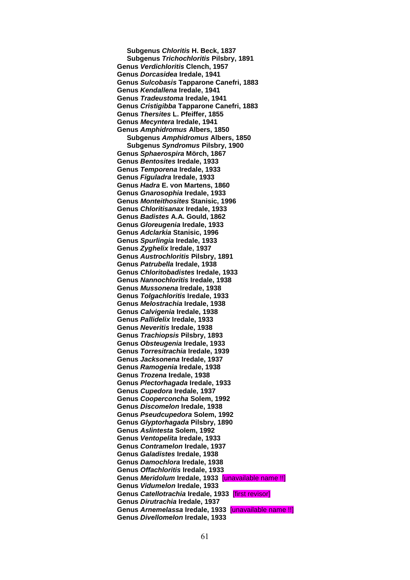**Subgenus** *Chloritis* **H. Beck, 1837 Subgenus** *Trichochloritis* **Pilsbry, 1891 Genus** *Verdichloritis* **Clench, 1957 Genus** *Dorcasidea* **Iredale, 1941 Genus** *Sulcobasis* **Tapparone Canefri, 1883 Genus** *Kendallena* **Iredale, 1941 Genus** *Tradeustoma* **Iredale, 1941 Genus** *Cristigibba* **Tapparone Canefri, 1883 Genus** *Thersites* **L. Pfeiffer, 1855 Genus** *Mecyntera* **Iredale, 1941 Genus** *Amphidromus* **Albers, 1850 Subgenus** *Amphidromus* **Albers, 1850 Subgenus** *Syndromus* **Pilsbry, 1900 Genus** *Sphaerospira* **Mörch, 1867 Genus** *Bentosites* **Iredale, 1933 Genus** *Temporena* **Iredale, 1933 Genus** *Figuladra* **Iredale, 1933 Genus** *Hadra* **E. von Martens, 1860 Genus** *Gnarosophia* **Iredale, 1933 Genus** *Monteithosites* **Stanisic, 1996 Genus** *Chloritisanax* **Iredale, 1933 Genus** *Badistes* **A.A. Gould, 1862 Genus** *Gloreugenia* **Iredale, 1933 Genus** *Adclarkia* **Stanisic, 1996 Genus** *Spurlingia* **Iredale, 1933 Genus** *Zyghelix* **Iredale, 1937 Genus** *Austrochloritis* **Pilsbry, 1891 Genus** *Patrubella* **Iredale, 1938 Genus** *Chloritobadistes* **Iredale, 1933 Genus** *Nannochloritis* **Iredale, 1938 Genus** *Mussonena* **Iredale, 1938 Genus** *Tolgachloritis* **Iredale, 1933 Genus** *Melostrachia* **Iredale, 1938 Genus** *Calvigenia* **Iredale, 1938 Genus** *Pallidelix* **Iredale, 1933 Genus** *Neveritis* **Iredale, 1938 Genus** *Trachiopsis* **Pilsbry, 1893 Genus** *Obsteugenia* **Iredale, 1933 Genus** *Torresitrachia* **Iredale, 1939 Genus** *Jacksonena* **Iredale, 1937 Genus** *Ramogenia* **Iredale, 1938 Genus** *Trozena* **Iredale, 1938 Genus** *Plectorhagada* **Iredale, 1933 Genus** *Cupedora* **Iredale, 1937 Genus** *Cooperconcha* **Solem, 1992 Genus** *Discomelon* **Iredale, 1938 Genus** *Pseudcupedora* **Solem, 1992 Genus** *Glyptorhagada* **Pilsbry, 1890 Genus** *Aslintesta* **Solem, 1992 Genus** *Ventopelita* **Iredale, 1933 Genus** *Contramelon* **Iredale, 1937 Genus** *Galadistes* **Iredale, 1938 Genus** *Damochlora* **Iredale, 1938 Genus** *Offachloritis* **Iredale, 1933 Genus** *Meridolum* **Iredale, 1933** [unavailable name !!] **Genus** *Vidumelon* **Iredale, 1933 Genus** *Catellotrachia* **Iredale, 1933** [first revisor] **Genus** *Dirutrachia* **Iredale, 1937 Genus** *Arnemelassa* **Iredale, 1933** [unavailable name !!] **Genus** *Divellomelon* **Iredale, 1933**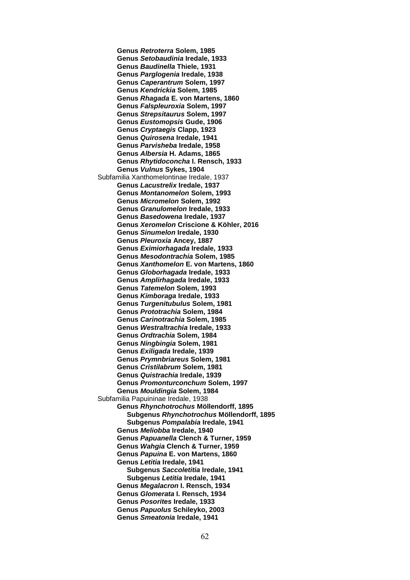**Genus** *Retroterra* **Solem, 1985 Genus** *Setobaudinia* **Iredale, 1933 Genus** *Baudinella* **Thiele, 1931 Genus** *Parglogenia* **Iredale, 1938 Genus** *Caperantrum* **Solem, 1997 Genus** *Kendrickia* **Solem, 1985 Genus** *Rhagada* **E. von Martens, 1860 Genus** *Falspleuroxia* **Solem, 1997 Genus** *Strepsitaurus* **Solem, 1997 Genus** *Eustomopsis* **Gude, 1906 Genus** *Cryptaegis* **Clapp, 1923 Genus** *Quirosena* **Iredale, 1941 Genus** *Parvisheba* **Iredale, 1958 Genus** *Albersia* **H. Adams, 1865 Genus** *Rhytidoconcha* **I. Rensch, 1933 Genus** *Vulnus* **Sykes, 1904** Subfamilia Xanthomelontinae Iredale, 1937 **Genus** *Lacustrelix* **Iredale, 1937 Genus** *Montanomelon* **Solem, 1993 Genus** *Micromelon* **Solem, 1992 Genus** *Granulomelon* **Iredale, 1933 Genus** *Basedowena* **Iredale, 1937 Genus** *Xeromelon* **Criscione & Köhler, 2016 Genus** *Sinumelon* **Iredale, 1930 Genus** *Pleuroxia* **Ancey, 1887 Genus** *Eximiorhagada* **Iredale, 1933 Genus** *Mesodontrachia* **Solem, 1985 Genus** *Xanthomelon* **E. von Martens, 1860 Genus** *Globorhagada* **Iredale, 1933 Genus** *Amplirhagada* **Iredale, 1933 Genus** *Tatemelon* **Solem, 1993 Genus** *Kimboraga* **Iredale, 1933 Genus** *Turgenitubulus* **Solem, 1981 Genus** *Prototrachia* **Solem, 1984 Genus** *Carinotrachia* **Solem, 1985 Genus** *Westraltrachia* **Iredale, 1933 Genus** *Ordtrachia* **Solem, 1984 Genus** *Ningbingia* **Solem, 1981 Genus** *Exiligada* **Iredale, 1939 Genus** *Prymnbriareus* **Solem, 1981 Genus** *Cristilabrum* **Solem, 1981 Genus** *Quistrachia* **Iredale, 1939 Genus** *Promonturconchum* **Solem, 1997 Genus** *Mouldingia* **Solem, 1984** Subfamilia Papuininae Iredale, 1938 **Genus** *Rhynchotrochus* **Möllendorff, 1895 Subgenus** *Rhynchotrochus* **Möllendorff, 1895 Subgenus** *Pompalabia* **Iredale, 1941 Genus** *Meliobba* **Iredale, 1940 Genus** *Papuanella* **Clench & Turner, 1959 Genus** *Wahgia* **Clench & Turner, 1959 Genus** *Papuina* **E. von Martens, 1860 Genus** *Letitia* **Iredale, 1941 Subgenus** *Saccoletitia* **Iredale, 1941 Subgenus** *Letitia* **Iredale, 1941 Genus** *Megalacron* **I. Rensch, 1934 Genus** *Glomerata* **I. Rensch, 1934 Genus** *Posorites* **Iredale, 1933 Genus** *Papuolus* **Schileyko, 2003 Genus** *Smeatonia* **Iredale, 1941**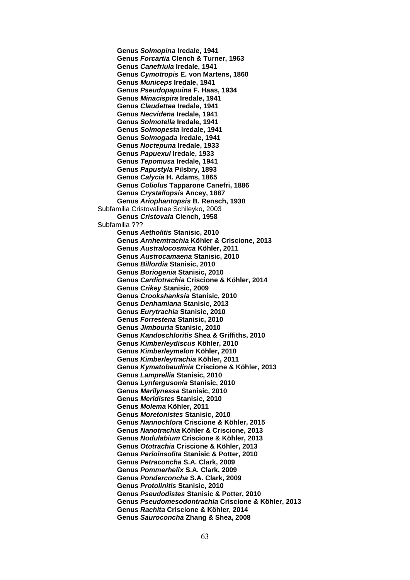**Genus** *Solmopina* **Iredale, 1941 Genus** *Forcartia* **Clench & Turner, 1963 Genus** *Canefriula* **Iredale, 1941 Genus** *Cymotropis* **E. von Martens, 1860 Genus** *Municeps* **Iredale, 1941 Genus** *Pseudopapuina* **F. Haas, 1934 Genus** *Minacispira* **Iredale, 1941 Genus** *Claudettea* **Iredale, 1941 Genus** *Necvidena* **Iredale, 1941 Genus** *Solmotella* **Iredale, 1941 Genus** *Solmopesta* **Iredale, 1941 Genus** *Solmogada* **Iredale, 1941 Genus** *Noctepuna* **Iredale, 1933 Genus** *Papuexul* **Iredale, 1933 Genus** *Tepomusa* **Iredale, 1941 Genus** *Papustyla* **Pilsbry, 1893 Genus** *Calycia* **H. Adams, 1865 Genus** *Coliolus* **Tapparone Canefri, 1886 Genus** *Crystallopsis* **Ancey, 1887 Genus** *Ariophantopsis* **B. Rensch, 1930**  Subfamilia Cristovalinae Schileyko, 2003 **Genus** *Cristovala* **Clench, 1958** Subfamilia ??? **Genus** *Aetholitis* **Stanisic, 2010 Genus** *Arnhemtrachia* **Köhler & Criscione, 2013 Genus** *Australocosmica* **Köhler, 2011 Genus** *Austrocamaena* **Stanisic, 2010 Genus** *Billordia* **Stanisic, 2010 Genus** *Boriogenia* **Stanisic, 2010 Genus** *Cardiotrachia* **Criscione & Köhler, 2014 Genus** *Crikey* **Stanisic, 2009 Genus** *Crookshanksia* **Stanisic, 2010 Genus** *Denhamiana* **Stanisic, 2013 Genus** *Eurytrachia* **Stanisic, 2010 Genus** *Forrestena* **Stanisic, 2010 Genus** *Jimbouria* **Stanisic, 2010 Genus** *Kandoschloritis* **Shea & Griffiths, 2010 Genus** *Kimberleydiscus* **Köhler, 2010 Genus** *Kimberleymelon* **Köhler, 2010 Genus** *Kimberleytrachia* **Köhler, 2011 Genus** *Kymatobaudinia* **Criscione & Köhler, 2013 Genus** *Lamprellia* **Stanisic, 2010 Genus** *Lynfergusonia* **Stanisic, 2010 Genus** *Marilynessa* **Stanisic, 2010 Genus** *Meridistes* **Stanisic, 2010 Genus** *Molema* **Köhler, 2011 Genus** *Moretonistes* **Stanisic, 2010 Genus** *Nannochlora* **Criscione & Köhler, 2015 Genus** *Nanotrachia* **Köhler & Criscione, 2013 Genus** *Nodulabium* **Criscione & Köhler, 2013 Genus** *Ototrachia* **Criscione & Köhler, 2013 Genus** *Perioinsolita* **Stanisic & Potter, 2010 Genus** *Petraconcha* **S.A. Clark, 2009 Genus** *Pommerhelix* **S.A. Clark, 2009 Genus** *Ponderconcha* **S.A. Clark, 2009 Genus** *Protolinitis* **Stanisic, 2010 Genus** *Pseudodistes* **Stanisic & Potter, 2010 Genus** *Pseudomesodontrachia* **Criscione & Köhler, 2013 Genus** *Rachita* **Criscione & Köhler, 2014 Genus** *Sauroconcha* **Zhang & Shea, 2008**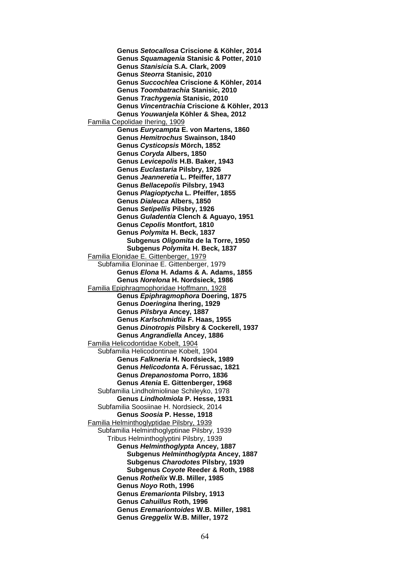**Genus** *Setocallosa* **Criscione & Köhler, 2014 Genus** *Squamagenia* **Stanisic & Potter, 2010 Genus** *Stanisicia* **S.A. Clark, 2009 Genus** *Steorra* **Stanisic, 2010 Genus** *Succochlea* **Criscione & Köhler, 2014 Genus** *Toombatrachia* **Stanisic, 2010 Genus** *Trachygenia* **Stanisic, 2010 Genus** *Vincentrachia* **Criscione & Köhler, 2013 Genus** *Youwanjela* **Köhler & Shea, 2012** Familia Cepolidae Ihering, 1909 **Genus** *Eurycampta* **E. von Martens, 1860 Genus** *Hemitrochus* **Swainson, 1840 Genus** *Cysticopsis* **Mörch, 1852 Genus** *Coryda* **Albers, 1850 Genus** *Levicepolis* **H.B. Baker, 1943 Genus** *Euclastaria* **Pilsbry, 1926 Genus** *Jeanneretia* **L. Pfeiffer, 1877 Genus** *Bellacepolis* **Pilsbry, 1943 Genus** *Plagioptycha* **L. Pfeiffer, 1855 Genus** *Dialeuca* **Albers, 1850 Genus** *Setipellis* **Pilsbry, 1926 Genus** *Guladentia* **Clench & Aguayo, 1951 Genus** *Cepolis* **Montfort, 1810 Genus** *Polymita* **H. Beck, 1837 Subgenus** *Oligomita* **de la Torre, 1950 Subgenus** *Polymita* **H. Beck, 1837** Familia Elonidae E. Gittenberger, 1979 Subfamilia Eloninae E. Gittenberger, 1979 **Genus** *Elona* **H. Adams & A. Adams, 1855 Genus** *Norelona* **H. Nordsieck, 1986** Familia Epiphragmophoridae Hoffmann, 1928 **Genus** *Epiphragmophora* **Doering, 1875 Genus** *Doeringina* **Ihering, 1929 Genus** *Pilsbrya* **Ancey, 1887 Genus** *Karlschmidtia* **F. Haas, 1955 Genus** *Dinotropis* **Pilsbry & Cockerell, 1937 Genus** *Angrandiella* **Ancey, 1886** Familia Helicodontidae Kobelt, 1904 Subfamilia Helicodontinae Kobelt, 1904 **Genus** *Falkneria* **H. Nordsieck, 1989 Genus** *Helicodonta* **A. Férussac, 1821 Genus** *Drepanostoma* **Porro, 1836 Genus** *Atenia* **E. Gittenberger, 1968** Subfamilia Lindholmiolinae Schileyko, 1978 **Genus** *Lindholmiola* **P. Hesse, 1931** Subfamilia Soosiinae H. Nordsieck, 2014 **Genus** *Soosia* **P. Hesse, 1918** Familia Helminthoglyptidae Pilsbry, 1939 Subfamilia Helminthoglyptinae Pilsbry, 1939 Tribus Helminthoglyptini Pilsbry, 1939 **Genus** *Helminthoglypta* **Ancey, 1887 Subgenus** *Helminthoglypta* **Ancey, 1887 Subgenus** *Charodotes* **Pilsbry, 1939 Subgenus** *Coyote* **Reeder & Roth, 1988 Genus** *Rothelix* **W.B. Miller, 1985 Genus** *Noyo* **Roth, 1996 Genus** *Eremarionta* **Pilsbry, 1913 Genus** *Cahuillus* **Roth, 1996 Genus** *Eremariontoides* **W.B. Miller, 1981 Genus** *Greggelix* **W.B. Miller, 1972**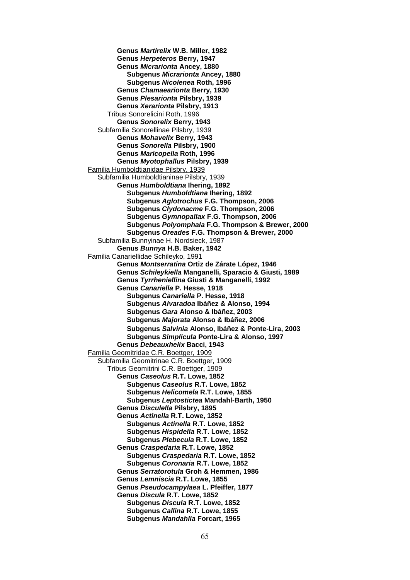**Genus** *Martirelix* **W.B. Miller, 1982 Genus** *Herpeteros* **Berry, 1947 Genus** *Micrarionta* **Ancey, 1880 Subgenus** *Micrarionta* **Ancey, 1880 Subgenus** *Nicolenea* **Roth, 1996 Genus** *Chamaearionta* **Berry, 1930 Genus** *Plesarionta* **Pilsbry, 1939 Genus** *Xerarionta* **Pilsbry, 1913** Tribus Sonorelicini Roth, 1996 **Genus** *Sonorelix* **Berry, 1943** Subfamilia Sonorellinae Pilsbry, 1939 **Genus** *Mohavelix* **Berry, 1943 Genus** *Sonorella* **Pilsbry, 1900 Genus** *Maricopella* **Roth, 1996 Genus** *Myotophallus* **Pilsbry, 1939** Familia Humboldtianidae Pilsbry, 1939 Subfamilia Humboldtianinae Pilsbry, 1939 **Genus** *Humboldtiana* **Ihering, 1892 Subgenus** *Humboldtiana* **Ihering, 1892 Subgenus** *Aglotrochus* **F.G. Thompson, 2006 Subgenus** *Clydonacme* **F.G. Thompson, 2006 Subgenus** *Gymnopallax* **F.G. Thompson, 2006 Subgenus** *Polyomphala* **F.G. Thompson & Brewer, 2000 Subgenus** *Oreades* **F.G. Thompson & Brewer, 2000** Subfamilia Bunnyinae H. Nordsieck, 1987 **Genus** *Bunnya* **H.B. Baker, 1942** Familia Canariellidae Schileyko, 1991 **Genus** *Montserratina* **Ortiz de Zárate López, 1946 Genus** *Schileykiella* **Manganelli, Sparacio & Giusti, 1989 Genus** *Tyrrheniellina* **Giusti & Manganelli, 1992 Genus** *Canariella* **P. Hesse, 1918 Subgenus** *Canariella* **P. Hesse, 1918 Subgenus** *Alvaradoa* **Ibáñez & Alonso, 1994 Subgenus** *Gara* **Alonso & Ibáñez, 2003 Subgenus** *Majorata* **Alonso & Ibáñez, 2006 Subgenus** *Salvinia* **Alonso, Ibáñez & Ponte-Lira, 2003 Subgenus** *Simplicula* **Ponte-Lira & Alonso, 1997 Genus** *Debeauxhelix* **Bacci, 1943** Familia Geomitridae C.R. Boettger, 1909 Subfamilia Geomitrinae C.R. Boettger, 1909 Tribus Geomitrini C.R. Boettger, 1909 **Genus** *Caseolus* **R.T. Lowe, 1852 Subgenus** *Caseolus* **R.T. Lowe, 1852 Subgenus** *Helicomela* **R.T. Lowe, 1855 Subgenus** *Leptostictea* **Mandahl-Barth, 1950 Genus** *Disculella* **Pilsbry, 1895 Genus** *Actinella* **R.T. Lowe, 1852 Subgenus** *Actinella* **R.T. Lowe, 1852 Subgenus** *Hispidella* **R.T. Lowe, 1852 Subgenus** *Plebecula* **R.T. Lowe, 1852 Genus** *Craspedaria* **R.T. Lowe, 1852 Subgenus** *Craspedaria* **R.T. Lowe, 1852 Subgenus** *Coronaria* **R.T. Lowe, 1852 Genus** *Serratorotula* **Groh & Hemmen, 1986 Genus** *Lemniscia* **R.T. Lowe, 1855 Genus** *Pseudocampylaea* **L. Pfeiffer, 1877 Genus** *Discula* **R.T. Lowe, 1852 Subgenus** *Discula* **R.T. Lowe, 1852 Subgenus** *Callina* **R.T. Lowe, 1855 Subgenus** *Mandahlia* **Forcart, 1965**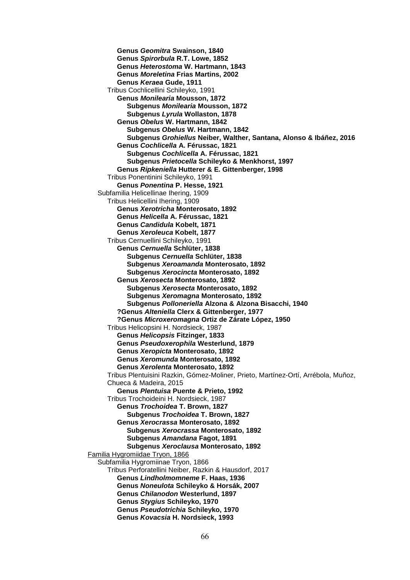**Genus** *Geomitra* **Swainson, 1840 Genus** *Spirorbula* **R.T. Lowe, 1852 Genus** *Heterostoma* **W. Hartmann, 1843 Genus** *Moreletina* **Frias Martins, 2002 Genus** *Keraea* **Gude, 1911** Tribus Cochlicellini Schileyko, 1991 **Genus** *Monilearia* **Mousson, 1872 Subgenus** *Monilearia* **Mousson, 1872 Subgenus** *Lyrula* **Wollaston, 1878 Genus** *Obelus* **W. Hartmann, 1842 Subgenus** *Obelus* **W. Hartmann, 1842 Subgenus** *Grohiellus* **Neiber, Walther, Santana, Alonso & Ibáñez, 2016 Genus** *Cochlicella* **A. Férussac, 1821 Subgenus** *Cochlicella* **A. Férussac, 1821 Subgenus** *Prietocella* **Schileyko & Menkhorst, 1997 Genus** *Ripkeniella* **Hutterer & E. Gittenberger, 1998** Tribus Ponentinini Schileyko, 1991 **Genus** *Ponentina* **P. Hesse, 1921** Subfamilia Helicellinae Ihering, 1909 Tribus Helicellini Ihering, 1909 **Genus** *Xerotricha* **Monterosato, 1892 Genus** *Helicella* **A. Férussac, 1821 Genus** *Candidula* **Kobelt, 1871 Genus** *Xeroleuca* **Kobelt, 1877** Tribus Cernuellini Schileyko, 1991 **Genus** *Cernuella* **Schlüter, 1838 Subgenus** *Cernuella* **Schlüter, 1838 Subgenus** *Xeroamanda* **Monterosato, 1892 Subgenus** *Xerocincta* **Monterosato, 1892 Genus** *Xerosecta* **Monterosato, 1892 Subgenus** *Xerosecta* **Monterosato, 1892 Subgenus** *Xeromagna* **Monterosato, 1892 Subgenus** *Polloneriella* **Alzona & Alzona Bisacchi, 1940 ?Genus** *Alteniella* **Clerx & Gittenberger, 1977 ?Genus** *Microxeromagna* **Ortiz de Zárate López, 1950** Tribus Helicopsini H. Nordsieck, 1987 **Genus** *Helicopsis* **Fitzinger, 1833 Genus** *Pseudoxerophila* **Westerlund, 1879 Genus** *Xeropicta* **Monterosato, 1892 Genus** *Xeromunda* **Monterosato, 1892 Genus** *Xerolenta* **Monterosato, 1892** Tribus Plentuisini Razkin, Gómez-Moliner, Prieto, Martínez-Ortí, Arrébola, Muñoz, Chueca & Madeira, 2015 **Genus** *Plentuisa* **Puente & Prieto, 1992** Tribus Trochoideini H. Nordsieck, 1987 **Genus** *Trochoidea* **T. Brown, 1827 Subgenus** *Trochoidea* **T. Brown, 1827 Genus** *Xerocrassa* **Monterosato, 1892 Subgenus** *Xerocrassa* **Monterosato, 1892 Subgenus** *Amandana* **Fagot, 1891 Subgenus** *Xeroclausa* **Monterosato, 1892** Familia Hygromiidae Tryon, 1866 Subfamilia Hygromiinae Tryon, 1866 Tribus Perforatellini Neiber, Razkin & Hausdorf, 2017 **Genus** *Lindholmomneme* **F. Haas, 1936 Genus** *Noneulota* **Schileyko & Horsák, 2007 Genus** *Chilanodon* **Westerlund, 1897 Genus** *Stygius* **Schileyko, 1970 Genus** *Pseudotrichia* **Schileyko, 1970 Genus** *Kovacsia* **H. Nordsieck, 1993**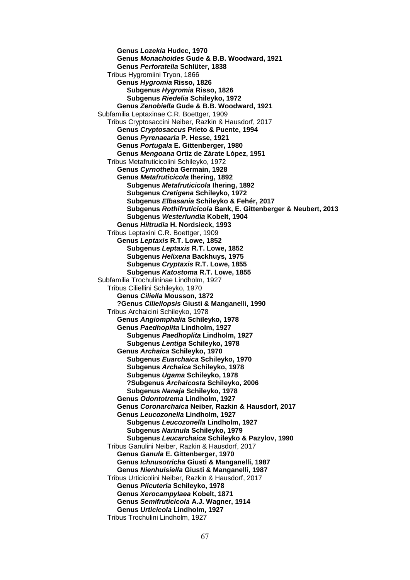**Genus** *Lozekia* **Hudec, 1970 Genus** *Monachoides* **Gude & B.B. Woodward, 1921 Genus** *Perforatella* **Schlüter, 1838** Tribus Hygromiini Tryon, 1866 **Genus** *Hygromia* **Risso, 1826 Subgenus** *Hygromia* **Risso, 1826 Subgenus** *Riedelia* **Schileyko, 1972 Genus** *Zenobiella* **Gude & B.B. Woodward, 1921** Subfamilia Leptaxinae C.R. Boettger, 1909 Tribus Cryptosaccini Neiber, Razkin & Hausdorf, 2017 **Genus** *Cryptosaccus* **Prieto & Puente, 1994 Genus** *Pyrenaearia* **P. Hesse, 1921 Genus** *Portugala* **E. Gittenberger, 1980 Genus** *Mengoana* **Ortiz de Zárate López, 1951** Tribus Metafruticicolini Schileyko, 1972 **Genus** *Cyrnotheba* **Germain, 1928 Genus** *Metafruticicola* **Ihering, 1892 Subgenus** *Metafruticicola* **Ihering, 1892 Subgenus** *Cretigena* **Schileyko, 1972 Subgenus** *Elbasania* **Schileyko & Fehér, 2017 Subgenus** *Rothifruticicola* **Bank, E. Gittenberger & Neubert, 2013 Subgenus** *Westerlundia* **Kobelt, 1904 Genus** *Hiltrudia* **H. Nordsieck, 1993** Tribus Leptaxini C.R. Boettger, 1909 **Genus** *Leptaxis* **R.T. Lowe, 1852 Subgenus** *Leptaxis* **R.T. Lowe, 1852 Subgenus** *Helixena* **Backhuys, 1975 Subgenus** *Cryptaxis* **R.T. Lowe, 1855 Subgenus** *Katostoma* **R.T. Lowe, 1855** Subfamilia Trochulininae Lindholm, 1927 Tribus Ciliellini Schileyko, 1970 **Genus** *Ciliella* **Mousson, 1872 ?Genus** *Ciliellopsis* **Giusti & Manganelli, 1990** Tribus Archaicini Schileyko, 1978 **Genus** *Angiomphalia* **Schileyko, 1978 Genus** *Paedhoplita* **Lindholm, 1927 Subgenus** *Paedhoplita* **Lindholm, 1927 Subgenus** *Lentiga* **Schileyko, 1978 Genus** *Archaica* **Schileyko, 1970 Subgenus** *Euarchaica* **Schileyko, 1970 Subgenus** *Archaica* **Schileyko, 1978 Subgenus** *Ugama* **Schileyko, 1978 ?Subgenus** *Archaicosta* **Schileyko, 2006 Subgenus** *Nanaja* **Schileyko, 1978 Genus** *Odontotrema* **Lindholm, 1927 Genus** *Coronarchaica* **Neiber, Razkin & Hausdorf, 2017 Genus** *Leucozonella* **Lindholm, 1927 Subgenus** *Leucozonella* **Lindholm, 1927 Subgenus** *Narinula* **Schileyko, 1979 Subgenus** *Leucarchaica* **Schileyko & Pazylov, 1990** Tribus Ganulini Neiber, Razkin & Hausdorf, 2017 **Genus** *Ganula* **E. Gittenberger, 1970 Genus** *Ichnusotricha* **Giusti & Manganelli, 1987 Genus** *Nienhuisiella* **Giusti & Manganelli, 1987** Tribus Urticicolini Neiber, Razkin & Hausdorf, 2017 **Genus** *Plicuteria* **Schileyko, 1978 Genus** *Xerocampylaea* **Kobelt, 1871 Genus** *Semifruticicola* **A.J. Wagner, 1914 Genus** *Urticicola* **Lindholm, 1927** Tribus Trochulini Lindholm, 1927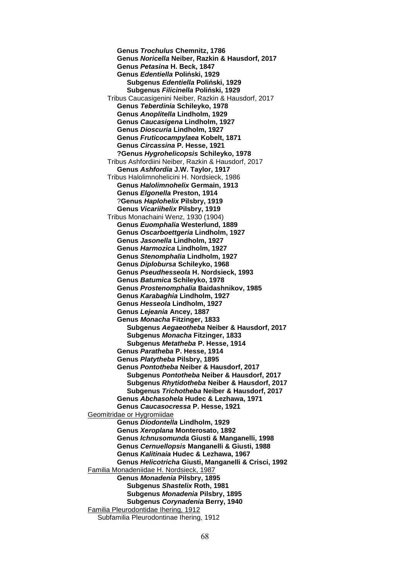**Genus** *Trochulus* **Chemnitz, 1786 Genus** *Noricella* **Neiber, Razkin & Hausdorf, 2017 Genus** *Petasina* **H. Beck, 1847 Genus** *Edentiella* **Poliński, 1929 Subgenus** *Edentiella* **Poliński, 1929 Subgenus** *Filicinella* **Poliński, 1929** Tribus Caucasigenini Neiber, Razkin & Hausdorf, 2017 **Genus** *Teberdinia* **Schileyko, 1978 Genus** *Anoplitella* **Lindholm, 1929 Genus** *Caucasigena* **Lindholm, 1927 Genus** *Dioscuria* **Lindholm, 1927 Genus** *Fruticocampylaea* **Kobelt, 1871 Genus** *Circassina* **P. Hesse, 1921 ?Genus** *Hygrohelicopsis* **Schileyko, 1978** Tribus Ashfordiini Neiber, Razkin & Hausdorf, 2017 **Genus** *Ashfordia* **J.W. Taylor, 1917** Tribus Halolimnohelicini H. Nordsieck, 1986 **Genus** *Halolimnohelix* **Germain, 1913 Genus** *Elgonella* **Preston, 1914** ?**Genus** *Haplohelix* **Pilsbry, 1919 Genus** *Vicariihelix* **Pilsbry, 1919** Tribus Monachaini Wenz, 1930 (1904) **Genus** *Euomphalia* **Westerlund, 1889 Genus** *Oscarboettgeria* **Lindholm, 1927 Genus** *Jasonella* **Lindholm, 1927 Genus** *Harmozica* **Lindholm, 1927 Genus** *Stenomphalia* **Lindholm, 1927 Genus** *Diplobursa* **Schileyko, 1968 Genus** *Pseudhesseola* **H. Nordsieck, 1993 Genus** *Batumica* **Schileyko, 1978 Genus** *Prostenomphalia* **Baidashnikov, 1985 Genus** *Karabaghia* **Lindholm, 1927 Genus** *Hesseola* **Lindholm, 1927 Genus** *Lejeania* **Ancey, 1887 Genus** *Monacha* **Fitzinger, 1833 Subgenus** *Aegaeotheba* **Neiber & Hausdorf, 2017 Subgenus** *Monacha* **Fitzinger, 1833 Subgenus** *Metatheba* **P. Hesse, 1914 Genus** *Paratheba* **P. Hesse, 1914 Genus** *Platytheba* **Pilsbry, 1895 Genus** *Pontotheba* **Neiber & Hausdorf, 2017 Subgenus** *Pontotheba* **Neiber & Hausdorf, 2017 Subgenus** *Rhytidotheba* **Neiber & Hausdorf, 2017 Subgenus** *Trichotheba* **Neiber & Hausdorf, 2017 Genus** *Abchasohela* **Hudec & Lezhawa, 1971 Genus** *Caucasocressa* **P. Hesse, 1921** Geomitridae or Hygromiidae **Genus** *Diodontella* **Lindholm, 1929 Genus** *Xeroplana* **Monterosato, 1892 Genus** *Ichnusomunda* **Giusti & Manganelli, 1998 Genus** *Cernuellopsis* **Manganelli & Giusti, 1988 Genus** *Kalitinaia* **Hudec & Lezhawa, 1967 Genus** *Helicotricha* **Giusti, Manganelli & Crisci, 1992** Familia Monadeniidae H. Nordsieck, 1987 **Genus** *Monadenia* **Pilsbry, 1895 Subgenus** *Shastelix* **Roth, 1981 Subgenus** *Monadenia* **Pilsbry, 1895 Subgenus** *Corynadenia* **Berry, 1940** Familia Pleurodontidae Ihering, 1912 Subfamilia Pleurodontinae Ihering, 1912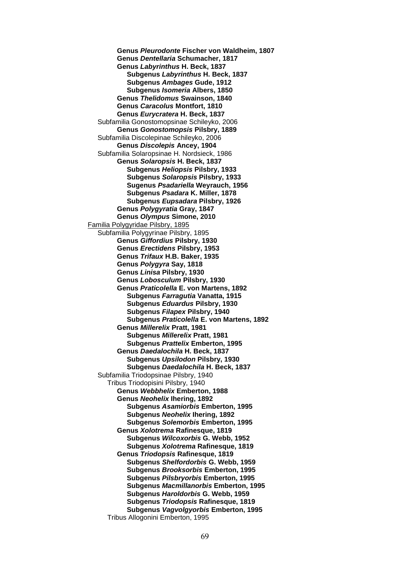**Genus** *Pleurodonte* **Fischer von Waldheim, 1807 Genus** *Dentellaria* **Schumacher, 1817 Genus** *Labyrinthus* **H. Beck, 1837 Subgenus** *Labyrinthus* **H. Beck, 1837 Subgenus** *Ambages* **Gude, 1912 Subgenus** *Isomeria* **Albers, 1850 Genus** *Thelidomus* **Swainson, 1840 Genus** *Caracolus* **Montfort, 1810 Genus** *Eurycratera* **H. Beck, 1837** Subfamilia Gonostomopsinae Schileyko, 2006 **Genus** *Gonostomopsis* **Pilsbry, 1889** Subfamilia Discolepinae Schileyko, 2006 **Genus** *Discolepis* **Ancey, 1904** Subfamilia Solaropsinae H. Nordsieck, 1986 **Genus** *Solaropsis* **H. Beck, 1837 Subgenus** *Heliopsis* **Pilsbry, 1933 Subgenus** *Solaropsis* **Pilsbry, 1933 Sugenus** *Psadariella* **Weyrauch, 1956 Subgenus** *Psadara* **K. Miller, 1878 Subgenus** *Eupsadara* **Pilsbry, 1926 Genus** *Polygyratia* **Gray, 1847 Genus** *Olympus* **Simone, 2010** Familia Polygyridae Pilsbry, 1895 Subfamilia Polygyrinae Pilsbry, 1895 **Genus** *Giffordius* **Pilsbry, 1930 Genus** *Erectidens* **Pilsbry, 1953 Genus** *Trifaux* **H.B. Baker, 1935 Genus** *Polygyra* **Say, 1818 Genus** *Linisa* **Pilsbry, 1930 Genus** *Lobosculum* **Pilsbry, 1930 Genus** *Praticolella* **E. von Martens, 1892 Subgenus** *Farragutia* **Vanatta, 1915 Subgenus** *Eduardus* **Pilsbry, 1930 Subgenus** *Filapex* **Pilsbry, 1940 Subgenus** *Praticolella* **E. von Martens, 1892 Genus** *Millerelix* **Pratt, 1981 Subgenus** *Millerelix* **Pratt, 1981 Subgenus** *Prattelix* **Emberton, 1995 Genus** *Daedalochila* **H. Beck, 1837 Subgenus** *Upsilodon* **Pilsbry, 1930 Subgenus** *Daedalochila* **H. Beck, 1837** Subfamilia Triodopsinae Pilsbry, 1940 Tribus Triodopisini Pilsbry, 1940 **Genus** *Webbhelix* **Emberton, 1988 Genus** *Neohelix* **Ihering, 1892 Subgenus** *Asamiorbis* **Emberton, 1995 Subgenus** *Neohelix* **Ihering, 1892 Subgenus** *Solemorbis* **Emberton, 1995 Genus** *Xolotrema* **Rafinesque, 1819 Subgenus** *Wilcoxorbis* **G. Webb, 1952 Subgenus** *Xolotrema* **Rafinesque, 1819 Genus** *Triodopsis* **Rafinesque, 1819 Subgenus** *Shelfordorbis* **G. Webb, 1959 Subgenus** *Brooksorbis* **Emberton, 1995 Subgenus** *Pilsbryorbis* **Emberton, 1995 Subgenus** *Macmillanorbis* **Emberton, 1995 Subgenus** *Haroldorbis* **G. Webb, 1959 Subgenus** *Triodopsis* **Rafinesque, 1819 Subgenus** *Vagvolgyorbis* **Emberton, 1995** Tribus Allogonini Emberton, 1995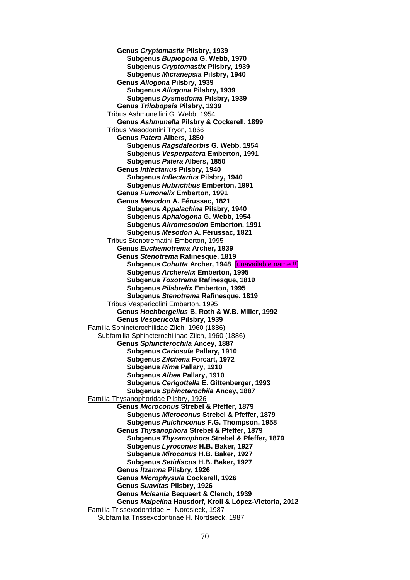**Genus** *Cryptomastix* **Pilsbry, 1939 Subgenus** *Bupiogona* **G. Webb, 1970 Subgenus** *Cryptomastix* **Pilsbry, 1939 Subgenus** *Micranepsia* **Pilsbry, 1940 Genus** *Allogona* **Pilsbry, 1939 Subgenus** *Allogona* **Pilsbry, 1939 Subgenus** *Dysmedoma* **Pilsbry, 1939 Genus** *Trilobopsis* **Pilsbry, 1939** Tribus Ashmunellini G. Webb, 1954 **Genus** *Ashmunella* **Pilsbry & Cockerell, 1899** Tribus Mesodontini Tryon, 1866 **Genus** *Patera* **Albers, 1850 Subgenus** *Ragsdaleorbis* **G. Webb, 1954 Subgenus** *Vesperpatera* **Emberton, 1991 Subgenus** *Patera* **Albers, 1850 Genus** *Inflectarius* **Pilsbry, 1940 Subgenus** *Inflectarius* **Pilsbry, 1940 Subgenus** *Hubrichtius* **Emberton, 1991 Genus** *Fumonelix* **Emberton, 1991 Genus** *Mesodon* **A. Férussac, 1821 Subgenus** *Appalachina* **Pilsbry, 1940 Subgenus** *Aphalogona* **G. Webb, 1954 Subgenus** *Akromesodon* **Emberton, 1991 Subgenus** *Mesodon* **A. Férussac, 1821** Tribus Stenotrematini Emberton, 1995 **Genus** *Euchemotrema* **Archer, 1939 Genus** *Stenotrema* **Rafinesque, 1819 Subgenus** *Cohutta* **Archer, 1948** [unavailable name !!] **Subgenus** *Archerelix* **Emberton, 1995 Subgenus** *Toxotrema* **Rafinesque, 1819 Subgenus** *Pilsbrelix* **Emberton, 1995 Subgenus** *Stenotrema* **Rafinesque, 1819** Tribus Vespericolini Emberton, 1995 **Genus** *Hochbergellus* **B. Roth & W.B. Miller, 1992 Genus** *Vespericola* **Pilsbry, 1939** Familia Sphincterochilidae Zilch, 1960 (1886) Subfamilia Sphincterochilinae Zilch, 1960 (1886) **Genus** *Sphincterochila* **Ancey, 1887 Subgenus** *Cariosula* **Pallary, 1910 Subgenus** *Zilchena* **Forcart, 1972 Subgenus** *Rima* **Pallary, 1910 Subgenus** *Albea* **Pallary, 1910 Subgenus** *Cerigottella* **E. Gittenberger, 1993 Subgenus** *Sphincterochila* **Ancey, 1887** Familia Thysanophoridae Pilsbry, 1926 **Genus** *Microconus* **Strebel & Pfeffer, 1879 Subgenus** *Microconus* **Strebel & Pfeffer, 1879 Subgenus** *Pulchriconus* **F.G. Thompson, 1958 Genus** *Thysanophora* **Strebel & Pfeffer, 1879 Subgenus** *Thysanophora* **Strebel & Pfeffer, 1879 Subgenus** *Lyroconus* **H.B. Baker, 1927 Subgenus** *Miroconus* **H.B. Baker, 1927 Subgenus** *Setidiscus* **H.B. Baker, 1927 Genus** *Itzamna* **Pilsbry, 1926 Genus** *Microphysula* **Cockerell, 1926 Genus** *Suavitas* **Pilsbry, 1926 Genus** *Mcleania* **Bequaert & Clench, 1939 Genus** *Malpelina* **Hausdorf, Kroll & López-Victoria, 2012** Familia Trissexodontidae H. Nordsieck, 1987 Subfamilia Trissexodontinae H. Nordsieck, 1987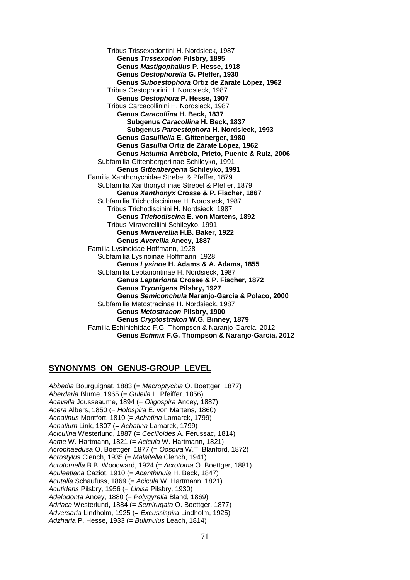Tribus Trissexodontini H. Nordsieck, 1987 **Genus** *Trissexodon* **Pilsbry, 1895 Genus** *Mastigophallus* **P. Hesse, 1918 Genus** *Oestophorella* **G. Pfeffer, 1930 Genus** *Suboestophora* **Ortiz de Zárate López, 1962** Tribus Oestophorini H. Nordsieck, 1987 **Genus** *Oestophora* **P. Hesse, 1907** Tribus Carcacollinini H. Nordsieck, 1987 **Genus** *Caracollina* **H. Beck, 1837 Subgenus** *Caracollina* **H. Beck, 1837 Subgenus** *Paroestophora* **H. Nordsieck, 1993 Genus** *Gasulliella* **E. Gittenberger, 1980 Genus** *Gasullia* **Ortiz de Zárate López, 1962 Genus** *Hatumia* **Arrébola, Prieto, Puente & Ruiz, 2006** Subfamilia Gittenbergeriinae Schileyko, 1991 **Genus** *Gittenbergeria* **Schileyko, 1991** Familia Xanthonychidae Strebel & Pfeffer, 1879 Subfamilia Xanthonychinae Strebel & Pfeffer, 1879 **Genus** *Xanthonyx* **Crosse & P. Fischer, 1867** Subfamilia Trichodiscininae H. Nordsieck, 1987 Tribus Trichodiscinini H. Nordsieck, 1987 **Genus** *Trichodiscina* **E. von Martens, 1892** Tribus Miraverelliini Schileyko, 1991 **Genus** *Miraverellia* **H.B. Baker, 1922 Genus** *Averellia* **Ancey, 1887** Familia Lysinoidae Hoffmann, 1928 Subfamilia Lysinoinae Hoffmann, 1928 **Genus** *Lysinoe* **H. Adams & A. Adams, 1855** Subfamilia Leptariontinae H. Nordsieck, 1987 **Genus** *Leptarionta* **Crosse & P. Fischer, 1872 Genus** *Tryonigens* **Pilsbry, 1927 Genus** *Semiconchula* **Naranjo-Garcia & Polaco, 2000** Subfamilia Metostracinae H. Nordsieck, 1987 **Genus** *Metostracon* **Pilsbry, 1900 Genus** *Cryptostrakon* **W.G. Binney, 1879** Familia Echinichidae F.G. Thompson & Naranjo-García, 2012 **Genus** *Echinix* **F.G. Thompson & Naranjo-García, 2012**

# **SYNONYMS ON GENUS-GROUP LEVEL**

*Abbadia* Bourguignat, 1883 (= *Macroptychia* O. Boettger, 1877) *Aberdaria* Blume, 1965 (= *Gulella* L. Pfeiffer, 1856) *Acavella* Jousseaume, 1894 (= *Oligospira* Ancey, 1887) *Acera* Albers, 1850 (= *Holospira* E. von Martens, 1860) *Achatinus* Montfort, 1810 (= *Achatina* Lamarck, 1799) *Achatium* Link, 1807 (= *Achatina* Lamarck, 1799) *Aciculina* Westerlund, 1887 (= *Cecilioides* A. Férussac, 1814) *Acme* W. Hartmann, 1821 (= *Acicula* W. Hartmann, 1821) *Acrophaedusa* O. Boettger, 1877 (= *Oospira* W.T. Blanford, 1872) *Acrostylus* Clench, 1935 (= *Malaitella* Clench, 1941) *Acrotomella* B.B. Woodward, 1924 (= *Acrotoma* O. Boettger, 1881) *Aculeatiana* Caziot, 1910 (= *Acanthinula* H. Beck, 1847) *Acutalia* Schaufuss, 1869 (= *Acicula* W. Hartmann, 1821) *Acutidens* Pilsbry, 1956 (= *Linisa* Pilsbry, 1930) *Adelodonta* Ancey, 1880 (= *Polygyrella* Bland, 1869) *Adriaca* Westerlund, 1884 (= *Semirugata* O. Boettger, 1877) *Adversaria* Lindholm, 1925 (= *Excussispira* Lindholm, 1925) *Adzharia* P. Hesse, 1933 (= *Bulimulus* Leach, 1814)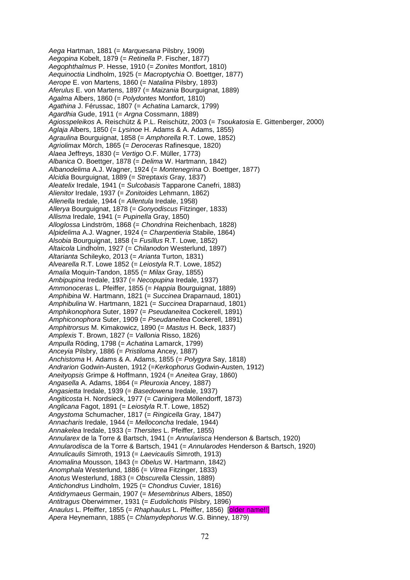*Aega* Hartman, 1881 (= *Marquesana* Pilsbry, 1909) *Aegopina* Kobelt, 1879 (= *Retinella* P. Fischer, 1877) *Aegophthalmus* P. Hesse, 1910 (= *Zonites* Montfort, 1810) *Aequinoctia* Lindholm, 1925 (= *Macroptychia* O. Boettger, 1877) *Aerope* E. von Martens, 1860 (= *Natalina* Pilsbry, 1893) *Aferulus* E. von Martens, 1897 (= *Maizania* Bourguignat, 1889) *Agalma* Albers, 1860 (= *Polydontes* Montfort, 1810) *Agathina* J. Férussac, 1807 (= *Achatina* Lamarck, 1799) *Agardhia* Gude, 1911 (= *Argna* Cossmann, 1889) *Agiosspeleikos* A. Reischütz & P.L. Reischütz, 2003 (= *Tsoukatosia* E. Gittenberger, 2000) *Aglaja* Albers, 1850 (= *Lysinoe* H. Adams & A. Adams, 1855) *Agraulina* Bourguignat, 1858 (= *Amphorella* R.T. Lowe, 1852) *Agriolimax* Mörch, 1865 (= *Deroceras* Rafinesque, 1820) *Alaea* Jeffreys, 1830 (= *Vertigo* O.F. Müller, 1773) *Albanica* O. Boettger, 1878 (= *Delima* W. Hartmann, 1842) *Albanodelima* A.J. Wagner, 1924 (= *Montenegrina* O. Boettger, 1877) *Alcidia* Bourguignat, 1889 (= *Streptaxis* Gray, 1837) *Aleatelix* Iredale, 1941 (= *Sulcobasis* Tapparone Canefri, 1883) *Alienitor* Iredale, 1937 (= *Zonitoides* Lehmann, 1862) *Allenella* Iredale, 1944 (= *Allentula* Iredale, 1958) *Allerya* Bourguignat, 1878 (= *Gonyodiscus* Fitzinger, 1833) *Allisma* Iredale, 1941 (= *Pupinella* Gray, 1850) *Alloglossa* Lindström, 1868 (= *Chondrina* Reichenbach, 1828) *Alpidelima* A.J. Wagner, 1924 (= *Charpentieria* Stabile, 1864) *Alsobia* Bourguignat, 1858 (= *Fusillus* R.T. Lowe, 1852) *Altaicola* Lindholm, 1927 (= *Chilanodon* Westerlund, 1897) *Altarianta* Schileyko, 2013 (= *Arianta* Turton, 1831) *Alvearella* R.T. Lowe 1852 (= *Leiostyla* R.T. Lowe, 1852) *Amalia* Moquin-Tandon, 1855 (= *Milax* Gray, 1855) *Ambipupina* Iredale, 1937 (= *Necopupina* Iredale, 1937) *Ammonoceras* L. Pfeiffer, 1855 (= *Happia* Bourguignat, 1889) *Amphibina* W. Hartmann, 1821 (= *Succinea* Draparnaud, 1801) *Amphibulina* W. Hartmann, 1821 (= *Succinea* Draparnaud, 1801) *Amphikonophora* Suter, 1897 (= *Pseudaneitea* Cockerell, 1891) *Amphiconophora* Suter, 1909 (= *Pseudaneitea* Cockerell, 1891) *Amphitrorsus* M. Kimakowicz, 1890 (= *Mastus* H. Beck, 1837) *Amplexis* T. Brown, 1827 (= *Vallonia* Risso, 1826) *Ampulla* Röding, 1798 (= *Achatina* Lamarck, 1799) *Anceyia* Pilsbry, 1886 (= *Pristiloma* Ancey, 1887) *Anchistoma* H. Adams & A. Adams, 1855 (= *Polygyra* Say, 1818) *Andrarion* Godwin-Austen, 1912 (=*Kerkophorus* Godwin-Austen, 1912) *Aneityopsis* Grimpe & Hoffmann, 1924 (= *Aneitea* Gray, 1860) *Angasella* A. Adams, 1864 (= *Pleuroxia* Ancey, 1887) *Angasietta* Iredale, 1939 (= *Basedowena* Iredale, 1937) *Angiticosta* H. Nordsieck, 1977 (= *Carinigera* Möllendorff, 1873) *Anglicana* Fagot, 1891 (= *Leiostyla* R.T. Lowe, 1852) *Angystoma* Schumacher, 1817 (= *Ringicella* Gray, 1847) *Annacharis* Iredale, 1944 (= *Melloconcha* Iredale, 1944) *Annakelea* Iredale, 1933 (= *Thersites* L. Pfeiffer, 1855) *Annularex* de la Torre & Bartsch, 1941 (= *Annularisca* Henderson & Bartsch, 1920) *Annularodisca* de la Torre & Bartsch, 1941 (= *Annularodes* Henderson & Bartsch, 1920) *Annulicaulis* Simroth, 1913 (= *Laevicaulis* Simroth, 1913) *Anomalina* Mousson, 1843 (= *Obelus* W. Hartmann, 1842) *Anomphala* Westerlund, 1886 (= *Vitrea* Fitzinger, 1833) *Anotus* Westerlund, 1883 (= *Obscurella* Clessin, 1889) *Antichondrus* Lindholm, 1925 (= *Chondrus* Cuvier, 1816) *Antidrymaeus* Germain, 1907 (= *Mesembrinus* Albers, 1850) *Antitragus* Oberwimmer, 1931 (= *Eudolichotis* Pilsbry, 1896) *Anaulus* L. Pfeiffer, 1855 (= *Rhaphaulus* L. Pfeiffer, 1856) [older name!!] *Apera* Heynemann, 1885 (= *Chlamydephorus* W.G. Binney, 1879)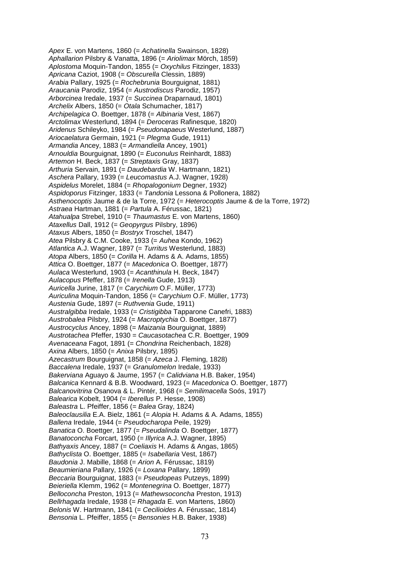*Apex* E. von Martens, 1860 (= *Achatinella* Swainson, 1828) *Aphallarion* Pilsbry & Vanatta, 1896 (= *Ariolimax* Mörch, 1859) *Aplostoma* Moquin-Tandon, 1855 (= *Oxychilus* Fitzinger, 1833) *Apricana* Caziot, 1908 (= *Obscurella* Clessin, 1889) *Arabia* Pallary, 1925 (= *Rochebrunia* Bourguignat, 1881) *Araucania* Parodiz, 1954 (= *Austrodiscus* Parodiz, 1957) *Arborcinea* Iredale, 1937 (= *Succinea* Draparnaud, 1801) *Archelix* Albers, 1850 (= *Otala* Schumacher, 1817) *Archipelagica* O. Boettger, 1878 (= *Albinaria* Vest, 1867) *Arctolimax* Westerlund, 1894 (= *Deroceras* Rafinesque, 1820) *Aridenus* Schileyko, 1984 (= *Pseudonapaeus* Westerlund, 1887) *Ariocaelatura* Germain, 1921 (= *Plegma* Gude, 1911) *Armandia* Ancey, 1883 (= *Armandiella* Ancey, 1901) *Arnouldia* Bourguignat, 1890 (= *Euconulus* Reinhardt, 1883) *Artemon* H. Beck, 1837 (= *Streptaxis* Gray, 1837) *Arthuria* Servain, 1891 (= *Daudebardia* W. Hartmann, 1821) *Aschera* Pallary, 1939 (= *Leucomastus* A.J. Wagner, 1928) *Aspidelus* Morelet, 1884 (= *Rhopalogonium* Degner, 1932) *Aspidoporus* Fitzinger, 1833 (= *Tandonia* Lessona & Pollonera, 1882) *Asthenocoptis* Jaume & de la Torre, 1972 (= *Heterocoptis* Jaume & de la Torre, 1972) *Astraea* Hartman, 1881 (= *Partula* A. Férussac, 1821) *Atahualpa* Strebel, 1910 (= *Thaumastus* E. von Martens, 1860) *Ataxellus* Dall, 1912 (= *Geopyrgus* Pilsbry, 1896) *Ataxus* Albers, 1850 (= *Bostryx* Troschel, 1847) *Atea* Pilsbry & C.M. Cooke, 1933 (= *Auhea* Kondo, 1962) *Atlantica* A.J. Wagner, 1897 (= *Turritus* Westerlund, 1883) *Atopa* Albers, 1850 (= *Corilla* H. Adams & A. Adams, 1855) *Attica* O. Boettger, 1877 (= *Macedonica* O. Boettger, 1877) *Aulaca* Westerlund, 1903 (= *Acanthinula* H. Beck, 1847) *Aulacopus* Pfeffer, 1878 (= *Irenella* Gude, 1913) *Auricella* Jurine, 1817 (= *Carychium* O.F. Müller, 1773) *Auriculina* Moquin-Tandon, 1856 (= *Carychium* O.F. Müller, 1773) *Austenia* Gude, 1897 (= *Ruthvenia* Gude, 1911) *Australgibba* Iredale, 1933 (= *Cristigibba* Tapparone Canefri, 1883) *Austrobalea* Pilsbry, 1924 (= *Macroptychia* O. Boettger, 1877) *Austrocyclus* Ancey, 1898 (= *Maizania* Bourguignat, 1889) *Austrotachea* Pfeffer, 1930 = *Caucasotachea* C.R. Boettger, 1909 *Avenaceana* Fagot, 1891 (= *Chondrina* Reichenbach, 1828) *Axina* Albers, 1850 (= *Anixa* Pilsbry, 1895) *Azecastrum* Bourguignat, 1858 (= *Azeca* J. Fleming, 1828) *Baccalena* Iredale, 1937 (= *Granulomelon* Iredale, 1933) *Bakerviana* Aguayo & Jaume, 1957 (= *Calidviana* H.B. Baker, 1954) *Balcanica* Kennard & B.B. Woodward, 1923 (= *Macedonica* O. Boettger, 1877) *Balcanovitrina* Osanova & L. Pintér, 1968 (= *Semilimacella* Soós, 1917) *Balearica* Kobelt, 1904 (= *Iberellus* P. Hesse, 1908) *Baleastra* L. Pfeiffer, 1856 (= *Balea* Gray, 1824) *Baleoclausilia* E.A. Bielz, 1861 (= *Alopia* H. Adams & A. Adams, 1855) *Ballena* Iredale, 1944 (= *Pseudocharopa* Peile, 1929) *Banatica* O. Boettger, 1877 (= *Pseudalinda* O. Boettger, 1877) *Banatoconcha* Forcart, 1950 (= *Illyrica* A.J. Wagner, 1895) *Bathyaxis* Ancey, 1887 (= *Coeliaxis* H. Adams & Angas, 1865) *Bathyclista* O. Boettger, 1885 (= *Isabellaria* Vest, 1867) *Baudonia* J. Mabille, 1868 (= *Arion* A. Férussac, 1819) *Beaumieriana* Pallary, 1926 (= *Loxana* Pallary, 1899) *Beccaria* Bourguignat, 1883 (= *Pseudopeas* Putzeys, 1899) *Beieriella* Klemm, 1962 (= *Montenegrina* O. Boettger, 1877) *Belloconcha* Preston, 1913 (= *Mathewsoconcha* Preston, 1913) *Bellrhagada* Iredale, 1938 (= *Rhagada* E. von Martens, 1860) *Belonis* W. Hartmann, 1841 (= *Cecilioides* A. Férussac, 1814) *Bensonia* L. Pfeiffer, 1855 (= *Bensonies* H.B. Baker, 1938)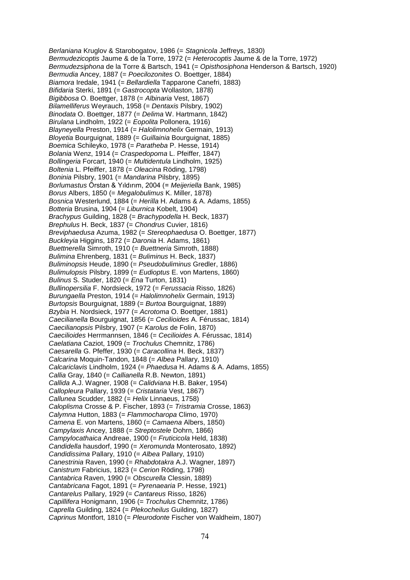*Berlaniana* Kruglov & Starobogatov, 1986 (= *Stagnicola* Jeffreys, 1830) *Bermudezicoptis* Jaume & de la Torre, 1972 (= *Heterocoptis* Jaume & de la Torre, 1972) *Bermudezsiphona* de la Torre & Bartsch, 1941 (= *Opisthosiphona* Henderson & Bartsch, 1920) *Bermudia* Ancey, 1887 (= *Poecilozonites* O. Boettger, 1884) *Biamora* Iredale, 1941 (= *Bellardiella* Tapparone Canefri, 1883) *Bifidaria* Sterki, 1891 (= *Gastrocopta* Wollaston, 1878) *Bigibbosa* O. Boettger, 1878 (= *Albinaria* Vest, 1867) *Bilamelliferus* Weyrauch, 1958 (= *Dentaxis* Pilsbry, 1902) *Binodata* O. Boettger, 1877 (= *Delima* W. Hartmann, 1842) *Birulana* Lindholm, 1922 (= *Eopolita* Pollonera, 1916) *Blayneyella* Preston, 1914 (= *Halolimnohelix* Germain, 1913) *Bloyetia* Bourguignat, 1889 (= *Guillainia* Bourguignat, 1885) *Boemica* Schileyko, 1978 (= *Paratheba* P. Hesse, 1914) *Bolania* Wenz, 1914 (= *Craspedopoma* L. Pfeiffer, 1847) *Bollingeria* Forcart, 1940 (= *Multidentula* Lindholm, 1925) *Boltenia* L. Pfeiffer, 1878 (= *Oleacina* Röding, 1798) *Boninia* Pilsbry, 1901 (= *Mandarina* Pilsbry, 1895) *Borlumastus* Örstan & Yıldırım, 2004 (= *Meijeriella* Bank, 1985) *Borus* Albers, 1850 (= *Megalobulimus* K. Miller, 1878) *Bosnica* Westerlund, 1884 (= *Herilla* H. Adams & A. Adams, 1855) *Botteria* Brusina, 1904 (= *Liburnica* Kobelt, 1904) *Brachypus* Guilding, 1828 (= *Brachypodella* H. Beck, 1837) *Brephulus* H. Beck, 1837 (= *Chondrus* Cuvier, 1816) *Breviphaedusa* Azuma, 1982 (= *Stereophaedusa* O. Boettger, 1877) *Buckleyia* Higgins, 1872 (= *Daronia* H. Adams, 1861) *Buettnerella* Simroth, 1910 (= *Buettneria* Simroth, 1888) *Bulimina* Ehrenberg, 1831 (= *Buliminus* H. Beck, 1837) *Buliminopsis* Heude, 1890 (= *Pseudobuliminus* Gredler, 1886) *Bulimulopsis* Pilsbry, 1899 (= *Eudioptus* E. von Martens, 1860) *Bulinus* S. Studer, 1820 (= *Ena* Turton, 1831) *Bullinopersilia* F. Nordsieck, 1972 (= *Ferussacia* Risso, 1826) *Burungaella* Preston, 1914 (= *Halolimnohelix* Germain, 1913) *Burtopsis* Bourguignat, 1889 (= *Burtoa* Bourguignat, 1889) *Bzybia* H. Nordsieck, 1977 (= *Acrotoma* O. Boettger, 1881) *Caecilianella* Bourguignat, 1856 (= *Cecilioides* A. Férussac, 1814) *Caecilianopsis* Pilsbry, 1907 (= *Karolus* de Folin, 1870) *Caecilioides* Herrmannsen, 1846 (= *Cecilioides* A. Férussac, 1814) *Caelatiana* Caziot, 1909 (= *Trochulus* Chemnitz, 1786) *Caesarella* G. Pfeffer, 1930 (= *Caracollina* H. Beck, 1837) *Calcarina* Moquin-Tandon, 1848 (= *Albea* Pallary, 1910) *Calcariclavis* Lindholm, 1924 (= *Phaedusa* H. Adams & A. Adams, 1855) *Callia* Gray, 1840 (= *Callianella* R.B. Newton, 1891) *Callida* A.J. Wagner, 1908 (= *Calidviana* H.B. Baker, 1954) *Callopleura* Pallary, 1939 (= *Cristataria* Vest, 1867) *Callunea* Scudder, 1882 (= *Helix* Linnaeus, 1758) *Caloplisma* Crosse & P. Fischer, 1893 (= *Tristramia* Crosse, 1863) *Calymna* Hutton, 1883 (= *Flammocharopa* Climo, 1970) *Camena* E. von Martens, 1860 (= *Camaena* Albers, 1850) *Campylaxis* Ancey, 1888 (= *Streptostele* Dohrn, 1866) *Campylocathaica* Andreae, 1900 (= *Fruticicola* Held, 1838) *Candidella* hausdorf, 1990 (= *Xeromunda* Monterosato, 1892) *Candidissima* Pallary, 1910 (= *Albea* Pallary, 1910) *Canestrinia* Raven, 1990 (= *Rhabdotakra* A.J. Wagner, 1897) *Canistrum* Fabricius, 1823 (= *Cerion* Röding, 1798) *Cantabrica* Raven, 1990 (= *Obscurella* Clessin, 1889) *Cantabricana* Fagot, 1891 (= *Pyrenaearia* P. Hesse, 1921) *Cantarelus* Pallary, 1929 (= *Cantareus* Risso, 1826) *Capillifera* Honigmann, 1906 (= *Trochulus* Chemnitz, 1786) *Caprella* Guilding, 1824 (= *Plekocheilus* Guilding, 1827) *Caprinus* Montfort, 1810 (= *Pleurodonte* Fischer von Waldheim, 1807)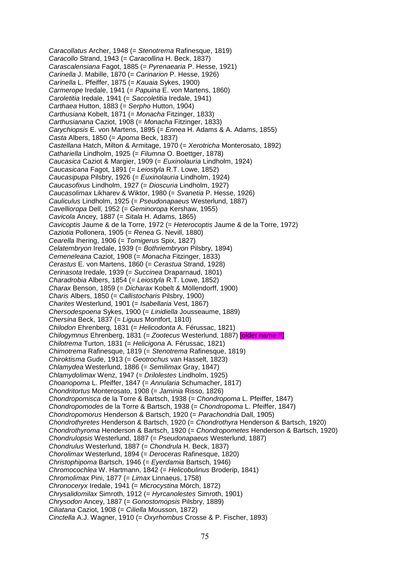*Caracollatus* Archer, 1948 (= *Stenotrema* Rafinesque, 1819) *Caracollo* Strand, 1943 (= *Caracollina* H. Beck, 1837) *Carascalensiana* Fagot, 1885 (= *Pyrenaearia* P. Hesse, 1921) *Carinella* J. Mabille, 1870 (= *Carinarion* P. Hesse, 1926) *Carinella* L. Pfeiffer, 1875 (= *Kauaia* Sykes, 1900) *Carmerope* Iredale, 1941 (= *Papuina* E. von Martens, 1860) *Caroletitia* Iredale, 1941 (= *Saccoletitia* Iredale, 1941) *Carthaea* Hutton, 1883 (= *Serpho* Hutton, 1904) *Carthusiana* Kobelt, 1871 (= *Monacha* Fitzinger, 1833) *Carthusianana* Caziot, 1908 (= *Monacha* Fitzinger, 1833) *Carychiopsis* E. von Martens, 1895 (= *Ennea* H. Adams & A. Adams, 1855) *Casta* Albers, 1850 (= *Apoma* Beck, 1837) *Castellana* Hatch, Milton & Armitage, 1970 (= *Xerotricha* Monterosato, 1892) *Cathariella* Lindholm, 1925 (= *Filumna* O. Boettger, 1878) *Caucasica* Caziot & Margier, 1909 (= *Euxinolauria* Lindholm, 1924) *Caucasicana* Fagot, 1891 (= *Leiostyla* R.T. Lowe, 1852) *Caucasipupa* Pilsbry, 1926 (= *Euxinolauria* Lindholm, 1924) *Caucasofixus* Lindholm, 1927 (= *Dioscuria* Lindholm, 1927) *Caucasolimax* Likharev & Wiktor, 1980 (= *Svanetia* P. Hesse, 1926) *Cauliculus* Lindholm, 1925 (= *Pseudonapaeus* Westerlund, 1887) *Cavellioropa* Dell, 1952 (= *Geminoropa* Kershaw, 1955) *Cavicola* Ancey, 1887 (= *Sitala* H. Adams, 1865) *Cavicoptis* Jaume & de la Torre, 1972 (= *Heterocoptis* Jaume & de la Torre, 1972) *Caziotia* Pollonera, 1905 (= *Renea* G. Nevill, 1880) *Cearella* Ihering, 1906 (= *Tomigerus* Spix, 1827) *Celatembryon* Iredale, 1939 (= *Bothriembryon* Pilsbry, 1894) *Cemeneleana* Caziot, 1908 (= *Monacha* Fitzinger, 1833) *Cerastus* E. von Martens, 1860 (= *Cerastua* Strand, 1928) *Cerinasota* Iredale, 1939 (= *Succinea* Draparnaud, 1801) *Charadrobia* Albers, 1854 (= *Leiostyla* R.T. Lowe, 1852) *Charax* Benson, 1859 (= *Dicharax* Kobelt & Möllendorff, 1900) *Charis* Albers, 1850 (= *Callistocharis* Pilsbry, 1900) *Charites* Westerlund, 1901 (= *Isabellaria* Vest, 1867) *Chersodespoena* Sykes, 1900 (= *Linidiella* Jousseaume, 1889) *Chersina* Beck, 1837 (= *Liguus* Montfort, 1810) *Chilodon* Ehrenberg, 1831 (= *Helicodonta* A. Férussac, 1821) *Chilogymnus* Ehrenberg, 1831 (= *Zootecus* Westerlund, 1887) [older name !!] *Chilotrema* Turton, 1831 (= *Helicigona* A. Férussac, 1821) *Chimotrema* Rafinesque, 1819 (= *Stenotrema* Rafinesque, 1819) *Chiroktisma* Gude, 1913 (= *Geotrochus* van Hasselt, 1823) *Chlamydea* Westerlund, 1886 (= *Semilimax* Gray, 1847) *Chlamydolimax* Wenz, 1947 (= *Drilolestes* Lindholm, 1925) *Choanopoma* L. Pfeiffer, 1847 (= *Annularia* Schumacher, 1817) *Chondritortus* Monterosato, 1908 (= *Jaminia* Risso, 1826) *Chondropomisca* de la Torre & Bartsch, 1938 (= *Chondropoma* L. Pfeiffer, 1847) *Chondropomodes* de la Torre & Bartsch, 1938 (= *Chondropoma* L. Pfeiffer, 1847) *Chondropomorus* Henderson & Bartsch, 1920 (= *Parachondria* Dall, 1905) *Chondrothyretes* Henderson & Bartsch, 1920 (= *Chondrothyra* Henderson & Bartsch, 1920) *Chondrothyroma* Henderson & Bartsch, 1920 (= *Chondropometes* Henderson & Bartsch, 1920) *Chondrulopsis* Westerlund, 1887 (= *Pseudonapaeus* Westerlund, 1887) *Chondrulus* Westerlund, 1887 (= *Chondrula* H. Beck, 1837) *Chorolimax* Westerlund, 1894 (= *Deroceras* Rafinesque, 1820) *Christophipoma* Bartsch, 1946 (= *Eyerdamia* Bartsch, 1946) *Chromocochlea* W. Hartmann, 1842 (= *Helicobulinus* Broderip, 1841) *Chromolimax* Pini, 1877 (= *Limax* Linnaeus, 1758) *Chronoceryx* Iredale, 1941 (= *Microcystina* Mörch, 1872) *Chrysalidomilax* Simroth, 1912 (= *Hyrcanolestes* Simroth, 1901) *Chrysodon* Ancey, 1887 (= *Gonostomopsis* Pilsbry, 1889) *Ciliatana* Caziot, 1908 (= *Ciliella* Mousson, 1872) *Cinctella* A.J. Wagner, 1910 (= *Oxyrhombus* Crosse & P. Fischer, 1893)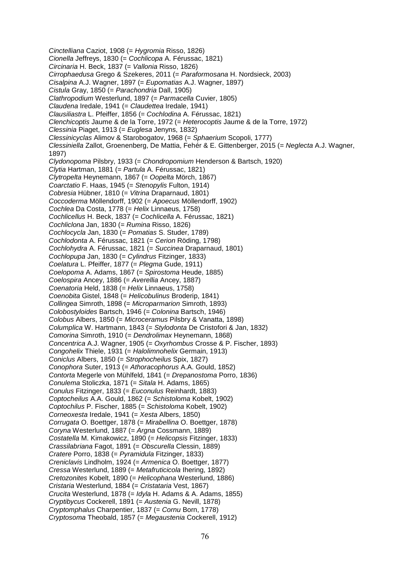*Cinctelliana* Caziot, 1908 (= *Hygromia* Risso, 1826) *Cionella* Jeffreys, 1830 (= *Cochlicopa* A. Férussac, 1821) *Circinaria* H. Beck, 1837 (= *Vallonia* Risso, 1826) *Cirrophaedusa* Grego & Szekeres, 2011 (= *Paraformosana* H. Nordsieck, 2003) *Cisalpina* A.J. Wagner, 1897 (= *Eupomatias* A.J. Wagner, 1897) *Cistula* Gray, 1850 (= *Parachondria* Dall, 1905) *Clathropodium* Westerlund, 1897 (= *Parmacella* Cuvier, 1805) *Claudena* Iredale, 1941 (= *Claudettea* Iredale, 1941) *Clausiliastra* L. Pfeiffer, 1856 (= *Cochlodina* A. Férussac, 1821) *Clenchicoptis* Jaume & de la Torre, 1972 (= *Heterocoptis* Jaume & de la Torre, 1972) *Clessinia* Piaget, 1913 (= *Euglesa* Jenyns, 1832) *Clessinicyclas* Alimov & Starobogatov, 1968 (= *Sphaerium* Scopoli, 1777) *Clessiniella* Zallot, Groenenberg, De Mattia, Fehér & E. Gittenberger, 2015 (= *Neglecta* A.J. Wagner, 1897) *Clydonopoma* Pilsbry, 1933 (= *Chondropomium* Henderson & Bartsch, 1920) *Clytia* Hartman, 1881 (= *Partula* A. Férussac, 1821) *Clytropelta* Heynemann, 1867 (= *Oopelta* Mörch, 1867) *Coarctatio* F. Haas, 1945 (= *Stenopylis* Fulton, 1914) *Cobresia* Hübner, 1810 (= *Vitrina* Draparnaud, 1801) *Coccoderma* Möllendorff, 1902 (= *Apoecus* Möllendorff, 1902) *Cochlea* Da Costa, 1778 (= *Helix* Linnaeus, 1758) *Cochlicellus* H. Beck, 1837 (= *Cochlicella* A. Férussac, 1821) *Cochliclona* Jan, 1830 (= *Rumina* Risso, 1826) *Cochlocycla* Jan, 1830 (= *Pomatias* S. Studer, 1789) *Cochlodonta* A. Férussac, 1821 (= *Cerion* Röding, 1798) *Cochlohydra* A. Férussac, 1821 (= *Succinea* Draparnaud, 1801) *Cochlopupa* Jan, 1830 (= *Cylindrus* Fitzinger, 1833) *Coelatura* L. Pfeiffer, 1877 (= *Plegma* Gude, 1911) *Coelopoma* A. Adams, 1867 (= *Spirostoma* Heude, 1885) *Coelospira* Ancey, 1886 (= *Averellia* Ancey, 1887) *Coenatoria* Held, 1838 (= *Helix* Linnaeus, 1758) *Coenobita* Gistel, 1848 (= *Helicobulinus* Broderip, 1841) *Collingea* Simroth, 1898 (= *Microparmarion* Simroth, 1893) *Colobostyloides* Bartsch, 1946 (= *Colonina* Bartsch, 1946) *Colobus* Albers, 1850 (= *Microceramus* Pilsbry & Vanatta, 1898) *Columplica* W. Hartmann, 1843 (= *Stylodonta* De Cristofori & Jan, 1832) *Comorina* Simroth, 1910 (= *Dendrolimax* Heynemann, 1868) *Concentrica* A.J. Wagner, 1905 (= *Oxyrhombus* Crosse & P. Fischer, 1893) *Congohelix* Thiele, 1931 (= *Halolimnohelix* Germain, 1913) *Coniclus* Albers, 1850 (= *Strophocheilus* Spix, 1827) *Conophora* Suter, 1913 (= *Athoracophorus* A.A. Gould, 1852) *Contorta* Megerle von Mühlfeld, 1841 (= *Drepanostoma* Porro, 1836) *Conulema* Stoliczka, 1871 (= *Sitala* H. Adams, 1865) *Conulus* Fitzinger, 1833 (= *Euconulus* Reinhardt, 1883) *Coptocheilus* A.A. Gould, 1862 (= *Schistoloma* Kobelt, 1902) *Coptochilus* P. Fischer, 1885 (= *Schistoloma* Kobelt, 1902) *Corneoxesta* Iredale, 1941 (= *Xesta* Albers, 1850) *Corrugata* O. Boettger, 1878 (= *Mirabellina* O. Boettger, 1878) *Coryna* Westerlund, 1887 (= *Argna* Cossmann, 1889) *Costatella* M. Kimakowicz, 1890 (= *Helicopsis* Fitzinger, 1833) *Crassilabriana* Fagot, 1891 (= *Obscurella* Clessin, 1889) *Cratere* Porro, 1838 (= *Pyramidula* Fitzinger, 1833) *Creniclavis* Lindholm, 1924 (= *Armenica* O. Boettger, 1877) *Cressa* Westerlund, 1889 (= *Metafruticicola* Ihering, 1892) *Cretozonites* Kobelt, 1890 (= *Helicophana* Westerlund, 1886) *Cristaria* Westerlund, 1884 (= *Cristataria* Vest, 1867) *Crucita* Westerlund, 1878 (= *Idyla* H. Adams & A. Adams, 1855) *Cryptibycus* Cockerell, 1891 (= *Austenia* G. Nevill, 1878) *Cryptomphalus* Charpentier, 1837 (= *Cornu* Born, 1778) *Cryptosoma* Theobald, 1857 (= *Megaustenia* Cockerell, 1912)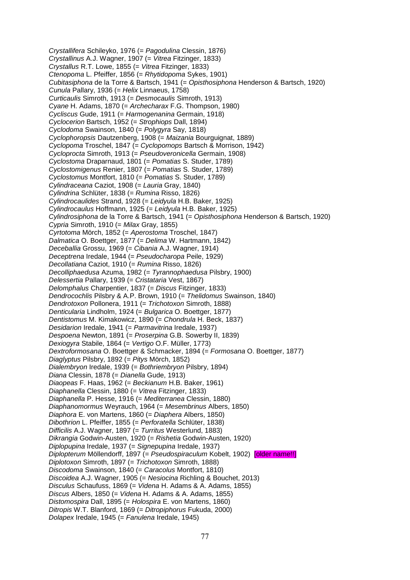*Crystallifera* Schileyko, 1976 (= *Pagodulina* Clessin, 1876) *Crystallinus* A.J. Wagner, 1907 (= *Vitrea* Fitzinger, 1833) *Crystallus* R.T. Lowe, 1855 (= *Vitrea* Fitzinger, 1833) *Ctenopoma* L. Pfeiffer, 1856 (= *Rhytidopoma* Sykes, 1901) *Cubitasiphona* de la Torre & Bartsch, 1941 (= *Opisthosiphona* Henderson & Bartsch, 1920) *Cunula* Pallary, 1936 (= *Helix* Linnaeus, 1758) *Curticaulis* Simroth, 1913 (= *Desmocaulis* Simroth, 1913) *Cyane* H. Adams, 1870 (= *Archecharax* F.G. Thompson, 1980) *Cycliscus* Gude, 1911 (= *Harmogenanina* Germain, 1918) *Cyclocerion* Bartsch, 1952 (= *Strophiops* Dall, 1894) *Cyclodoma* Swainson, 1840 (= *Polygyra* Say, 1818) *Cyclophoropsis* Dautzenberg, 1908 (= *Maizania* Bourguignat, 1889) *Cyclopoma* Troschel, 1847 (= *Cyclopomops* Bartsch & Morrison, 1942) *Cycloprocta* Simroth, 1913 (= *Pseudoveronicella* Germain, 1908) *Cyclostoma* Draparnaud, 1801 (= *Pomatias* S. Studer, 1789) *Cyclostomigenus* Renier, 1807 (= *Pomatias* S. Studer, 1789) *Cyclostomus* Montfort, 1810 (= *Pomatias* S. Studer, 1789) *Cylindraceana* Caziot, 1908 (= *Lauria* Gray, 1840) *Cylindrina* Schlüter, 1838 (= *Rumina* Risso, 1826) *Cylindrocaulides* Strand, 1928 (= *Leidyula* H.B. Baker, 1925) *Cylindrocaulus* Hoffmann, 1925 (= *Leidyula* H.B. Baker, 1925) *Cylindrosiphona* de la Torre & Bartsch, 1941 (= *Opisthosiphona* Henderson & Bartsch, 1920) *Cypria* Simroth, 1910 (= *Milax* Gray, 1855) *Cyrtotoma* Mörch, 1852 (= *Aperostoma* Troschel, 1847) *Dalmatica* O. Boettger, 1877 (= *Delima* W. Hartmann, 1842) *Deceballia* Grossu, 1969 (= *Cibania* A.J. Wagner, 1914) *Deceptrena* Iredale, 1944 (= *Pseudocharopa* Peile, 1929) *Decollatiana* Caziot, 1910 (= *Rumina* Risso, 1826) *Decolliphaedusa* Azuma, 1982 (= *Tyrannophaedusa* Pilsbry, 1900) *Delessertia* Pallary, 1939 (= *Cristataria* Vest, 1867) *Delomphalus* Charpentier, 1837 (= *Discus* Fitzinger, 1833) *Dendrocochlis* Pilsbry & A.P. Brown, 1910 (= *Thelidomus* Swainson, 1840) *Dendrotoxon* Pollonera, 1911 (= *Trichotoxon* Simroth, 1888) *Denticularia* Lindholm, 1924 (= *Bulgarica* O. Boettger, 1877) *Dentistomus* M. Kimakowicz, 1890 (= *Chondrula* H. Beck, 1837) *Desidarion* Iredale, 1941 (= *Parmavitrina* Iredale, 1937) *Despoena* Newton, 1891 (= *Proserpina* G.B. Sowerby II, 1839) *Dexiogyra* Stabile, 1864 (= *Vertigo* O.F. Müller, 1773) *Dextroformosana* O. Boettger & Schmacker, 1894 (= *Formosana* O. Boettger, 1877) *Diaglyptus* Pilsbry, 1892 (= *Pitys* Mörch, 1852) *Dialembryon* Iredale, 1939 (= *Bothriembryon* Pilsbry, 1894) *Diana* Clessin, 1878 (= *Dianella* Gude, 1913) *Diaopeas* F. Haas, 1962 (= *Beckianum* H.B. Baker, 1961) *Diaphanella* Clessin, 1880 (= *Vitrea* Fitzinger, 1833) *Diaphanella* P. Hesse, 1916 (= *Mediterranea* Clessin, 1880) *Diaphanomormus* Weyrauch, 1964 (= *Mesembrinus* Albers, 1850) *Diaphora* E. von Martens, 1860 (= *Diaphera* Albers, 1850) *Dibothrion* L. Pfeiffer, 1855 (= *Perforatella* Schlüter, 1838) *Difficilis* A.J. Wagner, 1897 (= *Turritus* Westerlund, 1883) *Dikrangia* Godwin-Austen, 1920 (= *Rishetia* Godwin-Austen, 1920) *Diplopupina* Iredale, 1937 (= *Signepupina* Iredale, 1937) *Diplopterum* Möllendorff, 1897 (= *Pseudospiraculum* Kobelt, 1902) [older name!!] *Diplotoxon* Simroth, 1897 (= *Trichotoxon* Simroth, 1888) *Discodoma* Swainson, 1840 (= *Caracolus* Montfort, 1810) *Discoidea* A.J. Wagner, 1905 (= *Nesiocina* Richling & Bouchet, 2013) *Disculus* Schaufuss, 1869 (= *Videna* H. Adams & A. Adams, 1855) *Discus* Albers, 1850 (= *Videna* H. Adams & A. Adams, 1855) *Distomospira* Dall, 1895 (= *Holospira* E. von Martens, 1860) *Ditropis* W.T. Blanford, 1869 (= *Ditropiphorus* Fukuda, 2000) *Dolapex* Iredale, 1945 (= *Fanulena* Iredale, 1945)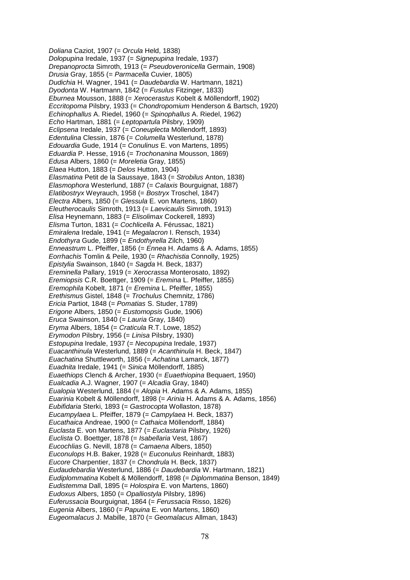*Doliana* Caziot, 1907 (= *Orcula* Held, 1838) *Dolopupina* Iredale, 1937 (= *Signepupina* Iredale, 1937) *Drepanoprocta* Simroth, 1913 (= *Pseudoveronicella* Germain, 1908) *Drusia* Gray, 1855 (= *Parmacella* Cuvier, 1805) *Dudichia* H. Wagner, 1941 (= *Daudebardia* W. Hartmann, 1821) *Dyodonta* W. Hartmann, 1842 (= *Fusulus* Fitzinger, 1833) *Eburnea* Mousson, 1888 (= *Xerocerastus* Kobelt & Möllendorff, 1902) *Eccritopoma* Pilsbry, 1933 (= *Chondropomium* Henderson & Bartsch, 1920) *Echinophallus* A. Riedel, 1960 (= *Spinophallus* A. Riedel, 1962) *Echo* Hartman, 1881 (= *Leptopartula* Pilsbry, 1909) *Eclipsena* Iredale, 1937 (= *Coneuplecta* Möllendorff, 1893) *Edentulina* Clessin, 1876 (= *Columella* Westerlund, 1878) *Edouardia* Gude, 1914 (= *Conulinus* E. von Martens, 1895) *Eduardia* P. Hesse, 1916 (= *Trochonanina* Mousson, 1869) *Edusa* Albers, 1860 (= *Moreletia* Gray, 1855) *Elaea* Hutton, 1883 (= *Delos* Hutton, 1904) *Elasmatina* Petit de la Saussaye, 1843 (= *Strobilus* Anton, 1838) *Elasmophora* Westerlund, 1887 (= *Calaxis* Bourguignat, 1887) *Elatibostryx* Weyrauch, 1958 (= *Bostryx* Troschel, 1847) *Electra* Albers, 1850 (= *Glessula* E. von Martens, 1860) *Eleutherocaulis* Simroth, 1913 (= *Laevicaulis* Simroth, 1913) *Elisa* Heynemann, 1883 (= *Elisolimax* Cockerell, 1893) *Elisma* Turton, 1831 (= *Cochlicella* A. Férussac, 1821) *Emiralena* Iredale, 1941 (= *Megalacron* I. Rensch, 1934) *Endothyra* Gude, 1899 (= *Endothyrella* Zilch, 1960) *Enneastrum* L. Pfeiffer, 1856 (= *Ennea* H. Adams & A. Adams, 1855) *Eorrhachis* Tomlin & Peile, 1930 (= *Rhachistia* Connolly, 1925) *Epistylia* Swainson, 1840 (= *Sagda* H. Beck, 1837) *Ereminella* Pallary, 1919 (= *Xerocrassa* Monterosato, 1892) *Eremiopsis* C.R. Boettger, 1909 (= *Eremina* L. Pfeiffer, 1855) *Eremophila* Kobelt, 1871 (= *Eremina* L. Pfeiffer, 1855) *Erethismus* Gistel, 1848 (= *Trochulus* Chemnitz, 1786) *Ericia* Partiot, 1848 (= *Pomatias* S. Studer, 1789) *Erigone* Albers, 1850 (= *Eustomopsis* Gude, 1906) *Eruca* Swainson, 1840 (= *Lauria* Gray, 1840) *Eryma* Albers, 1854 (= *Craticula* R.T. Lowe, 1852) *Erymodon* Pilsbry, 1956 (= *Linisa* Pilsbry, 1930) *Estopupina* Iredale, 1937 (= *Necopupina* Iredale, 1937) *Euacanthinula* Westerlund, 1889 (= *Acanthinula* H. Beck, 1847) *Euachatina* Shuttleworth, 1856 (= *Achatina* Lamarck, 1877) *Euadnita* Iredale, 1941 (= *Sinica* Möllendorff, 1885) *Euaethiops* Clench & Archer, 1930 (= *Euaethiopina* Bequaert, 1950) *Eualcadia* A.J. Wagner, 1907 (= *Alcadia* Gray, 1840) *Eualopia* Westerlund, 1884 (= *Alopia* H. Adams & A. Adams, 1855) *Euarinia* Kobelt & Möllendorff, 1898 (= *Arinia* H. Adams & A. Adams, 1856) *Eubifidaria* Sterki, 1893 (= *Gastrocopta* Wollaston, 1878) *Eucampylaea* L. Pfeiffer, 1879 (= *Campylaea* H. Beck, 1837) *Eucathaica* Andreae, 1900 (= *Cathaica* Möllendorff, 1884) *Euclasta* E. von Martens, 1877 (= *Euclastaria* Pilsbry, 1926) *Euclista* O. Boettger, 1878 (= *Isabellaria* Vest, 1867) *Eucochlias* G. Nevill, 1878 (= *Camaena* Albers, 1850) *Euconulops* H.B. Baker, 1928 (= *Euconulus* Reinhardt, 1883) *Eucore* Charpentier, 1837 (= *Chondrula* H. Beck, 1837) *Eudaudebardia* Westerlund, 1886 (= *Daudebardia* W. Hartmann, 1821) *Eudiplommatina* Kobelt & Möllendorff, 1898 (= *Diplommatina* Benson, 1849) *Eudistemma* Dall, 1895 (= *Holospira* E. von Martens, 1860) *Eudoxus* Albers, 1850 (= *Opalliostyla* Pilsbry, 1896) *Euferussacia* Bourguignat, 1864 (= *Ferussacia* Risso, 1826) *Eugenia* Albers, 1860 (= *Papuina* E. von Martens, 1860) *Eugeomalacus* J. Mabille, 1870 (= *Geomalacus* Allman, 1843)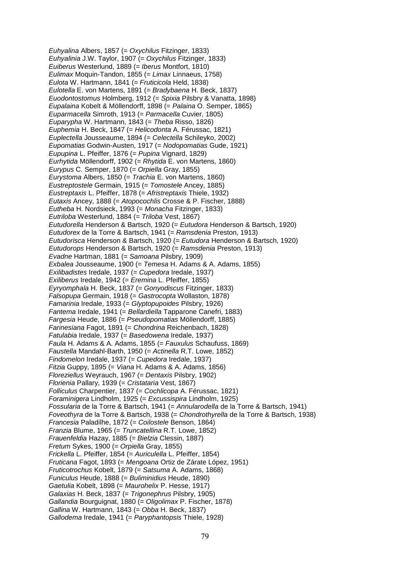*Euhyalina* Albers, 1857 (= *Oxychilus* Fitzinger, 1833) *Euhyalinia* J.W. Taylor, 1907 (= *Oxychilus* Fitzinger, 1833) *Euiberus* Westerlund, 1889 (= *Iberus* Montfort, 1810) *Eulimax* Moquin-Tandon, 1855 (= *Limax* Linnaeus, 1758) *Eulota* W. Hartmann, 1841 (= *Fruticicola* Held, 1838) *Eulotella* E. von Martens, 1891 (= *Bradybaena* H. Beck, 1837) *Euodontostomus* Holmberg, 1912 (= *Spixia* Pilsbry & Vanatta, 1898) *Eupalaina* Kobelt & Möllendorff, 1898 (= *Palaina* O. Semper, 1865) *Euparmacella* Simroth, 1913 (= *Parmacella* Cuvier, 1805) *Euparypha* W. Hartmann, 1843 (= *Theba* Risso, 1826) *Euphemia* H. Beck, 1847 (= *Helicodonta* A. Férussac, 1821) *Euplectella* Jousseaume, 1894 (= *Celectella* Schileyko, 2002) *Eupomatias* Godwin-Austen, 1917 (= *Nodopomatias* Gude, 1921) *Eupupina* L. Pfeiffer, 1876 (= *Pupina* Vignard, 1829) *Eurhytida* Möllendorff, 1902 (= *Rhytida* E. von Martens, 1860) *Eurypus* C. Semper, 1870 (= *Orpiella* Gray, 1855) *Eurystoma* Albers, 1850 (= *Trachia* E. von Martens, 1860) *Eustreptostele* Germain, 1915 (= *Tomostele* Ancey, 1885) *Eustreptaxis* L. Pfeiffer, 1878 (= *Afristreptaxis* Thiele, 1932) *Eutaxis* Ancey, 1888 (= *Atopocochlis* Crosse & P. Fischer, 1888) *Eutheba* H. Nordsieck, 1993 (= *Monacha* Fitzinger, 1833) *Eutriloba* Westerlund, 1884 (= *Triloba* Vest, 1867) *Eutudorella* Henderson & Bartsch, 1920 (= *Eutudora* Henderson & Bartsch, 1920) *Eutudorex* de la Torre & Bartsch, 1941 (= *Ramsdenia* Preston, 1913) *Eutudorisca* Henderson & Bartsch, 1920 (= *Eutudora* Henderson & Bartsch, 1920) *Eutudorops* Henderson & Bartsch, 1920 (= *Ramsdenia* Preston, 1913) *Evadne* Hartman, 1881 (= *Samoana* Pilsbry, 1909) *Exbalea* Jousseaume, 1900 (= *Temesa* H. Adams & A. Adams, 1855) *Exilibadistes* Iredale, 1937 (= *Cupedora* Iredale, 1937) *Exiliberus* Iredale, 1942 (= *Eremina* L. Pfeiffer, 1855) *Eyryomphala* H. Beck, 1837 (= *Gonyodiscus* Fitzinger, 1833) *Falsopupa* Germain, 1918 (= *Gastrocopta* Wollaston, 1878) *Famarinia* Iredale, 1933 (= *Glyptopupoides* Pilsbry, 1926) *Fantema* Iredale, 1941 (= *Bellardiella* Tapparone Canefri, 1883) *Fargesia* Heude, 1886 (= *Pseudopomatias* Möllendorff, 1885) *Farinesiana* Fagot, 1891 (= *Chondrina* Reichenbach, 1828) *Fatulabia* Iredale, 1937 (= *Basedowena* Iredale, 1937) *Faula* H. Adams & A. Adams, 1855 (= *Fauxulus* Schaufuss, 1869) *Faustella* Mandahl-Barth, 1950 (= *Actinella* R.T. Lowe, 1852) *Findomelon* Iredale, 1937 (= *Cupedora* Iredale, 1937) *Fitzia* Guppy, 1895 (= *Viana* H. Adams & A. Adams, 1856) *Floreziellus* Weyrauch, 1967 (= *Dentaxis* Pilsbry, 1902) *Florienia* Pallary, 1939 (= *Cristataria* Vest, 1867) *Folliculus* Charpentier, 1837 (= *Cochlicopa* A. Férussac, 1821) *Foraminigera* Lindholm, 1925 (= *Excussispira* Lindholm, 1925) *Fossularia* de la Torre & Bartsch, 1941 (= *Annularodella* de la Torre & Bartsch, 1941) *Foveothyra* de la Torre & Bartsch, 1938 (= *Chondrothyrella* de la Torre & Bartsch, 1938) *Francesia* Paladilhe, 1872 (= *Coilostele* Benson, 1864) *Franzia* Blume, 1965 (= *Truncatellina* R.T. Lowe, 1852) *Frauenfeldia* Hazay, 1885 (= *Bielzia* Clessin, 1887) *Fretum* Sykes, 1900 (= *Orpiella* Gray, 1855) *Frickella* L. Pfeiffer, 1854 (= *Auriculella* L. Pfeiffer, 1854) *Fruticana* Fagot, 1893 (= *Mengoana* Ortiz de Zárate López, 1951) *Fruticotrochus* Kobelt, 1879 (= *Satsuma* A. Adams, 1868) *Funiculus* Heude, 1888 (= *Buliminidius* Heude, 1890) *Gaetulia* Kobelt, 1898 (= *Maurohelix* P. Hesse, 1917) *Galaxias* H. Beck, 1837 (= *Trigonephrus* Pilsbry, 1905) *Gallandia* Bourguignat, 1880 (= *Oligolimax* P. Fischer, 1878) *Gallina* W. Hartmann, 1843 (= *Obba* H. Beck, 1837) *Gallodema* Iredale, 1941 (= *Paryphantopsis* Thiele, 1928)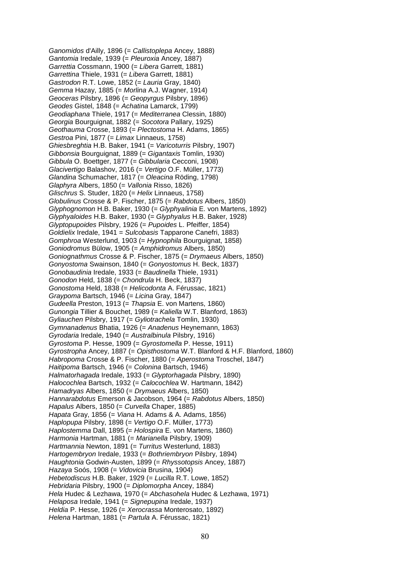*Ganomidos* d'Ailly, 1896 (= *Callistoplepa* Ancey, 1888) *Gantomia* Iredale, 1939 (= *Pleuroxia* Ancey, 1887) *Garrettia* Cossmann, 1900 (= *Libera* Garrett, 1881) *Garrettina* Thiele, 1931 (= *Libera* Garrett, 1881) *Gastrodon* R.T. Lowe, 1852 (= *Lauria* Gray, 1840) *Gemma* Hazay, 1885 (= *Morlina* A.J. Wagner, 1914) *Geoceras* Pilsbry, 1896 (= *Geopyrgus* Pilsbry, 1896) *Geodes* Gistel, 1848 (= *Achatina* Lamarck, 1799) *Geodiaphana* Thiele, 1917 (= *Mediterranea* Clessin, 1880) *Georgia* Bourguignat, 1882 (= *Socotora* Pallary, 1925) *Geothauma* Crosse, 1893 (= *Plectostoma* H. Adams, 1865) *Gestroa* Pini, 1877 (= *Limax* Linnaeus, 1758) *Ghiesbreghtia* H.B. Baker, 1941 (= *Varicoturris* Pilsbry, 1907) *Gibbonsia* Bourguignat, 1889 (= *Gigantaxis* Tomlin, 1930) *Gibbula* O. Boettger, 1877 (= *Gibbularia* Cecconi, 1908) *Glacivertigo* Balashov, 2016 (= *Vertigo* O.F. Müller, 1773) *Glandina* Schumacher, 1817 (= *Oleacina* Röding, 1798) *Glaphyra* Albers, 1850 (= *Vallonia* Risso, 1826) *Glischrus* S. Studer, 1820 (= *Helix* Linnaeus, 1758) *Globulinus* Crosse & P. Fischer, 1875 (= *Rabdotus* Albers, 1850) *Glyphognomon* H.B. Baker, 1930 (= *Glyphyalinia* E. von Martens, 1892) *Glyphyaloides* H.B. Baker, 1930 (= *Glyphyalus* H.B. Baker, 1928) *Glyptopupoides* Pilsbry, 1926 (= *Pupoides* L. Pfeiffer, 1854) *Goldielix* Iredale, 1941 = *Sulcobasis* Tapparone Canefri, 1883) *Gomphroa* Westerlund, 1903 (= *Hypnophila* Bourguignat, 1858) *Goniodromus* Bülow, 1905 (= *Amphidromus* Albers, 1850) *Goniognathmus* Crosse & P. Fischer, 1875 (= *Drymaeus* Albers, 1850) *Gonyostoma* Swainson, 1840 (= *Gonyostomus* H. Beck, 1837) *Gonobaudinia* Iredale, 1933 (= *Baudinella* Thiele, 1931) *Gonodon* Held, 1838 (= *Chondrula* H. Beck, 1837) *Gonostoma* Held, 1838 (= *Helicodonta* A. Férussac, 1821) *Graypoma* Bartsch, 1946 (= *Licina* Gray, 1847) *Gudeella* Preston, 1913 (= *Thapsia* E. von Martens, 1860) *Gunongia* Tillier & Bouchet, 1989 (= *Kaliella* W.T. Blanford, 1863) *Gyliauchen* Pilsbry, 1917 (= *Gyliotrachela* Tomlin, 1930) *Gymnanadenus* Bhatia, 1926 (= *Anadenus* Heynemann, 1863) *Gyrodaria* Iredale, 1940 (= *Australbinula* Pilsbry, 1916) *Gyrostoma* P. Hesse, 1909 (= *Gyrostomella* P. Hesse, 1911) *Gyrostropha* Ancey, 1887 (= *Opisthostoma* W.T. Blanford & H.F. Blanford, 1860) *Habropoma* Crosse & P. Fischer, 1880 (= *Aperostoma* Troschel, 1847) *Haitipoma* Bartsch, 1946 (= *Colonina* Bartsch, 1946) *Halmatorhagada* Iredale, 1933 (= *Glyptorhagada* Pilsbry, 1890) *Halocochlea* Bartsch, 1932 (= *Calocochlea* W. Hartmann, 1842) *Hamadryas* Albers, 1850 (= *Drymaeus* Albers, 1850) *Hannarabdotus* Emerson & Jacobson, 1964 (= *Rabdotus* Albers, 1850) *Hapalus* Albers, 1850 (= *Curvella* Chaper, 1885) *Hapata* Gray, 1856 (= *Viana* H. Adams & A. Adams, 1856) *Haplopupa* Pilsbry, 1898 (= *Vertigo* O.F. Müller, 1773) *Haplostemma* Dall, 1895 (= *Holospira* E. von Martens, 1860) *Harmonia* Hartman, 1881 (= *Marianella* Pilsbry, 1909) *Hartmannia* Newton, 1891 (= *Turritus* Westerlund, 1883) *Hartogembryon* Iredale, 1933 (= *Bothriembryon* Pilsbry, 1894) *Haughtonia* Godwin-Austen, 1899 (= *Rhyssotopsis* Ancey, 1887) *Hazaya* Soós, 1908 (= *Vidovicia* Brusina, 1904) *Hebetodiscus* H.B. Baker, 1929 (= *Lucilla* R.T. Lowe, 1852) *Hebridaria* Pilsbry, 1900 (= *Diplomorpha* Ancey, 1884) *Hela* Hudec & Lezhawa, 1970 (= *Abchasohela* Hudec & Lezhawa, 1971) *Helaposa* Iredale, 1941 (= *Signepupina* Iredale, 1937) *Heldia* P. Hesse, 1926 (= *Xerocrassa* Monterosato, 1892) *Helena* Hartman, 1881 (= *Partula* A. Férussac, 1821)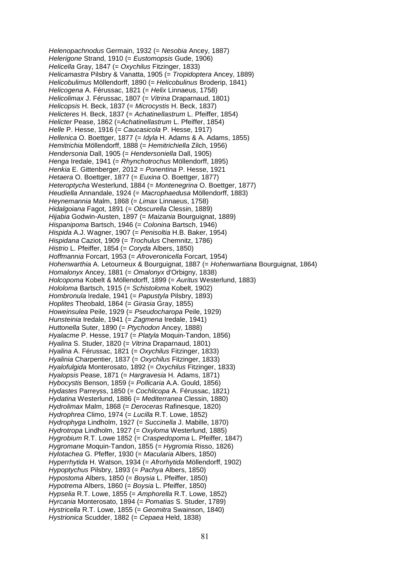*Helenopachnodus* Germain, 1932 (= *Nesobia* Ancey, 1887) *Helerigone* Strand, 1910 (= *Eustomopsis* Gude, 1906) *Helicella* Gray, 1847 (= *Oxychilus* Fitzinger, 1833) *Helicamastra* Pilsbry & Vanatta, 1905 (= *Tropidoptera* Ancey, 1889) *Helicobulimus* Möllendorff, 1890 (= *Helicobulinus* Broderip, 1841) *Helicogena* A. Férussac, 1821 (= *Helix* Linnaeus, 1758) *Helicolimax* J. Férussac, 1807 (= *Vitrina* Draparnaud, 1801) *Helicopsis* H. Beck, 1837 (= *Microcystis* H. Beck, 1837) *Helicteres* H. Beck, 1837 (= *Achatinellastrum* L. Pfeiffer, 1854) *Helicter* Pease, 1862 (=*Achatinellastrum* L. Pfeiffer, 1854) *Helle* P. Hesse, 1916 (= *Caucasicola* P. Hesse, 1917) *Hellenica* O. Boettger, 1877 (= *Idyla* H. Adams & A. Adams, 1855) *Hemitrichia* Möllendorff, 1888 (= *Hemitrichiella* Zilch, 1956) *Hendersonia* Dall, 1905 (= *Hendersoniella* Dall, 1905) *Henga* Iredale, 1941 (= *Rhynchotrochus* Möllendorff, 1895) *Henkia* E. Gittenberger, 2012 = *Ponentina* P. Hesse, 1921 *Hetaera* O. Boettger, 1877 (= *Euxina* O. Boettger, 1877) *Heteroptycha* Westerlund, 1884 (= *Montenegrina* O. Boettger, 1877) *Heudiella* Annandale, 1924 (= *Macrophaedusa* Möllendorff, 1883) *Heynemannia* Malm, 1868 (= *Limax* Linnaeus, 1758) *Hidalgoiana* Fagot, 1891 (= *Obscurella* Clessin, 1889) *Hijabia* Godwin-Austen, 1897 (= *Maizania* Bourguignat, 1889) *Hispanipoma* Bartsch, 1946 (= *Colonina* Bartsch, 1946) *Hispida* A.J. Wagner, 1907 (= *Penisoltia* H.B. Baker, 1954) *Hispidana* Caziot, 1909 (= *Trochulus* Chemnitz, 1786) *Histrio* L. Pfeiffer, 1854 (= *Coryda* Albers, 1850) *Hoffmannia* Forcart, 1953 (= *Afroveronicella* Forcart, 1954) *Hohenwarthia* A. Letourneux & Bourguignat, 1887 (= *Hohenwartiana* Bourguignat, 1864) *Homalonyx* Ancey, 1881 (= *Omalonyx* d'Orbigny, 1838) *Holcopoma* Kobelt & Möllendorff, 1899 (= *Auritus* Westerlund, 1883) *Hololoma* Bartsch, 1915 (= *Schistoloma* Kobelt, 1902) *Hombronula* Iredale, 1941 (= *Papustyla* Pilsbry, 1893) *Hoplites* Theobald, 1864 (= *Girasia* Gray, 1855) *Howeinsulea* Peile, 1929 (= *Pseudocharopa* Peile, 1929) *Hunsteinia* Iredale, 1941 (= *Zagmena* Iredale, 1941) *Huttonella* Suter, 1890 (= *Ptychodon* Ancey, 1888) *Hyalacme* P. Hesse, 1917 (= *Platyla* Moquin-Tandon, 1856) *Hyalina* S. Studer, 1820 (= *Vitrina* Draparnaud, 1801) *Hyalina* A. Férussac, 1821 (= *Oxychilus* Fitzinger, 1833) *Hyalinia* Charpentier, 1837 (= *Oxychilus* Fitzinger, 1833) *Hyalofulgida* Monterosato, 1892 (= *Oxychilus* Fitzinger, 1833) *Hyalopsis* Pease, 1871 (= *Hargravesia* H. Adams, 1871) *Hybocystis* Benson, 1859 (= *Pollicaria* A.A. Gould, 1856) *Hydastes* Parreyss, 1850 (= *Cochlicopa* A. Férussac, 1821) *Hydatina* Westerlund, 1886 (= *Mediterranea* Clessin, 1880) *Hydrolimax* Malm, 1868 (= *Deroceras* Rafinesque, 1820) *Hydrophrea* Climo, 1974 (= *Lucilla* R.T. Lowe, 1852) *Hydrophyga* Lindholm, 1927 (= *Succinella* J. Mabille, 1870) *Hydrotropa* Lindholm, 1927 (= *Oxyloma* Westerlund, 1885) *Hygrobium* R.T. Lowe 1852 (= *Craspedopoma* L. Pfeiffer, 1847) *Hygromane* Moquin-Tandon, 1855 (= *Hygromia* Risso, 1826) *Hylotachea* G. Pfeffer, 1930 (= *Macularia* Albers, 1850) *Hyperrhytida* H. Watson, 1934 (= *Afrorhytida* Möllendorff, 1902) *Hypoptychus* Pilsbry, 1893 (= *Pachya* Albers, 1850) *Hypostoma* Albers, 1850 (= *Boysia* L. Pfeiffer, 1850) *Hypotrema* Albers, 1860 (= *Boysia* L. Pfeiffer, 1850) *Hypselia* R.T. Lowe, 1855 (= *Amphorella* R.T. Lowe, 1852) *Hyrcania* Monterosato, 1894 (= *Pomatias* S. Studer, 1789) *Hystricella* R.T. Lowe, 1855 (= *Geomitra* Swainson, 1840) *Hystrionica* Scudder, 1882 (= *Cepaea* Held, 1838)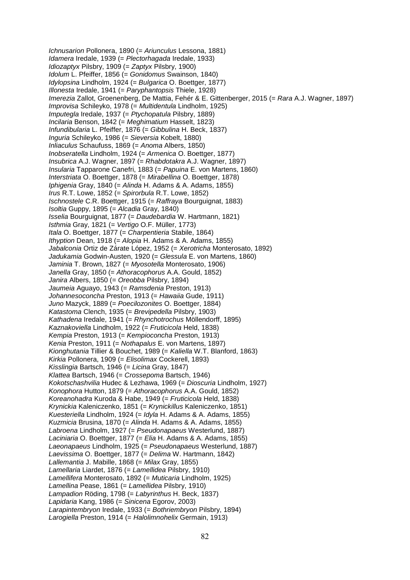*Ichnusarion* Pollonera, 1890 (= *Ariunculus* Lessona, 1881) *Idamera* Iredale, 1939 (= *Plectorhagada* Iredale, 1933) *Idiozaptyx* Pilsbry, 1909 (= *Zaptyx* Pilsbry, 1900) *Idolum* L. Pfeiffer, 1856 (= *Gonidomus* Swainson, 1840) *Idylopsina* Lindholm, 1924 (= *Bulgarica* O. Boettger, 1877) *Illonesta* Iredale, 1941 (= *Paryphantopsis* Thiele, 1928) *Imerezia* Zallot, Groenenberg, De Mattia, Fehér & E. Gittenberger, 2015 (= *Rara* A.J. Wagner, 1897) *Improvisa* Schileyko, 1978 (= *Multidentula* Lindholm, 1925) *Imputegla* Iredale, 1937 (= *Ptychopatula* Pilsbry, 1889) *Incilaria* Benson, 1842 (= *Meghimatium* Hasselt, 1823) *Infundibularia* L. Pfeiffer, 1876 (= *Gibbulina* H. Beck, 1837) *Inguria* Schileyko, 1986 (= *Sieversia* Kobelt, 1880) *Inliaculus* Schaufuss, 1869 (= *Anoma* Albers, 1850) *Inobseratella* Lindholm, 1924 (= *Armenica* O. Boettger, 1877) *Insubrica* A.J. Wagner, 1897 (= *Rhabdotakra* A.J. Wagner, 1897) *Insularia* Tapparone Canefri, 1883 (= *Papuina* E. von Martens, 1860) *Interstriata* O. Boettger, 1878 (= *Mirabellina* O. Boettger, 1878) *Iphigenia* Gray, 1840 (= *Alinda* H. Adams & A. Adams, 1855) *Irus* R.T. Lowe, 1852 (= *Spirorbula* R.T. Lowe, 1852) *Ischnostele* C.R. Boettger, 1915 (= *Raffraya* Bourguignat, 1883) *Isoltia* Guppy, 1895 (= *Alcadia* Gray, 1840) *Isselia* Bourguignat, 1877 (= *Daudebardia* W. Hartmann, 1821) *Isthmia* Gray, 1821 (= *Vertigo* O.F. Müller, 1773) *Itala* O. Boettger, 1877 (= *Charpentieria* Stabile, 1864) *Ithyption* Dean, 1918 (= *Alopia* H. Adams & A. Adams, 1855) *Jabalconia* Ortiz de Zárate López, 1952 (= *Xerotricha* Monterosato, 1892) *Jadukamia* Godwin-Austen, 1920 (= *Glessula* E. von Martens, 1860) *Jaminia* T. Brown, 1827 (= *Myosotella* Monterosato, 1906) *Janella* Gray, 1850 (= *Athoracophorus* A.A. Gould, 1852) *Janira* Albers, 1850 (= *Oreobba* Pilsbry, 1894) *Jaumeia* Aguayo, 1943 (= *Ramsdenia* Preston, 1913) *Johannesoconcha* Preston, 1913 (= *Hawaiia* Gude, 1911) *Juno* Mazyck, 1889 (= *Poecilozonites* O. Boettger, 1884) *Katastoma* Clench, 1935 (= *Brevipedella* Pilsbry, 1903) *Kathadena* Iredale, 1941 (= *Rhynchotrochus* Möllendorff, 1895) *Kaznakoviella* Lindholm, 1922 (= *Fruticicola* Held, 1838) *Kempia* Preston, 1913 (= *Kempioconcha* Preston, 1913) *Kenia* Preston, 1911 (= *Nothapalus* E. von Martens, 1897) *Kionghutania* Tillier & Bouchet, 1989 (= *Kaliella* W.T. Blanford, 1863) *Kirkia* Pollonera, 1909 (= *Elisolimax* Cockerell, 1893) *Kisslingia* Bartsch, 1946 (= *Licina* Gray, 1847) *Klattea* Bartsch, 1946 (= *Crossepoma* Bartsch, 1946) *Kokotschashvilia* Hudec & Lezhawa, 1969 (= *Dioscuria* Lindholm, 1927) *Konophora* Hutton, 1879 (= *Athoracophorus* A.A. Gould, 1852) *Koreanohadra* Kuroda & Habe, 1949 (= *Fruticicola* Held, 1838) *Krynickia* Kaleniczenko, 1851 (= *Krynickillus* Kaleniczenko, 1851) *Kuesteriella* Lindholm, 1924 (= *Idyla* H. Adams & A. Adams, 1855) *Kuzmicia* Brusina, 1870 (= *Alinda* H. Adams & A. Adams, 1855) *Labroena* Lindholm, 1927 (= *Pseudonapaeus* Westerlund, 1887) *Laciniaria* O. Boettger, 1877 (= *Elia* H. Adams & A. Adams, 1855) *Laeonapaeus* Lindholm, 1925 (= *Pseudonapaeus* Westerlund, 1887) *Laevissima* O. Boettger, 1877 (= *Delima* W. Hartmann, 1842) *Lallemantia* J. Mabille, 1868 (= *Milax* Gray, 1855) *Lamellaria* Liardet, 1876 (= *Lamellidea* Pilsbry, 1910) *Lamellifera* Monterosato, 1892 (= *Muticaria* Lindholm, 1925) *Lamellina* Pease, 1861 (= *Lamellidea* Pilsbry, 1910) *Lampadion* Röding, 1798 (= *Labyrinthus* H. Beck, 1837) *Lapidaria* Kang, 1986 (= *Sinicena* Egorov, 2003) *Larapintembryon* Iredale, 1933 (= *Bothriembryon* Pilsbry, 1894) *Larogiella* Preston, 1914 (= *Halolimnohelix* Germain, 1913)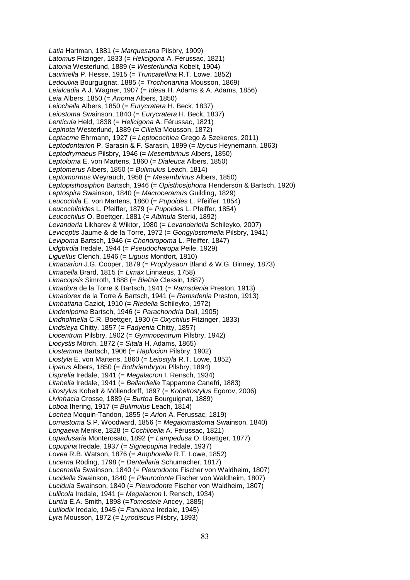*Latia* Hartman, 1881 (= *Marquesana* Pilsbry, 1909) *Latomus* Fitzinger, 1833 (= *Helicigona* A. Férussac, 1821) *Latonia* Westerlund, 1889 (= *Westerlundia* Kobelt, 1904) *Laurinella* P. Hesse, 1915 (= *Truncatellina* R.T. Lowe, 1852) *Ledoulxia* Bourguignat, 1885 (= *Trochonanina* Mousson, 1869) *Leialcadia* A.J. Wagner, 1907 (= *Idesa* H. Adams & A. Adams, 1856) *Leia* Albers, 1850 (= *Anoma* Albers, 1850) *Leiocheila* Albers, 1850 (= *Eurycratera* H. Beck, 1837) *Leiostoma* Swainson, 1840 (= *Eurycratera* H. Beck, 1837) *Lenticula* Held, 1838 (= *Helicigona* A. Férussac, 1821) *Lepinota* Westerlund, 1889 (= *Ciliella* Mousson, 1872) *Leptacme* Ehrmann, 1927 (= *Leptocochlea* Grego & Szekeres, 2011) *Leptodontarion* P. Sarasin & F. Sarasin, 1899 (= *Ibycus* Heynemann, 1863) *Leptodrymaeus* Pilsbry, 1946 (= *Mesembrinus* Albers, 1850) *Leptoloma* E. von Martens, 1860 (= *Dialeuca* Albers, 1850) *Leptomerus* Albers, 1850 (= *Bulimulus* Leach, 1814) *Leptomormus* Weyrauch, 1958 (= *Mesembrinus* Albers, 1850) *Leptopisthosiphon* Bartsch, 1946 (= *Opisthosiphona* Henderson & Bartsch, 1920) *Leptospira* Swainson, 1840 (= *Macroceramus* Guilding, 1829) *Leucochila* E. von Martens, 1860 (= *Pupoides* L. Pfeiffer, 1854) *Leucochiloides* L. Pfeiffer, 1879 (= *Pupoides* L. Pfeiffer, 1854) *Leucochilus* O. Boettger, 1881 (= *Albinula* Sterki, 1892) *Levanderia* Likharev & Wiktor, 1980 (= *Levanderiella* Schileyko, 2007) *Levicoptis* Jaume & de la Torre, 1972 (= *Gongylostomella* Pilsbry, 1941) *Levipoma* Bartsch, 1946 (= *Chondropoma* L. Pfeiffer, 1847) *Lidgbirdia* Iredale, 1944 (= *Pseudocharopa* Peile, 1929) *Liguellus* Clench, 1946 (= *Liguus* Montfort, 1810) *Limacarion* J.G. Cooper, 1879 (= *Prophysaon* Bland & W.G. Binney, 1873) *Limacella* Brard, 1815 (= *Limax* Linnaeus, 1758) *Limacopsis* Simroth, 1888 (= *Bielzia* Clessin, 1887) *Limadora* de la Torre & Bartsch, 1941 (= *Ramsdenia* Preston, 1913) *Limadorex* de la Torre & Bartsch, 1941 (= *Ramsdenia* Preston, 1913) *Limbatiana* Caziot, 1910 (= *Riedelia* Schileyko, 1972) *Lindenipoma* Bartsch, 1946 (= *Parachondria* Dall, 1905) *Lindholmella* C.R. Boettger, 1930 (= *Oxychilus* Fitzinger, 1833) *Lindsleya* Chitty, 1857 (= *Fadyenia* Chitty, 1857) *Liocentrum* Pilsbry, 1902 (= *Gymnocentrum* Pilsbry, 1942) *Liocystis* Mörch, 1872 (= *Sitala* H. Adams, 1865) *Liostemma* Bartsch, 1906 (= *Haplocion* Pilsbry, 1902) *Liostyla* E. von Martens, 1860 (= *Leiostyla* R.T. Lowe, 1852) *Liparus* Albers, 1850 (= *Bothriembryon* Pilsbry, 1894) *Lisprelia* Iredale, 1941 (= *Megalacron* I. Rensch, 1934) *Litabella* Iredale, 1941 (= *Bellardiella* Tapparone Canefri, 1883) *Litostylus* Kobelt & Möllendorff, 1897 (= *Kobeltostylus* Egorov, 2006) *Livinhacia* Crosse, 1889 (= *Burtoa* Bourguignat, 1889) *Loboa* Ihering, 1917 (= *Bulimulus* Leach, 1814) *Lochea* Moquin-Tandon, 1855 (= *Arion* A. Férussac, 1819) *Lomastoma* S.P. Woodward, 1856 (= *Megalomastoma* Swainson, 1840) *Longaeva* Menke, 1828 (= *Cochlicella* A. Férussac, 1821) *Lopadusaria* Monterosato, 1892 (= *Lampedusa* O. Boettger, 1877) *Lopupina* Iredale, 1937 (= *Signepupina* Iredale, 1937) *Lovea* R.B. Watson, 1876 (= *Amphorella* R.T. Lowe, 1852) *Lucerna* Röding, 1798 (= *Dentellaria* Schumacher, 1817) *Lucernella* Swainson, 1840 (= *Pleurodonte* Fischer von Waldheim, 1807) *Lucidella* Swainson, 1840 (= *Pleurodonte* Fischer von Waldheim, 1807) *Lucidula* Swainson, 1840 (= *Pleurodonte* Fischer von Waldheim, 1807) *Lullicola* Iredale, 1941 (= *Megalacron* I. Rensch, 1934) *Luntia* E.A. Smith, 1898 (=*Tomostele* Ancey, 1885) *Lutilodix* Iredale, 1945 (= *Fanulena* Iredale, 1945) *Lyra* Mousson, 1872 (= *Lyrodiscus* Pilsbry, 1893)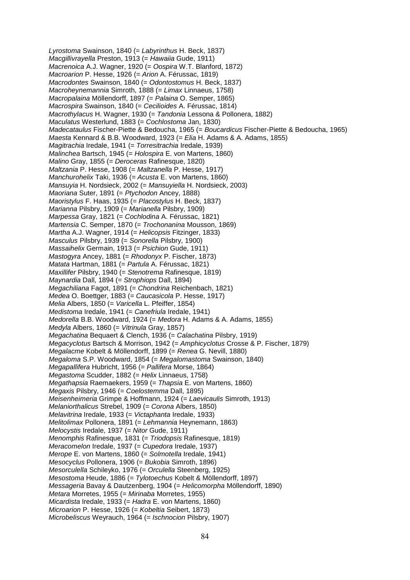*Lyrostoma* Swainson, 1840 (= *Labyrinthus* H. Beck, 1837) *Macgillivrayella* Preston, 1913 (= *Hawaiia* Gude, 1911) *Macrenoica* A.J. Wagner, 1920 (= *Oospira* W.T. Blanford, 1872) *Macroarion* P. Hesse, 1926 (= *Arion* A. Férussac, 1819) *Macrodontes* Swainson, 1840 (= *Odontostomus* H. Beck, 1837) *Macroheynemannia* Simroth, 1888 (= *Limax* Linnaeus, 1758) *Macropalaina* Möllendorff, 1897 (= *Palaina* O. Semper, 1865) *Macrospira* Swainson, 1840 (= *Cecilioides* A. Férussac, 1814) *Macrothylacus* H. Wagner, 1930 (= *Tandonia* Lessona & Pollonera, 1882) *Maculatus* Westerlund, 1883 (= *Cochlostoma* Jan, 1830) *Madecataulus* Fischer-Piette & Bedoucha, 1965 (= *Boucardicus* Fischer-Piette & Bedoucha, 1965) *Maesta* Kennard & B.B. Woodward, 1923 (= *Elia* H. Adams & A. Adams, 1855) *Magitrachia* Iredale, 1941 (= *Torresitrachia* Iredale, 1939) *Malinchea* Bartsch, 1945 (= *Holospira* E. von Martens, 1860) *Malino* Gray, 1855 (= *Deroceras* Rafinesque, 1820) *Maltzania* P. Hesse, 1908 (= *Maltzanella* P. Hesse, 1917) *Manchurohelix* Taki, 1936 (= *Acusta* E. von Martens, 1860) *Mansuyia* H. Nordsieck, 2002 (= *Mansuyiella* H. Nordsieck, 2003) *Maoriana* Suter, 1891 (= *Ptychodon* Ancey, 1888) *Maoristylus* F. Haas, 1935 (= *Placostylus* H. Beck, 1837) *Marianna* Pilsbry, 1909 (= *Marianella* Pilsbry, 1909) *Marpessa* Gray, 1821 (= *Cochlodina* A. Férussac, 1821) *Martensia* C. Semper, 1870 (= *Trochonanina* Mousson, 1869) *Martha* A.J. Wagner, 1914 (= *Helicopsis* Fitzinger, 1833) *Masculus* Pilsbry, 1939 (= *Sonorella* Pilsbry, 1900) *Massaihelix* Germain, 1913 (= *Psichion* Gude, 1911) *Mastogyra* Ancey, 1881 (= *Rhodonyx* P. Fischer, 1873) *Matata* Hartman, 1881 (= *Partula* A. Férussac, 1821) *Maxillifer* Pilsbry, 1940 (= *Stenotrema* Rafinesque, 1819) *Maynardia* Dall, 1894 (= *Strophiops* Dall, 1894) *Megachiliana* Fagot, 1891 (= *Chondrina* Reichenbach, 1821) *Medea* O. Boettger, 1883 (= *Caucasicola* P. Hesse, 1917) *Melia* Albers, 1850 (= *Varicella* L. Pfeiffer, 1854) *Medistoma* Iredale, 1941 (= *Canefriula* Iredale, 1941) *Medorella* B.B. Woodward, 1924 (= *Medora* H. Adams & A. Adams, 1855) *Medyla* Albers, 1860 (= *Vitrinula* Gray, 1857) *Megachatina* Bequaert & Clench, 1936 (= *Calachatina* Pilsbry, 1919) *Megacyclotus* Bartsch & Morrison, 1942 (= *Amphicyclotus* Crosse & P. Fischer, 1879) *Megalacme* Kobelt & Möllendorff, 1899 (= *Renea* G. Nevill, 1880) *Megaloma* S.P. Woodward, 1854 (= *Megalomastoma* Swainson, 1840) *Megapallifera* Hubricht, 1956 (= *Pallifera* Morse, 1864) *Megastoma* Scudder, 1882 (= *Helix* Linnaeus, 1758) *Megathapsia* Raemaekers, 1959 (= *Thapsia* E. von Martens, 1860) *Megaxis* Pilsbry, 1946 (= *Coelostemma* Dall, 1895) *Meisenheimeria* Grimpe & Hoffmann, 1924 (= *Laevicaulis* Simroth, 1913) *Melaniorthalicus* Strebel, 1909 (= *Corona* Albers, 1850) *Melavitrina* Iredale, 1933 (= *Victaphanta* Iredale, 1933) *Melitolimax* Pollonera, 1891 (= *Lehmannia* Heynemann, 1863) *Melocystis* Iredale, 1937 (= *Nitor* Gude, 1911) *Menomphis* Rafinesque, 1831 (= *Triodopsis* Rafinesque, 1819) *Meracomelon* Iredale, 1937 (= *Cupedora* Iredale, 1937) *Merope* E. von Martens, 1860 (= *Solmotella* Iredale, 1941) *Mesocyclus* Pollonera, 1906 (= *Bukobia* Simroth, 1896) *Mesorculella* Schileyko, 1976 (= *Orculella* Steenberg, 1925) *Mesostoma* Heude, 1886 (= *Tylotoechus* Kobelt & Möllendorff, 1897) *Messageria* Bavay & Dautzenberg, 1904 (= *Helicomorpha* Möllendorff, 1890) *Metara* Morretes, 1955 (= *Mirinaba* Morretes, 1955) *Micardista* Iredale, 1933 (= *Hadra* E. von Martens, 1860) *Microarion* P. Hesse, 1926 (= *Kobeltia* Seibert, 1873) *Microbeliscus* Weyrauch, 1964 (= *Ischnocion* Pilsbry, 1907)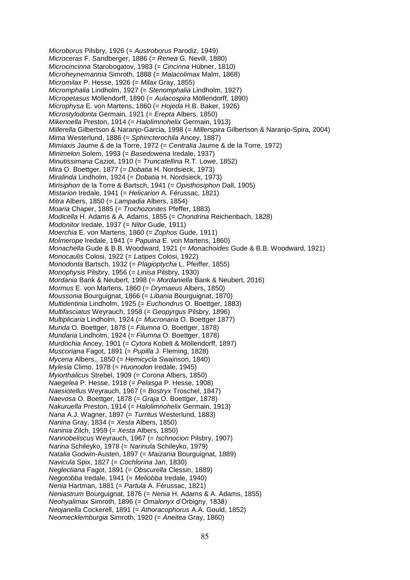*Microborus* Pilsbry, 1926 (= *Austroborus* Parodiz, 1949) *Microceras* F. Sandberger, 1886 (= *Renea* G. Nevill, 1880) *Microcincinna* Starobogatov, 1983 (= *Cincinna* Hübner, 1810) *Microheynemannia* Simroth, 1888 (= *Malacolimax* Malm, 1868) *Micromilax* P. Hesse, 1926 (= *Milax* Gray, 1855) *Micromphalia* Lindholm, 1927 (= *Stenomphalia* Lindholm, 1927) *Micropetasus* Möllendorff, 1890 (= *Aulacospira* Möllendorff, 1890) *Microphysa* E. von Martens, 1860 (= *Hojeda* H.B. Baker, 1926) *Microstylodonta* Germain, 1921 (= *Erepta* Albers, 1850) *Mikenoella* Preston, 1914 (= *Halolimnohelix* Germain, 1913) *Millerella* Gilbertson & Naranjo-Garcia, 1998 (= *Millerspira* Gilbertson & Naranjo-Spira, 2004) *Mima* Westerlund, 1886 (= *Sphincterochila* Ancey, 1887) *Mimiaxis* Jaume & de la Torre, 1972 (= *Centralia* Jaume & de la Torre, 1972) *Minimelon* Solem, 1993 (= *Basedowena* Iredale, 1937) *Minutissimana* Caziot, 1910 (= *Truncatellina* R.T. Lowe, 1852) *Mira* O. Boettger, 1877 (= *Dobatia* H. Nordsieck, 1973) *Miralinda* Lindholm, 1924 (= *Dobatia* H. Nordsieck, 1973) *Mirisiphon* de la Torre & Bartsch, 1941 (= *Opisthosiphon* Dall, 1905) *Mistarion* Iredale, 1941 (= *Helicarion* A. Férussac, 1821) *Mitra* Albers, 1850 (= *Lampadia* Albers, 1854) *Moaria* Chaper, 1885 (= *Trochozonites* Pfeffer, 1883) *Modicella* H. Adams & A. Adams, 1855 (= *Chondrina* Reichenbach, 1828) *Modonitor* Iredale, 1937 (= *Nitor* Gude, 1911) *Moerchia* E. von Martens, 1860 (= *Zophos* Gude, 1911) *Molmerope* Iredale, 1941 (= *Papuina* E. von Martens, 1860) *Monachella* Gude & B.B. Woodward, 1921 (= *Monachoides* Gude & B.B. Woodward, 1921) *Monocaulis* Colosi, 1922 (= *Latipes* Colosi, 1922) *Monodonta* Bartsch, 1932 (= *Plagioptycha* L. Pfeiffer, 1855) *Monophysis* Pilsbry, 1956 (= *Linisa* Pilsbry, 1930) *Mordania* Bank & Neubert, 1998 (= *Mordaniella* Bank & Neubert, 2016) *Mormus* E. von Martens, 1860 (= *Drymaeus* Albers, 1850) *Moussonia* Bourguignat, 1866 (= *Libania* Bourguignat, 1870) *Multidentinia* Lindholm, 1925 (= *Euchondrus* O. Boettger, 1883) *Multifasciatus* Weyrauch, 1958 (= *Geopyrgus* Pilsbry, 1896) *Multiplicaria* Lindholm, 1924 (= *Mucronaria* O. Boettger 1877) *Munda* O. Boettger, 1878 (= *Filumna* O. Boettger, 1878) *Mundaria* Lindholm, 1924 (= *Filumna* O. Boettger, 1878) *Murdochia* Ancey, 1901 (= *Cytora* Kobelt & Möllendorff, 1897) *Muscoriana* Fagot, 1891 (= *Pupilla* J. Fleming, 1828) *Mycena* Albers,, 1850 (= *Hemicycla* Swainson, 1840) *Mylesia* Climo, 1978 (= *Huonodon* Iredale, 1945) *Myiorthalicus* Strebel, 1909 (= *Corona* Albers, 1850) *Naegelea* P. Hesse, 1918 (= *Pelasga* P. Hesse, 1908) *Naesiotellus* Weyrauch, 1967 (= *Bostryx* Troschel, 1847) *Naevosa* O. Boettger, 1878 (= *Graja* O. Boettger, 1878) *Nakuruella* Preston, 1914 (= *Halolimnohelix* Germain, 1913) *Nana* A.J. Wagner, 1897 (= *Turritus* Westerlund, 1883) *Nanina* Gray, 1834 (= *Xesta* Albers, 1850) *Naninia* Zilch, 1959 (= *Xesta* Albers, 1850) *Nannobeliscus* Weyrauch, 1967 (= *Ischnocion* Pilsbry, 1907) *Narina* Schileyko, 1978 (= *Narinula* Schileyko, 1979) *Natalia* Godwin-Austen, 1897 (= *Maizania* Bourguignat, 1889) *Navicula* Spix, 1827 (= *Cochlorina* Jan, 1830) *Neglectiana* Fagot, 1891 (= *Obscurella* Clessin, 1889) *Negotobba* Iredale, 1941 (= *Meliobba* Iredale, 1940) *Nenia* Hartman, 1881 (= *Partula* A. Férussac, 1821) *Neniastrum* Bourguignat, 1876 (= *Nenia* H. Adams & A. Adams, 1855) *Neohyalimax* Simroth, 1896 (= *Omalonyx* d'Orbigny, 1838) *Neojanella* Cockerell, 1891 (= *Athoracophorus* A.A. Gould, 1852) *Neomecklemburgia* Simroth, 1920 (= *Aneitea* Gray, 1860)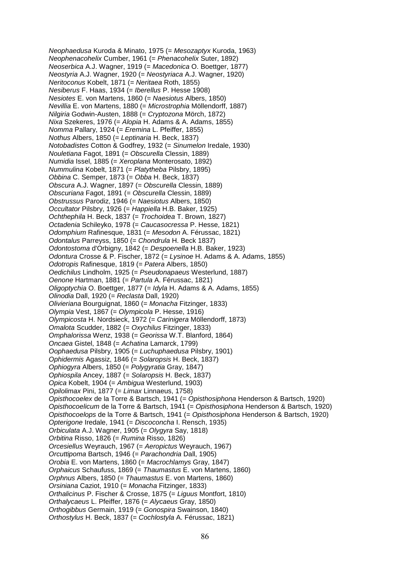*Neophaedusa* Kuroda & Minato, 1975 (= *Mesozaptyx* Kuroda, 1963) *Neophenacohelix* Cumber, 1961 (= *Phenacohelix* Suter, 1892) *Neoserbica* A.J. Wagner, 1919 (= *Macedonica* O. Boettger, 1877) *Neostyria* A.J. Wagner, 1920 (= *Neostyriaca* A.J. Wagner, 1920) *Neritoconus* Kobelt, 1871 (= *Neritaea* Roth, 1855) *Nesiberus* F. Haas, 1934 (= *Iberellus* P. Hesse 1908) *Nesiotes* E. von Martens, 1860 (= *Naesiotus* Albers, 1850) *Nevillia* E. von Martens, 1880 (= *Microstrophia* Möllendorff, 1887) *Nilgiria* Godwin-Austen, 1888 (= *Cryptozona* Mörch, 1872) *Nixa* Szekeres, 1976 (= *Alopia* H. Adams & A. Adams, 1855) *Nomma* Pallary, 1924 (= *Eremina* L. Pfeiffer, 1855) *Nothus* Albers, 1850 (= *Leptinaria* H. Beck, 1837) *Notobadistes* Cotton & Godfrey, 1932 (= *Sinumelon* Iredale, 1930) *Nouletiana* Fagot, 1891 (= *Obscurella* Clessin, 1889) *Numidia* Issel, 1885 (= *Xeroplana* Monterosato, 1892) *Nummulina* Kobelt, 1871 (= *Platytheba* Pilsbry, 1895) *Obbina* C. Semper, 1873 (= *Obba* H. Beck, 1837) *Obscura* A.J. Wagner, 1897 (= *Obscurella* Clessin, 1889) *Obscuriana* Fagot, 1891 (= *Obscurella* Clessin, 1889) *Obstrussus* Parodiz, 1946 (= *Naesiotus* Albers, 1850) *Occultator* Pilsbry, 1926 (= *Happiella* H.B. Baker, 1925) *Ochthephila* H. Beck, 1837 (= *Trochoidea* T. Brown, 1827) *Octadenia* Schileyko, 1978 (= *Caucasocressa* P. Hesse, 1821) *Odomphium* Rafinesque, 1831 (= *Mesodon* A. Férussac, 1821) *Odontalus* Parreyss, 1850 (= *Chondrula* H. Beck 1837) *Odontostoma* d'Orbigny, 1842 (= *Despoenella* H.B. Baker, 1923) *Odontura* Crosse & P. Fischer, 1872 (= *Lysinoe* H. Adams & A. Adams, 1855) *Odotropis* Rafinesque, 1819 (= *Patera* Albers, 1850) *Oedichilus* Lindholm, 1925 (= *Pseudonapaeus* Westerlund, 1887) *Oenone* Hartman, 1881 (= *Partula* A. Férussac, 1821) *Oligoptychia* O. Boettger, 1877 (= *Idyla* H. Adams & A. Adams, 1855) *Olinodia* Dall, 1920 (= *Reclasta* Dall, 1920) *Olivieriana* Bourguignat, 1860 (= *Monacha* Fitzinger, 1833) *Olympia* Vest, 1867 (= *Olympicola* P. Hesse, 1916) *Olympicosta* H. Nordsieck, 1972 (= *Carinigera* Möllendorff, 1873) *Omalota* Scudder, 1882 (= *Oxychilus* Fitzinger, 1833) *Omphalorissa* Wenz, 1938 (= *Georissa* W.T. Blanford, 1864) *Oncaea* Gistel, 1848 (= *Achatina* Lamarck, 1799) *Oophaedusa* Pilsbry, 1905 (= *Luchuphaedusa* Pilsbry, 1901) *Ophidermis* Agassiz, 1846 (= *Solaropsis* H. Beck, 1837) *Ophiogyra* Albers, 1850 (= *Polygyratia* Gray, 1847) *Ophiospila* Ancey, 1887 (= *Solaropsis* H. Beck, 1837) *Opica* Kobelt, 1904 (= *Ambigua* Westerlund, 1903) *Opilolimax* Pini, 1877 (= *Limax* Linnaeus, 1758) *Opisthocoelex* de la Torre & Bartsch, 1941 (= *Opisthosiphona* Henderson & Bartsch, 1920) *Opisthocoelicum* de la Torre & Bartsch, 1941 (= *Opisthosiphona* Henderson & Bartsch, 1920) *Opisthocoelops* de la Torre & Bartsch, 1941 (= *Opisthosiphona* Henderson & Bartsch, 1920) *Opterigone* Iredale, 1941 (= *Discoconcha* I. Rensch, 1935) *Orbiculata* A.J. Wagner, 1905 (= *Olygyra* Say, 1818) *Orbitina* Risso, 1826 (= *Rumina* Risso, 1826) *Orcesiellus* Weyrauch, 1967 (= *Aeropictus* Weyrauch, 1967) *Orcuttipoma* Bartsch, 1946 (= *Parachondria* Dall, 1905) *Orobia* E. von Martens, 1860 (= *Macrochlamys* Gray, 1847) *Orphaicus* Schaufuss, 1869 (= *Thaumastus* E. von Martens, 1860) *Orphnus* Albers, 1850 (= *Thaumastus* E. von Martens, 1860) *Orsiniana* Caziot, 1910 (= *Monacha* Fitzinger, 1833) *Orthalicinus* P. Fischer & Crosse, 1875 (= *Liguus* Montfort, 1810) *Orthalycaeus* L. Pfeiffer, 1876 (= *Alycaeus* Gray, 1850) *Orthogibbus* Germain, 1919 (= *Gonospira* Swainson, 1840) *Orthostylus* H. Beck, 1837 (= *Cochlostyla* A. Férussac, 1821)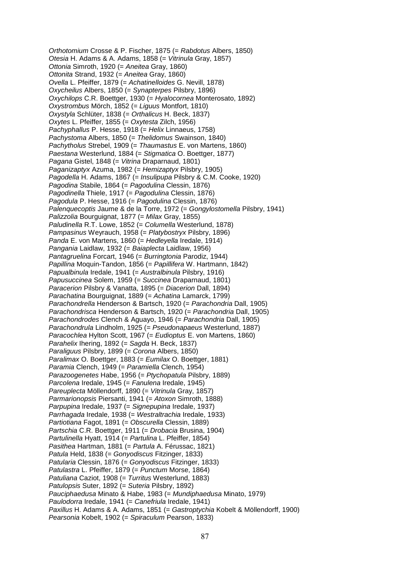*Orthotomium* Crosse & P. Fischer, 1875 (= *Rabdotus* Albers, 1850) *Otesia* H. Adams & A. Adams, 1858 (= *Vitrinula* Gray, 1857) *Ottonia* Simroth, 1920 (= *Aneitea* Gray, 1860) *Ottonita* Strand, 1932 (= *Aneitea* Gray, 1860) *Ovella* L. Pfeiffer, 1879 (= *Achatinelloides* G. Nevill, 1878) *Oxycheilus* Albers, 1850 (= *Synapterpes* Pilsbry, 1896) *Oxychilops* C.R. Boettger, 1930 (= *Hyalocornea* Monterosato, 1892) *Oxystrombus* Mörch, 1852 (= *Liguus* Montfort, 1810) *Oxystyla* Schlüter, 1838 (= *Orthalicus* H. Beck, 1837) *Oxytes* L. Pfeiffer, 1855 (= *Oxytesta* Zilch, 1956) *Pachyphallus* P. Hesse, 1918 (= *Helix* Linnaeus, 1758) *Pachystoma* Albers, 1850 (= *Thelidomus* Swainson, 1840) *Pachytholus* Strebel, 1909 (= *Thaumastus* E. von Martens, 1860) *Paestana* Westerlund, 1884 (= *Stigmatica* O. Boettger, 1877) *Pagana* Gistel, 1848 (= *Vitrina* Draparnaud, 1801) *Paganizaptyx* Azuma, 1982 (= *Hemizaptyx* Pilsbry, 1905) *Pagodella* H. Adams, 1867 (= *Insulipupa* Pilsbry & C.M. Cooke, 1920) *Pagodina* Stabile, 1864 (= *Pagodulina* Clessin, 1876) *Pagodinella* Thiele, 1917 (= *Pagodulina* Clessin, 1876) *Pagodula* P. Hesse, 1916 (= *Pagodulina* Clessin, 1876) *Palenquecoptis* Jaume & de la Torre, 1972 (= *Gongylostomella* Pilsbry, 1941) *Palizzolia* Bourguignat, 1877 (= *Milax* Gray, 1855) *Paludinella* R.T. Lowe, 1852 (= *Columella* Westerlund, 1878) *Pampasinus* Weyrauch, 1958 (= *Platybostryx* Pilsbry, 1896) *Panda* E. von Martens, 1860 (= *Hedleyella* Iredale, 1914) *Pangania* Laidlaw, 1932 (= *Baiaplecta* Laidlaw, 1956) *Pantagruelina* Forcart, 1946 (= *Burringtonia* Parodiz, 1944) *Papillina* Moquin-Tandon, 1856 (= *Papillifera* W. Hartmann, 1842) *Papualbinula* Iredale, 1941 (= *Australbinula* Pilsbry, 1916) *Papusuccinea* Solem, 1959 (= *Succinea* Draparnaud, 1801) *Paracerion* Pilsbry & Vanatta, 1895 (= *Diacerion* Dall, 1894) *Parachatina* Bourguignat, 1889 (= *Achatina* Lamarck, 1799) *Parachondrella* Henderson & Bartsch, 1920 (= *Parachondria* Dall, 1905) *Parachondrisca* Henderson & Bartsch, 1920 (= *Parachondria* Dall, 1905) *Parachondrodes* Clench & Aguayo, 1946 (= *Parachondria* Dall, 1905) *Parachondrula* Lindholm, 1925 (= *Pseudonapaeus* Westerlund, 1887) *Paracochlea* Hylton Scott, 1967 (= *Eudioptus* E. von Martens, 1860) *Parahelix* Ihering, 1892 (= *Sagda* H. Beck, 1837) *Paraliguus* Pilsbry, 1899 (= *Corona* Albers, 1850) *Paralimax* O. Boettger, 1883 (= *Eumilax* O. Boettger, 1881) *Paramia* Clench, 1949 (= *Paramiella* Clench, 1954) *Parazoogenetes* Habe, 1956 (= *Ptychopatula* Pilsbry, 1889) *Parcolena* Iredale, 1945 (= *Fanulena* Iredale, 1945) *Pareuplecta* Möllendorff, 1890 (= *Vitrinula* Gray, 1857) *Parmarionopsis* Piersanti, 1941 (= *Atoxon* Simroth, 1888) *Parpupina* Iredale, 1937 (= *Signepupina* Iredale, 1937) *Parrhagada* Iredale, 1938 (= *Westraltrachia* Iredale, 1933) *Partiotiana* Fagot, 1891 (= *Obscurella* Clessin, 1889) *Partschia* C.R. Boettger, 1911 (= *Drobacia* Brusina, 1904) *Partulinella* Hyatt, 1914 (= *Partulina* L. Pfeiffer, 1854) *Pasithea* Hartman, 1881 (= *Partula* A. Férussac, 1821) *Patula* Held, 1838 (= *Gonyodiscus* Fitzinger, 1833) *Patularia* Clessin, 1876 (= *Gonyodiscus* Fitzinger, 1833) *Patulastra* L. Pfeiffer, 1879 (= *Punctum* Morse, 1864) *Patuliana* Caziot, 1908 (= *Turritus* Westerlund, 1883) *Patulopsis* Suter, 1892 (= *Suteria* Pilsbry, 1892) *Pauciphaedusa* Minato & Habe, 1983 (= *Mundiphaedusa* Minato, 1979) *Paulodorra* Iredale, 1941 (= *Canefriula* Iredale, 1941) *Paxillus* H. Adams & A. Adams, 1851 (= *Gastroptychia* Kobelt & Möllendorff, 1900) *Pearsonia* Kobelt, 1902 (= *Spiraculum* Pearson, 1833)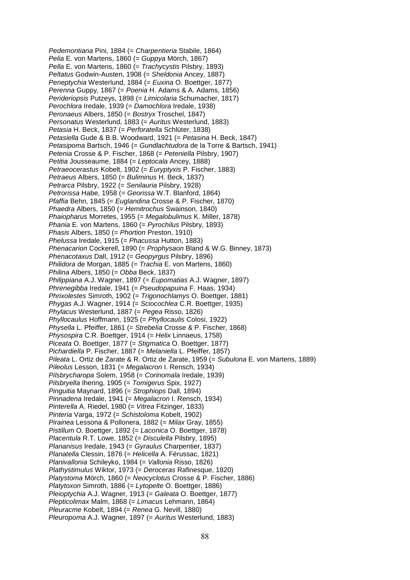*Pedemontiana* Pini, 1884 (= *Charpentieria* Stabile, 1864) *Pelia* E. von Martens, 1860 (= *Guppya* Mörch, 1867) *Pella* E. von Martens, 1860 (= *Trachycystis* Pilsbry, 1893) *Peltatus* Godwin-Austen, 1908 (= *Sheldonia* Ancey, 1887) *Peneptychia* Westerlund, 1884 (= *Euxina* O. Boettger, 1877) *Perenna* Guppy, 1867 (= *Poenia* H. Adams & A. Adams, 1856) *Perideriopsis* Putzeys, 1898 (= *Limicolaria* Schumacher, 1817) *Perochlora* Iredale, 1939 (= *Damochlora* Iredale, 1938) *Peronaeus* Albers, 1850 (= *Bostryx* Troschel, 1847) *Personatus* Westerlund, 1883 (= *Auritus* Westerlund, 1883) *Petasia* H. Beck, 1837 (= *Perforatella* Schlüter, 1838) *Petasiella* Gude & B.B. Woodward, 1921 (= *Petasina* H. Beck, 1847) *Petasipoma* Bartsch, 1946 (= *Gundlachtudora* de la Torre & Bartsch, 1941) *Petenia* Crosse & P. Fischer, 1868 (= *Peteniella* Pilsbry, 1907) *Petitia* Jousseaume, 1884 (= *Leptocala* Ancey, 1888) *Petraeocerastus* Kobelt, 1902 (= *Euryptyxis* P. Fischer, 1883) *Petraeus* Albers, 1850 (= *Buliminus* H. Beck, 1837) *Petrarca* Pilsbry, 1922 (= *Senilauria* Pilsbry, 1928) *Petrorissa* Habe, 1958 (= *Georissa* W.T. Blanford, 1864) *Pfaffia* Behn, 1845 (= *Euglandina* Crosse & P. Fischer, 1870) *Phaedra* Albers, 1850 (= *Hemitrochus* Swainson, 1840) *Phaiopharus* Morretes, 1955 (= *Megalobulimus* K. Miller, 1878) *Phania* E. von Martens, 1860 (= *Pyrochilus* Pilsbry, 1893) *Phasis* Albers, 1850 (= *Phortion* Preston, 1910) *Phelussa* Iredale, 1915 (= *Phacussa* Hutton, 1883) *Phenacarion* Cockerell, 1890 (= *Prophysaon* Bland & W.G. Binney, 1873) *Phenacotaxus* Dall, 1912 (= *Geopyrgus* Pilsbry, 1896) *Philidora* de Morgan, 1885 (= *Trachia* E. von Martens, 1860) *Philina* Albers, 1850 (= *Obba* Beck, 1837) *Philippiana* A.J. Wagner, 1897 (= *Eupomatias* A.J. Wagner, 1897) *Phrenegibba* Iredale, 1941 (= *Pseudopapuina* F. Haas, 1934) *Phrixolestes* Simroth, 1902 (= *Trigonochlamys* O. Boettger, 1881) *Phygas* A.J. Wagner, 1914 (= *Sciocochlea* C.R. Boettger, 1935) *Phylacus* Westerlund, 1887 (= *Pegea* Risso, 1826) *Phyllocaulus* Hoffmann, 1925 (= *Phyllocaulis* Colosi, 1922) *Physella* L. Pfeiffer, 1861 (= *Strebelia* Crosse & P. Fischer, 1868) *Physospira* C.R. Boettger, 1914 (= *Helix* Linnaeus, 1758) *Piceata* O. Boettger, 1877 (= *Stigmatica* O. Boettger, 1877) *Pichardiella* P. Fischer, 1887 (= *Melaniella* L. Pfeiffer, 1857) *Pileata* L. Ortiz de Zarate & R. Ortiz de Zarate, 1959 (= *Subulona* E. von Martens, 1889) *Pileolus* Lesson, 1831 (= *Megalacron* I. Rensch, 1934) *Pilsbrycharopa* Solem, 1958 (= *Corinomala* Iredale, 1939) *Pilsbryella* Ihering, 1905 (= *Tomigerus* Spix, 1927) *Pinguitia* Maynard, 1896 (= *Strophiops* Dall, 1894) *Pinnadena* Iredale, 1941 (= *Megalacron* I. Rensch, 1934) *Pinterella* A. Riedel, 1980 (= *Vitrea* Fitzinger, 1833) *Pinteria* Varga, 1972 (= *Schistoloma* Kobelt, 1902) *Pirainea* Lessona & Pollonera, 1882 (= *Milax* Gray, 1855) *Pistillum* O. Boettger, 1892 (= *Laconica* O. Boettger, 1878) *Placentula* R.T. Lowe, 1852 (= *Disculella* Pilsbry, 1895) *Plananisus* Iredale, 1943 (= *Gyraulus* Charpentier, 1837) *Planatella* Clessin, 1876 (= *Helicella* A. Férussac, 1821) *Planivallonia* Schileyko, 1984 (= *Vallonia* Risso, 1826) *Plathystimulus* Wiktor, 1973 (= *Deroceras* Rafinesque, 1820) *Platystoma* Mörch, 1860 (= *Neocyclotus* Crosse & P. Fischer, 1886) *Platytoxon* Simroth, 1886 (= *Lytopelte* O. Boettger, 1886) *Pleioptychia* A.J. Wagner, 1913 (= *Galeata* O. Boettger, 1877) *Plepticolimax* Malm, 1868 (= *Limacus* Lehmann, 1864) *Pleuracme* Kobelt, 1894 (= *Renea* G. Nevill, 1880) *Pleuropoma* A.J. Wagner, 1897 (= *Auritus* Westerlund, 1883)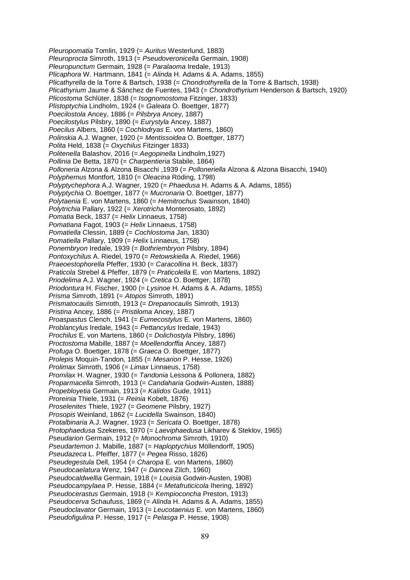*Pleuropomatia* Tomlin, 1929 (= *Auritus* Westerlund, 1883) *Pleuroprocta* Simroth, 1913 (= *Pseudoveronicella* Germain, 1908) *Pleuropunctum* Germain, 1928 (= *Paralaoma* Iredale, 1913) *Plicaphora* W. Hartmann, 1841 (= *Alinda* H. Adams & A. Adams, 1855) *Plicathyrella* de la Torre & Bartsch, 1938 (= *Chondrothyrella* de la Torre & Bartsch, 1938) *Plicathyrium* Jaume & Sánchez de Fuentes, 1943 (= *Chondrothyrium* Henderson & Bartsch, 1920) *Plicostoma* Schlüter, 1838 (= *Isognomostoma* Fitzinger, 1833) *Plistoptychia* Lindholm, 1924 (= *Galeata* O. Boettger, 1877) *Poecilostola* Ancey, 1886 (= *Pilsbrya* Ancey, 1887) *Poecilostylus* Pilsbry, 1890 (= *Eurystyla* Ancey, 1887) *Poecilus* Albers, 1860 (= *Cochlodryas* E. von Martens, 1860) *Polinskia* A.J. Wagner, 1920 (= *Mentissoidea* O. Boettger, 1877) *Polita* Held, 1838 (= *Oxychilus* Fitzinger 1833) *Politenella* Balashov, 2016 (= *Aegopinella* Lindholm,1927) *Pollinia* De Betta, 1870 (= *Charpentieria* Stabile, 1864) *Polloneria* Alzona & Alzona Bisacchi ,1939 (= *Polloneriella* Alzona & Alzona Bisacchi, 1940) *Polyphemus* Montfort, 1810 (= *Oleacina* Röding, 1798) *Polyptychephora* A.J. Wagner, 1920 (= *Phaedusa* H. Adams & A. Adams, 1855) *Polyptychia* O. Boettger, 1877 (= *Mucronaria* O. Boettger, 1877) *Polytaenia* E. von Martens, 1860 (= *Hemitrochus* Swainson, 1840) *Polytrichia* Pallary, 1922 (= *Xerotricha* Monterosato, 1892) *Pomatia* Beck, 1837 (= *Helix* Linnaeus, 1758) *Pomatiana* Fagot, 1903 (= *Helix* Linnaeus, 1758) *Pomatiella* Clessin, 1889 (= *Cochlostoma* Jan, 1830) *Pomatiella* Pallary, 1909 (= *Helix* Linnaeus, 1758) *Ponembryon* Iredale*,* 1939 (= *Bothriembryon* Pilsbry, 1894) *Pontoxychilus* A. Riedel, 1970 (= *Retowskiella* A. Riedel, 1966) *Praeoestophorella* Pfeffer, 1930 (= *Caracollina* H. Beck, 1837) *Praticola* Strebel & Pfeffer, 1879 (= *Praticolella* E. von Martens, 1892) *Priodelima* A.J. Wagner, 1924 (= *Cretica* O. Boettger, 1878) *Priodontura* H. Fischer, 1900 (= *Lysinoe* H. Adams & A. Adams, 1855) *Prisma* Simroth, 1891 (= *Atopos* Simroth, 1891) *Prismatocaulis* Simroth, 1913 (= *Drepanocaulis* Simroth, 1913) *Pristina* Ancey, 1886 (= *Pristiloma* Ancey, 1887) *Proaspastus* Clench, 1941 (= *Eumecostylus* E. von Martens, 1860) *Problancylus* Iredale, 1943 (= *Pettancylus* Iredale, 1943) *Prochilus* E. von Martens, 1860 (= *Dolichostyla* Pilsbry, 1896) *Proctostoma* Mabille, 1887 (= *Moellendorffia* Ancey, 1887) *Profuga* O. Boettger, 1878 (= *Graeca* O. Boettger, 1877) *Prolepis* Moquin-Tandon, 1855 (= *Mesarion* P. Hesse, 1926) *Prolimax* Simroth, 1906 (= *Limax* Linnaeus, 1758) *Promilax* H. Wagner, 1930 (= *Tandonia* Lessona & Pollonera, 1882) *Proparmacella* Simroth, 1913 (= *Candaharia* Godwin-Austen, 1888) *Propebloyetia* Germain, 1913 (= *Kalidos* Gude, 1911) *Proreinia* Thiele, 1931 (= *Reinia* Kobelt, 1876) *Proselenites* Thiele, 1927 (= *Geomene* Pilsbry, 1927) *Prosopis* Weinland, 1862 (= *Lucidella* Swainson, 1840) *Protalbinaria* A.J. Wagner, 1923 (= *Sericata* O. Boettger, 1878) *Protophaedusa* Szekeres, 1970 (= *Laeviphaedusa* Likharev & Steklov, 1965) *Pseudarion* Germain, 1912 (= *Monochroma* Simroth, 1910) *Pseudartemon* J. Mabille, 1887 (= *Haploptychius* Möllendorff, 1905) *Pseudazeca* L. Pfeiffer, 1877 (= *Pegea* Risso, 1826) *Pseudegestula* Dell, 1954 (= *Charopa* E. von Martens, 1860) *Pseudocaelatura* Wenz, 1947 (= *Dancea* Zilch, 1960) *Pseudocaldwellia* Germain, 1918 (= *Louisia* Godwin-Austen, 1908) *Pseudocampylaea* P. Hesse, 1884 (= *Metafruticicola* Ihering, 1892) *Pseudocerastus* Germain, 1918 (= *Kempioconcha* Preston, 1913) *Pseudocerva* Schaufuss, 1869 (= *Alinda* H. Adams & A. Adams, 1855) *Pseudoclavator* Germain, 1913 (= *Leucotaenius* E. von Martens, 1860) *Pseudofigulina* P. Hesse, 1917 (= *Pelasga* P. Hesse, 1908)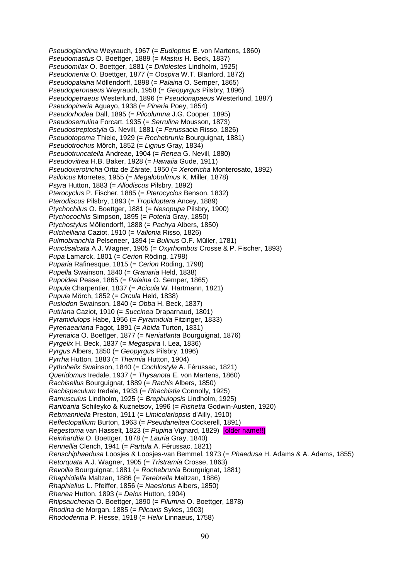*Pseudoglandina* Weyrauch, 1967 (= *Eudioptus* E. von Martens, 1860) *Pseudomastus* O. Boettger, 1889 (= *Mastus* H. Beck, 1837) *Pseudomilax* O. Boettger, 1881 (= *Drilolestes* Lindholm, 1925) *Pseudonenia* O. Boettger, 1877 (= *Oospira* W.T. Blanford, 1872) *Pseudopalaina* Möllendorff, 1898 (= *Palaina* O. Semper, 1865) *Pseudoperonaeus* Weyrauch, 1958 (= *Geopyrgus* Pilsbry, 1896) *Pseudopetraeus* Westerlund, 1896 (= *Pseudonapaeus* Westerlund, 1887) *Pseudopineria* Aguayo, 1938 (= *Pineria* Poey, 1854) *Pseudorhodea* Dall, 1895 (= *Plicolumna* J.G. Cooper, 1895) *Pseudoserrulina* Forcart, 1935 (= *Serrulina* Mousson, 1873) *Pseudostreptostyla* G. Nevill, 1881 (= *Ferussacia* Risso, 1826) *Pseudotopoma* Thiele, 1929 (= *Rochebrunia* Bourguignat, 1881) *Pseudotrochus* Mörch, 1852 (= *Lignus* Gray, 1834) *Pseudotruncatella* Andreae, 1904 (= *Renea* G. Nevill, 1880) *Pseudovitrea* H.B. Baker, 1928 (= *Hawaiia* Gude, 1911) *Pseudoxerotricha* Ortiz de Zárate, 1950 (= *Xerotricha* Monterosato, 1892) *Psiloicus* Morretes, 1955 (= *Megalobulimus* K. Miller, 1878) *Psyra* Hutton, 1883 (= *Allodiscus* Pilsbry, 1892) *Pterocyclus* P. Fischer, 1885 (= *Pterocyclos* Benson, 1832) *Pterodiscus* Pilsbry, 1893 (= *Tropidoptera* Ancey, 1889) *Ptychochilus* O. Boettger, 1881 (= *Nesopupa* Pilsbry, 1900) *Ptychocochlis* Simpson, 1895 (= *Poteria* Gray, 1850) *Ptychostylus* Möllendorff, 1888 (= *Pachya* Albers, 1850) *Pulchelliana* Caziot, 1910 (= *Vallonia* Risso, 1826) *Pulmobranchia* Pelseneer, 1894 (= *Bulinus* O.F. Müller, 1781) *Punctisalcata* A.J. Wagner, 1905 (= *Oxyrhombus* Crosse & P. Fischer, 1893) *Pupa* Lamarck, 1801 (= *Cerion* Röding, 1798) *Puparia* Rafinesque, 1815 (= *Cerion* Röding, 1798) *Pupella* Swainson, 1840 (= *Granaria* Held, 1838) *Pupoidea* Pease, 1865 (= *Palaina* O. Semper, 1865) *Pupula* Charpentier, 1837 (= *Acicula* W. Hartmann, 1821) *Pupula* Mörch, 1852 (= *Orcula* Held, 1838) *Pusiodon* Swainson, 1840 (= *Obba* H. Beck, 1837) *Putriana* Caziot, 1910 (= *Succinea* Draparnaud, 1801) *Pyramidulops* Habe, 1956 (= *Pyramidula* Fitzinger, 1833) *Pyrenaeariana* Fagot, 1891 (= *Abida* Turton, 1831) *Pyrenaica* O. Boettger, 1877 (= *Neniatlanta* Bourguignat, 1876) *Pyrgelix* H. Beck, 1837 (= *Megaspira* I. Lea, 1836) *Pyrgus* Albers, 1850 (= *Geopyrgus* Pilsbry, 1896) *Pyrrha* Hutton, 1883 (= *Thermia* Hutton, 1904) *Pythohelix* Swainson, 1840 (= *Cochlostyla* A. Férussac, 1821) *Queridomus* Iredale, 1937 (= *Thysanota* E. von Martens, 1860) *Rachisellus* Bourguignat, 1889 (= *Rachis* Albers, 1850) *Rachispeculum* Iredale, 1933 (= *Rhachistia* Connolly, 1925) *Ramusculus* Lindholm, 1925 (= *Brephulopsis* Lindholm, 1925) *Ranibania* Schileyko & Kuznetsov, 1996 (= *Rishetia* Godwin-Austen, 1920) *Rebmanniella* Preston, 1911 (= *Limicolariopsis* d'Ailly, 1910) *Reflectopallium* Burton, 1963 (= *Pseudaneitea* Cockerell, 1891) *Regestoma* van Hasselt, 1823 (= *Pupina* Vignard, 1829) [older name!!] *Reinhardtia* O. Boettger, 1878 (= *Lauria* Gray, 1840) *Rennellia* Clench, 1941 (= *Partula* A. Férussac, 1821) *Renschiphaedusa* Loosjes & Loosjes-van Bemmel, 1973 (= *Phaedusa* H. Adams & A. Adams, 1855) *Retorquata* A.J. Wagner, 1905 (= *Tristramia* Crosse, 1863) *Revoilia* Bourguignat, 1881 (= *Rochebrunia* Bourguignat, 1881) *Rhaphidiella* Maltzan, 1886 (= *Terebrella* Maltzan, 1886) *Rhaphiellus* L. Pfeiffer, 1856 (= *Naesiotus* Albers, 1850) *Rhenea* Hutton, 1893 (= *Delos* Hutton, 1904) *Rhipsauchenia* O. Boettger, 1890 (= *Filumna* O. Boettger, 1878) *Rhodina* de Morgan, 1885 (= *Plicaxis* Sykes, 1903) *Rhododerma* P. Hesse, 1918 (= *Helix* Linnaeus, 1758)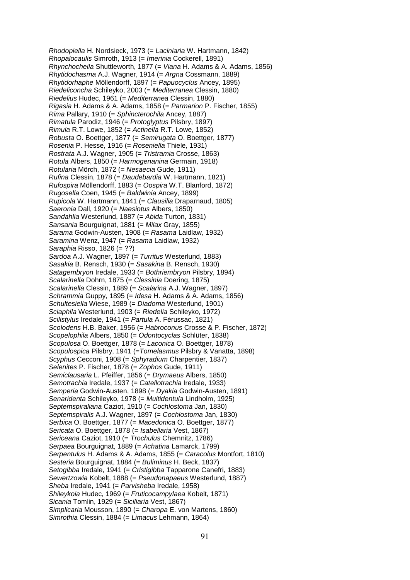*Rhodopiella* H. Nordsieck, 1973 (= *Laciniaria* W. Hartmann, 1842) *Rhopalocaulis* Simroth, 1913 (= *Imerinia* Cockerell, 1891) *Rhynchocheila* Shuttleworth, 1877 (= *Viana* H. Adams & A. Adams, 1856) *Rhytidochasma* A.J. Wagner, 1914 (= *Argna* Cossmann, 1889) *Rhytidorhaphe* Möllendorff, 1897 (= *Papuocyclus* Ancey, 1895) *Riedeliconcha* Schileyko, 2003 (= *Mediterranea* Clessin, 1880) *Riedelius* Hudec, 1961 (= *Mediterranea* Clessin, 1880) *Rigasia* H. Adams & A. Adams, 1858 (= *Parmarion* P. Fischer, 1855) *Rima* Pallary, 1910 (= *Sphincterochila* Ancey, 1887) *Rimatula* Parodiz, 1946 (= *Protoglyptus* Pilsbry, 1897) *Rimula* R.T. Lowe, 1852 (= *Actinella* R.T. Lowe, 1852) *Robusta* O. Boettger, 1877 (= *Semirugata* O. Boettger, 1877) *Rosenia* P. Hesse, 1916 (= *Roseniella* Thiele, 1931) *Rostrata* A.J. Wagner, 1905 (= *Tristramia* Crosse, 1863) *Rotula* Albers, 1850 (= *Harmogenanina* Germain, 1918) *Rotularia* Mörch, 1872 (= *Nesaecia* Gude, 1911) *Rufina* Clessin, 1878 (= *Daudebardia* W. Hartmann, 1821) *Rufospira* Möllendorff, 1883 (= *Oospira* W.T. Blanford, 1872) *Rugosella* Coen, 1945 (= *Baldwinia* Ancey, 1899) *Rupicola* W. Hartmann, 1841 (= *Clausilia* Draparnaud, 1805) *Saeronia* Dall, 1920 (= *Naesiotus* Albers, 1850) *Sandahlia* Westerlund, 1887 (= *Abida* Turton, 1831) *Sansania* Bourguignat, 1881 (= *Milax* Gray, 1855) *Sarama* Godwin-Austen, 1908 (= *Rasama* Laidlaw, 1932) *Saramina* Wenz, 1947 (= *Rasama* Laidlaw, 1932) *Saraphia* Risso, 1826 (= ??) *Sardoa* A.J. Wagner, 1897 (= *Turritus* Westerlund, 1883) *Sasakia* B. Rensch, 1930 (= *Sasakina* B. Rensch, 1930) *Satagembryon* Iredale, 1933 (= *Bothriembryon* Pilsbry, 1894) *Scalarinella* Dohrn, 1875 (= *Clessinia* Doering, 1875) *Scalarinella* Clessin, 1889 (= *Scalarina* A.J. Wagner, 1897) *Schrammia* Guppy, 1895 (= *Idesa* H. Adams & A. Adams, 1856) *Schultesiella* Wiese, 1989 (= *Diadoma* Westerlund, 1901) *Sciaphila* Westerlund, 1903 (= *Riedelia* Schileyko, 1972) *Scilistylus* Iredale, 1941 (= *Partula* A. Férussac, 1821) *Scolodens* H.B. Baker, 1956 (= *Habroconus* Crosse & P. Fischer, 1872) *Scopelophila* Albers, 1850 (= *Odontocyclas* Schlüter, 1838) *Scopulosa* O. Boettger, 1878 (= *Laconica* O. Boettger, 1878) *Scopulospica* Pilsbry, 1941 (=*Tomelasmus* Pilsbry & Vanatta, 1898) *Scyphus* Cecconi, 1908 (= *Sphyradium* Charpentier, 1837) *Selenites* P. Fischer, 1878 (= *Zophos* Gude, 1911) *Semiclausaria* L. Pfeiffer, 1856 (= *Drymaeus* Albers, 1850) *Semotrachia* Iredale, 1937 (= *Catellotrachia* Iredale, 1933) *Semperia* Godwin-Austen, 1898 (= *Dyakia* Godwin-Austen, 1891) *Senaridenta* Schileyko, 1978 (= *Multidentula* Lindholm, 1925) *Septemspiraliana* Caziot, 1910 (= *Cochlostoma* Jan, 1830) *Septemspiralis* A.J. Wagner, 1897 (= *Cochlostoma* Jan, 1830) *Serbica* O. Boettger, 1877 (= *Macedonica* O. Boettger, 1877) *Sericata* O. Boettger, 1878 (= *Isabellaria* Vest, 1867) *Sericeana* Caziot, 1910 (= *Trochulus* Chemnitz, 1786) *Serpaea* Bourguignat, 1889 (= *Achatina* Lamarck, 1799) *Serpentulus* H. Adams & A. Adams, 1855 (= *Caracolus* Montfort, 1810) *Sesteria* Bourguignat, 1884 (= *Buliminus* H. Beck, 1837) *Setogibba* Iredale, 1941 (= *Cristigibba* Tapparone Canefri, 1883) *Sewertzowia* Kobelt, 1888 (= *Pseudonapaeus* Westerlund, 1887) *Sheba* Iredale, 1941 (= *Parvisheba* Iredale, 1958) *Shileykoia* Hudec, 1969 (= *Fruticocampylaea* Kobelt, 1871) *Sicania* Tomlin, 1929 (= *Siciliaria* Vest, 1867) *Simplicaria* Mousson, 1890 (= *Charopa* E. von Martens, 1860) *Simrothia* Clessin, 1884 (= *Limacus* Lehmann, 1864)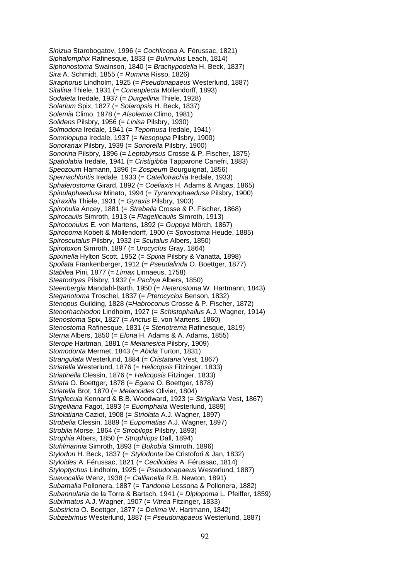*Sinizua* Starobogatov, 1996 (= *Cochlicopa* A. Férussac, 1821) *Siphalomphix* Rafinesque, 1833 (= *Bulimulus* Leach, 1814) *Siphonostoma* Swainson, 1840 (= *Brachypodella* H. Beck, 1837) *Sira* A. Schmidt, 1855 (= *Rumina* Risso, 1826) *Siraphorus* Lindholm, 1925 (= *Pseudonapaeus* Westerlund, 1887) *Sitalina* Thiele, 1931 (= *Coneuplecta* Möllendorff, 1893) *Sodaleta* Iredale, 1937 (= *Durgellina* Thiele, 1928) *Solarium* Spix, 1827 (= *Solaropsis* H. Beck, 1837) *Solemia* Climo, 1978 (= *Alsolemia* Climo, 1981) *Solidens* Pilsbry, 1956 (= *Linisa* Pilsbry, 1930) *Solmodora* Iredale, 1941 (= *Tepomusa* Iredale, 1941) *Somniopupa* Iredale, 1937 (= *Nesopupa* Pilsbry, 1900) *Sonoranax* Pilsbry, 1939 (= *Sonorella* Pilsbry, 1900) *Sonorina* Pilsbry, 1896 (= *Leptobyrsus* Crosse & P. Fischer, 1875) *Spatiolabia* Iredale, 1941 (= *Cristigibba* Tapparone Canefri, 1883) *Speozoum* Hamann, 1896 (= *Zospeum* Bourguignat, 1856) *Spernachloritis* Iredale, 1933 (= *Catellotrachia* Iredale, 1933) *Sphalerostoma* Girard, 1892 (= *Coeliaxis* H. Adams & Angas, 1865) *Spinulaphaedusa* Minato, 1994 (= *Tyrannophaedusa* Pilsbry, 1900) *Spiraxilla* Thiele, 1931 (= *Gyraxis* Pilsbry, 1903) *Spirobulla* Ancey, 1881 (= *Strebelia* Crosse & P. Fischer, 1868) *Spirocaulis* Simroth, 1913 (= *Flagellicaulis* Simroth, 1913) *Spiroconulus* E. von Martens, 1892 (= *Guppya* Mörch, 1867) *Spiropoma* Kobelt & Möllendorff, 1900 (= *Spirostoma* Heude, 1885) *Spiroscutalus* Pilsbry, 1932 (= *Scutalus* Albers, 1850) *Spirotoxon* Simroth, 1897 (= *Urocyclus* Gray, 1864) *Spixinella* Hylton Scott, 1952 (= *Spixia* Pilsbry & Vanatta, 1898) *Spoliata* Frankenberger, 1912 (= *Pseudalinda* O. Boettger, 1877) *Stabilea* Pini, 1877 (= *Limax* Linnaeus, 1758) *Steatodryas* Pilsbry, 1932 (= *Pachya* Albers, 1850) *Steenbergia* Mandahl-Barth, 1950 (= *Heterostoma* W. Hartmann, 1843) *Steganotoma* Troschel, 1837 (= *Pterocyclos* Benson, 1832) *Stenopus* Guilding, 1828 (=*Habroconus* Crosse & P. Fischer, 1872) *Stenorhachiodon* Lindholm, 1927 (= *Schistophallus* A.J. Wagner, 1914) *Stenostoma* Spix, 1827 (= *Anctus* E. von Martens, 1860) *Stenostoma* Rafinesque, 1831 (= *Stenotrema* Rafinesque, 1819) *Sterna* Albers, 1850 (= *Elona* H. Adams & A. Adams, 1855) *Sterope* Hartman, 1881 (= *Melanesica* Pilsbry, 1909) *Stomodonta* Mermet, 1843 (= *Abida* Turton, 1831) *Strangulata* Westerlund, 1884 (= *Cristataria* Vest, 1867) *Striatella* Westerlund, 1876 (= *Helicopsis* Fitzinger, 1833) *Striatinella* Clessin, 1876 (= *Helicopsis* Fitzinger, 1833) *Striata* O. Boettger, 1878 (= *Egana* O. Boettger, 1878) *Striatella* Brot, 1870 (= *Melanoides* Olivier, 1804) *Strigilecula* Kennard & B.B. Woodward, 1923 (= *Strigillaria* Vest, 1867) *Strigelliana* Fagot, 1893 (= *Euomphalia* Westerlund, 1889) *Striolatiana* Caziot, 1908 (= *Striolata* A.J. Wagner, 1897) *Strobelia* Clessin, 1889 (= *Eupomatias* A.J. Wagner, 1897) *Strobila* Morse, 1864 (= *Strobilops* Pilsbry, 1893) *Strophia* Albers, 1850 (= *Strophiops* Dall, 1894) *Stuhlmannia* Simroth, 1893 (= *Bukobia* Simroth, 1896) *Stylodon* H. Beck, 1837 (= *Stylodonta* De Cristofori & Jan, 1832) *Styloides* A. Férussac, 1821 (= *Cecilioides* A. Férussac, 1814) *Styloptychus* Lindholm, 1925 (= *Pseudonapaeus* Westerlund, 1887) *Suavocallia* Wenz, 1938 (= *Callianella* R.B. Newton, 1891) *Subamalia* Pollonera, 1887 (= *Tandonia* Lessona & Pollonera, 1882) *Subannularia* de la Torre & Bartsch, 1941 (= *Diplopoma* L. Pfeiffer, 1859) *Subrimatus* A.J. Wagner, 1907 (= *Vitrea* Fitzinger, 1833) *Substricta* O. Boettger, 1877 (= *Delima* W. Hartmann, 1842) *Subzebrinus* Westerlund, 1887 (= *Pseudonapaeus* Westerlund, 1887)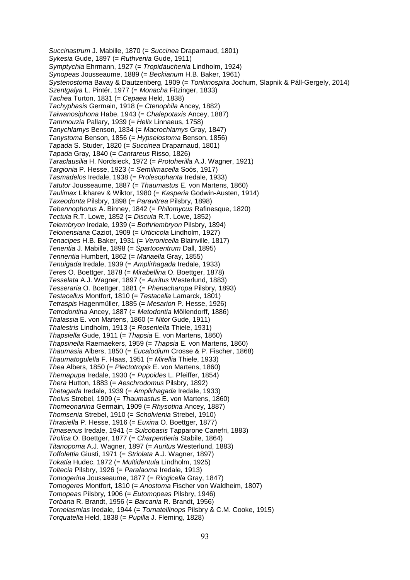*Succinastrum* J. Mabille, 1870 (= *Succinea* Draparnaud, 1801) *Sykesia* Gude, 1897 (= *Ruthvenia* Gude, 1911) *Symptychia* Ehrmann, 1927 (= *Tropidauchenia* Lindholm, 1924) *Synopeas* Jousseaume, 1889 (= *Beckianum* H.B. Baker, 1961) *Systenostoma* Bavay & Dautzenberg, 1909 (= *Tonkinospira* Jochum, Slapnik & Páll-Gergely, 2014) *Szentgalya* L. Pintér, 1977 (= *Monacha* Fitzinger, 1833) *Tachea* Turton, 1831 (= *Cepaea* Held, 1838) *Tachyphasis* Germain, 1918 (= *Ctenophila* Ancey, 1882) *Taiwanosiphona* Habe, 1943 (= *Chalepotaxis* Ancey, 1887) *Tammouzia* Pallary, 1939 (= *Helix* Linnaeus, 1758) *Tanychlamys* Benson, 1834 (= *Macrochlamys* Gray, 1847) *Tanystoma* Benson, 1856 (= *Hypselostoma* Benson, 1856) *Tapada* S. Studer, 1820 (= *Succinea* Draparnaud, 1801) *Tapada* Gray, 1840 (= *Cantareus* Risso, 1826) *Taraclausilia* H. Nordsieck, 1972 (= *Protoherilla* A.J. Wagner, 1921) *Targionia* P. Hesse, 1923 (= *Semilimacella* Soós, 1917) *Tasmadelos* Iredale, 1938 (= *Prolesophanta* Iredale, 1933) *Tatutor* Jousseaume, 1887 (= *Thaumastus* E. von Martens, 1860) *Taulimax* Likharev & Wiktor, 1980 (= *Kasperia* Godwin-Austen, 1914) *Taxeodonta* Pilsbry, 1898 (= *Paravitrea* Pilsbry, 1898) *Tebennophorus* A. Binney, 1842 (= *Philomycus* Rafinesque, 1820) *Tectula* R.T. Lowe, 1852 (= *Discula* R.T. Lowe, 1852) *Telembryon* Iredale, 1939 (= *Bothriembryon* Pilsbry, 1894) *Telonensiana* Caziot, 1909 (= *Urticicola* Lindholm, 1927) *Tenacipes* H.B. Baker, 1931 (= *Veronicella* Blainville, 1817) *Teneritia* J. Mabille, 1898 (= *Spartocentrum* Dall, 1895) *Tennentia* Humbert, 1862 (= *Mariaella* Gray, 1855) *Tenuigada* Iredale, 1939 (= *Amplirhagada* Iredale, 1933) *Teres* O. Boettger, 1878 (= *Mirabellina* O. Boettger, 1878) *Tesselata* A.J. Wagner, 1897 (= *Auritus* Westerlund, 1883) *Tesseraria* O. Boettger, 1881 (= *Phenacharopa* Pilsbry, 1893) *Testacellus* Montfort, 1810 (= *Testacella* Lamarck, 1801) *Tetraspis* Hagenmüller, 1885 (= *Mesarion* P. Hesse, 1926) *Tetrodontina* Ancey, 1887 (= *Metodontia* Möllendorff, 1886) *Thalassia* E. von Martens, 1860 (= *Nitor* Gude, 1911) *Thalestris* Lindholm, 1913 (= *Roseniella* Thiele, 1931) *Thapsiella* Gude, 1911 (= *Thapsia* E. von Martens, 1860) *Thapsinella* Raemaekers, 1959 (= *Thapsia* E. von Martens, 1860) *Thaumasia* Albers, 1850 (= *Eucalodium* Crosse & P. Fischer, 1868) *Thaumatogulella* F. Haas, 1951 (= *Mirellia* Thiele, 1933) *Thea* Albers, 1850 (= *Plectotropis* E. von Martens, 1860) *Themapupa* Iredale, 1930 (= *Pupoides* L. Pfeiffer, 1854) *Thera* Hutton, 1883 (= *Aeschrodomus* Pilsbry, 1892) *Thetagada* Iredale, 1939 (= *Amplirhagada* Iredale, 1933) *Tholus* Strebel, 1909 (= *Thaumastus* E. von Martens, 1860) *Thomeonanina* Germain, 1909 (= *Rhysotina* Ancey, 1887) *Thomsenia* Strebel, 1910 (= *Scholvienia* Strebel, 1910) *Thraciella* P. Hesse, 1916 (= *Euxina* O. Boettger, 1877) *Timasenus* Iredale, 1941 (= *Sulcobasis* Tapparone Canefri, 1883) *Tirolica* O. Boettger, 1877 (= *Charpentieria* Stabile, 1864) *Titanopoma* A.J. Wagner, 1897 (= *Auritus* Westerlund, 1883) *Toffolettia* Giusti, 1971 (= *Striolata* A.J. Wagner, 1897) *Tokatia* Hudec, 1972 (= *Multidentula* Lindholm, 1925) *Toltecia* Pilsbry, 1926 (= *Paralaoma* Iredale, 1913) *Tomogerina* Jousseaume, 1877 (= *Ringicella* Gray, 1847) *Tomogeres* Montfort, 1810 (= *Anostoma* Fischer von Waldheim, 1807) *Tomopeas* Pilsbry, 1906 (= *Eutomopeas* Pilsbry, 1946) *Torbana* R. Brandt, 1956 (= *Barcania* R. Brandt, 1956) *Tornelasmias* Iredale, 1944 (= *Tornatellinops* Pilsbry & C.M. Cooke, 1915) *Torquatella* Held, 1838 (= *Pupilla* J. Fleming, 1828)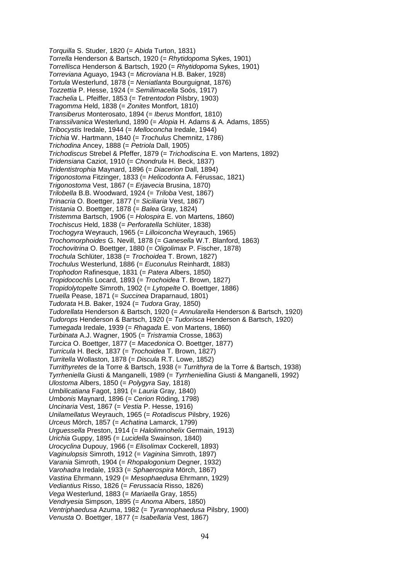*Torquilla* S. Studer, 1820 (= *Abida* Turton, 1831) *Torrella* Henderson & Bartsch, 1920 (= *Rhytidopoma* Sykes, 1901) *Torrellisca* Henderson & Bartsch, 1920 (= *Rhytidopoma* Sykes, 1901) *Torreviana* Aguayo, 1943 (= *Microviana* H.B. Baker, 1928) *Tortula* Westerlund, 1878 (= *Neniatlanta* Bourguignat, 1876) *Tozzettia* P. Hesse, 1924 (= *Semilimacella* Soós, 1917) *Trachelia* L. Pfeiffer, 1853 (= *Tetrentodon* Pilsbry, 1903) *Tragomma* Held, 1838 (= *Zonites* Montfort, 1810) *Transiberus* Monterosato, 1894 (= *Iberus* Montfort, 1810) *Transsilvanica* Westerlund, 1890 (= *Alopia* H. Adams & A. Adams, 1855) *Tribocystis* Iredale, 1944 (= *Melloconcha* Iredale, 1944) *Trichia* W. Hartmann, 1840 (= *Trochulus* Chemnitz, 1786) *Trichodina* Ancey, 1888 (= *Petriola* Dall, 1905) *Trichodiscus* Strebel & Pfeffer, 1879 (= *Trichodiscina* E. von Martens, 1892) *Tridensiana* Caziot, 1910 (= *Chondrula* H. Beck, 1837) *Tridentistrophia* Maynard, 1896 (= *Diacerion* Dall, 1894) *Trigonostoma* Fitzinger, 1833 (= *Helicodonta* A. Férussac, 1821) *Trigonostoma* Vest, 1867 (= *Erjavecia* Brusina, 1870) *Trilobella* B.B. Woodward, 1924 (= *Triloba* Vest, 1867) *Trinacria* O. Boettger, 1877 (= *Siciliaria* Vest, 1867) *Tristania* O. Boettger, 1878 (= *Balea* Gray, 1824) *Tristemma* Bartsch, 1906 (= *Holospira* E. von Martens, 1860) *Trochiscus* Held, 1838 (= *Perforatella* Schlüter, 1838) *Trochogyra* Weyrauch, 1965 (= *Lilloiconcha* Weyrauch, 1965) *Trochomorphoides* G. Nevill, 1878 (= *Ganesella* W.T. Blanford, 1863) *Trochovitrina* O. Boettger, 1880 (= *Oligolimax* P. Fischer, 1878) *Trochula* Schlüter, 1838 (= *Trochoidea* T. Brown, 1827) *Trochulus* Westerlund, 1886 (= *Euconulus* Reinhardt, 1883) *Trophodon* Rafinesque, 1831 (= *Patera* Albers, 1850) *Tropidocochlis* Locard, 1893 (= *Trochoidea* T. Brown, 1827) *Tropidolytopelte* Simroth, 1902 (= *Lytopelte* O. Boettger, 1886) *Truella* Pease, 1871 (= *Succinea* Draparnaud, 1801) *Tudorata* H.B. Baker, 1924 (= *Tudora* Gray, 1850) *Tudorellata* Henderson & Bartsch, 1920 (= *Annularella* Henderson & Bartsch, 1920) *Tudorops* Henderson & Bartsch, 1920 (= *Tudorisca* Henderson & Bartsch, 1920) *Tumegada* Iredale, 1939 (= *Rhagada* E. von Martens, 1860) *Turbinata* A.J. Wagner, 1905 (= *Tristramia* Crosse, 1863) *Turcica* O. Boettger, 1877 (= *Macedonica* O. Boettger, 1877) *Turricula* H. Beck, 1837 (= *Trochoidea* T. Brown, 1827) *Turritella* Wollaston, 1878 (= *Discula* R.T. Lowe, 1852) *Turrithyretes* de la Torre & Bartsch, 1938 (= *Turrithyra* de la Torre & Bartsch, 1938) *Tyrrheniella* Giusti & Manganelli, 1989 (= *Tyrrheniellina* Giusti & Manganelli, 1992) *Ulostoma* Albers, 1850 (= *Polygyra* Say, 1818) *Umbilicatiana* Fagot, 1891 (= *Lauria* Gray, 1840) *Umbonis* Maynard, 1896 (= *Cerion* Röding, 1798) *Uncinaria* Vest, 1867 (= *Vestia* P. Hesse, 1916) *Unilamellatus* Weyrauch, 1965 (= *Rotadiscus* Pilsbry, 1926) *Urceus* Mörch, 1857 (= *Achatina* Lamarck, 1799) *Urguessella* Preston, 1914 (= *Halolimnohelix* Germain, 1913) *Urichia* Guppy, 1895 (= *Lucidella* Swainson, 1840) *Urocyclina* Dupouy, 1966 (= *Elisolimax* Cockerell, 1893) *Vaginulopsis* Simroth, 1912 (= *Vaginina* Simroth, 1897) *Varania* Simroth, 1904 (= *Rhopalogonium* Degner, 1932) *Varohadra* Iredale, 1933 (= *Sphaerospira* Mörch, 1867) *Vastina* Ehrmann, 1929 (= *Mesophaedusa* Ehrmann, 1929) *Vediantius* Risso, 1826 (= *Ferussacia* Risso, 1826) *Vega* Westerlund, 1883 (= *Mariaella* Gray, 1855) *Vendryesia* Simpson, 1895 (= *Anoma* Albers, 1850) *Ventriphaedusa* Azuma, 1982 (= *Tyrannophaedusa* Pilsbry, 1900) *Venusta* O. Boettger, 1877 (= *Isabellaria* Vest, 1867)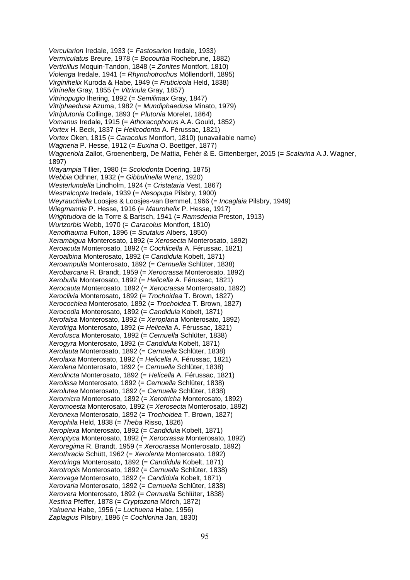*Vercularion* Iredale, 1933 (= *Fastosarion* Iredale, 1933) *Vermiculatus* Breure, 1978 (= *Bocourtia* Rochebrune, 1882) *Verticillus* Moquin-Tandon, 1848 (= *Zonites* Montfort, 1810) *Violenga* Iredale, 1941 (= *Rhynchotrochus* Möllendorff, 1895) *Virginihelix* Kuroda & Habe, 1949 (= *Fruticicola* Held, 1838) *Vitrinella* Gray, 1855 (= *Vitrinula* Gray, 1857) *Vitrinopugio* Ihering, 1892 (= *Semilimax* Gray, 1847) *Vitriphaedusa* Azuma, 1982 (= *Mundiphaedusa* Minato, 1979) *Vitriplutonia* Collinge, 1893 (= *Plutonia* Morelet, 1864) *Vomanus* Iredale, 1915 (= *Athoracophorus* A.A. Gould, 1852) *Vortex* H. Beck, 1837 (= *Helicodonta* A. Férussac, 1821) *Vortex* Oken, 1815 (= *Caracolus* Montfort, 1810) (unavailable name) *Wagneria* P. Hesse, 1912 (= *Euxina* O. Boettger, 1877) *Wagneriola* Zallot, Groenenberg, De Mattia, Fehér & E. Gittenberger, 2015 (= *Scalarina* A.J. Wagner, 1897) *Wayampia* Tillier, 1980 (= *Scolodonta* Doering, 1875) *Webbia* Odhner, 1932 (= *Gibbulinella* Wenz, 1920) *Westerlundella* Lindholm, 1924 (= *Cristataria* Vest, 1867) *Westralcopta* Iredale, 1939 (= *Nesopupa* Pilsbry, 1900) *Weyrauchiella* Loosjes & Loosjes-van Bemmel, 1966 (= *Incaglaia* Pilsbry, 1949) *Wiegmannia* P. Hesse, 1916 (= *Maurohelix* P. Hesse, 1917) *Wrightudora* de la Torre & Bartsch, 1941 (= *Ramsdenia* Preston, 1913) *Wurtzorbis* Webb, 1970 (= *Caracolus* Montfort, 1810) *Xenothauma* Fulton, 1896 (= *Scutalus* Albers, 1850) *Xerambigua* Monterosato, 1892 (= *Xerosecta* Monterosato, 1892) *Xeroacuta* Monterosato, 1892 (= *Cochlicella* A. Férussac, 1821) *Xeroalbina* Monterosato, 1892 (= *Candidula* Kobelt, 1871) *Xeroampulla* Monterosato, 1892 (= *Cernuella* Schlüter, 1838) *Xerobarcana* R. Brandt, 1959 (= *Xerocrassa* Monterosato, 1892) *Xerobulla* Monterosato, 1892 (= *Helicella* A. Férussac, 1821) *Xerocauta* Monterosato, 1892 (= *Xerocrassa* Monterosato, 1892) *Xeroclivia* Monterosato, 1892 (= *Trochoidea* T. Brown, 1827) *Xerocochlea* Monterosato, 1892 (= *Trochoidea* T. Brown, 1827) *Xerocodia* Monterosato, 1892 (= *Candidula* Kobelt, 1871) *Xerofalsa* Monterosato, 1892 (= *Xeroplana* Monterosato, 1892) *Xerofriga* Monterosato, 1892 (= *Helicella* A. Férussac, 1821) *Xerofusca* Monterosato, 1892 (= *Cernuella* Schlüter, 1838) *Xerogyra* Monterosato, 1892 (= *Candidula* Kobelt, 1871) *Xerolauta* Monterosato, 1892 (= *Cernuella* Schlüter, 1838) *Xerolaxa* Monterosato, 1892 (= *Helicella* A. Férussac, 1821) *Xerolena* Monterosato, 1892 (= *Cernuella* Schlüter, 1838) *Xerolincta* Monterosato, 1892 (= *Helicella* A. Férussac, 1821) *Xerolissa* Monterosato, 1892 (= *Cernuella* Schlüter, 1838) *Xerolutea* Monterosato, 1892 (= *Cernuella* Schlüter, 1838) *Xeromicra* Monterosato, 1892 (= *Xerotricha* Monterosato, 1892) *Xeromoesta* Monterosato, 1892 (= *Xerosecta* Monterosato, 1892) *Xeronexa* Monterosato, 1892 (= *Trochoidea* T. Brown, 1827) *Xerophila* Held, 1838 (= *Theba* Risso, 1826) *Xeroplexa* Monterosato, 1892 (= *Candidula* Kobelt, 1871) *Xeroptyca* Monterosato, 1892 (= *Xerocrassa* Monterosato, 1892) *Xeroregima* R. Brandt, 1959 (= *Xerocrassa* Monterosato, 1892) *Xerothracia* Schütt, 1962 (= *Xerolenta* Monterosato, 1892) *Xerotringa* Monterosato, 1892 (= *Candidula* Kobelt, 1871) *Xerotropis* Monterosato, 1892 (= *Cernuella* Schlüter, 1838) *Xerovaga* Monterosato, 1892 (= *Candidula* Kobelt, 1871) *Xerovaria* Monterosato, 1892 (= *Cernuella* Schlüter, 1838) *Xerovera* Monterosato, 1892 (= *Cernuella* Schlüter, 1838) *Xestina* Pfeffer, 1878 (= *Cryptozona* Mörch, 1872) *Yakuena* Habe, 1956 (= *Luchuena* Habe, 1956) *Zaplagius* Pilsbry, 1896 (= *Cochlorina* Jan, 1830)